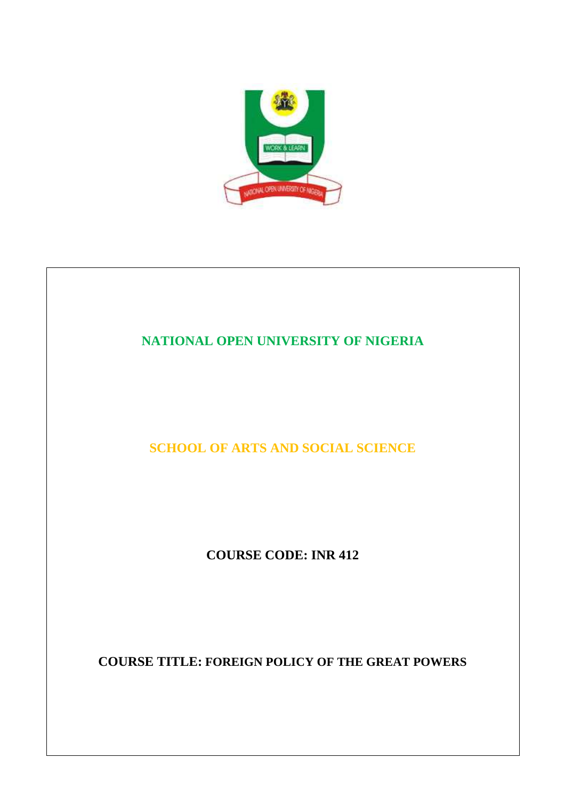

# **NATIONAL OPEN UNIVERSITY OF NIGERIA**

# **SCHOOL OF ARTS AND SOCIAL SCIENCE**

# **COURSE CODE: INR 412**

# **COURSE TITLE: FOREIGN POLICY OF THE GREAT POWERS**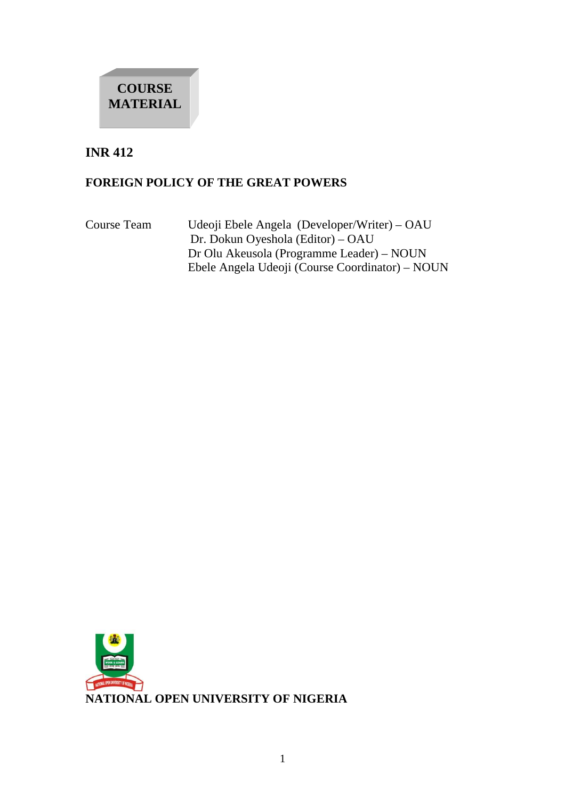

**INR 412** 

# **FOREIGN POLICY OF THE GREAT POWERS**

| Course Team | Udeoji Ebele Angela (Developer/Writer) – OAU    |
|-------------|-------------------------------------------------|
|             | Dr. Dokun Oyeshola (Editor) – OAU               |
|             | Dr Olu Akeusola (Programme Leader) – NOUN       |
|             | Ebele Angela Udeoji (Course Coordinator) – NOUN |

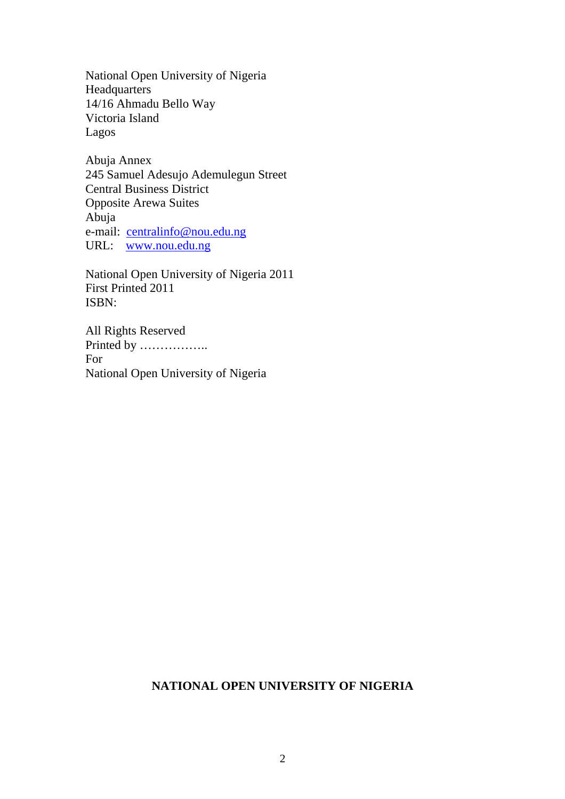National Open University of Nigeria Headquarters 14/16 Ahmadu Bello Way Victoria Island Lagos

Abuja Annex 245 Samuel Adesujo Ademulegun Street Central Business District Opposite Arewa Suites Abuja e-mail: centralinfo@nou.edu.ng URL: www.nou.edu.ng

National Open University of Nigeria 2011 First Printed 2011 ISBN:

All Rights Reserved Printed by …………….. For National Open University of Nigeria

# **NATIONAL OPEN UNIVERSITY OF NIGERIA**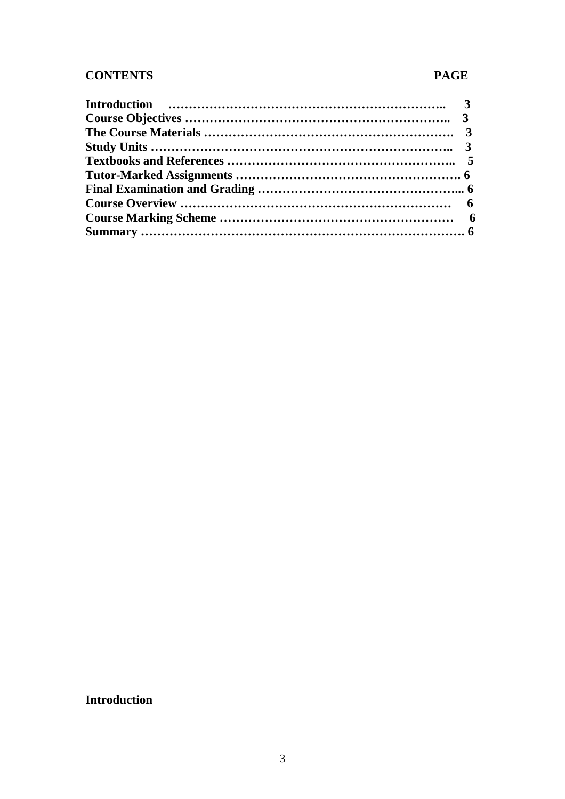# **CONTENTS PAGE**

# **Introduction**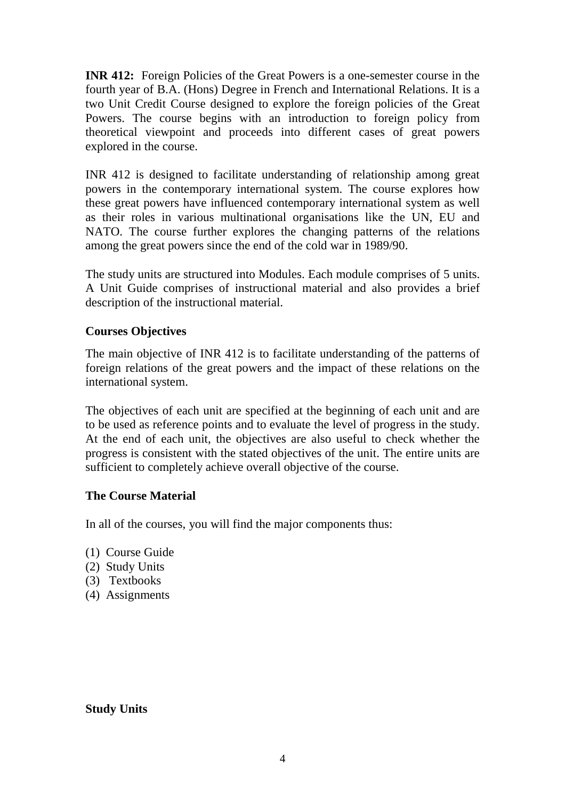**INR 412:** Foreign Policies of the Great Powers is a one-semester course in the fourth year of B.A. (Hons) Degree in French and International Relations. It is a two Unit Credit Course designed to explore the foreign policies of the Great Powers. The course begins with an introduction to foreign policy from theoretical viewpoint and proceeds into different cases of great powers explored in the course.

INR 412 is designed to facilitate understanding of relationship among great powers in the contemporary international system. The course explores how these great powers have influenced contemporary international system as well as their roles in various multinational organisations like the UN, EU and NATO. The course further explores the changing patterns of the relations among the great powers since the end of the cold war in 1989/90.

The study units are structured into Modules. Each module comprises of 5 units. A Unit Guide comprises of instructional material and also provides a brief description of the instructional material.

#### **Courses Objectives**

The main objective of INR 412 is to facilitate understanding of the patterns of foreign relations of the great powers and the impact of these relations on the international system.

The objectives of each unit are specified at the beginning of each unit and are to be used as reference points and to evaluate the level of progress in the study. At the end of each unit, the objectives are also useful to check whether the progress is consistent with the stated objectives of the unit. The entire units are sufficient to completely achieve overall objective of the course.

#### **The Course Material**

In all of the courses, you will find the major components thus:

- (1) Course Guide
- (2) Study Units
- (3) Textbooks
- (4) Assignments

#### **Study Units**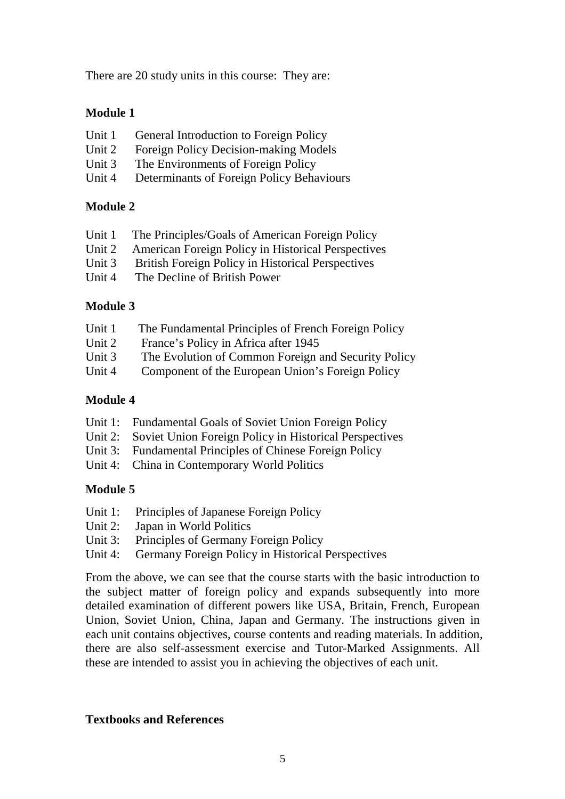There are 20 study units in this course: They are:

#### **Module 1**

- Unit 1 General Introduction to Foreign Policy
- Unit 2 Foreign Policy Decision-making Models
- Unit 3 The Environments of Foreign Policy
- Unit 4 Determinants of Foreign Policy Behaviours

# **Module 2**

- Unit 1 The Principles/Goals of American Foreign Policy
- Unit 2 American Foreign Policy in Historical Perspectives
- Unit 3 British Foreign Policy in Historical Perspectives<br>
Unit 4 The Decline of British Power
- The Decline of British Power

# **Module 3**

- Unit 1 The Fundamental Principles of French Foreign Policy
- Unit 2 France's Policy in Africa after 1945
- Unit 3 The Evolution of Common Foreign and Security Policy
- Unit 4 Component of the European Union's Foreign Policy

# **Module 4**

- Unit 1: Fundamental Goals of Soviet Union Foreign Policy
- Unit 2: Soviet Union Foreign Policy in Historical Perspectives
- Unit 3: Fundamental Principles of Chinese Foreign Policy
- Unit 4: China in Contemporary World Politics

# **Module 5**

- Unit 1: Principles of Japanese Foreign Policy
- Unit 2: Japan in World Politics
- Unit 3: Principles of Germany Foreign Policy
- Unit 4: Germany Foreign Policy in Historical Perspectives

From the above, we can see that the course starts with the basic introduction to the subject matter of foreign policy and expands subsequently into more detailed examination of different powers like USA, Britain, French, European Union, Soviet Union, China, Japan and Germany. The instructions given in each unit contains objectives, course contents and reading materials. In addition, there are also self-assessment exercise and Tutor-Marked Assignments. All these are intended to assist you in achieving the objectives of each unit.

#### **Textbooks and References**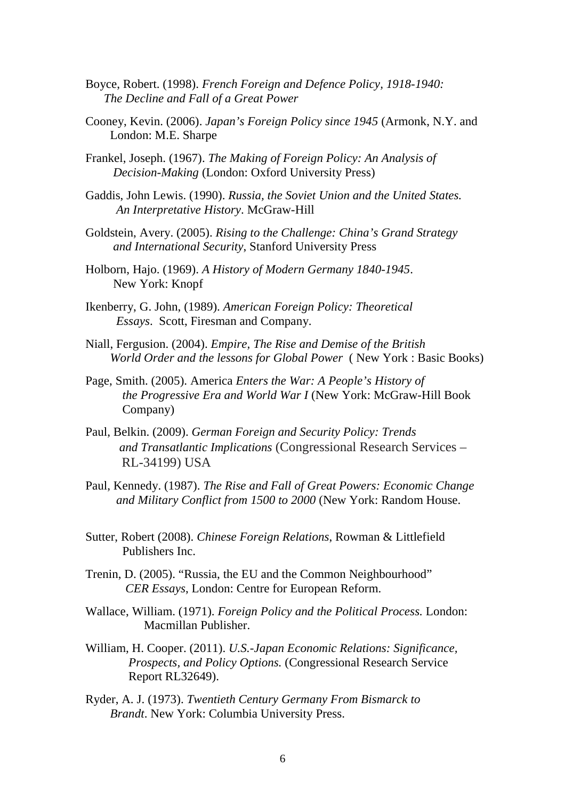- Boyce, Robert. (1998). *French Foreign and Defence Policy, 1918-1940: The Decline and Fall of a Great Power*
- Cooney, Kevin. (2006). *Japan's Foreign Policy since 1945* (Armonk, N.Y. and London: M.E. Sharpe
- Frankel, Joseph. (1967). *The Making of Foreign Policy: An Analysis of Decision-Making* (London: Oxford University Press)
- Gaddis, John Lewis. (1990). *Russia, the Soviet Union and the United States. An Interpretative History*. McGraw-Hill
- Goldstein, Avery. (2005). *Rising to the Challenge: China's Grand Strategy and International Security*, Stanford University Press
- Holborn, Hajo. (1969). *A History of Modern Germany 1840-1945*. New York: Knopf
- Ikenberry, G. John, (1989). *American Foreign Policy: Theoretical Essays*. Scott, Firesman and Company.
- Niall, Fergusion. (2004). *Empire, The Rise and Demise of the British World Order and the lessons for Global Power* ( New York : Basic Books)
- Page, Smith. (2005). America *Enters the War: A People's History of the Progressive Era and World War I* (New York: McGraw-Hill Book Company)
- Paul, Belkin. (2009). *German Foreign and Security Policy: Trends and Transatlantic Implications* (Congressional Research Services – RL-34199) USA
- Paul, Kennedy. (1987). *The Rise and Fall of Great Powers: Economic Change and Military Conflict from 1500 to 2000* (New York: Random House.
- Sutter, Robert (2008). *Chinese Foreign Relations*, Rowman & Littlefield Publishers Inc.
- Trenin, D. (2005). "Russia, the EU and the Common Neighbourhood" *CER Essays*, London: Centre for European Reform.
- Wallace, William. (1971). *Foreign Policy and the Political Process.* London: Macmillan Publisher.
- William, H. Cooper. (2011). *U.S.-Japan Economic Relations: Significance, Prospects, and Policy Options.* (Congressional Research Service Report RL32649).
- Ryder, A. J. (1973). *Twentieth Century Germany From Bismarck to Brandt*. New York: Columbia University Press.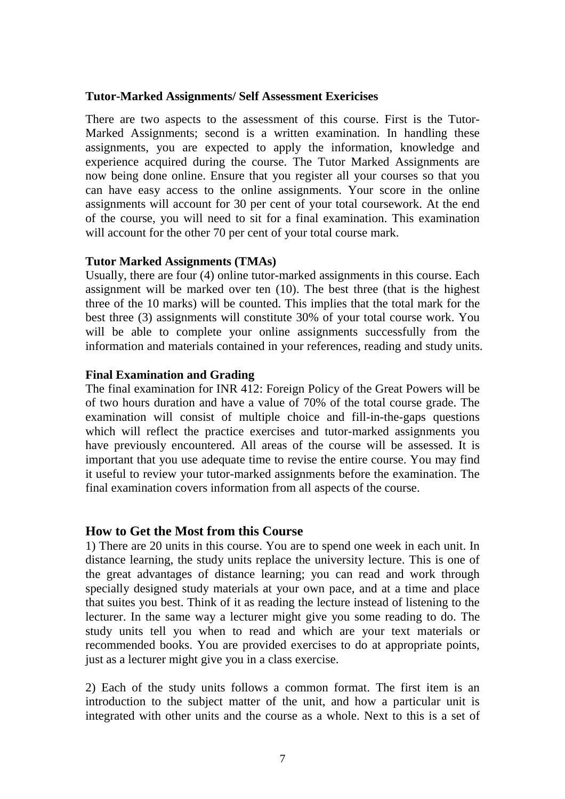#### **Tutor-Marked Assignments/ Self Assessment Exericises**

There are two aspects to the assessment of this course. First is the Tutor-Marked Assignments; second is a written examination. In handling these assignments, you are expected to apply the information, knowledge and experience acquired during the course. The Tutor Marked Assignments are now being done online. Ensure that you register all your courses so that you can have easy access to the online assignments. Your score in the online assignments will account for 30 per cent of your total coursework. At the end of the course, you will need to sit for a final examination. This examination will account for the other 70 per cent of your total course mark.

#### **Tutor Marked Assignments (TMAs)**

Usually, there are four (4) online tutor-marked assignments in this course. Each assignment will be marked over ten (10). The best three (that is the highest three of the 10 marks) will be counted. This implies that the total mark for the best three (3) assignments will constitute 30% of your total course work. You will be able to complete your online assignments successfully from the information and materials contained in your references, reading and study units.

#### **Final Examination and Grading**

The final examination for INR 412: Foreign Policy of the Great Powers will be of two hours duration and have a value of 70% of the total course grade. The examination will consist of multiple choice and fill-in-the-gaps questions which will reflect the practice exercises and tutor-marked assignments you have previously encountered. All areas of the course will be assessed. It is important that you use adequate time to revise the entire course. You may find it useful to review your tutor-marked assignments before the examination. The final examination covers information from all aspects of the course.

#### **How to Get the Most from this Course**

1) There are 20 units in this course. You are to spend one week in each unit. In distance learning, the study units replace the university lecture. This is one of the great advantages of distance learning; you can read and work through specially designed study materials at your own pace, and at a time and place that suites you best. Think of it as reading the lecture instead of listening to the lecturer. In the same way a lecturer might give you some reading to do. The study units tell you when to read and which are your text materials or recommended books. You are provided exercises to do at appropriate points, just as a lecturer might give you in a class exercise.

2) Each of the study units follows a common format. The first item is an introduction to the subject matter of the unit, and how a particular unit is integrated with other units and the course as a whole. Next to this is a set of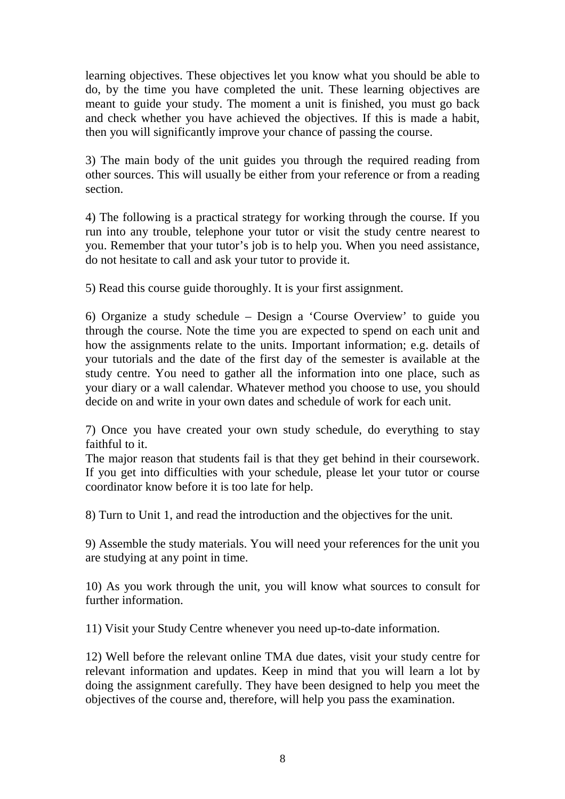learning objectives. These objectives let you know what you should be able to do, by the time you have completed the unit. These learning objectives are meant to guide your study. The moment a unit is finished, you must go back and check whether you have achieved the objectives. If this is made a habit, then you will significantly improve your chance of passing the course.

3) The main body of the unit guides you through the required reading from other sources. This will usually be either from your reference or from a reading section.

4) The following is a practical strategy for working through the course. If you run into any trouble, telephone your tutor or visit the study centre nearest to you. Remember that your tutor's job is to help you. When you need assistance, do not hesitate to call and ask your tutor to provide it.

5) Read this course guide thoroughly. It is your first assignment.

6) Organize a study schedule – Design a 'Course Overview' to guide you through the course. Note the time you are expected to spend on each unit and how the assignments relate to the units. Important information; e.g. details of your tutorials and the date of the first day of the semester is available at the study centre. You need to gather all the information into one place, such as your diary or a wall calendar. Whatever method you choose to use, you should decide on and write in your own dates and schedule of work for each unit.

7) Once you have created your own study schedule, do everything to stay faithful to it.

The major reason that students fail is that they get behind in their coursework. If you get into difficulties with your schedule, please let your tutor or course coordinator know before it is too late for help.

8) Turn to Unit 1, and read the introduction and the objectives for the unit.

9) Assemble the study materials. You will need your references for the unit you are studying at any point in time.

10) As you work through the unit, you will know what sources to consult for further information.

11) Visit your Study Centre whenever you need up-to-date information.

12) Well before the relevant online TMA due dates, visit your study centre for relevant information and updates. Keep in mind that you will learn a lot by doing the assignment carefully. They have been designed to help you meet the objectives of the course and, therefore, will help you pass the examination.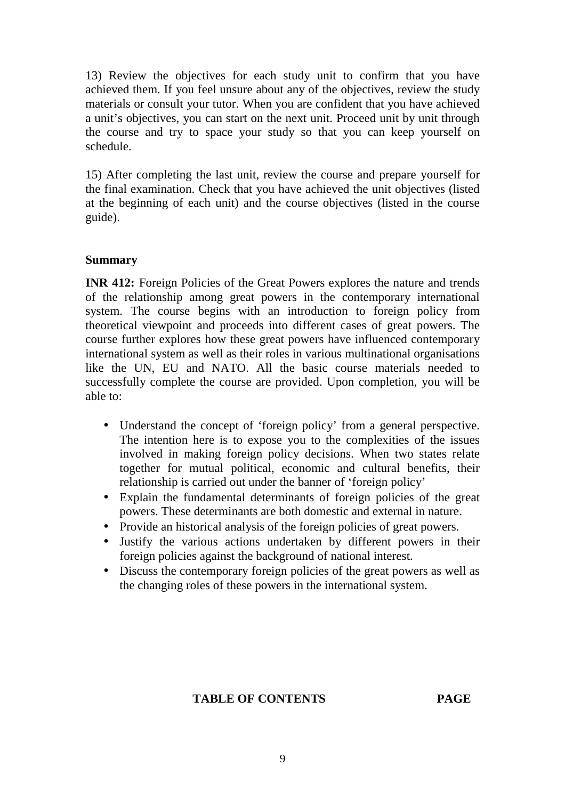13) Review the objectives for each study unit to confirm that you have achieved them. If you feel unsure about any of the objectives, review the study materials or consult your tutor. When you are confident that you have achieved a unit's objectives, you can start on the next unit. Proceed unit by unit through the course and try to space your study so that you can keep yourself on schedule.

15) After completing the last unit, review the course and prepare yourself for the final examination. Check that you have achieved the unit objectives (listed at the beginning of each unit) and the course objectives (listed in the course guide).

#### **Summary**

**INR 412:** Foreign Policies of the Great Powers explores the nature and trends of the relationship among great powers in the contemporary international system. The course begins with an introduction to foreign policy from theoretical viewpoint and proceeds into different cases of great powers. The course further explores how these great powers have influenced contemporary international system as well as their roles in various multinational organisations like the UN, EU and NATO. All the basic course materials needed to successfully complete the course are provided. Upon completion, you will be able to:

- Understand the concept of 'foreign policy' from a general perspective. The intention here is to expose you to the complexities of the issues involved in making foreign policy decisions. When two states relate together for mutual political, economic and cultural benefits, their relationship is carried out under the banner of 'foreign policy'
- Explain the fundamental determinants of foreign policies of the great powers. These determinants are both domestic and external in nature.
- Provide an historical analysis of the foreign policies of great powers.
- Justify the various actions undertaken by different powers in their foreign policies against the background of national interest.
- Discuss the contemporary foreign policies of the great powers as well as the changing roles of these powers in the international system.

#### **TABLE OF CONTENTS PAGE**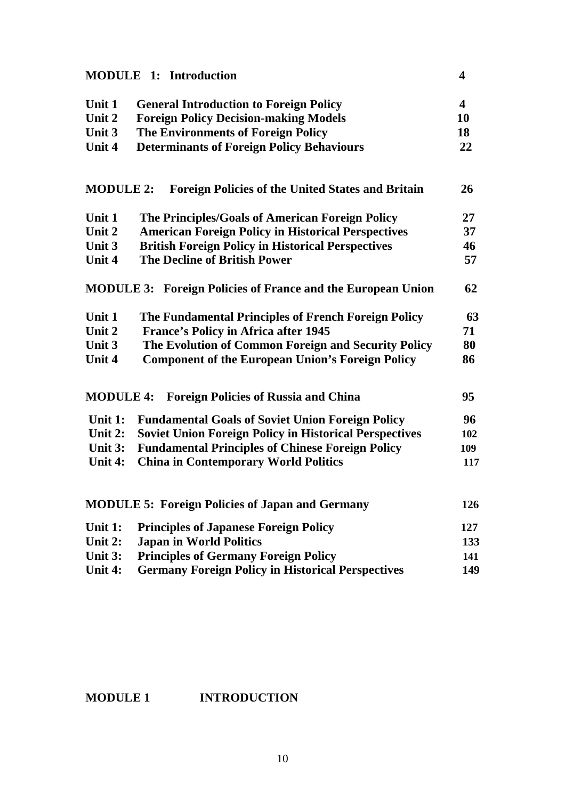| <b>MODULE 1: Introduction</b>                                      |                                                               | 4                       |
|--------------------------------------------------------------------|---------------------------------------------------------------|-------------------------|
| Unit 1                                                             | <b>General Introduction to Foreign Policy</b>                 | $\overline{\mathbf{4}}$ |
| Unit 2                                                             | <b>Foreign Policy Decision-making Models</b>                  | 10                      |
| Unit 3                                                             | <b>The Environments of Foreign Policy</b>                     | 18                      |
| Unit 4                                                             | <b>Determinants of Foreign Policy Behaviours</b>              | 22                      |
| <b>MODULE 2:</b>                                                   | <b>Foreign Policies of the United States and Britain</b>      | 26                      |
| Unit 1                                                             | The Principles/Goals of American Foreign Policy               | 27                      |
| Unit 2                                                             | <b>American Foreign Policy in Historical Perspectives</b>     | 37                      |
| Unit 3                                                             | <b>British Foreign Policy in Historical Perspectives</b>      | 46                      |
| Unit 4                                                             | <b>The Decline of British Power</b>                           | 57                      |
| <b>MODULE 3: Foreign Policies of France and the European Union</b> |                                                               | 62                      |
| <b>Unit 1</b>                                                      | The Fundamental Principles of French Foreign Policy           | 63                      |
| Unit 2                                                             | <b>France's Policy in Africa after 1945</b>                   | 71                      |
| Unit 3                                                             | The Evolution of Common Foreign and Security Policy           | 80                      |
| Unit 4                                                             | <b>Component of the European Union's Foreign Policy</b>       | 86                      |
| <b>MODULE 4:</b><br><b>Foreign Policies of Russia and China</b>    |                                                               | 95                      |
| Unit 1:                                                            | <b>Fundamental Goals of Soviet Union Foreign Policy</b>       | 96                      |
| Unit $2:$                                                          | <b>Soviet Union Foreign Policy in Historical Perspectives</b> | 102                     |
| Unit 3:                                                            | <b>Fundamental Principles of Chinese Foreign Policy</b>       | 109                     |
| Unit 4:                                                            | <b>China in Contemporary World Politics</b>                   | 117                     |
|                                                                    | <b>MODULE 5: Foreign Policies of Japan and Germany</b>        | 126                     |
| Unit 1:                                                            | <b>Principles of Japanese Foreign Policy</b>                  | 127                     |
| Unit 2:                                                            | <b>Japan in World Politics</b>                                | 133                     |
| Unit 3:                                                            | <b>Principles of Germany Foreign Policy</b>                   | 141                     |
| Unit 4:                                                            | <b>Germany Foreign Policy in Historical Perspectives</b>      | 149                     |

# **MODULE 1 INTRODUCTION**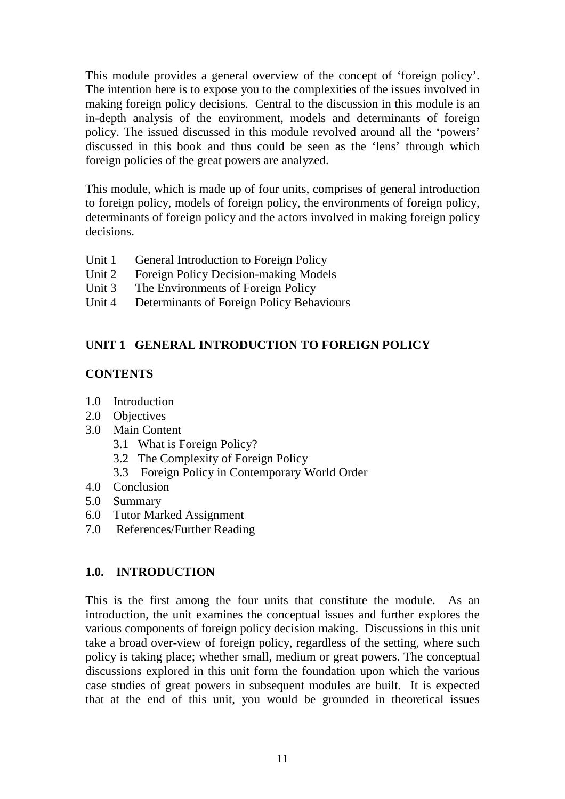This module provides a general overview of the concept of 'foreign policy'. The intention here is to expose you to the complexities of the issues involved in making foreign policy decisions. Central to the discussion in this module is an in-depth analysis of the environment, models and determinants of foreign policy. The issued discussed in this module revolved around all the 'powers' discussed in this book and thus could be seen as the 'lens' through which foreign policies of the great powers are analyzed.

This module, which is made up of four units, comprises of general introduction to foreign policy, models of foreign policy, the environments of foreign policy, determinants of foreign policy and the actors involved in making foreign policy decisions.

- Unit 1 General Introduction to Foreign Policy
- Unit 2 Foreign Policy Decision-making Models
- Unit 3 The Environments of Foreign Policy
- Unit 4 Determinants of Foreign Policy Behaviours

# **UNIT 1 GENERAL INTRODUCTION TO FOREIGN POLICY**

# **CONTENTS**

- 1.0Introduction
- 2.0 Objectives
- 3.0 Main Content
	- 3.1 What is Foreign Policy?
	- 3.2 The Complexity of Foreign Policy
	- 3.3 Foreign Policy in Contemporary World Order
- 4.0 Conclusion
- 5.0 Summary
- 6.0 Tutor Marked Assignment
- 7.0 References/Further Reading

# **1.0. INTRODUCTION**

This is the first among the four units that constitute the module. As an introduction, the unit examines the conceptual issues and further explores the various components of foreign policy decision making. Discussions in this unit take a broad over-view of foreign policy, regardless of the setting, where such policy is taking place; whether small, medium or great powers. The conceptual discussions explored in this unit form the foundation upon which the various case studies of great powers in subsequent modules are built. It is expected that at the end of this unit, you would be grounded in theoretical issues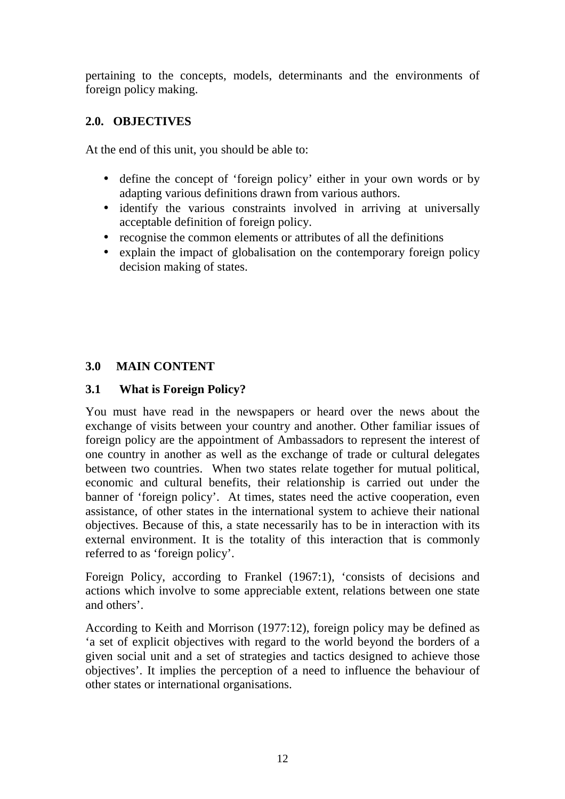pertaining to the concepts, models, determinants and the environments of foreign policy making.

# **2.0. OBJECTIVES**

At the end of this unit, you should be able to:

- define the concept of 'foreign policy' either in your own words or by adapting various definitions drawn from various authors.
- identify the various constraints involved in arriving at universally acceptable definition of foreign policy.
- recognise the common elements or attributes of all the definitions
- explain the impact of globalisation on the contemporary foreign policy decision making of states.

# **3.0 MAIN CONTENT**

# **3.1 What is Foreign Policy?**

You must have read in the newspapers or heard over the news about the exchange of visits between your country and another. Other familiar issues of foreign policy are the appointment of Ambassadors to represent the interest of one country in another as well as the exchange of trade or cultural delegates between two countries. When two states relate together for mutual political, economic and cultural benefits, their relationship is carried out under the banner of 'foreign policy'. At times, states need the active cooperation, even assistance, of other states in the international system to achieve their national objectives. Because of this, a state necessarily has to be in interaction with its external environment. It is the totality of this interaction that is commonly referred to as 'foreign policy'.

Foreign Policy, according to Frankel (1967:1), 'consists of decisions and actions which involve to some appreciable extent, relations between one state and others'.

According to Keith and Morrison (1977:12), foreign policy may be defined as 'a set of explicit objectives with regard to the world beyond the borders of a given social unit and a set of strategies and tactics designed to achieve those objectives'. It implies the perception of a need to influence the behaviour of other states or international organisations.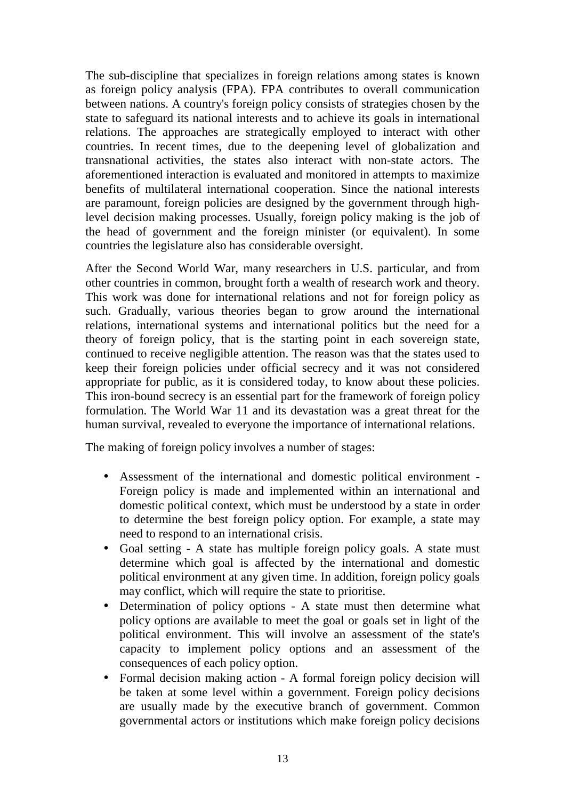The sub-discipline that specializes in foreign relations among states is known as foreign policy analysis (FPA). FPA contributes to overall communication between nations. A country's foreign policy consists of strategies chosen by the state to safeguard its national interests and to achieve its goals in international relations. The approaches are strategically employed to interact with other countries. In recent times, due to the deepening level of globalization and transnational activities, the states also interact with non-state actors. The aforementioned interaction is evaluated and monitored in attempts to maximize benefits of multilateral international cooperation. Since the national interests are paramount, foreign policies are designed by the government through highlevel decision making processes. Usually, foreign policy making is the job of the head of government and the foreign minister (or equivalent). In some countries the legislature also has considerable oversight.

After the Second World War, many researchers in U.S. particular, and from other countries in common, brought forth a wealth of research work and theory. This work was done for international relations and not for foreign policy as such. Gradually, various theories began to grow around the international relations, international systems and international politics but the need for a theory of foreign policy, that is the starting point in each sovereign state, continued to receive negligible attention. The reason was that the states used to keep their foreign policies under official secrecy and it was not considered appropriate for public, as it is considered today, to know about these policies. This iron-bound secrecy is an essential part for the framework of foreign policy formulation. The World War 11 and its devastation was a great threat for the human survival, revealed to everyone the importance of international relations.

The making of foreign policy involves a number of stages:

- Assessment of the international and domestic political environment Foreign policy is made and implemented within an international and domestic political context, which must be understood by a state in order to determine the best foreign policy option. For example, a state may need to respond to an international crisis.
- Goal setting A state has multiple foreign policy goals. A state must determine which goal is affected by the international and domestic political environment at any given time. In addition, foreign policy goals may conflict, which will require the state to prioritise.
- Determination of policy options A state must then determine what policy options are available to meet the goal or goals set in light of the political environment. This will involve an assessment of the state's capacity to implement policy options and an assessment of the consequences of each policy option.
- Formal decision making action A formal foreign policy decision will be taken at some level within a government. Foreign policy decisions are usually made by the executive branch of government. Common governmental actors or institutions which make foreign policy decisions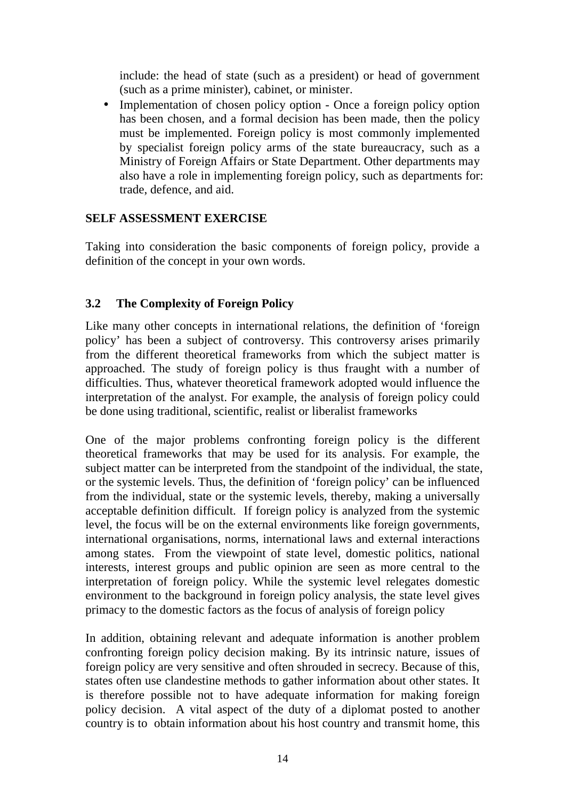include: the head of state (such as a president) or head of government (such as a prime minister), cabinet, or minister.

• Implementation of chosen policy option - Once a foreign policy option has been chosen, and a formal decision has been made, then the policy must be implemented. Foreign policy is most commonly implemented by specialist foreign policy arms of the state bureaucracy, such as a Ministry of Foreign Affairs or State Department. Other departments may also have a role in implementing foreign policy, such as departments for: trade, defence, and aid.

#### **SELF ASSESSMENT EXERCISE**

Taking into consideration the basic components of foreign policy, provide a definition of the concept in your own words.

#### **3.2 The Complexity of Foreign Policy**

Like many other concepts in international relations, the definition of 'foreign policy' has been a subject of controversy. This controversy arises primarily from the different theoretical frameworks from which the subject matter is approached. The study of foreign policy is thus fraught with a number of difficulties. Thus, whatever theoretical framework adopted would influence the interpretation of the analyst. For example, the analysis of foreign policy could be done using traditional, scientific, realist or liberalist frameworks

One of the major problems confronting foreign policy is the different theoretical frameworks that may be used for its analysis. For example, the subject matter can be interpreted from the standpoint of the individual, the state, or the systemic levels. Thus, the definition of 'foreign policy' can be influenced from the individual, state or the systemic levels, thereby, making a universally acceptable definition difficult. If foreign policy is analyzed from the systemic level, the focus will be on the external environments like foreign governments, international organisations, norms, international laws and external interactions among states. From the viewpoint of state level, domestic politics, national interests, interest groups and public opinion are seen as more central to the interpretation of foreign policy. While the systemic level relegates domestic environment to the background in foreign policy analysis, the state level gives primacy to the domestic factors as the focus of analysis of foreign policy

In addition, obtaining relevant and adequate information is another problem confronting foreign policy decision making. By its intrinsic nature, issues of foreign policy are very sensitive and often shrouded in secrecy. Because of this, states often use clandestine methods to gather information about other states. It is therefore possible not to have adequate information for making foreign policy decision. A vital aspect of the duty of a diplomat posted to another country is to obtain information about his host country and transmit home, this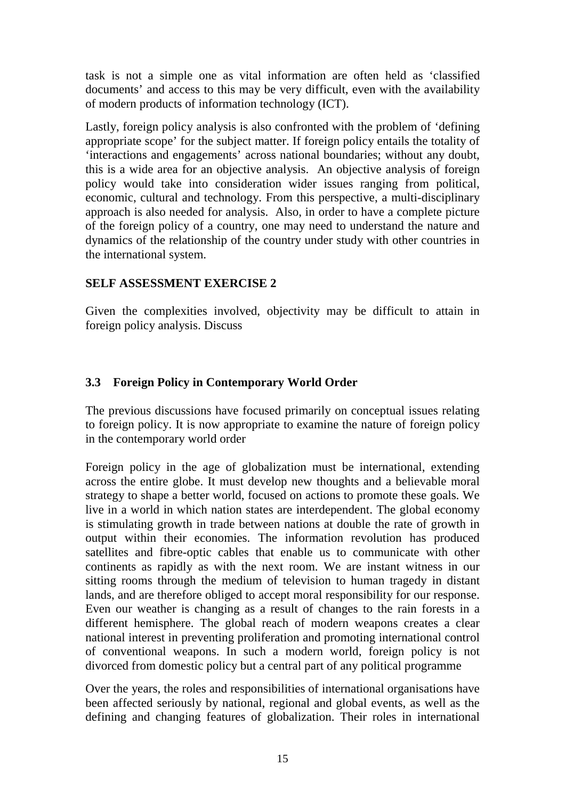task is not a simple one as vital information are often held as 'classified documents' and access to this may be very difficult, even with the availability of modern products of information technology (ICT).

Lastly, foreign policy analysis is also confronted with the problem of 'defining appropriate scope' for the subject matter. If foreign policy entails the totality of 'interactions and engagements' across national boundaries; without any doubt, this is a wide area for an objective analysis. An objective analysis of foreign policy would take into consideration wider issues ranging from political, economic, cultural and technology. From this perspective, a multi-disciplinary approach is also needed for analysis. Also, in order to have a complete picture of the foreign policy of a country, one may need to understand the nature and dynamics of the relationship of the country under study with other countries in the international system.

#### **SELF ASSESSMENT EXERCISE 2**

Given the complexities involved, objectivity may be difficult to attain in foreign policy analysis. Discuss

# **3.3 Foreign Policy in Contemporary World Order**

The previous discussions have focused primarily on conceptual issues relating to foreign policy. It is now appropriate to examine the nature of foreign policy in the contemporary world order

Foreign policy in the age of globalization must be international, extending across the entire globe. It must develop new thoughts and a believable moral strategy to shape a better world, focused on actions to promote these goals. We live in a world in which nation states are interdependent. The global economy is stimulating growth in trade between nations at double the rate of growth in output within their economies. The information revolution has produced satellites and fibre-optic cables that enable us to communicate with other continents as rapidly as with the next room. We are instant witness in our sitting rooms through the medium of television to human tragedy in distant lands, and are therefore obliged to accept moral responsibility for our response. Even our weather is changing as a result of changes to the rain forests in a different hemisphere. The global reach of modern weapons creates a clear national interest in preventing proliferation and promoting international control of conventional weapons. In such a modern world, foreign policy is not divorced from domestic policy but a central part of any political programme

Over the years, the roles and responsibilities of international organisations have been affected seriously by national, regional and global events, as well as the defining and changing features of globalization. Their roles in international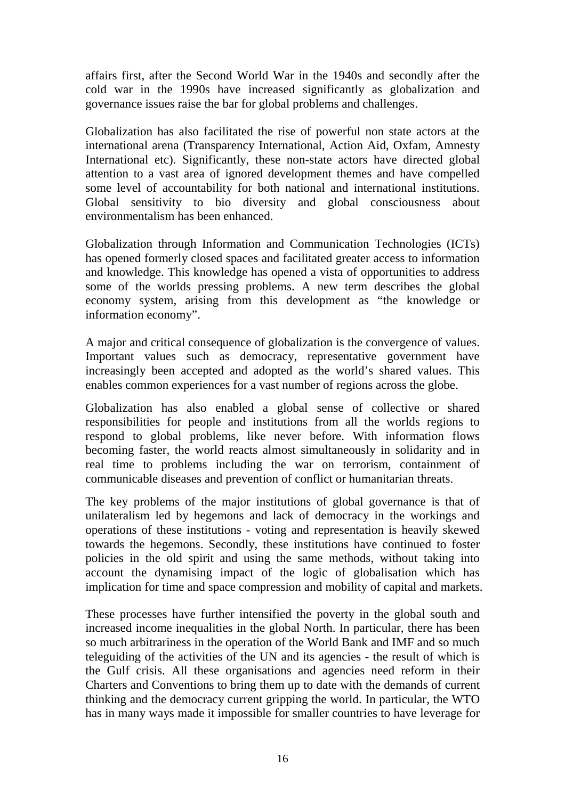affairs first, after the Second World War in the 1940s and secondly after the cold war in the 1990s have increased significantly as globalization and governance issues raise the bar for global problems and challenges.

Globalization has also facilitated the rise of powerful non state actors at the international arena (Transparency International, Action Aid, Oxfam, Amnesty International etc). Significantly, these non-state actors have directed global attention to a vast area of ignored development themes and have compelled some level of accountability for both national and international institutions. Global sensitivity to bio diversity and global consciousness about environmentalism has been enhanced.

Globalization through Information and Communication Technologies (ICTs) has opened formerly closed spaces and facilitated greater access to information and knowledge. This knowledge has opened a vista of opportunities to address some of the worlds pressing problems. A new term describes the global economy system, arising from this development as "the knowledge or information economy".

A major and critical consequence of globalization is the convergence of values. Important values such as democracy, representative government have increasingly been accepted and adopted as the world's shared values. This enables common experiences for a vast number of regions across the globe.

Globalization has also enabled a global sense of collective or shared responsibilities for people and institutions from all the worlds regions to respond to global problems, like never before. With information flows becoming faster, the world reacts almost simultaneously in solidarity and in real time to problems including the war on terrorism, containment of communicable diseases and prevention of conflict or humanitarian threats.

The key problems of the major institutions of global governance is that of unilateralism led by hegemons and lack of democracy in the workings and operations of these institutions - voting and representation is heavily skewed towards the hegemons. Secondly, these institutions have continued to foster policies in the old spirit and using the same methods, without taking into account the dynamising impact of the logic of globalisation which has implication for time and space compression and mobility of capital and markets.

These processes have further intensified the poverty in the global south and increased income inequalities in the global North. In particular, there has been so much arbitrariness in the operation of the World Bank and IMF and so much teleguiding of the activities of the UN and its agencies - the result of which is the Gulf crisis. All these organisations and agencies need reform in their Charters and Conventions to bring them up to date with the demands of current thinking and the democracy current gripping the world. In particular, the WTO has in many ways made it impossible for smaller countries to have leverage for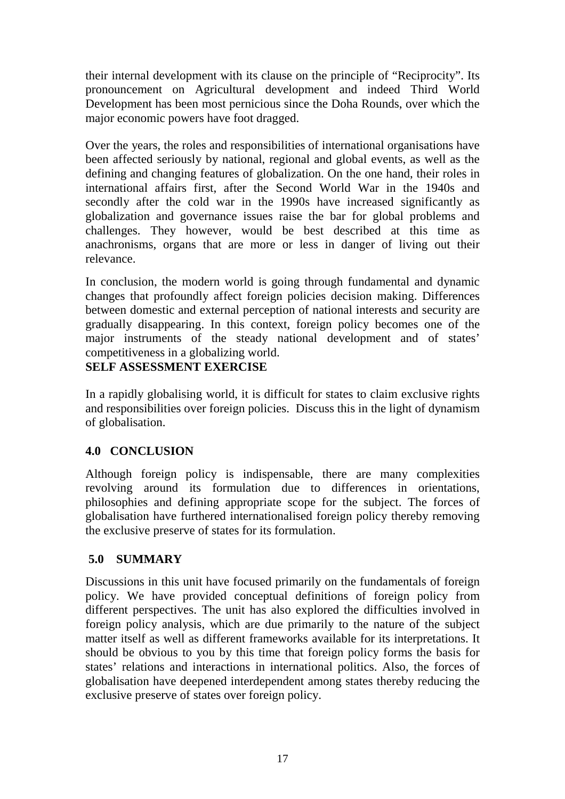their internal development with its clause on the principle of "Reciprocity". Its pronouncement on Agricultural development and indeed Third World Development has been most pernicious since the Doha Rounds, over which the major economic powers have foot dragged.

Over the years, the roles and responsibilities of international organisations have been affected seriously by national, regional and global events, as well as the defining and changing features of globalization. On the one hand, their roles in international affairs first, after the Second World War in the 1940s and secondly after the cold war in the 1990s have increased significantly as globalization and governance issues raise the bar for global problems and challenges. They however, would be best described at this time as anachronisms, organs that are more or less in danger of living out their relevance.

In conclusion, the modern world is going through fundamental and dynamic changes that profoundly affect foreign policies decision making. Differences between domestic and external perception of national interests and security are gradually disappearing. In this context, foreign policy becomes one of the major instruments of the steady national development and of states' competitiveness in a globalizing world.

#### **SELF ASSESSMENT EXERCISE**

In a rapidly globalising world, it is difficult for states to claim exclusive rights and responsibilities over foreign policies. Discuss this in the light of dynamism of globalisation.

# **4.0 CONCLUSION**

Although foreign policy is indispensable, there are many complexities revolving around its formulation due to differences in orientations, philosophies and defining appropriate scope for the subject. The forces of globalisation have furthered internationalised foreign policy thereby removing the exclusive preserve of states for its formulation.

# **5.0 SUMMARY**

Discussions in this unit have focused primarily on the fundamentals of foreign policy. We have provided conceptual definitions of foreign policy from different perspectives. The unit has also explored the difficulties involved in foreign policy analysis, which are due primarily to the nature of the subject matter itself as well as different frameworks available for its interpretations. It should be obvious to you by this time that foreign policy forms the basis for states' relations and interactions in international politics. Also, the forces of globalisation have deepened interdependent among states thereby reducing the exclusive preserve of states over foreign policy.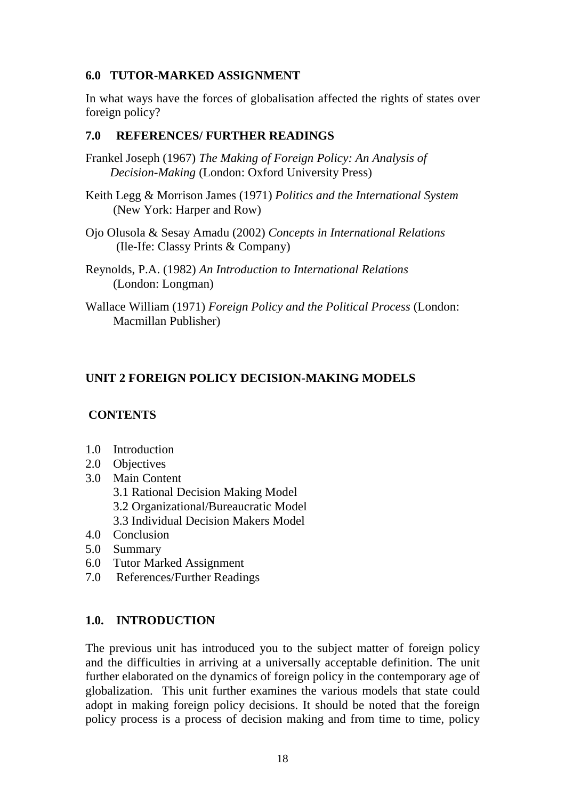#### **6.0 TUTOR-MARKED ASSIGNMENT**

In what ways have the forces of globalisation affected the rights of states over foreign policy?

#### **7.0 REFERENCES/ FURTHER READINGS**

- Frankel Joseph (1967) *The Making of Foreign Policy: An Analysis of Decision-Making* (London: Oxford University Press)
- Keith Legg & Morrison James (1971) *Politics and the International System* (New York: Harper and Row)
- Ojo Olusola & Sesay Amadu (2002) *Concepts in International Relations* (Ile-Ife: Classy Prints & Company)
- Reynolds, P.A. (1982) *An Introduction to International Relations* (London: Longman)
- Wallace William (1971) *Foreign Policy and the Political Process* (London: Macmillan Publisher)

#### **UNIT 2 FOREIGN POLICY DECISION-MAKING MODELS**

# **CONTENTS**

- 1.0Introduction
- 2.0 Objectives
- 3.0 Main Content
	- 3.1 Rational Decision Making Model
	- 3.2 Organizational/Bureaucratic Model
	- 3.3 Individual Decision Makers Model
- 4.0 Conclusion
- 5.0 Summary
- 6.0 Tutor Marked Assignment
- 7.0 References/Further Readings

#### **1.0. INTRODUCTION**

The previous unit has introduced you to the subject matter of foreign policy and the difficulties in arriving at a universally acceptable definition. The unit further elaborated on the dynamics of foreign policy in the contemporary age of globalization. This unit further examines the various models that state could adopt in making foreign policy decisions. It should be noted that the foreign policy process is a process of decision making and from time to time, policy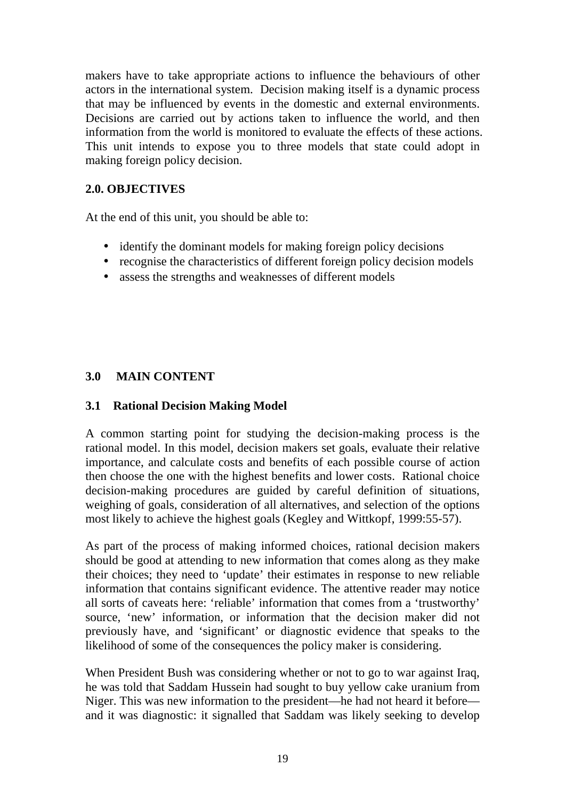makers have to take appropriate actions to influence the behaviours of other actors in the international system. Decision making itself is a dynamic process that may be influenced by events in the domestic and external environments. Decisions are carried out by actions taken to influence the world, and then information from the world is monitored to evaluate the effects of these actions. This unit intends to expose you to three models that state could adopt in making foreign policy decision.

#### **2.0. OBJECTIVES**

At the end of this unit, you should be able to:

- identify the dominant models for making foreign policy decisions
- recognise the characteristics of different foreign policy decision models
- assess the strengths and weaknesses of different models

# **3.0 MAIN CONTENT**

#### **3.1 Rational Decision Making Model**

A common starting point for studying the decision-making process is the rational model. In this model, decision makers set goals, evaluate their relative importance, and calculate costs and benefits of each possible course of action then choose the one with the highest benefits and lower costs. Rational choice decision-making procedures are guided by careful definition of situations, weighing of goals, consideration of all alternatives, and selection of the options most likely to achieve the highest goals (Kegley and Wittkopf, 1999:55-57).

As part of the process of making informed choices, rational decision makers should be good at attending to new information that comes along as they make their choices; they need to 'update' their estimates in response to new reliable information that contains significant evidence. The attentive reader may notice all sorts of caveats here: 'reliable' information that comes from a 'trustworthy' source, 'new' information, or information that the decision maker did not previously have, and 'significant' or diagnostic evidence that speaks to the likelihood of some of the consequences the policy maker is considering.

When President Bush was considering whether or not to go to war against Iraq, he was told that Saddam Hussein had sought to buy yellow cake uranium from Niger. This was new information to the president—he had not heard it before and it was diagnostic: it signalled that Saddam was likely seeking to develop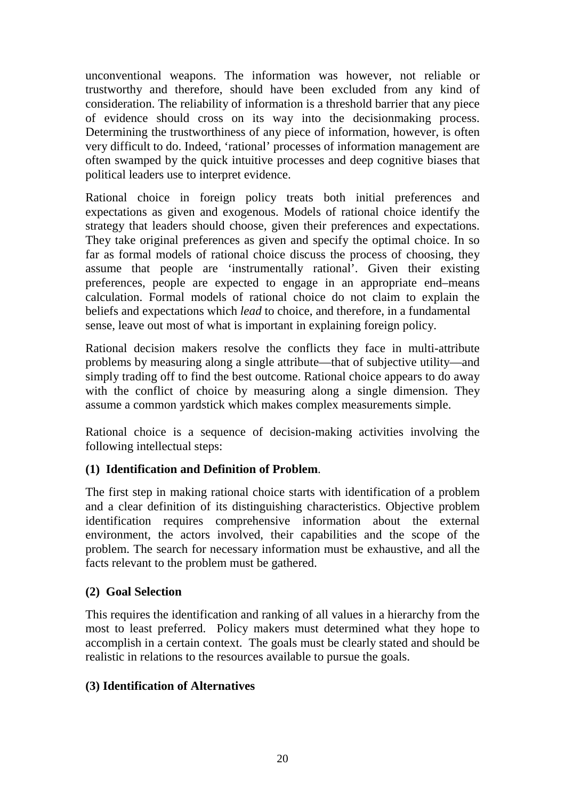unconventional weapons. The information was however, not reliable or trustworthy and therefore, should have been excluded from any kind of consideration. The reliability of information is a threshold barrier that any piece of evidence should cross on its way into the decisionmaking process. Determining the trustworthiness of any piece of information, however, is often very difficult to do. Indeed, 'rational' processes of information management are often swamped by the quick intuitive processes and deep cognitive biases that political leaders use to interpret evidence.

Rational choice in foreign policy treats both initial preferences and expectations as given and exogenous. Models of rational choice identify the strategy that leaders should choose, given their preferences and expectations. They take original preferences as given and specify the optimal choice. In so far as formal models of rational choice discuss the process of choosing, they assume that people are 'instrumentally rational'. Given their existing preferences, people are expected to engage in an appropriate end–means calculation. Formal models of rational choice do not claim to explain the beliefs and expectations which *lead* to choice, and therefore, in a fundamental sense, leave out most of what is important in explaining foreign policy.

Rational decision makers resolve the conflicts they face in multi-attribute problems by measuring along a single attribute—that of subjective utility—and simply trading off to find the best outcome. Rational choice appears to do away with the conflict of choice by measuring along a single dimension. They assume a common yardstick which makes complex measurements simple.

Rational choice is a sequence of decision-making activities involving the following intellectual steps:

#### **(1) Identification and Definition of Problem**.

The first step in making rational choice starts with identification of a problem and a clear definition of its distinguishing characteristics. Objective problem identification requires comprehensive information about the external environment, the actors involved, their capabilities and the scope of the problem. The search for necessary information must be exhaustive, and all the facts relevant to the problem must be gathered.

#### **(2) Goal Selection**

This requires the identification and ranking of all values in a hierarchy from the most to least preferred. Policy makers must determined what they hope to accomplish in a certain context. The goals must be clearly stated and should be realistic in relations to the resources available to pursue the goals.

#### **(3) Identification of Alternatives**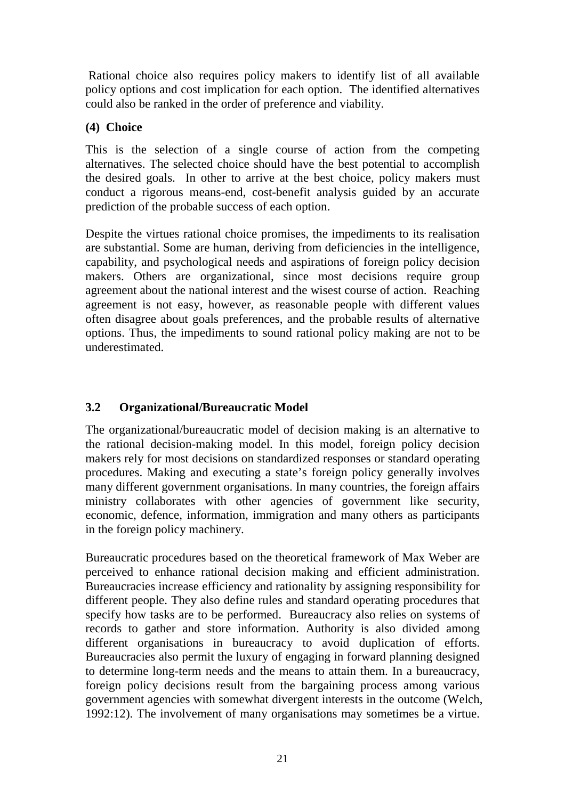Rational choice also requires policy makers to identify list of all available policy options and cost implication for each option. The identified alternatives could also be ranked in the order of preference and viability.

#### **(4) Choice**

This is the selection of a single course of action from the competing alternatives. The selected choice should have the best potential to accomplish the desired goals. In other to arrive at the best choice, policy makers must conduct a rigorous means-end, cost-benefit analysis guided by an accurate prediction of the probable success of each option.

Despite the virtues rational choice promises, the impediments to its realisation are substantial. Some are human, deriving from deficiencies in the intelligence, capability, and psychological needs and aspirations of foreign policy decision makers. Others are organizational, since most decisions require group agreement about the national interest and the wisest course of action. Reaching agreement is not easy, however, as reasonable people with different values often disagree about goals preferences, and the probable results of alternative options. Thus, the impediments to sound rational policy making are not to be underestimated.

# **3.2 Organizational/Bureaucratic Model**

The organizational/bureaucratic model of decision making is an alternative to the rational decision-making model. In this model, foreign policy decision makers rely for most decisions on standardized responses or standard operating procedures. Making and executing a state's foreign policy generally involves many different government organisations. In many countries, the foreign affairs ministry collaborates with other agencies of government like security, economic, defence, information, immigration and many others as participants in the foreign policy machinery.

Bureaucratic procedures based on the theoretical framework of Max Weber are perceived to enhance rational decision making and efficient administration. Bureaucracies increase efficiency and rationality by assigning responsibility for different people. They also define rules and standard operating procedures that specify how tasks are to be performed. Bureaucracy also relies on systems of records to gather and store information. Authority is also divided among different organisations in bureaucracy to avoid duplication of efforts. Bureaucracies also permit the luxury of engaging in forward planning designed to determine long-term needs and the means to attain them. In a bureaucracy, foreign policy decisions result from the bargaining process among various government agencies with somewhat divergent interests in the outcome (Welch, 1992:12). The involvement of many organisations may sometimes be a virtue.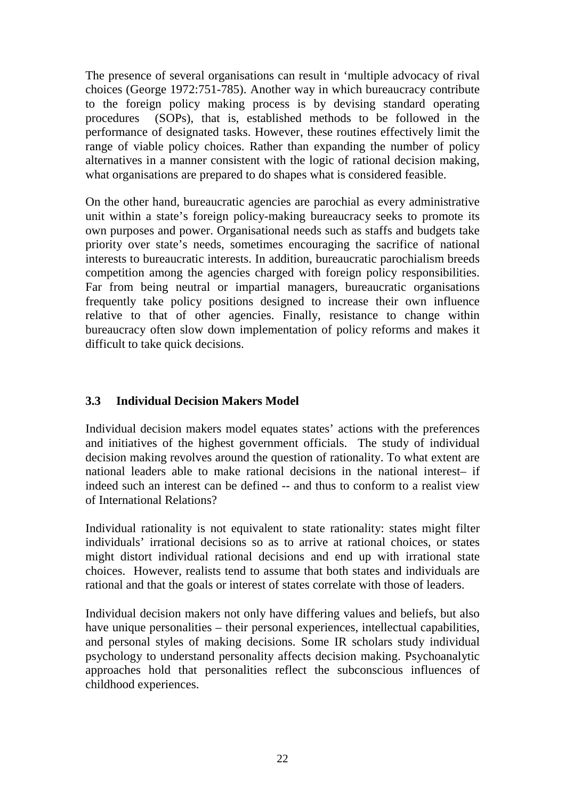The presence of several organisations can result in 'multiple advocacy of rival choices (George 1972:751-785). Another way in which bureaucracy contribute to the foreign policy making process is by devising standard operating procedures (SOPs), that is, established methods to be followed in the performance of designated tasks. However, these routines effectively limit the range of viable policy choices. Rather than expanding the number of policy alternatives in a manner consistent with the logic of rational decision making, what organisations are prepared to do shapes what is considered feasible.

On the other hand, bureaucratic agencies are parochial as every administrative unit within a state's foreign policy-making bureaucracy seeks to promote its own purposes and power. Organisational needs such as staffs and budgets take priority over state's needs, sometimes encouraging the sacrifice of national interests to bureaucratic interests. In addition, bureaucratic parochialism breeds competition among the agencies charged with foreign policy responsibilities. Far from being neutral or impartial managers, bureaucratic organisations frequently take policy positions designed to increase their own influence relative to that of other agencies. Finally, resistance to change within bureaucracy often slow down implementation of policy reforms and makes it difficult to take quick decisions.

# **3.3 Individual Decision Makers Model**

Individual decision makers model equates states' actions with the preferences and initiatives of the highest government officials. The study of individual decision making revolves around the question of rationality. To what extent are national leaders able to make rational decisions in the national interest– if indeed such an interest can be defined -- and thus to conform to a realist view of International Relations?

Individual rationality is not equivalent to state rationality: states might filter individuals' irrational decisions so as to arrive at rational choices, or states might distort individual rational decisions and end up with irrational state choices. However, realists tend to assume that both states and individuals are rational and that the goals or interest of states correlate with those of leaders.

Individual decision makers not only have differing values and beliefs, but also have unique personalities – their personal experiences, intellectual capabilities, and personal styles of making decisions. Some IR scholars study individual psychology to understand personality affects decision making. Psychoanalytic approaches hold that personalities reflect the subconscious influences of childhood experiences.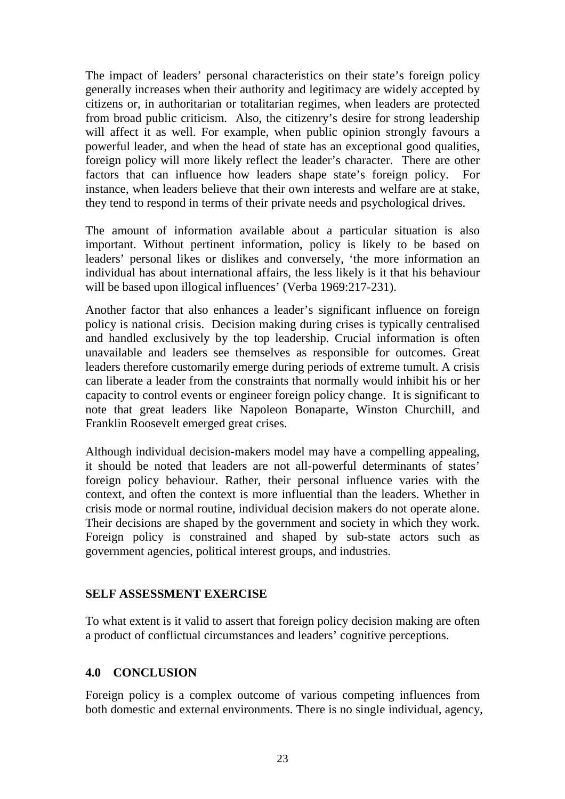The impact of leaders' personal characteristics on their state's foreign policy generally increases when their authority and legitimacy are widely accepted by citizens or, in authoritarian or totalitarian regimes, when leaders are protected from broad public criticism. Also, the citizenry's desire for strong leadership will affect it as well. For example, when public opinion strongly favours a powerful leader, and when the head of state has an exceptional good qualities, foreign policy will more likely reflect the leader's character. There are other factors that can influence how leaders shape state's foreign policy. For instance, when leaders believe that their own interests and welfare are at stake, they tend to respond in terms of their private needs and psychological drives.

The amount of information available about a particular situation is also important. Without pertinent information, policy is likely to be based on leaders' personal likes or dislikes and conversely, 'the more information an individual has about international affairs, the less likely is it that his behaviour will be based upon illogical influences' (Verba 1969:217-231).

Another factor that also enhances a leader's significant influence on foreign policy is national crisis. Decision making during crises is typically centralised and handled exclusively by the top leadership. Crucial information is often unavailable and leaders see themselves as responsible for outcomes. Great leaders therefore customarily emerge during periods of extreme tumult. A crisis can liberate a leader from the constraints that normally would inhibit his or her capacity to control events or engineer foreign policy change. It is significant to note that great leaders like Napoleon Bonaparte, Winston Churchill, and Franklin Roosevelt emerged great crises.

Although individual decision-makers model may have a compelling appealing, it should be noted that leaders are not all-powerful determinants of states' foreign policy behaviour. Rather, their personal influence varies with the context, and often the context is more influential than the leaders. Whether in crisis mode or normal routine, individual decision makers do not operate alone. Their decisions are shaped by the government and society in which they work. Foreign policy is constrained and shaped by sub-state actors such as government agencies, political interest groups, and industries.

#### **SELF ASSESSMENT EXERCISE**

To what extent is it valid to assert that foreign policy decision making are often a product of conflictual circumstances and leaders' cognitive perceptions.

#### **4.0 CONCLUSION**

Foreign policy is a complex outcome of various competing influences from both domestic and external environments. There is no single individual, agency,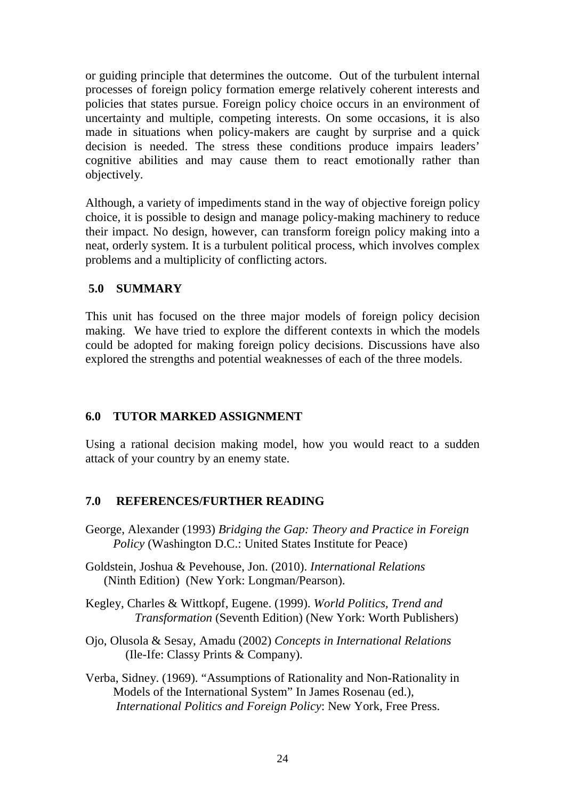or guiding principle that determines the outcome. Out of the turbulent internal processes of foreign policy formation emerge relatively coherent interests and policies that states pursue. Foreign policy choice occurs in an environment of uncertainty and multiple, competing interests. On some occasions, it is also made in situations when policy-makers are caught by surprise and a quick decision is needed. The stress these conditions produce impairs leaders' cognitive abilities and may cause them to react emotionally rather than objectively.

Although, a variety of impediments stand in the way of objective foreign policy choice, it is possible to design and manage policy-making machinery to reduce their impact. No design, however, can transform foreign policy making into a neat, orderly system. It is a turbulent political process, which involves complex problems and a multiplicity of conflicting actors.

#### **5.0 SUMMARY**

This unit has focused on the three major models of foreign policy decision making. We have tried to explore the different contexts in which the models could be adopted for making foreign policy decisions. Discussions have also explored the strengths and potential weaknesses of each of the three models.

#### **6.0 TUTOR MARKED ASSIGNMENT**

Using a rational decision making model, how you would react to a sudden attack of your country by an enemy state.

# **7.0 REFERENCES/FURTHER READING**

- George, Alexander (1993) *Bridging the Gap: Theory and Practice in Foreign Policy* (Washington D.C.: United States Institute for Peace)
- Goldstein, Joshua & Pevehouse, Jon. (2010). *International Relations* (Ninth Edition) (New York: Longman/Pearson).
- Kegley, Charles & Wittkopf, Eugene. (1999). *World Politics, Trend and Transformation* (Seventh Edition) (New York: Worth Publishers)
- Ojo, Olusola & Sesay, Amadu (2002) *Concepts in International Relations* (Ile-Ife: Classy Prints & Company).
- Verba, Sidney. (1969). "Assumptions of Rationality and Non-Rationality in Models of the International System" In James Rosenau (ed.), *International Politics and Foreign Policy*: New York, Free Press.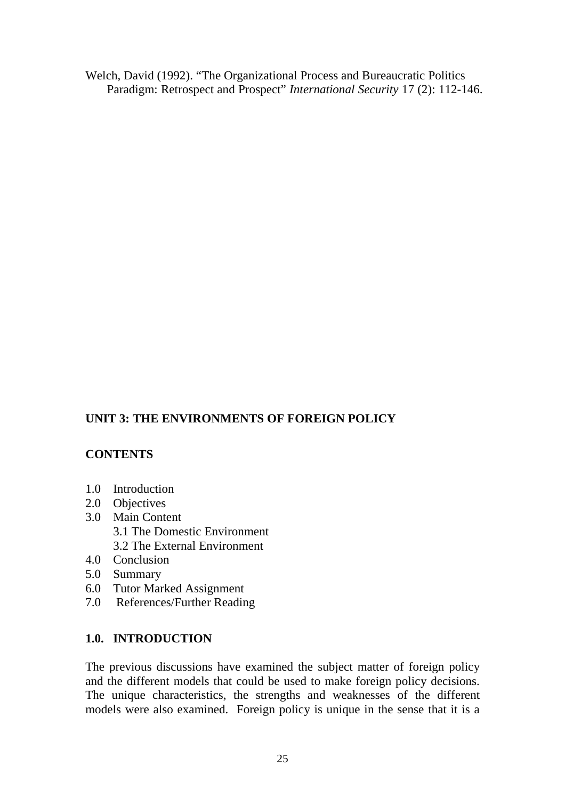Welch, David (1992). "The Organizational Process and Bureaucratic Politics Paradigm: Retrospect and Prospect" *International Security* 17 (2): 112-146.

# **UNIT 3: THE ENVIRONMENTS OF FOREIGN POLICY**

#### **CONTENTS**

- 1.0Introduction
- 2.0 Objectives
- 3.0 Main Content 3.1 The Domestic Environment 3.2 The External Environment
- 4.0 Conclusion
- 5.0 Summary
- 6.0 Tutor Marked Assignment
- 7.0 References/Further Reading

#### **1.0. INTRODUCTION**

The previous discussions have examined the subject matter of foreign policy and the different models that could be used to make foreign policy decisions. The unique characteristics, the strengths and weaknesses of the different models were also examined. Foreign policy is unique in the sense that it is a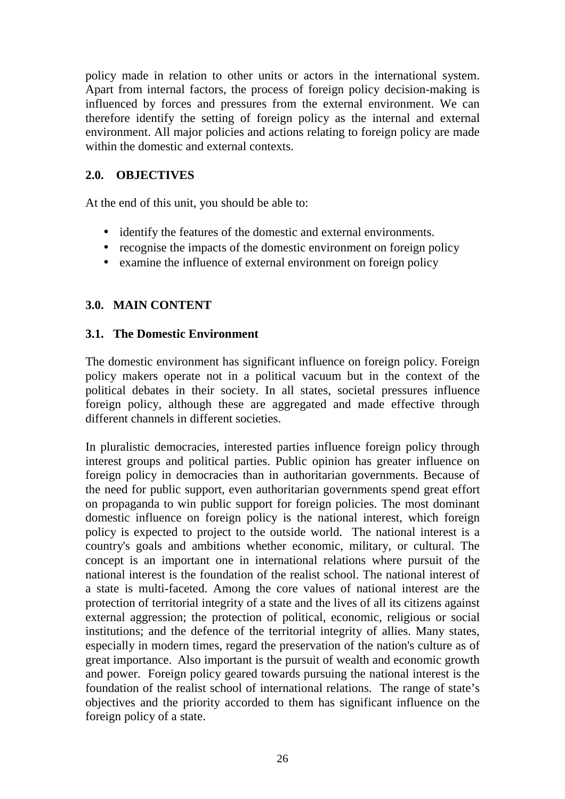policy made in relation to other units or actors in the international system. Apart from internal factors, the process of foreign policy decision-making is influenced by forces and pressures from the external environment. We can therefore identify the setting of foreign policy as the internal and external environment. All major policies and actions relating to foreign policy are made within the domestic and external contexts.

#### **2.0. OBJECTIVES**

At the end of this unit, you should be able to:

- identify the features of the domestic and external environments.
- recognise the impacts of the domestic environment on foreign policy
- examine the influence of external environment on foreign policy

# **3.0. MAIN CONTENT**

#### **3.1. The Domestic Environment**

The domestic environment has significant influence on foreign policy. Foreign policy makers operate not in a political vacuum but in the context of the political debates in their society. In all states, societal pressures influence foreign policy, although these are aggregated and made effective through different channels in different societies.

In pluralistic democracies, interested parties influence foreign policy through interest groups and political parties. Public opinion has greater influence on foreign policy in democracies than in authoritarian governments. Because of the need for public support, even authoritarian governments spend great effort on propaganda to win public support for foreign policies. The most dominant domestic influence on foreign policy is the national interest, which foreign policy is expected to project to the outside world. The national interest is a country's goals and ambitions whether economic, military, or cultural. The concept is an important one in international relations where pursuit of the national interest is the foundation of the realist school. The national interest of a state is multi-faceted. Among the core values of national interest are the protection of territorial integrity of a state and the lives of all its citizens against external aggression; the protection of political, economic, religious or social institutions; and the defence of the territorial integrity of allies. Many states, especially in modern times, regard the preservation of the nation's culture as of great importance. Also important is the pursuit of wealth and economic growth and power. Foreign policy geared towards pursuing the national interest is the foundation of the realist school of international relations. The range of state's objectives and the priority accorded to them has significant influence on the foreign policy of a state.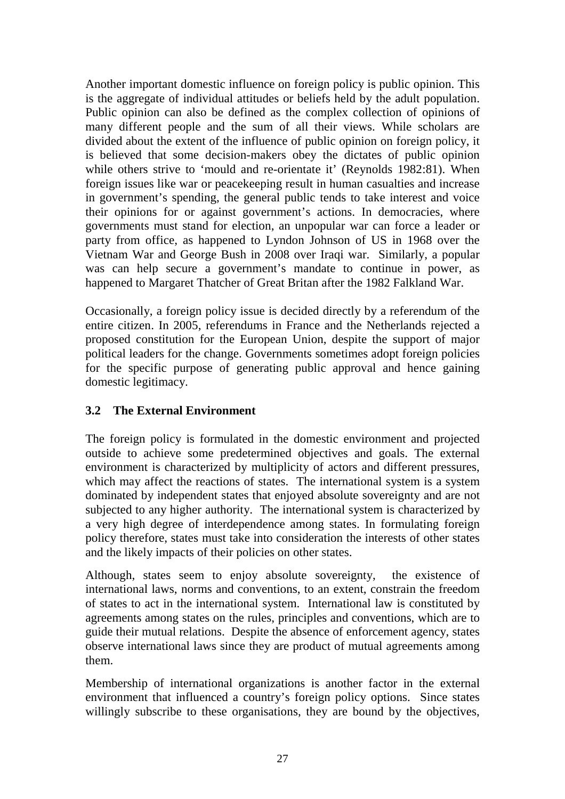Another important domestic influence on foreign policy is public opinion. This is the aggregate of individual attitudes or beliefs held by the adult population. Public opinion can also be defined as the complex collection of opinions of many different people and the sum of all their views. While scholars are divided about the extent of the influence of public opinion on foreign policy, it is believed that some decision-makers obey the dictates of public opinion while others strive to 'mould and re-orientate it' (Reynolds 1982:81). When foreign issues like war or peacekeeping result in human casualties and increase in government's spending, the general public tends to take interest and voice their opinions for or against government's actions. In democracies, where governments must stand for election, an unpopular war can force a leader or party from office, as happened to Lyndon Johnson of US in 1968 over the Vietnam War and George Bush in 2008 over Iraqi war. Similarly, a popular was can help secure a government's mandate to continue in power, as happened to Margaret Thatcher of Great Britan after the 1982 Falkland War.

Occasionally, a foreign policy issue is decided directly by a referendum of the entire citizen. In 2005, referendums in France and the Netherlands rejected a proposed constitution for the European Union, despite the support of major political leaders for the change. Governments sometimes adopt foreign policies for the specific purpose of generating public approval and hence gaining domestic legitimacy.

# **3.2 The External Environment**

The foreign policy is formulated in the domestic environment and projected outside to achieve some predetermined objectives and goals. The external environment is characterized by multiplicity of actors and different pressures, which may affect the reactions of states. The international system is a system dominated by independent states that enjoyed absolute sovereignty and are not subjected to any higher authority. The international system is characterized by a very high degree of interdependence among states. In formulating foreign policy therefore, states must take into consideration the interests of other states and the likely impacts of their policies on other states.

Although, states seem to enjoy absolute sovereignty, the existence of international laws, norms and conventions, to an extent, constrain the freedom of states to act in the international system. International law is constituted by agreements among states on the rules, principles and conventions, which are to guide their mutual relations. Despite the absence of enforcement agency, states observe international laws since they are product of mutual agreements among them.

Membership of international organizations is another factor in the external environment that influenced a country's foreign policy options. Since states willingly subscribe to these organisations, they are bound by the objectives,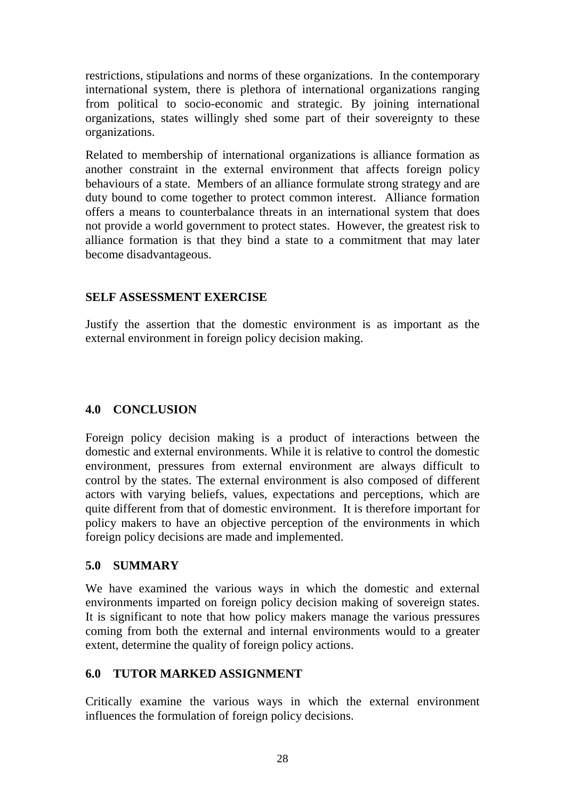restrictions, stipulations and norms of these organizations. In the contemporary international system, there is plethora of international organizations ranging from political to socio-economic and strategic. By joining international organizations, states willingly shed some part of their sovereignty to these organizations.

Related to membership of international organizations is alliance formation as another constraint in the external environment that affects foreign policy behaviours of a state. Members of an alliance formulate strong strategy and are duty bound to come together to protect common interest. Alliance formation offers a means to counterbalance threats in an international system that does not provide a world government to protect states. However, the greatest risk to alliance formation is that they bind a state to a commitment that may later become disadvantageous.

#### **SELF ASSESSMENT EXERCISE**

Justify the assertion that the domestic environment is as important as the external environment in foreign policy decision making.

# **4.0 CONCLUSION**

Foreign policy decision making is a product of interactions between the domestic and external environments. While it is relative to control the domestic environment, pressures from external environment are always difficult to control by the states. The external environment is also composed of different actors with varying beliefs, values, expectations and perceptions, which are quite different from that of domestic environment. It is therefore important for policy makers to have an objective perception of the environments in which foreign policy decisions are made and implemented.

#### **5.0 SUMMARY**

We have examined the various ways in which the domestic and external environments imparted on foreign policy decision making of sovereign states. It is significant to note that how policy makers manage the various pressures coming from both the external and internal environments would to a greater extent, determine the quality of foreign policy actions.

#### **6.0 TUTOR MARKED ASSIGNMENT**

Critically examine the various ways in which the external environment influences the formulation of foreign policy decisions.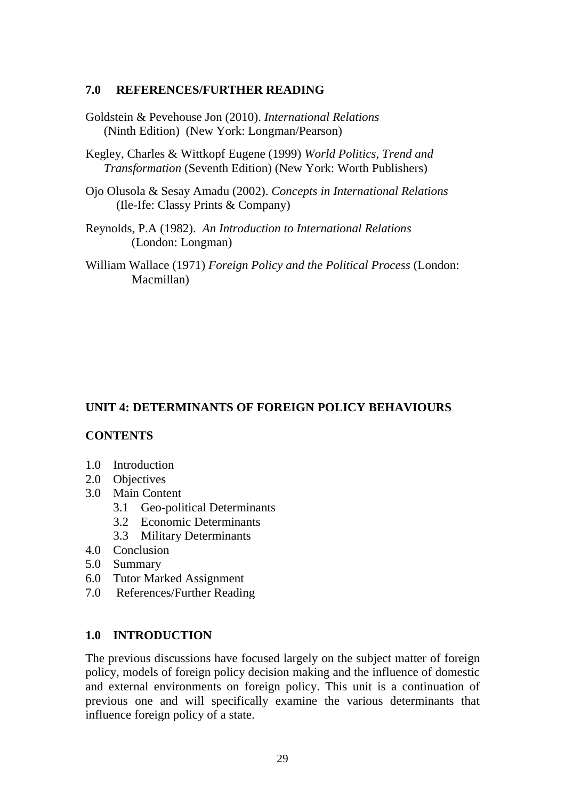#### **7.0 REFERENCES/FURTHER READING**

- Goldstein & Pevehouse Jon (2010). *International Relations* (Ninth Edition) (New York: Longman/Pearson)
- Kegley, Charles & Wittkopf Eugene (1999) *World Politics, Trend and Transformation* (Seventh Edition) (New York: Worth Publishers)
- Ojo Olusola & Sesay Amadu (2002). *Concepts in International Relations* (Ile-Ife: Classy Prints & Company)
- Reynolds, P.A (1982). *An Introduction to International Relations* (London: Longman)
- William Wallace (1971) *Foreign Policy and the Political Process* (London: Macmillan)

#### **UNIT 4: DETERMINANTS OF FOREIGN POLICY BEHAVIOURS**

#### **CONTENTS**

- 1.0Introduction
- 2.0 Objectives
- 3.0 Main Content
	- 3.1 Geo-political Determinants
	- 3.2 Economic Determinants
	- 3.3 Military Determinants
- 4.0 Conclusion
- 5.0 Summary
- 6.0 Tutor Marked Assignment
- 7.0 References/Further Reading

#### **1.0 INTRODUCTION**

The previous discussions have focused largely on the subject matter of foreign policy, models of foreign policy decision making and the influence of domestic and external environments on foreign policy. This unit is a continuation of previous one and will specifically examine the various determinants that influence foreign policy of a state.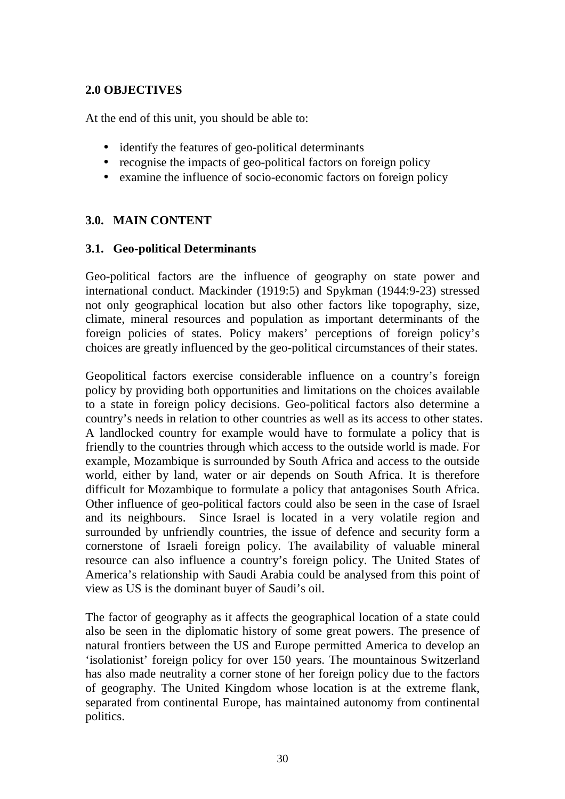#### **2.0 OBJECTIVES**

At the end of this unit, you should be able to:

- identify the features of geo-political determinants
- recognise the impacts of geo-political factors on foreign policy
- examine the influence of socio-economic factors on foreign policy

#### **3.0. MAIN CONTENT**

#### **3.1. Geo-political Determinants**

Geo-political factors are the influence of geography on state power and international conduct. Mackinder (1919:5) and Spykman (1944:9-23) stressed not only geographical location but also other factors like topography, size, climate, mineral resources and population as important determinants of the foreign policies of states. Policy makers' perceptions of foreign policy's choices are greatly influenced by the geo-political circumstances of their states.

Geopolitical factors exercise considerable influence on a country's foreign policy by providing both opportunities and limitations on the choices available to a state in foreign policy decisions. Geo-political factors also determine a country's needs in relation to other countries as well as its access to other states. A landlocked country for example would have to formulate a policy that is friendly to the countries through which access to the outside world is made. For example, Mozambique is surrounded by South Africa and access to the outside world, either by land, water or air depends on South Africa. It is therefore difficult for Mozambique to formulate a policy that antagonises South Africa. Other influence of geo-political factors could also be seen in the case of Israel and its neighbours. Since Israel is located in a very volatile region and surrounded by unfriendly countries, the issue of defence and security form a cornerstone of Israeli foreign policy. The availability of valuable mineral resource can also influence a country's foreign policy. The United States of America's relationship with Saudi Arabia could be analysed from this point of view as US is the dominant buyer of Saudi's oil.

The factor of geography as it affects the geographical location of a state could also be seen in the diplomatic history of some great powers. The presence of natural frontiers between the US and Europe permitted America to develop an 'isolationist' foreign policy for over 150 years. The mountainous Switzerland has also made neutrality a corner stone of her foreign policy due to the factors of geography. The United Kingdom whose location is at the extreme flank, separated from continental Europe, has maintained autonomy from continental politics.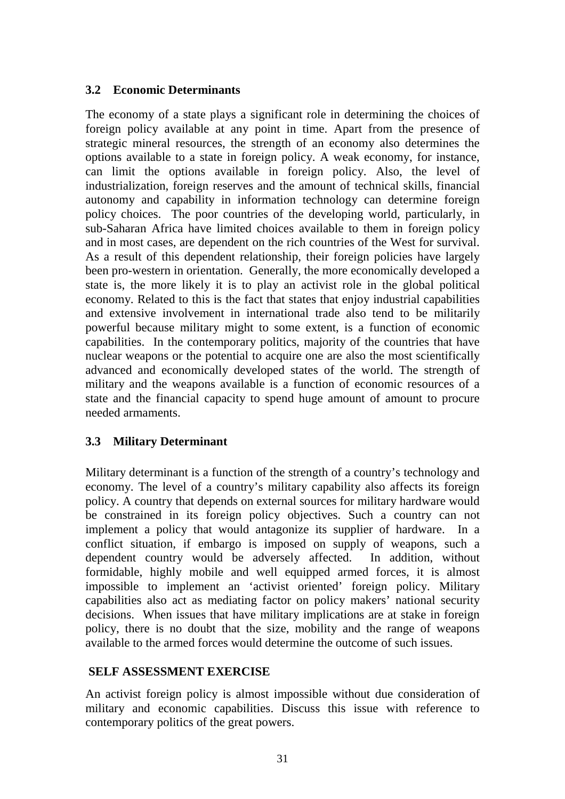#### **3.2 Economic Determinants**

The economy of a state plays a significant role in determining the choices of foreign policy available at any point in time. Apart from the presence of strategic mineral resources, the strength of an economy also determines the options available to a state in foreign policy. A weak economy, for instance, can limit the options available in foreign policy. Also, the level of industrialization, foreign reserves and the amount of technical skills, financial autonomy and capability in information technology can determine foreign policy choices. The poor countries of the developing world, particularly, in sub-Saharan Africa have limited choices available to them in foreign policy and in most cases, are dependent on the rich countries of the West for survival. As a result of this dependent relationship, their foreign policies have largely been pro-western in orientation. Generally, the more economically developed a state is, the more likely it is to play an activist role in the global political economy. Related to this is the fact that states that enjoy industrial capabilities and extensive involvement in international trade also tend to be militarily powerful because military might to some extent, is a function of economic capabilities. In the contemporary politics, majority of the countries that have nuclear weapons or the potential to acquire one are also the most scientifically advanced and economically developed states of the world. The strength of military and the weapons available is a function of economic resources of a state and the financial capacity to spend huge amount of amount to procure needed armaments.

# **3.3 Military Determinant**

Military determinant is a function of the strength of a country's technology and economy. The level of a country's military capability also affects its foreign policy. A country that depends on external sources for military hardware would be constrained in its foreign policy objectives. Such a country can not implement a policy that would antagonize its supplier of hardware. In a conflict situation, if embargo is imposed on supply of weapons, such a dependent country would be adversely affected. In addition, without formidable, highly mobile and well equipped armed forces, it is almost impossible to implement an 'activist oriented' foreign policy. Military capabilities also act as mediating factor on policy makers' national security decisions. When issues that have military implications are at stake in foreign policy, there is no doubt that the size, mobility and the range of weapons available to the armed forces would determine the outcome of such issues.

#### **SELF ASSESSMENT EXERCISE**

An activist foreign policy is almost impossible without due consideration of military and economic capabilities. Discuss this issue with reference to contemporary politics of the great powers.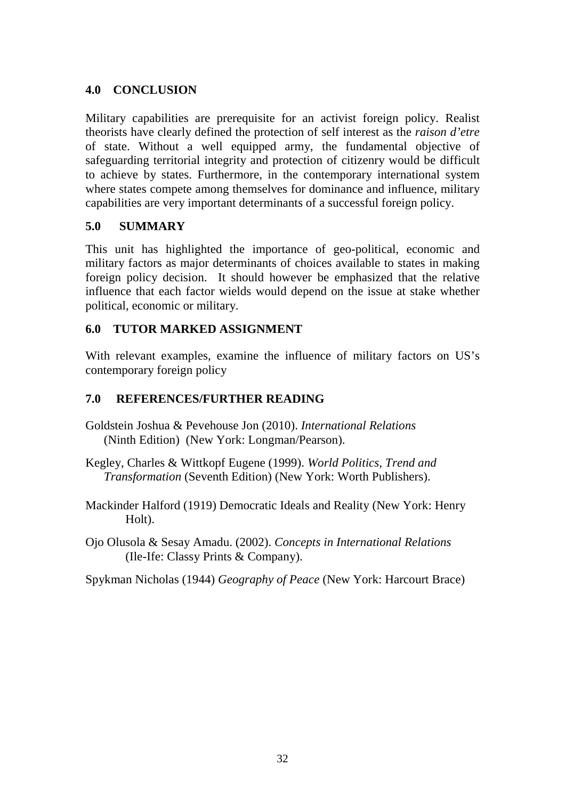# **4.0 CONCLUSION**

Military capabilities are prerequisite for an activist foreign policy. Realist theorists have clearly defined the protection of self interest as the *raison d'etre* of state. Without a well equipped army, the fundamental objective of safeguarding territorial integrity and protection of citizenry would be difficult to achieve by states. Furthermore, in the contemporary international system where states compete among themselves for dominance and influence, military capabilities are very important determinants of a successful foreign policy.

# **5.0 SUMMARY**

This unit has highlighted the importance of geo-political, economic and military factors as major determinants of choices available to states in making foreign policy decision. It should however be emphasized that the relative influence that each factor wields would depend on the issue at stake whether political, economic or military.

# **6.0 TUTOR MARKED ASSIGNMENT**

With relevant examples, examine the influence of military factors on US's contemporary foreign policy

#### **7.0 REFERENCES/FURTHER READING**

- Goldstein Joshua & Pevehouse Jon (2010). *International Relations* (Ninth Edition) (New York: Longman/Pearson).
- Kegley, Charles & Wittkopf Eugene (1999). *World Politics, Trend and Transformation* (Seventh Edition) (New York: Worth Publishers).
- Mackinder Halford (1919) Democratic Ideals and Reality (New York: Henry Holt).

Ojo Olusola & Sesay Amadu. (2002). *Concepts in International Relations* (Ile-Ife: Classy Prints & Company).

Spykman Nicholas (1944) *Geography of Peace* (New York: Harcourt Brace)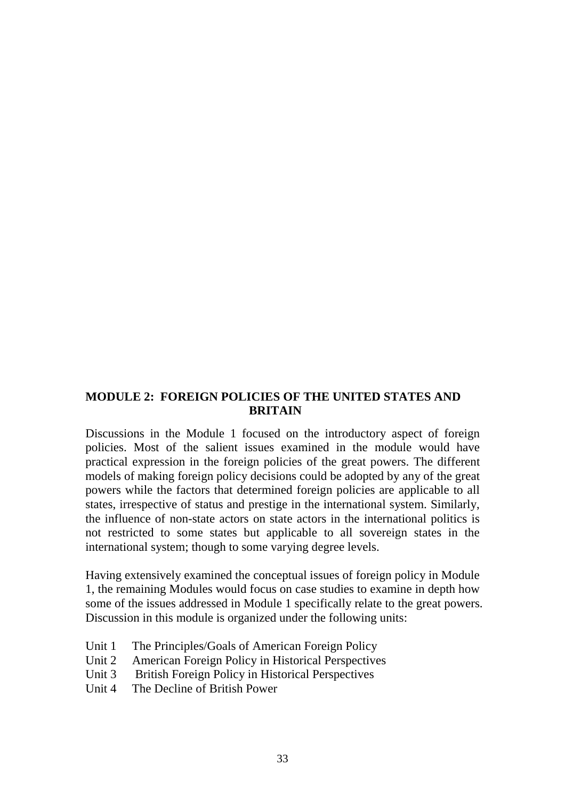#### **MODULE 2: FOREIGN POLICIES OF THE UNITED STATES AND BRITAIN**

Discussions in the Module 1 focused on the introductory aspect of foreign policies. Most of the salient issues examined in the module would have practical expression in the foreign policies of the great powers. The different models of making foreign policy decisions could be adopted by any of the great powers while the factors that determined foreign policies are applicable to all states, irrespective of status and prestige in the international system. Similarly, the influence of non-state actors on state actors in the international politics is not restricted to some states but applicable to all sovereign states in the international system; though to some varying degree levels.

Having extensively examined the conceptual issues of foreign policy in Module 1, the remaining Modules would focus on case studies to examine in depth how some of the issues addressed in Module 1 specifically relate to the great powers. Discussion in this module is organized under the following units:

- Unit 1 The Principles/Goals of American Foreign Policy
- Unit 2 American Foreign Policy in Historical Perspectives
- Unit 3 British Foreign Policy in Historical Perspectives
- Unit 4 The Decline of British Power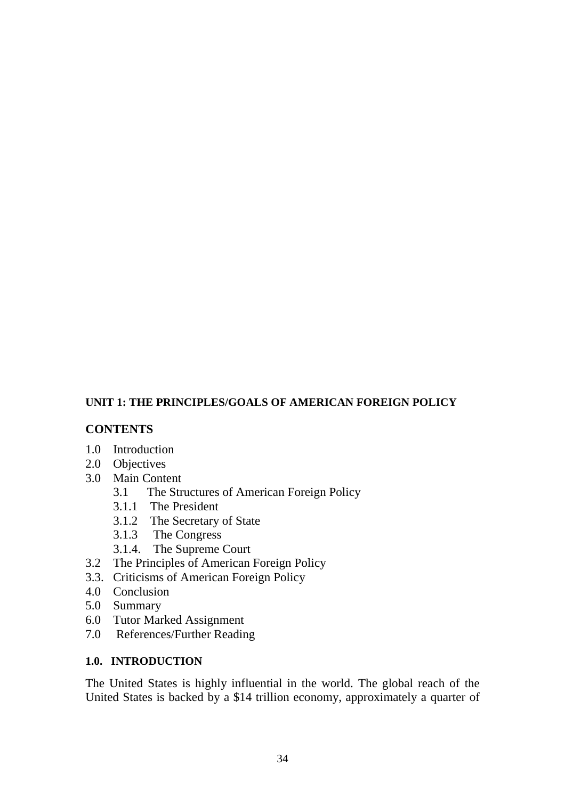#### **UNIT 1: THE PRINCIPLES/GOALS OF AMERICAN FOREIGN POLICY**

#### **CONTENTS**

- 1.0Introduction
- 2.0 Objectives
- 3.0 Main Content
	- 3.1 The Structures of American Foreign Policy
	- 3.1.1 The President
	- 3.1.2 The Secretary of State
	- 3.1.3 The Congress
	- 3.1.4. The Supreme Court
- 3.2 The Principles of American Foreign Policy
- 3.3. Criticisms of American Foreign Policy
- 4.0 Conclusion
- 5.0 Summary
- 6.0 Tutor Marked Assignment
- 7.0 References/Further Reading

#### **1.0. INTRODUCTION**

The United States is highly influential in the world. The global reach of the United States is backed by a \$14 trillion economy, approximately a quarter of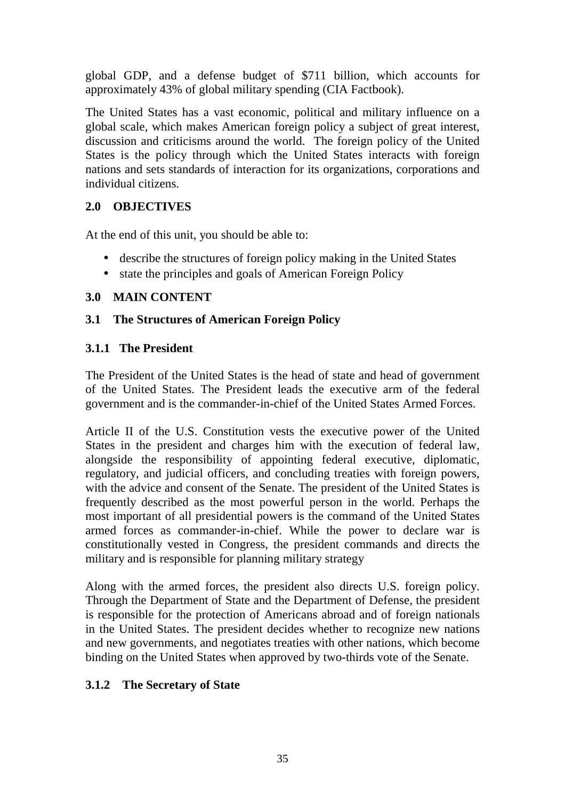global GDP, and a defense budget of \$711 billion, which accounts for approximately 43% of global military spending (CIA Factbook).

The United States has a vast economic, political and military influence on a global scale, which makes American foreign policy a subject of great interest, discussion and criticisms around the world. The foreign policy of the United States is the policy through which the United States interacts with foreign nations and sets standards of interaction for its organizations, corporations and individual citizens.

# **2.0 OBJECTIVES**

At the end of this unit, you should be able to:

- describe the structures of foreign policy making in the United States
- state the principles and goals of American Foreign Policy

# **3.0 MAIN CONTENT**

# **3.1 The Structures of American Foreign Policy**

# **3.1.1 The President**

The President of the United States is the head of state and head of government of the United States. The President leads the executive arm of the federal government and is the commander-in-chief of the United States Armed Forces.

Article II of the U.S. Constitution vests the executive power of the United States in the president and charges him with the execution of federal law, alongside the responsibility of appointing federal executive, diplomatic, regulatory, and judicial officers, and concluding treaties with foreign powers, with the advice and consent of the Senate. The president of the United States is frequently described as the most powerful person in the world. Perhaps the most important of all presidential powers is the command of the United States armed forces as commander-in-chief. While the power to declare war is constitutionally vested in Congress, the president commands and directs the military and is responsible for planning military strategy

Along with the armed forces, the president also directs U.S. foreign policy. Through the Department of State and the Department of Defense, the president is responsible for the protection of Americans abroad and of foreign nationals in the United States. The president decides whether to recognize new nations and new governments, and negotiates treaties with other nations, which become binding on the United States when approved by two-thirds vote of the Senate.

# **3.1.2 The Secretary of State**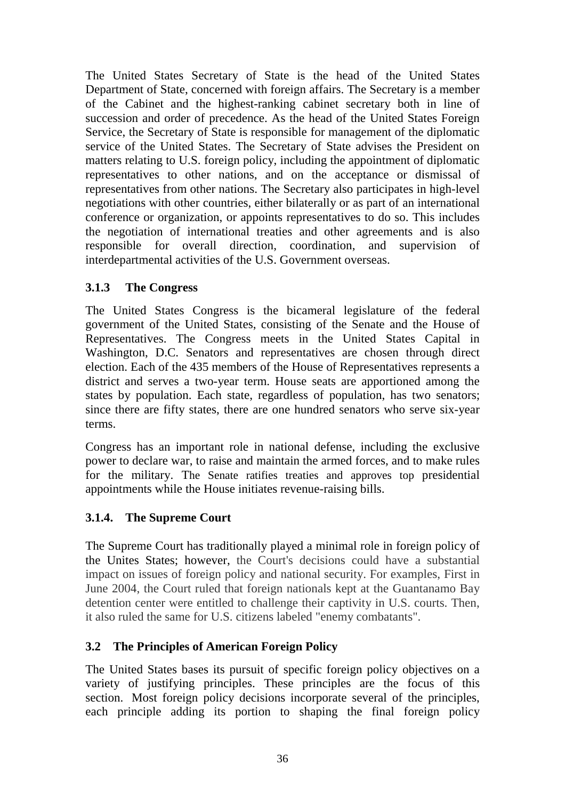The United States Secretary of State is the head of the United States Department of State, concerned with foreign affairs. The Secretary is a member of the Cabinet and the highest-ranking cabinet secretary both in line of succession and order of precedence. As the head of the United States Foreign Service, the Secretary of State is responsible for management of the diplomatic service of the United States. The Secretary of State advises the President on matters relating to U.S. foreign policy, including the appointment of diplomatic representatives to other nations, and on the acceptance or dismissal of representatives from other nations. The Secretary also participates in high-level negotiations with other countries, either bilaterally or as part of an international conference or organization, or appoints representatives to do so. This includes the negotiation of international treaties and other agreements and is also responsible for overall direction, coordination, and supervision of interdepartmental activities of the U.S. Government overseas.

# **3.1.3 The Congress**

The United States Congress is the bicameral legislature of the federal government of the United States, consisting of the Senate and the House of Representatives. The Congress meets in the United States Capital in Washington, D.C. Senators and representatives are chosen through direct election. Each of the 435 members of the House of Representatives represents a district and serves a two-year term. House seats are apportioned among the states by population. Each state, regardless of population, has two senators; since there are fifty states, there are one hundred senators who serve six-year terms.

Congress has an important role in national defense, including the exclusive power to declare war, to raise and maintain the armed forces, and to make rules for the military. The Senate ratifies treaties and approves top presidential appointments while the House initiates revenue-raising bills.

# **3.1.4. The Supreme Court**

The Supreme Court has traditionally played a minimal role in foreign policy of the Unites States; however, the Court's decisions could have a substantial impact on issues of foreign policy and national security. For examples, First in June 2004, the Court ruled that foreign nationals kept at the Guantanamo Bay detention center were entitled to challenge their captivity in U.S. courts. Then, it also ruled the same for U.S. citizens labeled "enemy combatants".

#### **3.2 The Principles of American Foreign Policy**

The United States bases its pursuit of specific foreign policy objectives on a variety of justifying principles. These principles are the focus of this section. Most foreign policy decisions incorporate several of the principles, each principle adding its portion to shaping the final foreign policy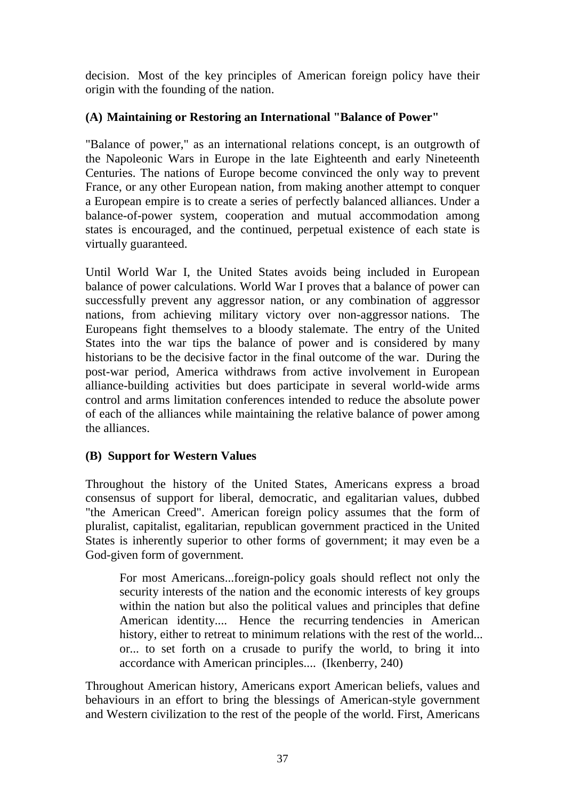decision. Most of the key principles of American foreign policy have their origin with the founding of the nation.

## **(A) Maintaining or Restoring an International "Balance of Power"**

"Balance of power," as an international relations concept, is an outgrowth of the Napoleonic Wars in Europe in the late Eighteenth and early Nineteenth Centuries. The nations of Europe become convinced the only way to prevent France, or any other European nation, from making another attempt to conquer a European empire is to create a series of perfectly balanced alliances. Under a balance-of-power system, cooperation and mutual accommodation among states is encouraged, and the continued, perpetual existence of each state is virtually guaranteed.

Until World War I, the United States avoids being included in European balance of power calculations. World War I proves that a balance of power can successfully prevent any aggressor nation, or any combination of aggressor nations, from achieving military victory over non-aggressor nations. The Europeans fight themselves to a bloody stalemate. The entry of the United States into the war tips the balance of power and is considered by many historians to be the decisive factor in the final outcome of the war. During the post-war period, America withdraws from active involvement in European alliance-building activities but does participate in several world-wide arms control and arms limitation conferences intended to reduce the absolute power of each of the alliances while maintaining the relative balance of power among the alliances.

### **(B) Support for Western Values**

Throughout the history of the United States, Americans express a broad consensus of support for liberal, democratic, and egalitarian values, dubbed "the American Creed". American foreign policy assumes that the form of pluralist, capitalist, egalitarian, republican government practiced in the United States is inherently superior to other forms of government; it may even be a God-given form of government.

For most Americans...foreign-policy goals should reflect not only the security interests of the nation and the economic interests of key groups within the nation but also the political values and principles that define American identity.... Hence the recurring tendencies in American history, either to retreat to minimum relations with the rest of the world... or... to set forth on a crusade to purify the world, to bring it into accordance with American principles.... (Ikenberry, 240)

Throughout American history, Americans export American beliefs, values and behaviours in an effort to bring the blessings of American-style government and Western civilization to the rest of the people of the world. First, Americans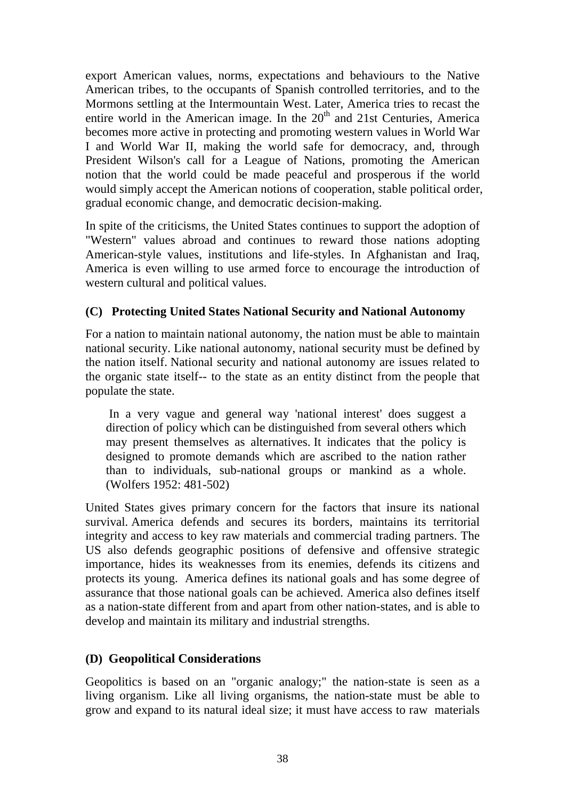export American values, norms, expectations and behaviours to the Native American tribes, to the occupants of Spanish controlled territories, and to the Mormons settling at the Intermountain West. Later, America tries to recast the entire world in the American image. In the  $20<sup>th</sup>$  and 21st Centuries, America becomes more active in protecting and promoting western values in World War I and World War II, making the world safe for democracy, and, through President Wilson's call for a League of Nations, promoting the American notion that the world could be made peaceful and prosperous if the world would simply accept the American notions of cooperation, stable political order, gradual economic change, and democratic decision-making.

In spite of the criticisms, the United States continues to support the adoption of "Western" values abroad and continues to reward those nations adopting American-style values, institutions and life-styles. In Afghanistan and Iraq, America is even willing to use armed force to encourage the introduction of western cultural and political values.

## **(C) Protecting United States National Security and National Autonomy**

For a nation to maintain national autonomy, the nation must be able to maintain national security. Like national autonomy, national security must be defined by the nation itself. National security and national autonomy are issues related to the organic state itself-- to the state as an entity distinct from the people that populate the state.

In a very vague and general way 'national interest' does suggest a direction of policy which can be distinguished from several others which may present themselves as alternatives. It indicates that the policy is designed to promote demands which are ascribed to the nation rather than to individuals, sub-national groups or mankind as a whole. (Wolfers 1952: 481-502)

United States gives primary concern for the factors that insure its national survival. America defends and secures its borders, maintains its territorial integrity and access to key raw materials and commercial trading partners. The US also defends geographic positions of defensive and offensive strategic importance, hides its weaknesses from its enemies, defends its citizens and protects its young. America defines its national goals and has some degree of assurance that those national goals can be achieved. America also defines itself as a nation-state different from and apart from other nation-states, and is able to develop and maintain its military and industrial strengths.

### **(D) Geopolitical Considerations**

Geopolitics is based on an "organic analogy;" the nation-state is seen as a living organism. Like all living organisms, the nation-state must be able to grow and expand to its natural ideal size; it must have access to raw materials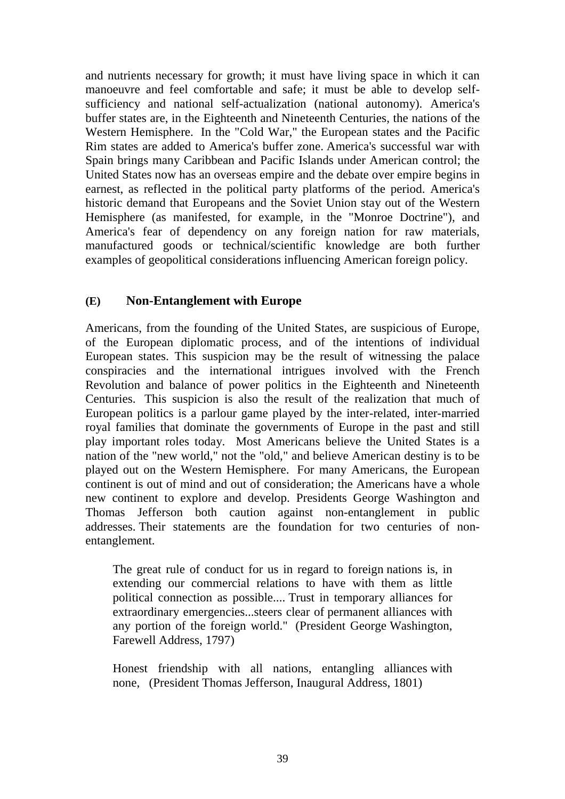and nutrients necessary for growth; it must have living space in which it can manoeuvre and feel comfortable and safe; it must be able to develop selfsufficiency and national self-actualization (national autonomy). America's buffer states are, in the Eighteenth and Nineteenth Centuries, the nations of the Western Hemisphere. In the "Cold War," the European states and the Pacific Rim states are added to America's buffer zone. America's successful war with Spain brings many Caribbean and Pacific Islands under American control; the United States now has an overseas empire and the debate over empire begins in earnest, as reflected in the political party platforms of the period. America's historic demand that Europeans and the Soviet Union stay out of the Western Hemisphere (as manifested, for example, in the "Monroe Doctrine"), and America's fear of dependency on any foreign nation for raw materials, manufactured goods or technical/scientific knowledge are both further examples of geopolitical considerations influencing American foreign policy.

### **(E) Non-Entanglement with Europe**

Americans, from the founding of the United States, are suspicious of Europe, of the European diplomatic process, and of the intentions of individual European states. This suspicion may be the result of witnessing the palace conspiracies and the international intrigues involved with the French Revolution and balance of power politics in the Eighteenth and Nineteenth Centuries. This suspicion is also the result of the realization that much of European politics is a parlour game played by the inter-related, inter-married royal families that dominate the governments of Europe in the past and still play important roles today. Most Americans believe the United States is a nation of the "new world," not the "old," and believe American destiny is to be played out on the Western Hemisphere. For many Americans, the European continent is out of mind and out of consideration; the Americans have a whole new continent to explore and develop. Presidents George Washington and Thomas Jefferson both caution against non-entanglement in public addresses. Their statements are the foundation for two centuries of nonentanglement.

The great rule of conduct for us in regard to foreign nations is, in extending our commercial relations to have with them as little political connection as possible.... Trust in temporary alliances for extraordinary emergencies...steers clear of permanent alliances with any portion of the foreign world." (President George Washington, Farewell Address, 1797)

Honest friendship with all nations, entangling alliances with none, (President Thomas Jefferson, Inaugural Address, 1801)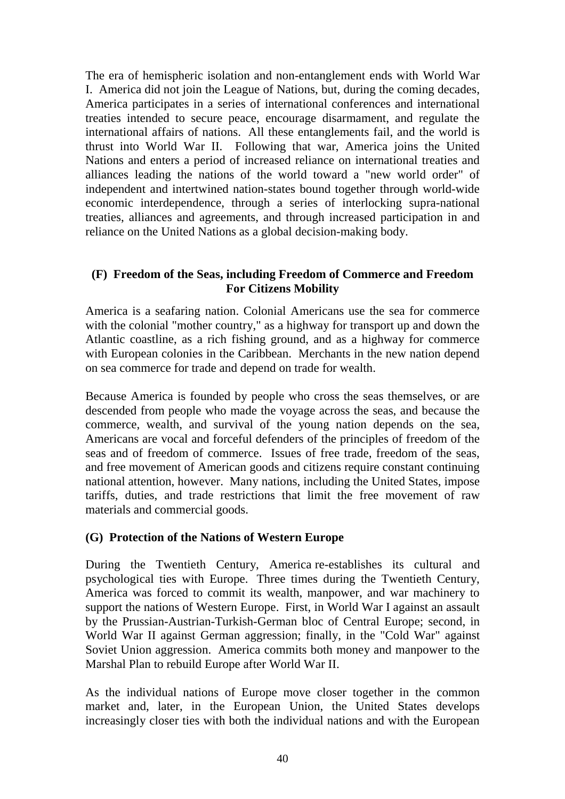The era of hemispheric isolation and non-entanglement ends with World War I. America did not join the League of Nations, but, during the coming decades, America participates in a series of international conferences and international treaties intended to secure peace, encourage disarmament, and regulate the international affairs of nations. All these entanglements fail, and the world is thrust into World War II. Following that war, America joins the United Nations and enters a period of increased reliance on international treaties and alliances leading the nations of the world toward a "new world order" of independent and intertwined nation-states bound together through world-wide economic interdependence, through a series of interlocking supra-national treaties, alliances and agreements, and through increased participation in and reliance on the United Nations as a global decision-making body.

### **(F) Freedom of the Seas, including Freedom of Commerce and Freedom For Citizens Mobility**

America is a seafaring nation. Colonial Americans use the sea for commerce with the colonial "mother country," as a highway for transport up and down the Atlantic coastline, as a rich fishing ground, and as a highway for commerce with European colonies in the Caribbean. Merchants in the new nation depend on sea commerce for trade and depend on trade for wealth.

Because America is founded by people who cross the seas themselves, or are descended from people who made the voyage across the seas, and because the commerce, wealth, and survival of the young nation depends on the sea, Americans are vocal and forceful defenders of the principles of freedom of the seas and of freedom of commerce. Issues of free trade, freedom of the seas, and free movement of American goods and citizens require constant continuing national attention, however. Many nations, including the United States, impose tariffs, duties, and trade restrictions that limit the free movement of raw materials and commercial goods.

### **(G) Protection of the Nations of Western Europe**

During the Twentieth Century, America re-establishes its cultural and psychological ties with Europe. Three times during the Twentieth Century, America was forced to commit its wealth, manpower, and war machinery to support the nations of Western Europe. First, in World War I against an assault by the Prussian-Austrian-Turkish-German bloc of Central Europe; second, in World War II against German aggression; finally, in the "Cold War" against Soviet Union aggression. America commits both money and manpower to the Marshal Plan to rebuild Europe after World War II.

As the individual nations of Europe move closer together in the common market and, later, in the European Union, the United States develops increasingly closer ties with both the individual nations and with the European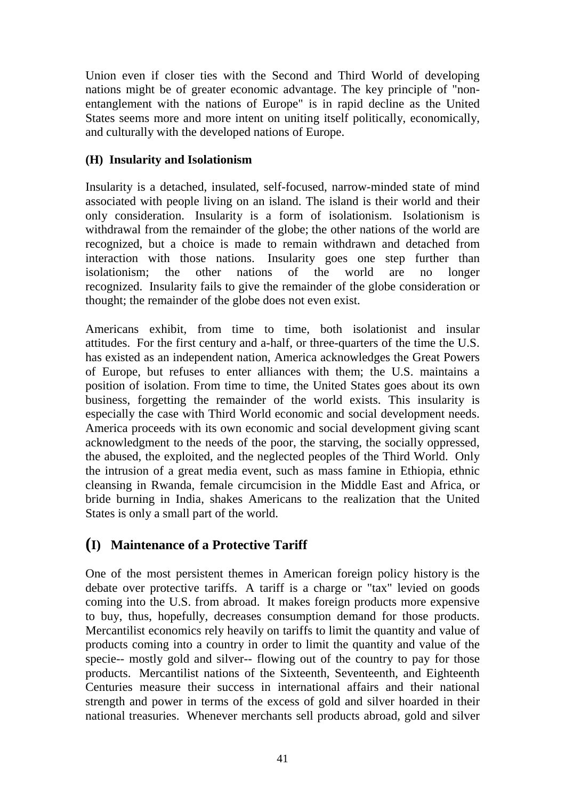Union even if closer ties with the Second and Third World of developing nations might be of greater economic advantage. The key principle of "nonentanglement with the nations of Europe" is in rapid decline as the United States seems more and more intent on uniting itself politically, economically, and culturally with the developed nations of Europe.

## **(H) Insularity and Isolationism**

Insularity is a detached, insulated, self-focused, narrow-minded state of mind associated with people living on an island. The island is their world and their only consideration. Insularity is a form of isolationism. Isolationism is withdrawal from the remainder of the globe; the other nations of the world are recognized, but a choice is made to remain withdrawn and detached from interaction with those nations. Insularity goes one step further than isolationism; the other nations of the world are no longer recognized. Insularity fails to give the remainder of the globe consideration or thought; the remainder of the globe does not even exist.

Americans exhibit, from time to time, both isolationist and insular attitudes. For the first century and a-half, or three-quarters of the time the U.S. has existed as an independent nation, America acknowledges the Great Powers of Europe, but refuses to enter alliances with them; the U.S. maintains a position of isolation. From time to time, the United States goes about its own business, forgetting the remainder of the world exists. This insularity is especially the case with Third World economic and social development needs. America proceeds with its own economic and social development giving scant acknowledgment to the needs of the poor, the starving, the socially oppressed, the abused, the exploited, and the neglected peoples of the Third World. Only the intrusion of a great media event, such as mass famine in Ethiopia, ethnic cleansing in Rwanda, female circumcision in the Middle East and Africa, or bride burning in India, shakes Americans to the realization that the United States is only a small part of the world.

# **(I) Maintenance of a Protective Tariff**

One of the most persistent themes in American foreign policy history is the debate over protective tariffs. A tariff is a charge or "tax" levied on goods coming into the U.S. from abroad. It makes foreign products more expensive to buy, thus, hopefully, decreases consumption demand for those products. Mercantilist economics rely heavily on tariffs to limit the quantity and value of products coming into a country in order to limit the quantity and value of the specie-- mostly gold and silver-- flowing out of the country to pay for those products. Mercantilist nations of the Sixteenth, Seventeenth, and Eighteenth Centuries measure their success in international affairs and their national strength and power in terms of the excess of gold and silver hoarded in their national treasuries. Whenever merchants sell products abroad, gold and silver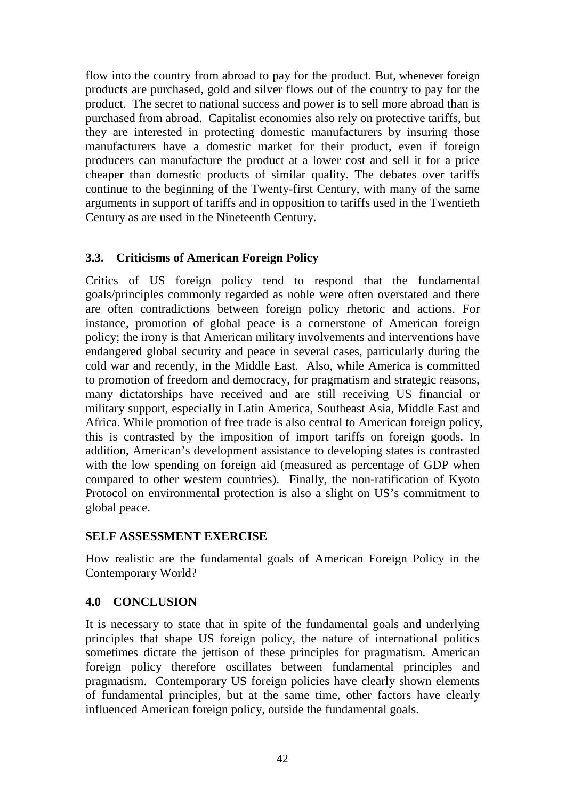flow into the country from abroad to pay for the product. But, whenever foreign products are purchased, gold and silver flows out of the country to pay for the product. The secret to national success and power is to sell more abroad than is purchased from abroad. Capitalist economies also rely on protective tariffs, but they are interested in protecting domestic manufacturers by insuring those manufacturers have a domestic market for their product, even if foreign producers can manufacture the product at a lower cost and sell it for a price cheaper than domestic products of similar quality. The debates over tariffs continue to the beginning of the Twenty-first Century, with many of the same arguments in support of tariffs and in opposition to tariffs used in the Twentieth Century as are used in the Nineteenth Century.

## **3.3. Criticisms of American Foreign Policy**

Critics of US foreign policy tend to respond that the fundamental goals/principles commonly regarded as noble were often overstated and there are often contradictions between foreign policy rhetoric and actions. For instance, promotion of global peace is a cornerstone of American foreign policy; the irony is that American military involvements and interventions have endangered global security and peace in several cases, particularly during the cold war and recently, in the Middle East. Also, while America is committed to promotion of freedom and democracy, for pragmatism and strategic reasons, many dictatorships have received and are still receiving US financial or military support, especially in Latin America, Southeast Asia, Middle East and Africa. While promotion of free trade is also central to American foreign policy, this is contrasted by the imposition of import tariffs on foreign goods. In addition, American's development assistance to developing states is contrasted with the low spending on foreign aid (measured as percentage of GDP when compared to other western countries). Finally, the non-ratification of Kyoto Protocol on environmental protection is also a slight on US's commitment to global peace.

#### **SELF ASSESSMENT EXERCISE**

How realistic are the fundamental goals of American Foreign Policy in the Contemporary World?

### **4.0 CONCLUSION**

It is necessary to state that in spite of the fundamental goals and underlying principles that shape US foreign policy, the nature of international politics sometimes dictate the jettison of these principles for pragmatism. American foreign policy therefore oscillates between fundamental principles and pragmatism. Contemporary US foreign policies have clearly shown elements of fundamental principles, but at the same time, other factors have clearly influenced American foreign policy, outside the fundamental goals.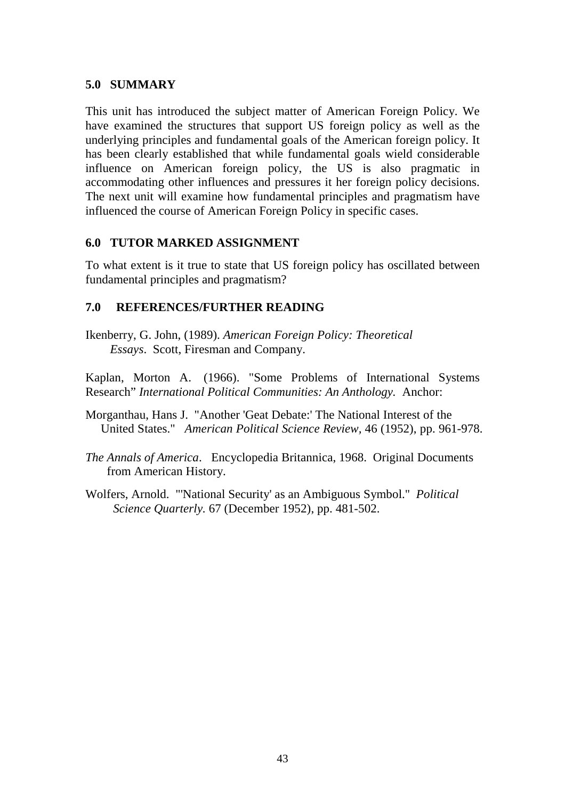## **5.0 SUMMARY**

This unit has introduced the subject matter of American Foreign Policy. We have examined the structures that support US foreign policy as well as the underlying principles and fundamental goals of the American foreign policy. It has been clearly established that while fundamental goals wield considerable influence on American foreign policy, the US is also pragmatic in accommodating other influences and pressures it her foreign policy decisions. The next unit will examine how fundamental principles and pragmatism have influenced the course of American Foreign Policy in specific cases.

### **6.0 TUTOR MARKED ASSIGNMENT**

To what extent is it true to state that US foreign policy has oscillated between fundamental principles and pragmatism?

### **7.0 REFERENCES/FURTHER READING**

Ikenberry, G. John, (1989). *American Foreign Policy: Theoretical Essays*. Scott, Firesman and Company.

Kaplan, Morton A. (1966). "Some Problems of International Systems Research" *International Political Communities: An Anthology.* Anchor:

Morganthau, Hans J. "Another 'Geat Debate:' The National Interest of the United States." *American Political Science Review,* 46 (1952), pp. 961-978.

- *The Annals of America*. Encyclopedia Britannica, 1968. Original Documents from American History.
- Wolfers, Arnold. "'National Security' as an Ambiguous Symbol." *Political Science Quarterly.* 67 (December 1952), pp. 481-502.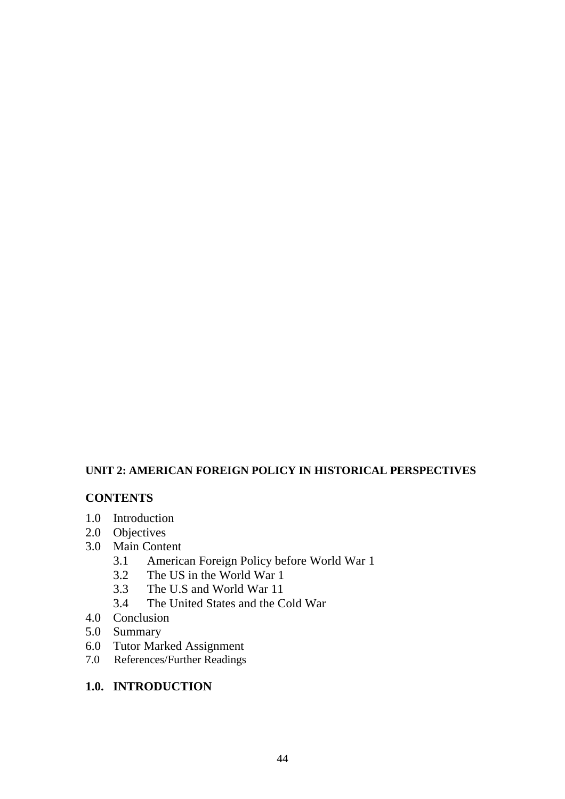#### **UNIT 2: AMERICAN FOREIGN POLICY IN HISTORICAL PERSPECTIVES**

### **CONTENTS**

- 1.0Introduction
- 2.0 Objectives
- 3.0 Main Content
	- 3.1 American Foreign Policy before World War 1
	- 3.2 The US in the World War 1
	- 3.3 The U.S and World War 11
	- 3.4 The United States and the Cold War
- 4.0 Conclusion
- 5.0 Summary
- 6.0 Tutor Marked Assignment
- 7.0 References/Further Readings

### **1.0. INTRODUCTION**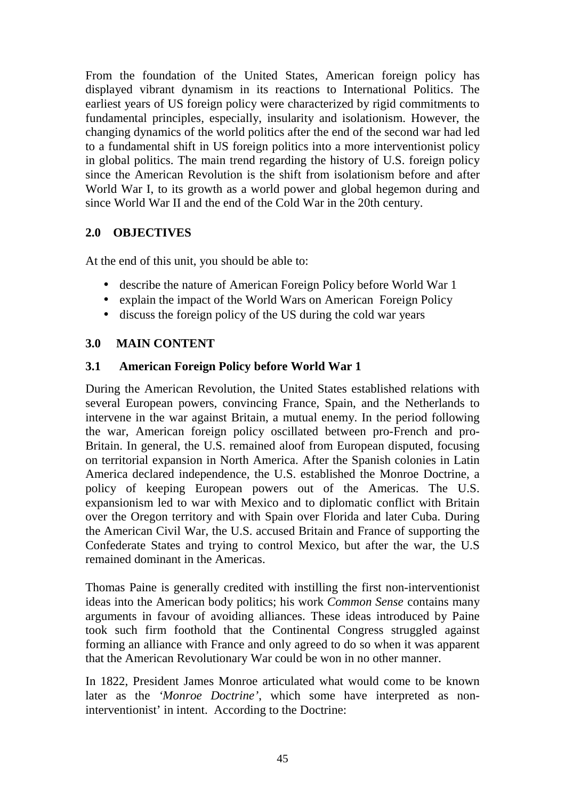From the foundation of the United States, American foreign policy has displayed vibrant dynamism in its reactions to International Politics. The earliest years of US foreign policy were characterized by rigid commitments to fundamental principles, especially, insularity and isolationism. However, the changing dynamics of the world politics after the end of the second war had led to a fundamental shift in US foreign politics into a more interventionist policy in global politics. The main trend regarding the history of U.S. foreign policy since the American Revolution is the shift from isolationism before and after World War I, to its growth as a world power and global hegemon during and since World War II and the end of the Cold War in the 20th century.

# **2.0 OBJECTIVES**

At the end of this unit, you should be able to:

- describe the nature of American Foreign Policy before World War 1
- explain the impact of the World Wars on American Foreign Policy
- discuss the foreign policy of the US during the cold war years

## **3.0 MAIN CONTENT**

#### **3.1 American Foreign Policy before World War 1**

During the American Revolution, the United States established relations with several European powers, convincing France, Spain, and the Netherlands to intervene in the war against Britain, a mutual enemy. In the period following the war, American foreign policy oscillated between pro-French and pro-Britain. In general, the U.S. remained aloof from European disputed, focusing on territorial expansion in North America. After the Spanish colonies in Latin America declared independence, the U.S. established the Monroe Doctrine, a policy of keeping European powers out of the Americas. The U.S. expansionism led to war with Mexico and to diplomatic conflict with Britain over the Oregon territory and with Spain over Florida and later Cuba. During the American Civil War, the U.S. accused Britain and France of supporting the Confederate States and trying to control Mexico, but after the war, the U.S remained dominant in the Americas.

Thomas Paine is generally credited with instilling the first non-interventionist ideas into the American body politics; his work *Common Sense* contains many arguments in favour of avoiding alliances. These ideas introduced by Paine took such firm foothold that the Continental Congress struggled against forming an alliance with France and only agreed to do so when it was apparent that the American Revolutionary War could be won in no other manner.

In 1822, President James Monroe articulated what would come to be known later as the *'Monroe Doctrine'*, which some have interpreted as noninterventionist' in intent. According to the Doctrine: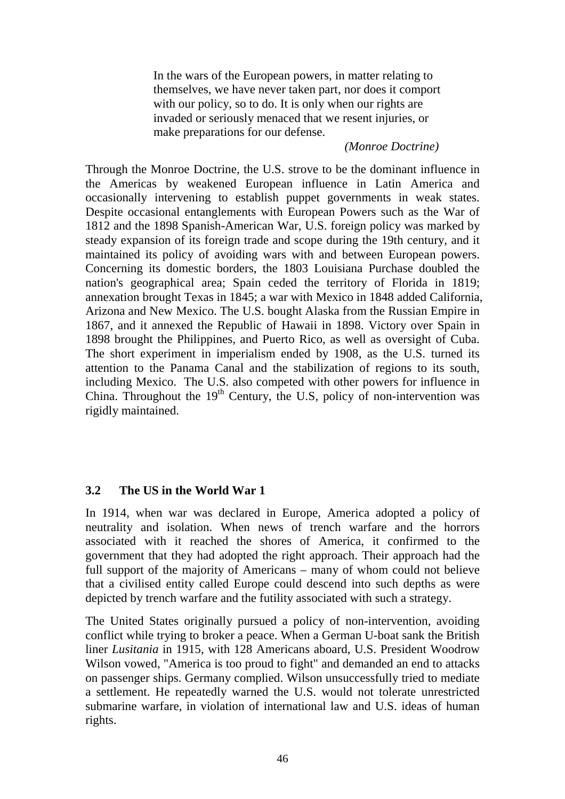In the wars of the European powers, in matter relating to themselves, we have never taken part, nor does it comport with our policy, so to do. It is only when our rights are invaded or seriously menaced that we resent injuries, or make preparations for our defense.

#### *(Monroe Doctrine)*

Through the Monroe Doctrine, the U.S. strove to be the dominant influence in the Americas by weakened European influence in Latin America and occasionally intervening to establish puppet governments in weak states. Despite occasional entanglements with European Powers such as the War of 1812 and the 1898 Spanish-American War, U.S. foreign policy was marked by steady expansion of its foreign trade and scope during the 19th century, and it maintained its policy of avoiding wars with and between European powers. Concerning its domestic borders, the 1803 Louisiana Purchase doubled the nation's geographical area; Spain ceded the territory of Florida in 1819; annexation brought Texas in 1845; a war with Mexico in 1848 added California, Arizona and New Mexico. The U.S. bought Alaska from the Russian Empire in 1867, and it annexed the Republic of Hawaii in 1898. Victory over Spain in 1898 brought the Philippines, and Puerto Rico, as well as oversight of Cuba. The short experiment in imperialism ended by 1908, as the U.S. turned its attention to the Panama Canal and the stabilization of regions to its south, including Mexico. The U.S. also competed with other powers for influence in China. Throughout the  $19<sup>th</sup>$  Century, the U.S, policy of non-intervention was rigidly maintained.

#### **3.2 The US in the World War 1**

In 1914, when war was declared in Europe, America adopted a policy of neutrality and isolation. When news of trench warfare and the horrors associated with it reached the shores of America, it confirmed to the government that they had adopted the right approach. Their approach had the full support of the majority of Americans – many of whom could not believe that a civilised entity called Europe could descend into such depths as were depicted by trench warfare and the futility associated with such a strategy.

The United States originally pursued a policy of non-intervention, avoiding conflict while trying to broker a peace. When a German U-boat sank the British liner *Lusitania* in 1915, with 128 Americans aboard, U.S. President Woodrow Wilson vowed, "America is too proud to fight" and demanded an end to attacks on passenger ships. Germany complied. Wilson unsuccessfully tried to mediate a settlement. He repeatedly warned the U.S. would not tolerate unrestricted submarine warfare, in violation of international law and U.S. ideas of human rights.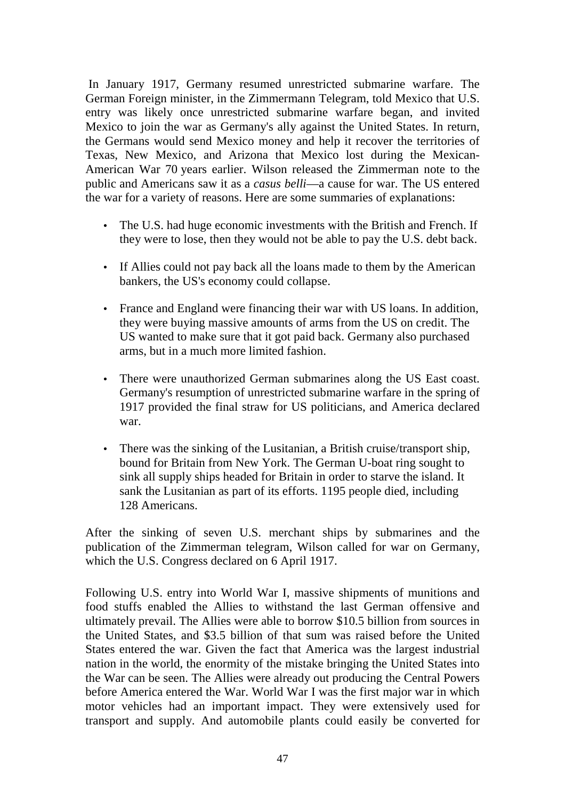In January 1917, Germany resumed unrestricted submarine warfare. The German Foreign minister, in the Zimmermann Telegram, told Mexico that U.S. entry was likely once unrestricted submarine warfare began, and invited Mexico to join the war as Germany's ally against the United States. In return, the Germans would send Mexico money and help it recover the territories of Texas, New Mexico, and Arizona that Mexico lost during the Mexican-American War 70 years earlier. Wilson released the Zimmerman note to the public and Americans saw it as a *casus belli*—a cause for war. The US entered the war for a variety of reasons. Here are some summaries of explanations:

- The U.S. had huge economic investments with the British and French. If they were to lose, then they would not be able to pay the U.S. debt back.
- If Allies could not pay back all the loans made to them by the American bankers, the US's economy could collapse.
- France and England were financing their war with US loans. In addition, they were buying massive amounts of arms from the US on credit. The US wanted to make sure that it got paid back. Germany also purchased arms, but in a much more limited fashion.
- There were unauthorized German submarines along the US East coast. Germany's resumption of unrestricted submarine warfare in the spring of 1917 provided the final straw for US politicians, and America declared war.
- There was the sinking of the Lusitanian, a British cruise/transport ship, bound for Britain from New York. The German U-boat ring sought to sink all supply ships headed for Britain in order to starve the island. It sank the Lusitanian as part of its efforts. 1195 people died, including 128 Americans.

After the sinking of seven U.S. merchant ships by submarines and the publication of the Zimmerman telegram, Wilson called for war on Germany, which the U.S. Congress declared on 6 April 1917.

Following U.S. entry into World War I, massive shipments of munitions and food stuffs enabled the Allies to withstand the last German offensive and ultimately prevail. The Allies were able to borrow \$10.5 billion from sources in the United States, and \$3.5 billion of that sum was raised before the United States entered the war. Given the fact that America was the largest industrial nation in the world, the enormity of the mistake bringing the United States into the War can be seen. The Allies were already out producing the Central Powers before America entered the War. World War I was the first major war in which motor vehicles had an important impact. They were extensively used for transport and supply. And automobile plants could easily be converted for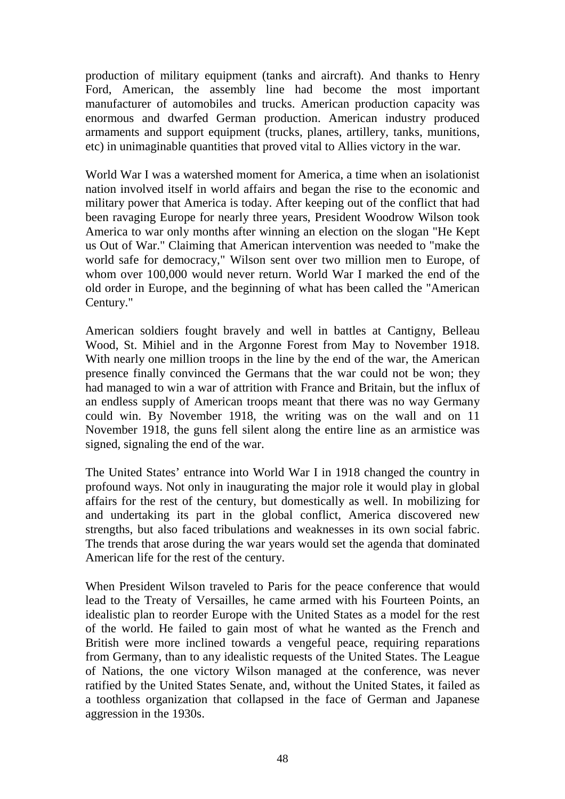production of military equipment (tanks and aircraft). And thanks to Henry Ford, American, the assembly line had become the most important manufacturer of automobiles and trucks. American production capacity was enormous and dwarfed German production. American industry produced armaments and support equipment (trucks, planes, artillery, tanks, munitions, etc) in unimaginable quantities that proved vital to Allies victory in the war.

World War I was a watershed moment for America, a time when an isolationist nation involved itself in world affairs and began the rise to the economic and military power that America is today. After keeping out of the conflict that had been ravaging Europe for nearly three years, President Woodrow Wilson took America to war only months after winning an election on the slogan "He Kept us Out of War." Claiming that American intervention was needed to "make the world safe for democracy," Wilson sent over two million men to Europe, of whom over 100,000 would never return. World War I marked the end of the old order in Europe, and the beginning of what has been called the "American Century."

American soldiers fought bravely and well in battles at Cantigny, Belleau Wood, St. Mihiel and in the Argonne Forest from May to November 1918. With nearly one million troops in the line by the end of the war, the American presence finally convinced the Germans that the war could not be won; they had managed to win a war of attrition with France and Britain, but the influx of an endless supply of American troops meant that there was no way Germany could win. By November 1918, the writing was on the wall and on 11 November 1918, the guns fell silent along the entire line as an armistice was signed, signaling the end of the war.

The United States' entrance into World War I in 1918 changed the country in profound ways. Not only in inaugurating the major role it would play in global affairs for the rest of the century, but domestically as well. In mobilizing for and undertaking its part in the global conflict, America discovered new strengths, but also faced tribulations and weaknesses in its own social fabric. The trends that arose during the war years would set the agenda that dominated American life for the rest of the century.

When President Wilson traveled to Paris for the peace conference that would lead to the Treaty of Versailles, he came armed with his Fourteen Points, an idealistic plan to reorder Europe with the United States as a model for the rest of the world. He failed to gain most of what he wanted as the French and British were more inclined towards a vengeful peace, requiring reparations from Germany, than to any idealistic requests of the United States. The League of Nations, the one victory Wilson managed at the conference, was never ratified by the United States Senate, and, without the United States, it failed as a toothless organization that collapsed in the face of German and Japanese aggression in the 1930s.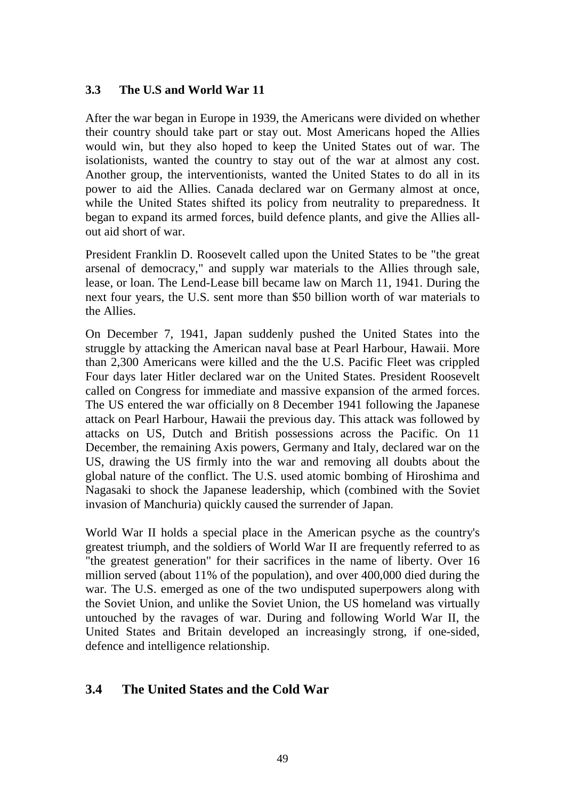### **3.3 The U.S and World War 11**

After the war began in Europe in 1939, the Americans were divided on whether their country should take part or stay out. Most Americans hoped the Allies would win, but they also hoped to keep the United States out of war. The isolationists, wanted the country to stay out of the war at almost any cost. Another group, the interventionists, wanted the United States to do all in its power to aid the Allies. Canada declared war on Germany almost at once, while the United States shifted its policy from neutrality to preparedness. It began to expand its armed forces, build defence plants, and give the Allies allout aid short of war.

President Franklin D. Roosevelt called upon the United States to be "the great arsenal of democracy," and supply war materials to the Allies through sale, lease, or loan. The Lend-Lease bill became law on March 11, 1941. During the next four years, the U.S. sent more than \$50 billion worth of war materials to the Allies.

On December 7, 1941, Japan suddenly pushed the United States into the struggle by attacking the American naval base at Pearl Harbour, Hawaii. More than 2,300 Americans were killed and the the U.S. Pacific Fleet was crippled Four days later Hitler declared war on the United States. President Roosevelt called on Congress for immediate and massive expansion of the armed forces. The US entered the war officially on 8 December 1941 following the Japanese attack on Pearl Harbour, Hawaii the previous day. This attack was followed by attacks on US, Dutch and British possessions across the Pacific. On 11 December, the remaining Axis powers, Germany and Italy, declared war on the US, drawing the US firmly into the war and removing all doubts about the global nature of the conflict. The U.S. used atomic bombing of Hiroshima and Nagasaki to shock the Japanese leadership, which (combined with the Soviet invasion of Manchuria) quickly caused the surrender of Japan.

World War II holds a special place in the American psyche as the country's greatest triumph, and the soldiers of World War II are frequently referred to as "the greatest generation" for their sacrifices in the name of liberty. Over 16 million served (about 11% of the population), and over 400,000 died during the war. The U.S. emerged as one of the two undisputed superpowers along with the Soviet Union, and unlike the Soviet Union, the US homeland was virtually untouched by the ravages of war. During and following World War II, the United States and Britain developed an increasingly strong, if one-sided, defence and intelligence relationship.

# **3.4 The United States and the Cold War**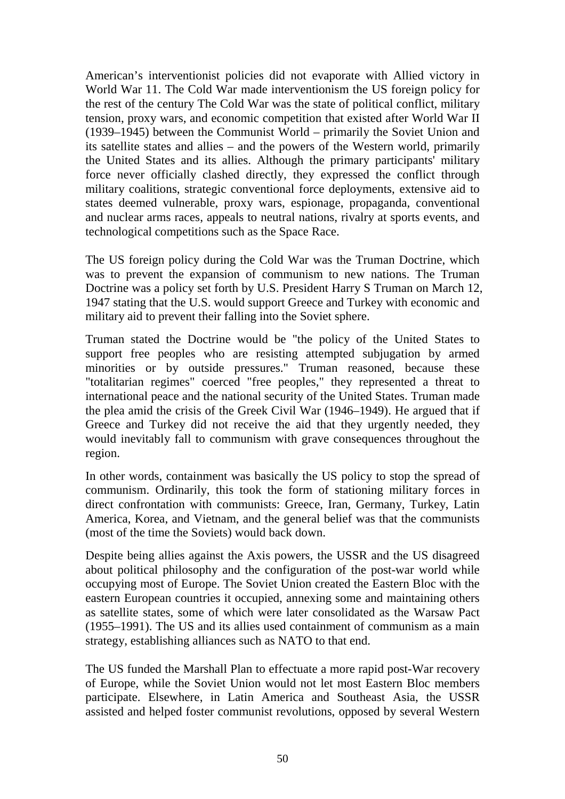American's interventionist policies did not evaporate with Allied victory in World War 11. The Cold War made interventionism the US foreign policy for the rest of the century The Cold War was the state of political conflict, military tension, proxy wars, and economic competition that existed after World War II (1939–1945) between the Communist World – primarily the Soviet Union and its satellite states and allies – and the powers of the Western world, primarily the United States and its allies. Although the primary participants' military force never officially clashed directly, they expressed the conflict through military coalitions, strategic conventional force deployments, extensive aid to states deemed vulnerable, proxy wars, espionage, propaganda, conventional and nuclear arms races, appeals to neutral nations, rivalry at sports events, and technological competitions such as the Space Race.

The US foreign policy during the Cold War was the Truman Doctrine, which was to prevent the expansion of communism to new nations. The Truman Doctrine was a policy set forth by U.S. President Harry S Truman on March 12, 1947 stating that the U.S. would support Greece and Turkey with economic and military aid to prevent their falling into the Soviet sphere.

Truman stated the Doctrine would be "the policy of the United States to support free peoples who are resisting attempted subjugation by armed minorities or by outside pressures." Truman reasoned, because these "totalitarian regimes" coerced "free peoples," they represented a threat to international peace and the national security of the United States. Truman made the plea amid the crisis of the Greek Civil War (1946–1949). He argued that if Greece and Turkey did not receive the aid that they urgently needed, they would inevitably fall to communism with grave consequences throughout the region.

In other words, containment was basically the US policy to stop the spread of communism. Ordinarily, this took the form of stationing military forces in direct confrontation with communists: Greece, Iran, Germany, Turkey, Latin America, Korea, and Vietnam, and the general belief was that the communists (most of the time the Soviets) would back down.

Despite being allies against the Axis powers, the USSR and the US disagreed about political philosophy and the configuration of the post-war world while occupying most of Europe. The Soviet Union created the Eastern Bloc with the eastern European countries it occupied, annexing some and maintaining others as satellite states, some of which were later consolidated as the Warsaw Pact (1955–1991). The US and its allies used containment of communism as a main strategy, establishing alliances such as NATO to that end.

The US funded the Marshall Plan to effectuate a more rapid post-War recovery of Europe, while the Soviet Union would not let most Eastern Bloc members participate. Elsewhere, in Latin America and Southeast Asia, the USSR assisted and helped foster communist revolutions, opposed by several Western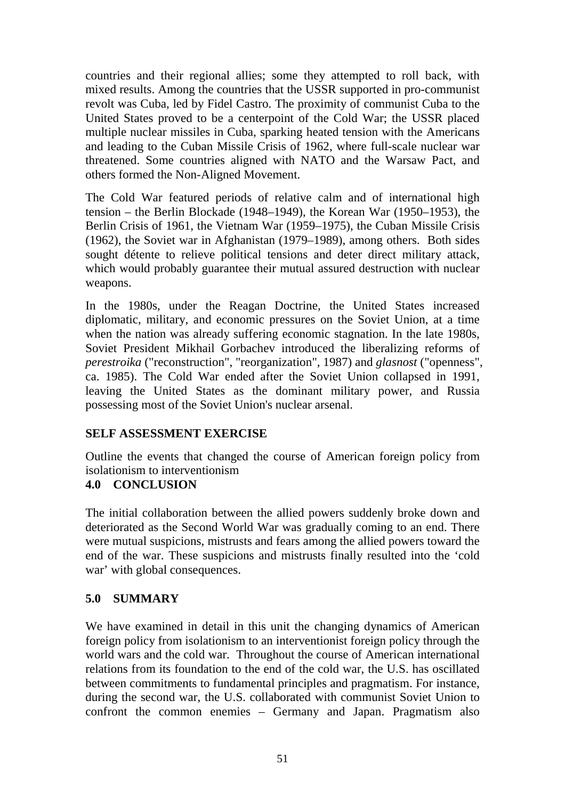countries and their regional allies; some they attempted to roll back, with mixed results. Among the countries that the USSR supported in pro-communist revolt was Cuba, led by Fidel Castro. The proximity of communist Cuba to the United States proved to be a centerpoint of the Cold War; the USSR placed multiple nuclear missiles in Cuba, sparking heated tension with the Americans and leading to the Cuban Missile Crisis of 1962, where full-scale nuclear war threatened. Some countries aligned with NATO and the Warsaw Pact, and others formed the Non-Aligned Movement.

The Cold War featured periods of relative calm and of international high tension – the Berlin Blockade (1948–1949), the Korean War (1950–1953), the Berlin Crisis of 1961, the Vietnam War (1959–1975), the Cuban Missile Crisis (1962), the Soviet war in Afghanistan (1979–1989), among others. Both sides sought détente to relieve political tensions and deter direct military attack, which would probably guarantee their mutual assured destruction with nuclear weapons.

In the 1980s, under the Reagan Doctrine, the United States increased diplomatic, military, and economic pressures on the Soviet Union, at a time when the nation was already suffering economic stagnation. In the late 1980s, Soviet President Mikhail Gorbachev introduced the liberalizing reforms of *perestroika* ("reconstruction", "reorganization", 1987) and *glasnost* ("openness", ca. 1985). The Cold War ended after the Soviet Union collapsed in 1991, leaving the United States as the dominant military power, and Russia possessing most of the Soviet Union's nuclear arsenal.

### **SELF ASSESSMENT EXERCISE**

Outline the events that changed the course of American foreign policy from isolationism to interventionism

### **4.0 CONCLUSION**

The initial collaboration between the allied powers suddenly broke down and deteriorated as the Second World War was gradually coming to an end. There were mutual suspicions, mistrusts and fears among the allied powers toward the end of the war. These suspicions and mistrusts finally resulted into the 'cold war' with global consequences.

### **5.0 SUMMARY**

We have examined in detail in this unit the changing dynamics of American foreign policy from isolationism to an interventionist foreign policy through the world wars and the cold war. Throughout the course of American international relations from its foundation to the end of the cold war, the U.S. has oscillated between commitments to fundamental principles and pragmatism. For instance, during the second war, the U.S. collaborated with communist Soviet Union to confront the common enemies – Germany and Japan. Pragmatism also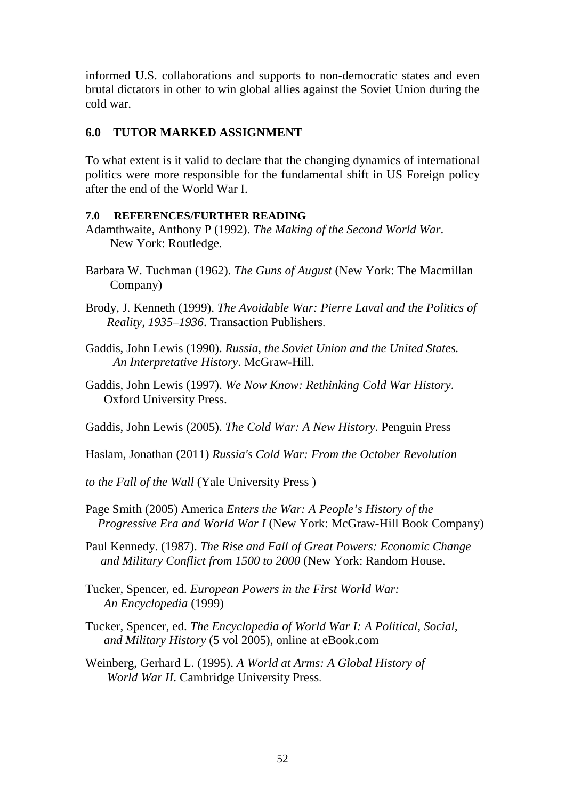informed U.S. collaborations and supports to non-democratic states and even brutal dictators in other to win global allies against the Soviet Union during the cold war.

#### **6.0 TUTOR MARKED ASSIGNMENT**

To what extent is it valid to declare that the changing dynamics of international politics were more responsible for the fundamental shift in US Foreign policy after the end of the World War I.

#### **7.0 REFERENCES/FURTHER READING**

- Adamthwaite, Anthony P (1992). *The Making of the Second World War*. New York: Routledge.
- Barbara W. Tuchman (1962). *The Guns of August* (New York: The Macmillan Company)
- Brody, J. Kenneth (1999). *The Avoidable War: Pierre Laval and the Politics of Reality, 1935–1936*. Transaction Publishers.
- Gaddis, John Lewis (1990). *Russia, the Soviet Union and the United States. An Interpretative History*. McGraw-Hill.
- Gaddis, John Lewis (1997). *We Now Know: Rethinking Cold War History*. Oxford University Press.
- Gaddis, John Lewis (2005). *The Cold War: A New History*. Penguin Press
- Haslam, Jonathan (2011) *Russia's Cold War: From the October Revolution*
- *to the Fall of the Wall* (Yale University Press )
- Page Smith (2005) America *Enters the War: A People's History of the Progressive Era and World War I* (New York: McGraw-Hill Book Company)
- Paul Kennedy. (1987). *The Rise and Fall of Great Powers: Economic Change and Military Conflict from 1500 to 2000* (New York: Random House.
- Tucker, Spencer, ed. *European Powers in the First World War: An Encyclopedia* (1999)
- Tucker, Spencer, ed. *The Encyclopedia of World War I: A Political, Social, and Military History* (5 vol 2005), online at eBook.com
- Weinberg, Gerhard L. (1995). *A World at Arms: A Global History of World War II*. Cambridge University Press.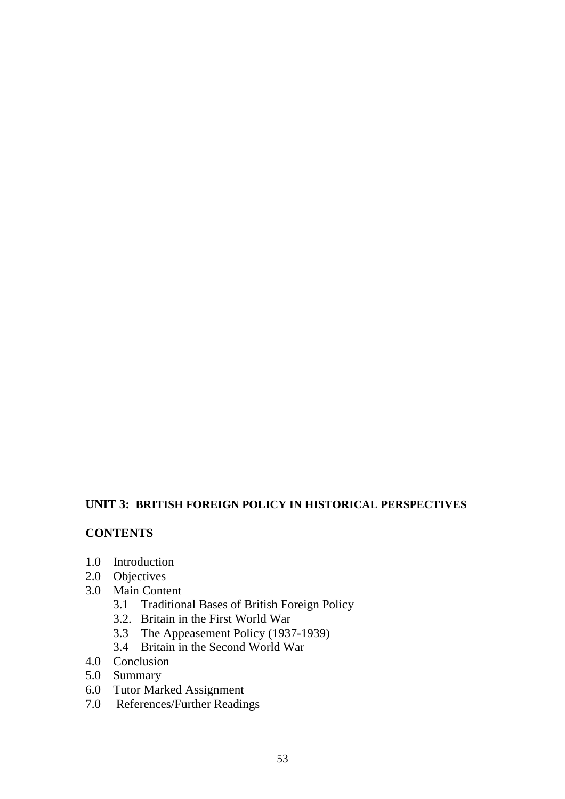### **UNIT 3: BRITISH FOREIGN POLICY IN HISTORICAL PERSPECTIVES**

### **CONTENTS**

- 1.0Introduction
- 2.0 Objectives
- 3.0 Main Content
	- 3.1 Traditional Bases of British Foreign Policy
	- 3.2. Britain in the First World War
	- 3.3 The Appeasement Policy (1937-1939)
	- 3.4 Britain in the Second World War
- 4.0 Conclusion
- 5.0 Summary
- 6.0 Tutor Marked Assignment
- 7.0 References/Further Readings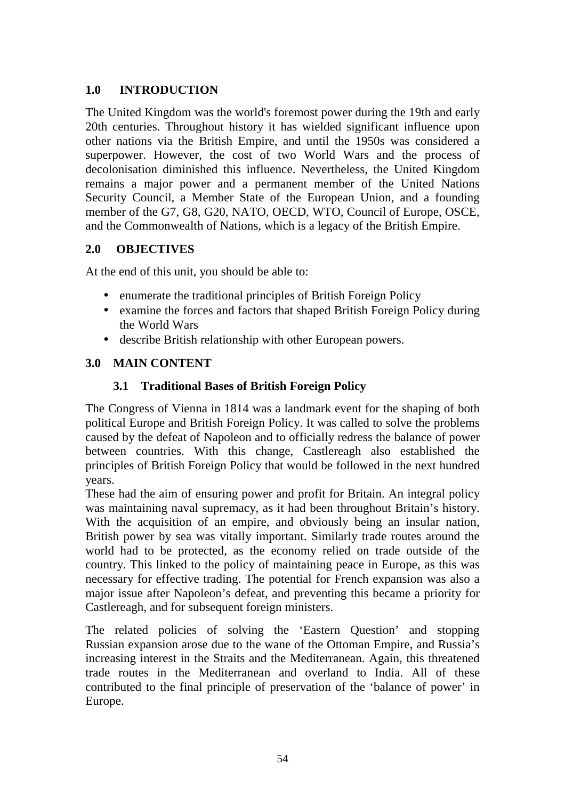# **1.0 INTRODUCTION**

The United Kingdom was the world's foremost power during the 19th and early 20th centuries. Throughout history it has wielded significant influence upon other nations via the British Empire, and until the 1950s was considered a superpower. However, the cost of two World Wars and the process of decolonisation diminished this influence. Nevertheless, the United Kingdom remains a major power and a permanent member of the United Nations Security Council, a Member State of the European Union, and a founding member of the G7, G8, G20, NATO, OECD, WTO, Council of Europe, OSCE, and the Commonwealth of Nations, which is a legacy of the British Empire.

# **2.0 OBJECTIVES**

At the end of this unit, you should be able to:

- enumerate the traditional principles of British Foreign Policy
- examine the forces and factors that shaped British Foreign Policy during the World Wars
- describe British relationship with other European powers.

# **3.0 MAIN CONTENT**

# **3.1 Traditional Bases of British Foreign Policy**

The Congress of Vienna in 1814 was a landmark event for the shaping of both political Europe and British Foreign Policy. It was called to solve the problems caused by the defeat of Napoleon and to officially redress the balance of power between countries. With this change, Castlereagh also established the principles of British Foreign Policy that would be followed in the next hundred years.

These had the aim of ensuring power and profit for Britain. An integral policy was maintaining naval supremacy, as it had been throughout Britain's history. With the acquisition of an empire, and obviously being an insular nation, British power by sea was vitally important. Similarly trade routes around the world had to be protected, as the economy relied on trade outside of the country. This linked to the policy of maintaining peace in Europe, as this was necessary for effective trading. The potential for French expansion was also a major issue after Napoleon's defeat, and preventing this became a priority for Castlereagh, and for subsequent foreign ministers.

The related policies of solving the 'Eastern Question' and stopping Russian expansion arose due to the wane of the Ottoman Empire, and Russia's increasing interest in the Straits and the Mediterranean. Again, this threatened trade routes in the Mediterranean and overland to India. All of these contributed to the final principle of preservation of the 'balance of power' in Europe.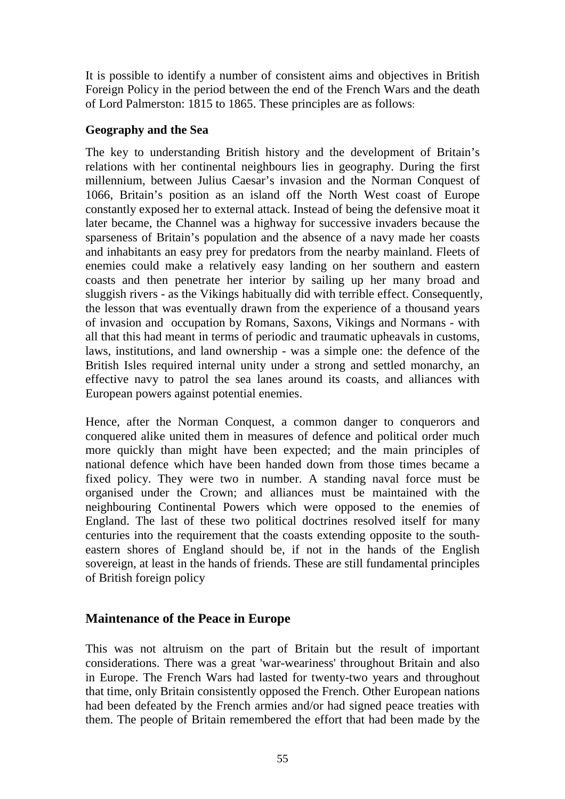It is possible to identify a number of consistent aims and objectives in British Foreign Policy in the period between the end of the French Wars and the death of Lord Palmerston: 1815 to 1865. These principles are as follows:

### **Geography and the Sea**

The key to understanding British history and the development of Britain's relations with her continental neighbours lies in geography. During the first millennium, between Julius Caesar's invasion and the Norman Conquest of 1066, Britain's position as an island off the North West coast of Europe constantly exposed her to external attack. Instead of being the defensive moat it later became, the Channel was a highway for successive invaders because the sparseness of Britain's population and the absence of a navy made her coasts and inhabitants an easy prey for predators from the nearby mainland. Fleets of enemies could make a relatively easy landing on her southern and eastern coasts and then penetrate her interior by sailing up her many broad and sluggish rivers - as the Vikings habitually did with terrible effect. Consequently, the lesson that was eventually drawn from the experience of a thousand years of invasion and occupation by Romans, Saxons, Vikings and Normans - with all that this had meant in terms of periodic and traumatic upheavals in customs, laws, institutions, and land ownership - was a simple one: the defence of the British Isles required internal unity under a strong and settled monarchy, an effective navy to patrol the sea lanes around its coasts, and alliances with European powers against potential enemies.

Hence, after the Norman Conquest, a common danger to conquerors and conquered alike united them in measures of defence and political order much more quickly than might have been expected; and the main principles of national defence which have been handed down from those times became a fixed policy. They were two in number. A standing naval force must be organised under the Crown; and alliances must be maintained with the neighbouring Continental Powers which were opposed to the enemies of England. The last of these two political doctrines resolved itself for many centuries into the requirement that the coasts extending opposite to the southeastern shores of England should be, if not in the hands of the English sovereign, at least in the hands of friends. These are still fundamental principles of British foreign policy

# **Maintenance of the Peace in Europe**

This was not altruism on the part of Britain but the result of important considerations. There was a great 'war-weariness' throughout Britain and also in Europe. The French Wars had lasted for twenty-two years and throughout that time, only Britain consistently opposed the French. Other European nations had been defeated by the French armies and/or had signed peace treaties with them. The people of Britain remembered the effort that had been made by the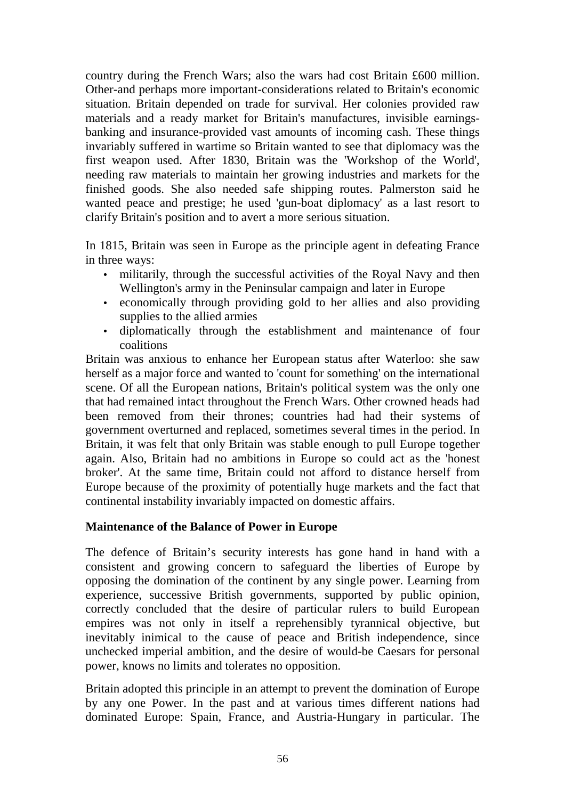country during the French Wars; also the wars had cost Britain £600 million. Other-and perhaps more important-considerations related to Britain's economic situation. Britain depended on trade for survival. Her colonies provided raw materials and a ready market for Britain's manufactures, invisible earningsbanking and insurance-provided vast amounts of incoming cash. These things invariably suffered in wartime so Britain wanted to see that diplomacy was the first weapon used. After 1830, Britain was the 'Workshop of the World', needing raw materials to maintain her growing industries and markets for the finished goods. She also needed safe shipping routes. Palmerston said he wanted peace and prestige; he used 'gun-boat diplomacy' as a last resort to clarify Britain's position and to avert a more serious situation.

In 1815, Britain was seen in Europe as the principle agent in defeating France in three ways:

- militarily, through the successful activities of the Royal Navy and then Wellington's army in the Peninsular campaign and later in Europe
- economically through providing gold to her allies and also providing supplies to the allied armies
- diplomatically through the establishment and maintenance of four coalitions

Britain was anxious to enhance her European status after Waterloo: she saw herself as a major force and wanted to 'count for something' on the international scene. Of all the European nations, Britain's political system was the only one that had remained intact throughout the French Wars. Other crowned heads had been removed from their thrones; countries had had their systems of government overturned and replaced, sometimes several times in the period. In Britain, it was felt that only Britain was stable enough to pull Europe together again. Also, Britain had no ambitions in Europe so could act as the 'honest broker'. At the same time, Britain could not afford to distance herself from Europe because of the proximity of potentially huge markets and the fact that continental instability invariably impacted on domestic affairs.

### **Maintenance of the Balance of Power in Europe**

The defence of Britain's security interests has gone hand in hand with a consistent and growing concern to safeguard the liberties of Europe by opposing the domination of the continent by any single power. Learning from experience, successive British governments, supported by public opinion, correctly concluded that the desire of particular rulers to build European empires was not only in itself a reprehensibly tyrannical objective, but inevitably inimical to the cause of peace and British independence, since unchecked imperial ambition, and the desire of would-be Caesars for personal power, knows no limits and tolerates no opposition.

Britain adopted this principle in an attempt to prevent the domination of Europe by any one Power. In the past and at various times different nations had dominated Europe: Spain, France, and Austria-Hungary in particular. The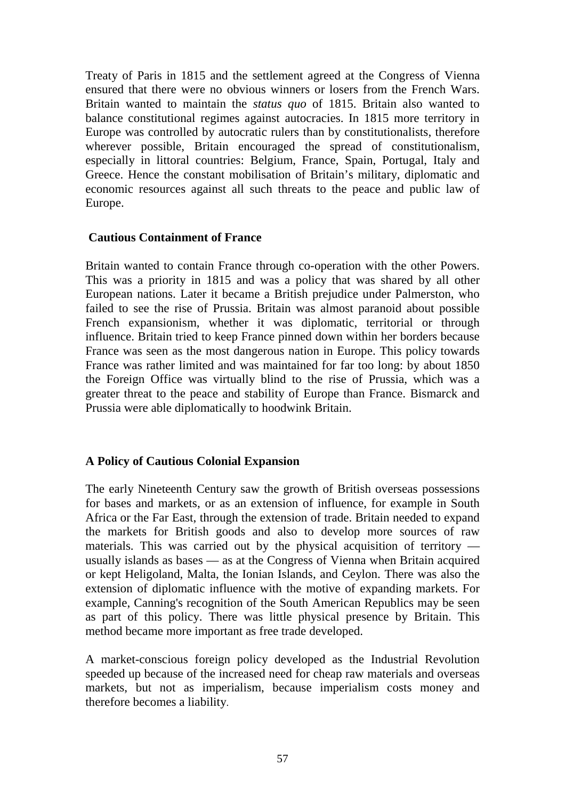Treaty of Paris in 1815 and the settlement agreed at the Congress of Vienna ensured that there were no obvious winners or losers from the French Wars. Britain wanted to maintain the *status quo* of 1815. Britain also wanted to balance constitutional regimes against autocracies. In 1815 more territory in Europe was controlled by autocratic rulers than by constitutionalists, therefore wherever possible, Britain encouraged the spread of constitutionalism, especially in littoral countries: Belgium, France, Spain, Portugal, Italy and Greece. Hence the constant mobilisation of Britain's military, diplomatic and economic resources against all such threats to the peace and public law of Europe.

#### **Cautious Containment of France**

Britain wanted to contain France through co-operation with the other Powers. This was a priority in 1815 and was a policy that was shared by all other European nations. Later it became a British prejudice under Palmerston, who failed to see the rise of Prussia. Britain was almost paranoid about possible French expansionism, whether it was diplomatic, territorial or through influence. Britain tried to keep France pinned down within her borders because France was seen as the most dangerous nation in Europe. This policy towards France was rather limited and was maintained for far too long: by about 1850 the Foreign Office was virtually blind to the rise of Prussia, which was a greater threat to the peace and stability of Europe than France. Bismarck and Prussia were able diplomatically to hoodwink Britain.

#### **A Policy of Cautious Colonial Expansion**

The early Nineteenth Century saw the growth of British overseas possessions for bases and markets, or as an extension of influence, for example in South Africa or the Far East, through the extension of trade. Britain needed to expand the markets for British goods and also to develop more sources of raw materials. This was carried out by the physical acquisition of territory usually islands as bases — as at the Congress of Vienna when Britain acquired or kept Heligoland, Malta, the Ionian Islands, and Ceylon. There was also the extension of diplomatic influence with the motive of expanding markets. For example, Canning's recognition of the South American Republics may be seen as part of this policy. There was little physical presence by Britain. This method became more important as free trade developed.

A market-conscious foreign policy developed as the Industrial Revolution speeded up because of the increased need for cheap raw materials and overseas markets, but not as imperialism, because imperialism costs money and therefore becomes a liability.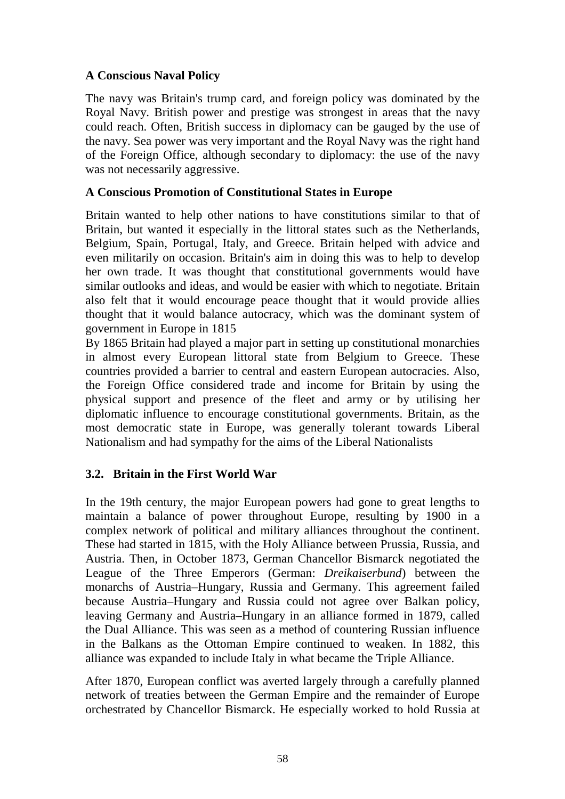# **A Conscious Naval Policy**

The navy was Britain's trump card, and foreign policy was dominated by the Royal Navy. British power and prestige was strongest in areas that the navy could reach. Often, British success in diplomacy can be gauged by the use of the navy. Sea power was very important and the Royal Navy was the right hand of the Foreign Office, although secondary to diplomacy: the use of the navy was not necessarily aggressive.

### **A Conscious Promotion of Constitutional States in Europe**

Britain wanted to help other nations to have constitutions similar to that of Britain, but wanted it especially in the littoral states such as the Netherlands, Belgium, Spain, Portugal, Italy, and Greece. Britain helped with advice and even militarily on occasion. Britain's aim in doing this was to help to develop her own trade. It was thought that constitutional governments would have similar outlooks and ideas, and would be easier with which to negotiate. Britain also felt that it would encourage peace thought that it would provide allies thought that it would balance autocracy, which was the dominant system of government in Europe in 1815

By 1865 Britain had played a major part in setting up constitutional monarchies in almost every European littoral state from Belgium to Greece. These countries provided a barrier to central and eastern European autocracies. Also, the Foreign Office considered trade and income for Britain by using the physical support and presence of the fleet and army or by utilising her diplomatic influence to encourage constitutional governments. Britain, as the most democratic state in Europe, was generally tolerant towards Liberal Nationalism and had sympathy for the aims of the Liberal Nationalists

# **3.2. Britain in the First World War**

In the 19th century, the major European powers had gone to great lengths to maintain a balance of power throughout Europe, resulting by 1900 in a complex network of political and military alliances throughout the continent. These had started in 1815, with the Holy Alliance between Prussia, Russia, and Austria. Then, in October 1873, German Chancellor Bismarck negotiated the League of the Three Emperors (German: *Dreikaiserbund*) between the monarchs of Austria–Hungary, Russia and Germany. This agreement failed because Austria–Hungary and Russia could not agree over Balkan policy, leaving Germany and Austria–Hungary in an alliance formed in 1879, called the Dual Alliance. This was seen as a method of countering Russian influence in the Balkans as the Ottoman Empire continued to weaken. In 1882, this alliance was expanded to include Italy in what became the Triple Alliance.

After 1870, European conflict was averted largely through a carefully planned network of treaties between the German Empire and the remainder of Europe orchestrated by Chancellor Bismarck. He especially worked to hold Russia at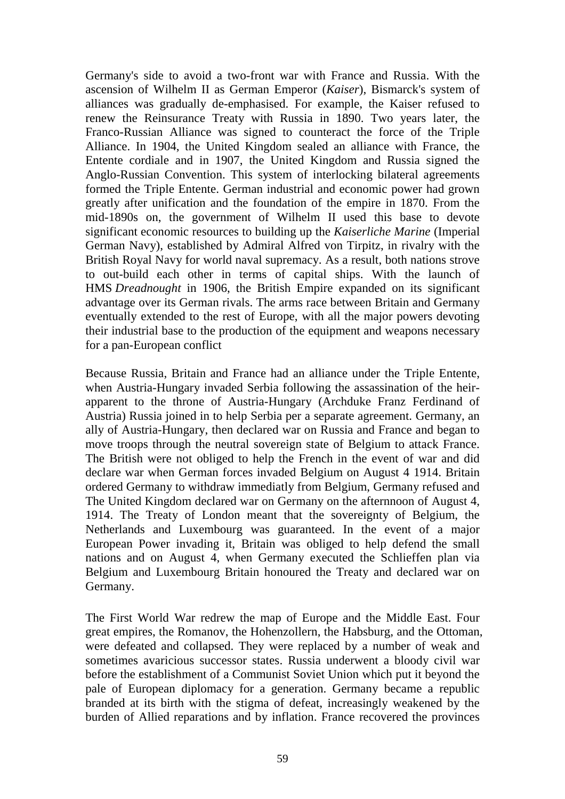Germany's side to avoid a two-front war with France and Russia. With the ascension of Wilhelm II as German Emperor (*Kaiser*), Bismarck's system of alliances was gradually de-emphasised. For example, the Kaiser refused to renew the Reinsurance Treaty with Russia in 1890. Two years later, the Franco-Russian Alliance was signed to counteract the force of the Triple Alliance. In 1904, the United Kingdom sealed an alliance with France, the Entente cordiale and in 1907, the United Kingdom and Russia signed the Anglo-Russian Convention. This system of interlocking bilateral agreements formed the Triple Entente. German industrial and economic power had grown greatly after unification and the foundation of the empire in 1870. From the mid-1890s on, the government of Wilhelm II used this base to devote significant economic resources to building up the *Kaiserliche Marine* (Imperial German Navy), established by Admiral Alfred von Tirpitz, in rivalry with the British Royal Navy for world naval supremacy. As a result, both nations strove to out-build each other in terms of capital ships. With the launch of HMS *Dreadnought* in 1906, the British Empire expanded on its significant advantage over its German rivals. The arms race between Britain and Germany eventually extended to the rest of Europe, with all the major powers devoting their industrial base to the production of the equipment and weapons necessary for a pan-European conflict

Because Russia, Britain and France had an alliance under the Triple Entente, when Austria-Hungary invaded Serbia following the assassination of the heirapparent to the throne of Austria-Hungary (Archduke Franz Ferdinand of Austria) Russia joined in to help Serbia per a separate agreement. Germany, an ally of Austria-Hungary, then declared war on Russia and France and began to move troops through the neutral sovereign state of Belgium to attack France. The British were not obliged to help the French in the event of war and did declare war when German forces invaded Belgium on August 4 1914. Britain ordered Germany to withdraw immediatly from Belgium, Germany refused and The United Kingdom declared war on Germany on the afternnoon of August 4, 1914. The Treaty of London meant that the sovereignty of Belgium, the Netherlands and Luxembourg was guaranteed. In the event of a major European Power invading it, Britain was obliged to help defend the small nations and on August 4, when Germany executed the Schlieffen plan via Belgium and Luxembourg Britain honoured the Treaty and declared war on Germany.

The First World War redrew the map of Europe and the Middle East. Four great empires, the Romanov, the Hohenzollern, the Habsburg, and the Ottoman, were defeated and collapsed. They were replaced by a number of weak and sometimes avaricious successor states. Russia underwent a bloody civil war before the establishment of a Communist Soviet Union which put it beyond the pale of European diplomacy for a generation. Germany became a republic branded at its birth with the stigma of defeat, increasingly weakened by the burden of Allied reparations and by inflation. France recovered the provinces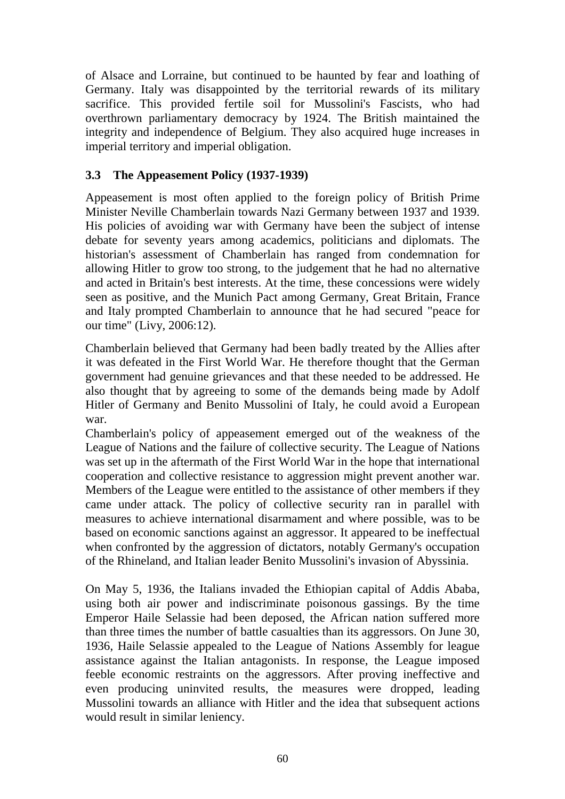of Alsace and Lorraine, but continued to be haunted by fear and loathing of Germany. Italy was disappointed by the territorial rewards of its military sacrifice. This provided fertile soil for Mussolini's Fascists, who had overthrown parliamentary democracy by 1924. The British maintained the integrity and independence of Belgium. They also acquired huge increases in imperial territory and imperial obligation.

# **3.3 The Appeasement Policy (1937-1939)**

Appeasement is most often applied to the foreign policy of British Prime Minister Neville Chamberlain towards Nazi Germany between 1937 and 1939. His policies of avoiding war with Germany have been the subject of intense debate for seventy years among academics, politicians and diplomats. The historian's assessment of Chamberlain has ranged from condemnation for allowing Hitler to grow too strong, to the judgement that he had no alternative and acted in Britain's best interests. At the time, these concessions were widely seen as positive, and the Munich Pact among Germany, Great Britain, France and Italy prompted Chamberlain to announce that he had secured "peace for our time" (Livy, 2006:12).

Chamberlain believed that Germany had been badly treated by the Allies after it was defeated in the First World War. He therefore thought that the German government had genuine grievances and that these needed to be addressed. He also thought that by agreeing to some of the demands being made by Adolf Hitler of Germany and Benito Mussolini of Italy, he could avoid a European war.

Chamberlain's policy of appeasement emerged out of the weakness of the League of Nations and the failure of collective security. The League of Nations was set up in the aftermath of the First World War in the hope that international cooperation and collective resistance to aggression might prevent another war. Members of the League were entitled to the assistance of other members if they came under attack. The policy of collective security ran in parallel with measures to achieve international disarmament and where possible, was to be based on economic sanctions against an aggressor. It appeared to be ineffectual when confronted by the aggression of dictators, notably Germany's occupation of the Rhineland, and Italian leader Benito Mussolini's invasion of Abyssinia.

On May 5, 1936, the Italians invaded the Ethiopian capital of Addis Ababa, using both air power and indiscriminate poisonous gassings. By the time Emperor Haile Selassie had been deposed, the African nation suffered more than three times the number of battle casualties than its aggressors. On June 30, 1936, Haile Selassie appealed to the League of Nations Assembly for league assistance against the Italian antagonists. In response, the League imposed feeble economic restraints on the aggressors. After proving ineffective and even producing uninvited results, the measures were dropped, leading Mussolini towards an alliance with Hitler and the idea that subsequent actions would result in similar leniency.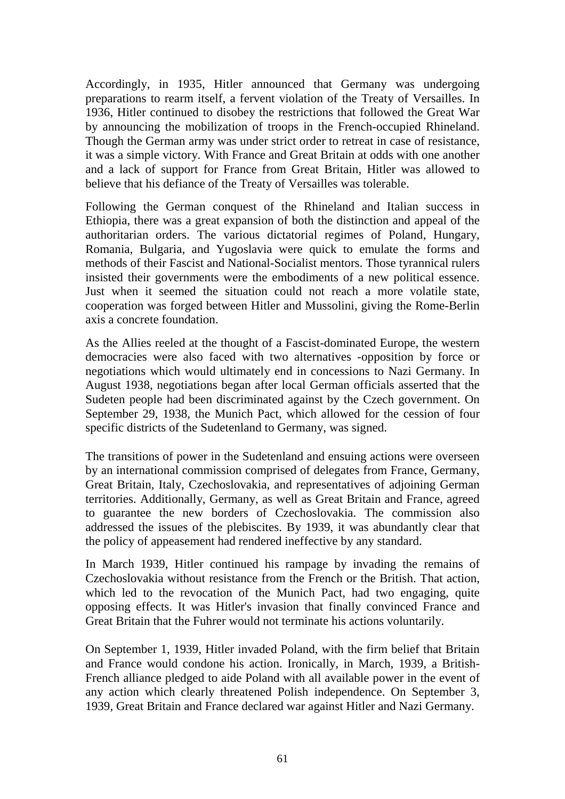Accordingly, in 1935, Hitler announced that Germany was undergoing preparations to rearm itself, a fervent violation of the Treaty of Versailles. In 1936, Hitler continued to disobey the restrictions that followed the Great War by announcing the mobilization of troops in the French-occupied Rhineland. Though the German army was under strict order to retreat in case of resistance, it was a simple victory. With France and Great Britain at odds with one another and a lack of support for France from Great Britain, Hitler was allowed to believe that his defiance of the Treaty of Versailles was tolerable.

Following the German conquest of the Rhineland and Italian success in Ethiopia, there was a great expansion of both the distinction and appeal of the authoritarian orders. The various dictatorial regimes of Poland, Hungary, Romania, Bulgaria, and Yugoslavia were quick to emulate the forms and methods of their Fascist and National-Socialist mentors. Those tyrannical rulers insisted their governments were the embodiments of a new political essence. Just when it seemed the situation could not reach a more volatile state, cooperation was forged between Hitler and Mussolini, giving the Rome-Berlin axis a concrete foundation.

As the Allies reeled at the thought of a Fascist-dominated Europe, the western democracies were also faced with two alternatives -opposition by force or negotiations which would ultimately end in concessions to Nazi Germany. In August 1938, negotiations began after local German officials asserted that the Sudeten people had been discriminated against by the Czech government. On September 29, 1938, the Munich Pact, which allowed for the cession of four specific districts of the Sudetenland to Germany, was signed.

The transitions of power in the Sudetenland and ensuing actions were overseen by an international commission comprised of delegates from France, Germany, Great Britain, Italy, Czechoslovakia, and representatives of adjoining German territories. Additionally, Germany, as well as Great Britain and France, agreed to guarantee the new borders of Czechoslovakia. The commission also addressed the issues of the plebiscites. By 1939, it was abundantly clear that the policy of appeasement had rendered ineffective by any standard.

In March 1939, Hitler continued his rampage by invading the remains of Czechoslovakia without resistance from the French or the British. That action, which led to the revocation of the Munich Pact, had two engaging, quite opposing effects. It was Hitler's invasion that finally convinced France and Great Britain that the Fuhrer would not terminate his actions voluntarily.

On September 1, 1939, Hitler invaded Poland, with the firm belief that Britain and France would condone his action. Ironically, in March, 1939, a British-French alliance pledged to aide Poland with all available power in the event of any action which clearly threatened Polish independence. On September 3, 1939, Great Britain and France declared war against Hitler and Nazi Germany.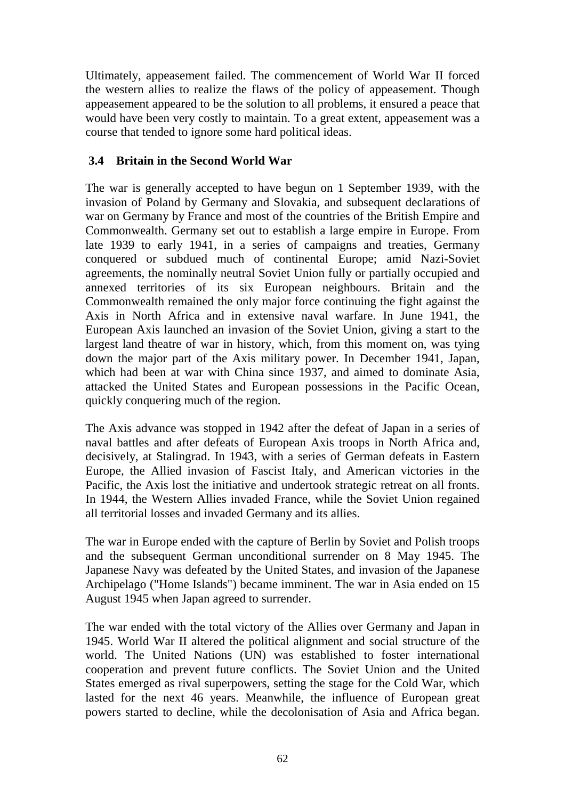Ultimately, appeasement failed. The commencement of World War II forced the western allies to realize the flaws of the policy of appeasement. Though appeasement appeared to be the solution to all problems, it ensured a peace that would have been very costly to maintain. To a great extent, appeasement was a course that tended to ignore some hard political ideas.

# **3.4 Britain in the Second World War**

The war is generally accepted to have begun on 1 September 1939, with the invasion of Poland by Germany and Slovakia, and subsequent declarations of war on Germany by France and most of the countries of the British Empire and Commonwealth. Germany set out to establish a large empire in Europe. From late 1939 to early 1941, in a series of campaigns and treaties, Germany conquered or subdued much of continental Europe; amid Nazi-Soviet agreements, the nominally neutral Soviet Union fully or partially occupied and annexed territories of its six European neighbours. Britain and the Commonwealth remained the only major force continuing the fight against the Axis in North Africa and in extensive naval warfare. In June 1941, the European Axis launched an invasion of the Soviet Union, giving a start to the largest land theatre of war in history, which, from this moment on, was tying down the major part of the Axis military power. In December 1941, Japan, which had been at war with China since 1937, and aimed to dominate Asia, attacked the United States and European possessions in the Pacific Ocean, quickly conquering much of the region.

The Axis advance was stopped in 1942 after the defeat of Japan in a series of naval battles and after defeats of European Axis troops in North Africa and, decisively, at Stalingrad. In 1943, with a series of German defeats in Eastern Europe, the Allied invasion of Fascist Italy, and American victories in the Pacific, the Axis lost the initiative and undertook strategic retreat on all fronts. In 1944, the Western Allies invaded France, while the Soviet Union regained all territorial losses and invaded Germany and its allies.

The war in Europe ended with the capture of Berlin by Soviet and Polish troops and the subsequent German unconditional surrender on 8 May 1945. The Japanese Navy was defeated by the United States, and invasion of the Japanese Archipelago ("Home Islands") became imminent. The war in Asia ended on 15 August 1945 when Japan agreed to surrender.

The war ended with the total victory of the Allies over Germany and Japan in 1945. World War II altered the political alignment and social structure of the world. The United Nations (UN) was established to foster international cooperation and prevent future conflicts. The Soviet Union and the United States emerged as rival superpowers, setting the stage for the Cold War, which lasted for the next 46 years. Meanwhile, the influence of European great powers started to decline, while the decolonisation of Asia and Africa began.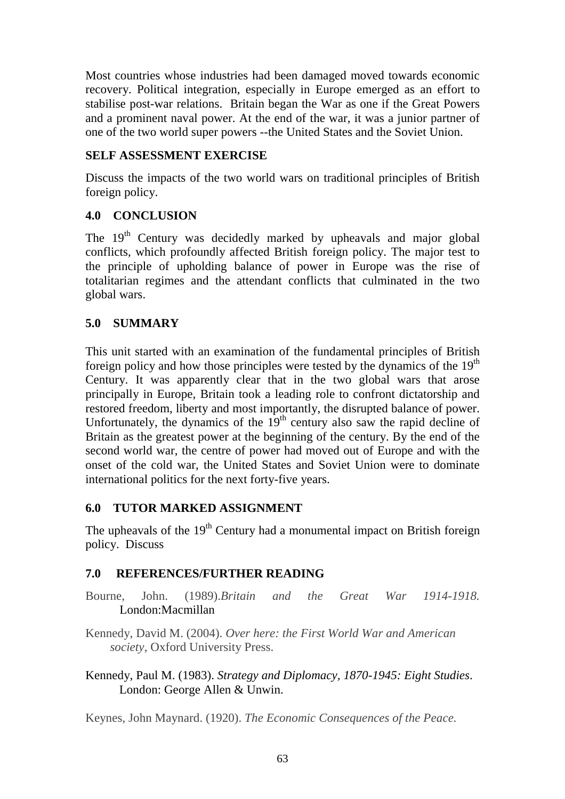Most countries whose industries had been damaged moved towards economic recovery. Political integration, especially in Europe emerged as an effort to stabilise post-war relations. Britain began the War as one if the Great Powers and a prominent naval power. At the end of the war, it was a junior partner of one of the two world super powers --the United States and the Soviet Union.

### **SELF ASSESSMENT EXERCISE**

Discuss the impacts of the two world wars on traditional principles of British foreign policy.

# **4.0 CONCLUSION**

The 19<sup>th</sup> Century was decidedly marked by upheavals and major global conflicts, which profoundly affected British foreign policy. The major test to the principle of upholding balance of power in Europe was the rise of totalitarian regimes and the attendant conflicts that culminated in the two global wars.

# **5.0 SUMMARY**

This unit started with an examination of the fundamental principles of British foreign policy and how those principles were tested by the dynamics of the  $19<sup>th</sup>$ Century. It was apparently clear that in the two global wars that arose principally in Europe, Britain took a leading role to confront dictatorship and restored freedom, liberty and most importantly, the disrupted balance of power. Unfortunately, the dynamics of the  $19<sup>th</sup>$  century also saw the rapid decline of Britain as the greatest power at the beginning of the century. By the end of the second world war, the centre of power had moved out of Europe and with the onset of the cold war, the United States and Soviet Union were to dominate international politics for the next forty-five years.

# **6.0 TUTOR MARKED ASSIGNMENT**

The upheavals of the  $19<sup>th</sup>$  Century had a monumental impact on British foreign policy. Discuss

# **7.0 REFERENCES/FURTHER READING**

- Bourne, John. (1989).*Britain and the Great War 1914-1918.*  London:Macmillan
- Kennedy, David M. (2004). *Over here: the First World War and American society*, Oxford University Press.

Kennedy, Paul M. (1983). *Strategy and Diplomacy, 1870-1945: Eight Studies*. London: George Allen & Unwin.

Keynes, John Maynard. (1920). *The Economic Consequences of the Peace.*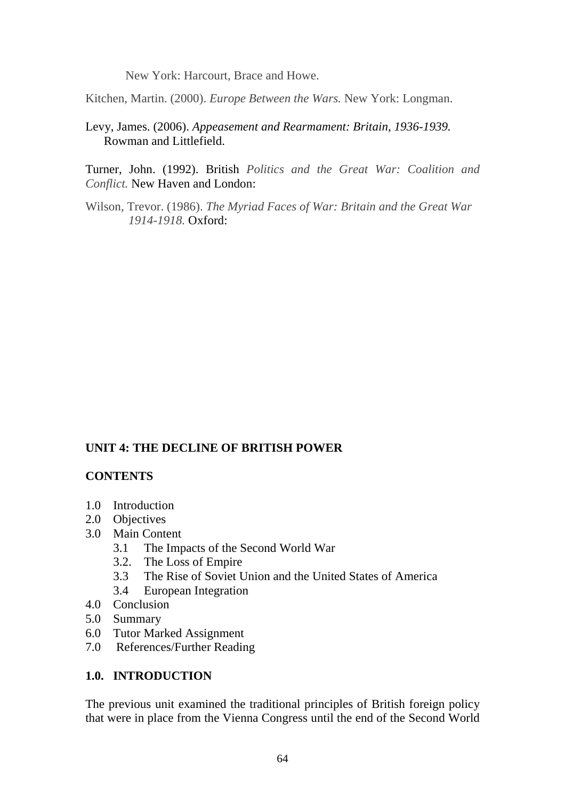New York: Harcourt, Brace and Howe.

Kitchen, Martin. (2000). *Europe Between the Wars.* New York: Longman.

Levy, James. (2006). *Appeasement and Rearmament: Britain, 1936-1939.* Rowman and Littlefield.

Turner, John. (1992). British *Politics and the Great War: Coalition and Conflict.* New Haven and London:

Wilson, Trevor. (1986). *The Myriad Faces of War: Britain and the Great War 1914-1918.* Oxford:

### **UNIT 4: THE DECLINE OF BRITISH POWER**

#### **CONTENTS**

- 1.0Introduction
- 2.0 Objectives
- 3.0 Main Content
	- 3.1 The Impacts of the Second World War
	- 3.2. The Loss of Empire
	- 3.3 The Rise of Soviet Union and the United States of America
	- 3.4 European Integration
- 4.0 Conclusion
- 5.0 Summary
- 6.0 Tutor Marked Assignment
- 7.0 References/Further Reading

### **1.0. INTRODUCTION**

The previous unit examined the traditional principles of British foreign policy that were in place from the Vienna Congress until the end of the Second World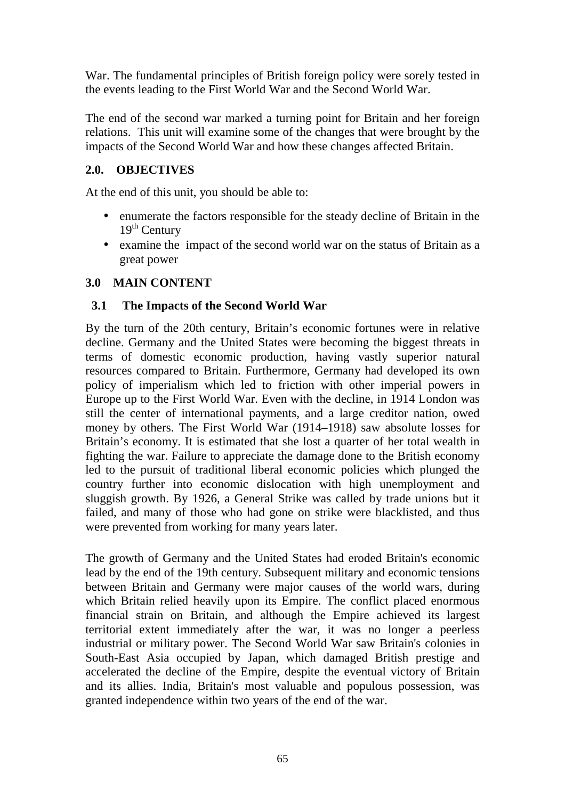War. The fundamental principles of British foreign policy were sorely tested in the events leading to the First World War and the Second World War.

The end of the second war marked a turning point for Britain and her foreign relations. This unit will examine some of the changes that were brought by the impacts of the Second World War and how these changes affected Britain.

# **2.0. OBJECTIVES**

At the end of this unit, you should be able to:

- enumerate the factors responsible for the steady decline of Britain in the  $19<sup>th</sup>$  Century
- examine the impact of the second world war on the status of Britain as a great power

## **3.0 MAIN CONTENT**

### **3.1 The Impacts of the Second World War**

By the turn of the 20th century, Britain's economic fortunes were in relative decline. Germany and the United States were becoming the biggest threats in terms of domestic economic production, having vastly superior natural resources compared to Britain. Furthermore, Germany had developed its own policy of imperialism which led to friction with other imperial powers in Europe up to the First World War. Even with the decline, in 1914 London was still the center of international payments, and a large creditor nation, owed money by others. The First World War (1914–1918) saw absolute losses for Britain's economy. It is estimated that she lost a quarter of her total wealth in fighting the war. Failure to appreciate the damage done to the British economy led to the pursuit of traditional liberal economic policies which plunged the country further into economic dislocation with high unemployment and sluggish growth. By 1926, a General Strike was called by trade unions but it failed, and many of those who had gone on strike were blacklisted, and thus were prevented from working for many years later.

The growth of Germany and the United States had eroded Britain's economic lead by the end of the 19th century. Subsequent military and economic tensions between Britain and Germany were major causes of the world wars, during which Britain relied heavily upon its Empire. The conflict placed enormous financial strain on Britain, and although the Empire achieved its largest territorial extent immediately after the war, it was no longer a peerless industrial or military power. The Second World War saw Britain's colonies in South-East Asia occupied by Japan, which damaged British prestige and accelerated the decline of the Empire, despite the eventual victory of Britain and its allies. India, Britain's most valuable and populous possession, was granted independence within two years of the end of the war.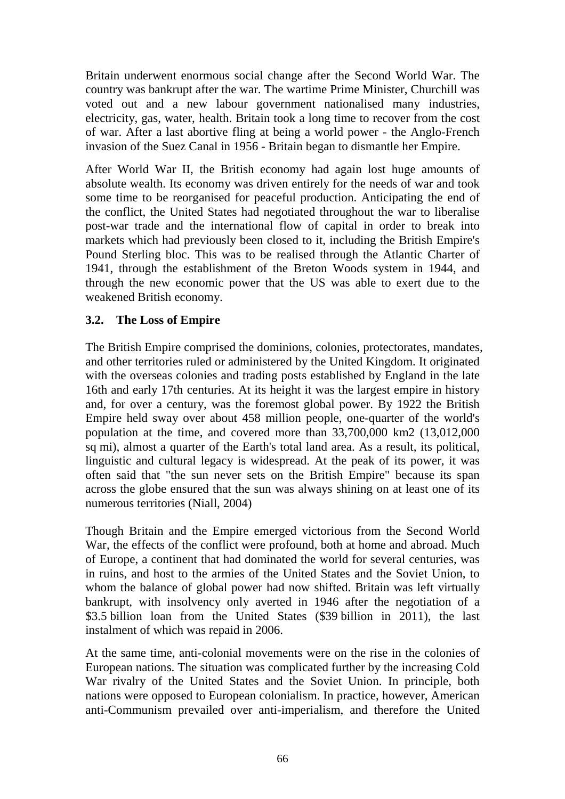Britain underwent enormous social change after the Second World War. The country was bankrupt after the war. The wartime Prime Minister, Churchill was voted out and a new labour government nationalised many industries, electricity, gas, water, health. Britain took a long time to recover from the cost of war. After a last abortive fling at being a world power - the Anglo-French invasion of the Suez Canal in 1956 - Britain began to dismantle her Empire.

After World War II, the British economy had again lost huge amounts of absolute wealth. Its economy was driven entirely for the needs of war and took some time to be reorganised for peaceful production. Anticipating the end of the conflict, the United States had negotiated throughout the war to liberalise post-war trade and the international flow of capital in order to break into markets which had previously been closed to it, including the British Empire's Pound Sterling bloc. This was to be realised through the Atlantic Charter of 1941, through the establishment of the Breton Woods system in 1944, and through the new economic power that the US was able to exert due to the weakened British economy.

## **3.2. The Loss of Empire**

The British Empire comprised the dominions, colonies, protectorates, mandates, and other territories ruled or administered by the United Kingdom. It originated with the overseas colonies and trading posts established by England in the late 16th and early 17th centuries. At its height it was the largest empire in history and, for over a century, was the foremost global power. By 1922 the British Empire held sway over about 458 million people, one-quarter of the world's population at the time, and covered more than 33,700,000 km2 (13,012,000 sq mi), almost a quarter of the Earth's total land area. As a result, its political, linguistic and cultural legacy is widespread. At the peak of its power, it was often said that "the sun never sets on the British Empire" because its span across the globe ensured that the sun was always shining on at least one of its numerous territories (Niall, 2004)

Though Britain and the Empire emerged victorious from the Second World War, the effects of the conflict were profound, both at home and abroad. Much of Europe, a continent that had dominated the world for several centuries, was in ruins, and host to the armies of the United States and the Soviet Union, to whom the balance of global power had now shifted. Britain was left virtually bankrupt, with insolvency only averted in 1946 after the negotiation of a \$3.5 billion loan from the United States (\$39 billion in 2011), the last instalment of which was repaid in 2006.

At the same time, anti-colonial movements were on the rise in the colonies of European nations. The situation was complicated further by the increasing Cold War rivalry of the United States and the Soviet Union. In principle, both nations were opposed to European colonialism. In practice, however, American anti-Communism prevailed over anti-imperialism, and therefore the United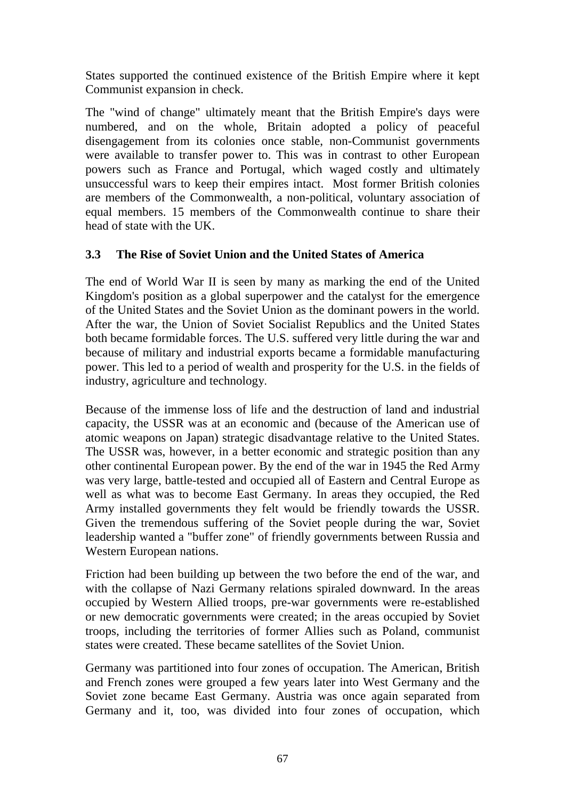States supported the continued existence of the British Empire where it kept Communist expansion in check.

The "wind of change" ultimately meant that the British Empire's days were numbered, and on the whole, Britain adopted a policy of peaceful disengagement from its colonies once stable, non-Communist governments were available to transfer power to. This was in contrast to other European powers such as France and Portugal, which waged costly and ultimately unsuccessful wars to keep their empires intact. Most former British colonies are members of the Commonwealth, a non-political, voluntary association of equal members. 15 members of the Commonwealth continue to share their head of state with the UK.

# **3.3 The Rise of Soviet Union and the United States of America**

The end of World War II is seen by many as marking the end of the United Kingdom's position as a global superpower and the catalyst for the emergence of the United States and the Soviet Union as the dominant powers in the world. After the war, the Union of Soviet Socialist Republics and the United States both became formidable forces. The U.S. suffered very little during the war and because of military and industrial exports became a formidable manufacturing power. This led to a period of wealth and prosperity for the U.S. in the fields of industry, agriculture and technology.

Because of the immense loss of life and the destruction of land and industrial capacity, the USSR was at an economic and (because of the American use of atomic weapons on Japan) strategic disadvantage relative to the United States. The USSR was, however, in a better economic and strategic position than any other continental European power. By the end of the war in 1945 the Red Army was very large, battle-tested and occupied all of Eastern and Central Europe as well as what was to become East Germany. In areas they occupied, the Red Army installed governments they felt would be friendly towards the USSR. Given the tremendous suffering of the Soviet people during the war, Soviet leadership wanted a "buffer zone" of friendly governments between Russia and Western European nations.

Friction had been building up between the two before the end of the war, and with the collapse of Nazi Germany relations spiraled downward. In the areas occupied by Western Allied troops, pre-war governments were re-established or new democratic governments were created; in the areas occupied by Soviet troops, including the territories of former Allies such as Poland, communist states were created. These became satellites of the Soviet Union.

Germany was partitioned into four zones of occupation. The American, British and French zones were grouped a few years later into West Germany and the Soviet zone became East Germany. Austria was once again separated from Germany and it, too, was divided into four zones of occupation, which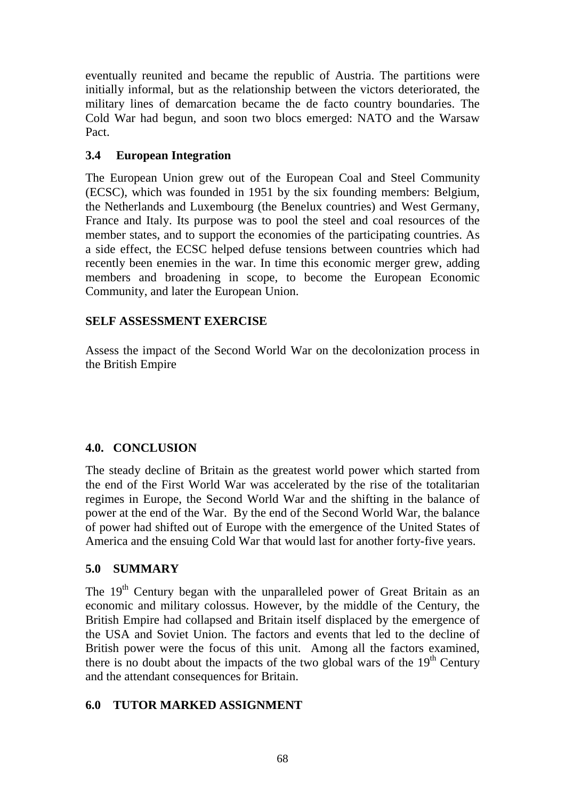eventually reunited and became the republic of Austria. The partitions were initially informal, but as the relationship between the victors deteriorated, the military lines of demarcation became the de facto country boundaries. The Cold War had begun, and soon two blocs emerged: NATO and the Warsaw Pact.

## **3.4 European Integration**

The European Union grew out of the European Coal and Steel Community (ECSC), which was founded in 1951 by the six founding members: Belgium, the Netherlands and Luxembourg (the Benelux countries) and West Germany, France and Italy. Its purpose was to pool the steel and coal resources of the member states, and to support the economies of the participating countries. As a side effect, the ECSC helped defuse tensions between countries which had recently been enemies in the war. In time this economic merger grew, adding members and broadening in scope, to become the European Economic Community, and later the European Union.

# **SELF ASSESSMENT EXERCISE**

Assess the impact of the Second World War on the decolonization process in the British Empire

# **4.0. CONCLUSION**

The steady decline of Britain as the greatest world power which started from the end of the First World War was accelerated by the rise of the totalitarian regimes in Europe, the Second World War and the shifting in the balance of power at the end of the War. By the end of the Second World War, the balance of power had shifted out of Europe with the emergence of the United States of America and the ensuing Cold War that would last for another forty-five years.

# **5.0 SUMMARY**

The 19<sup>th</sup> Century began with the unparalleled power of Great Britain as an economic and military colossus. However, by the middle of the Century, the British Empire had collapsed and Britain itself displaced by the emergence of the USA and Soviet Union. The factors and events that led to the decline of British power were the focus of this unit. Among all the factors examined, there is no doubt about the impacts of the two global wars of the  $19<sup>th</sup>$  Century and the attendant consequences for Britain.

# **6.0 TUTOR MARKED ASSIGNMENT**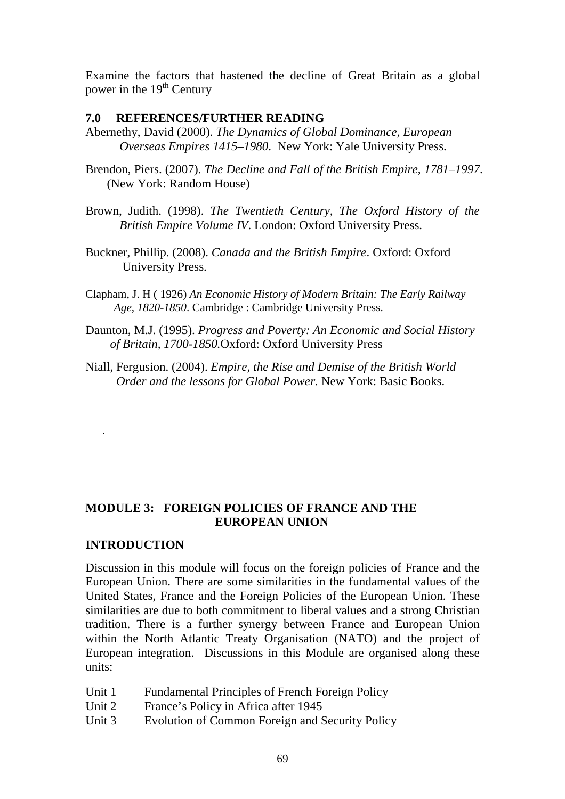Examine the factors that hastened the decline of Great Britain as a global power in the 19<sup>th</sup> Century

#### **7.0 REFERENCES/FURTHER READING**

- Abernethy, David (2000). *The Dynamics of Global Dominance, European Overseas Empires 1415–1980*. New York: Yale University Press.
- Brendon, Piers. (2007). *The Decline and Fall of the British Empire, 1781–1997*. (New York: Random House)
- Brown, Judith. (1998). *The Twentieth Century, The Oxford History of the British Empire Volume IV*. London: Oxford University Press.
- Buckner, Phillip. (2008). *Canada and the British Empire*. Oxford: Oxford University Press.
- Clapham, J. H ( 1926) *An Economic History of Modern Britain: The Early Railway Age, 1820-1850*. Cambridge : Cambridge University Press.
- Daunton, M.J. (1995). *Progress and Poverty: An Economic and Social History of Britain, 1700-1850.*Oxford: Oxford University Press
- Niall, Fergusion. (2004). *Empire, the Rise and Demise of the British World Order and the lessons for Global Power.* New York: Basic Books.

## **MODULE 3: FOREIGN POLICIES OF FRANCE AND THE EUROPEAN UNION**

#### **INTRODUCTION**

.

Discussion in this module will focus on the foreign policies of France and the European Union. There are some similarities in the fundamental values of the United States, France and the Foreign Policies of the European Union. These similarities are due to both commitment to liberal values and a strong Christian tradition. There is a further synergy between France and European Union within the North Atlantic Treaty Organisation (NATO) and the project of European integration. Discussions in this Module are organised along these units:

- Unit 1 Fundamental Principles of French Foreign Policy
- Unit 2 France's Policy in Africa after 1945
- Unit 3 Evolution of Common Foreign and Security Policy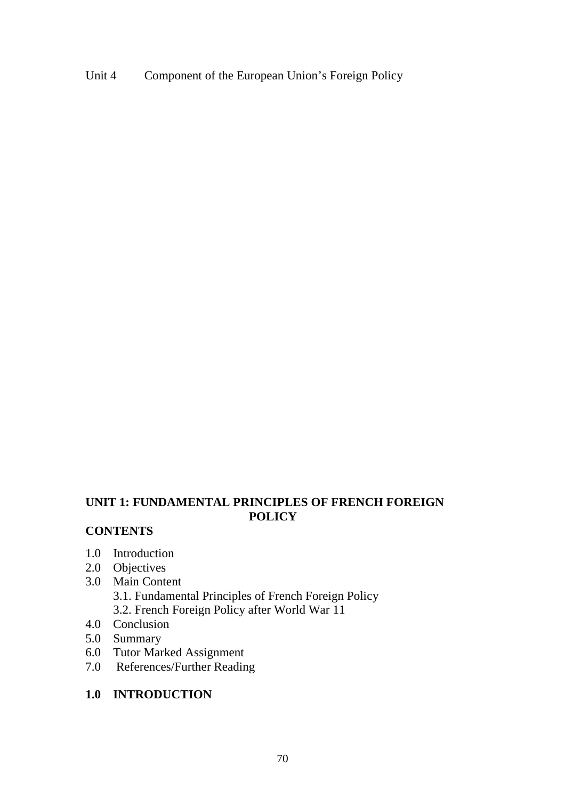### Unit 4 Component of the European Union's Foreign Policy

## **UNIT 1: FUNDAMENTAL PRINCIPLES OF FRENCH FOREIGN POLICY**

### **CONTENTS**

- 1.0Introduction
- 2.0 Objectives
- 3.0 Main Content 3.1. Fundamental Principles of French Foreign Policy 3.2. French Foreign Policy after World War 11
- 4.0 Conclusion
- 5.0 Summary
- 6.0 Tutor Marked Assignment
- 7.0 References/Further Reading

### **1.0 INTRODUCTION**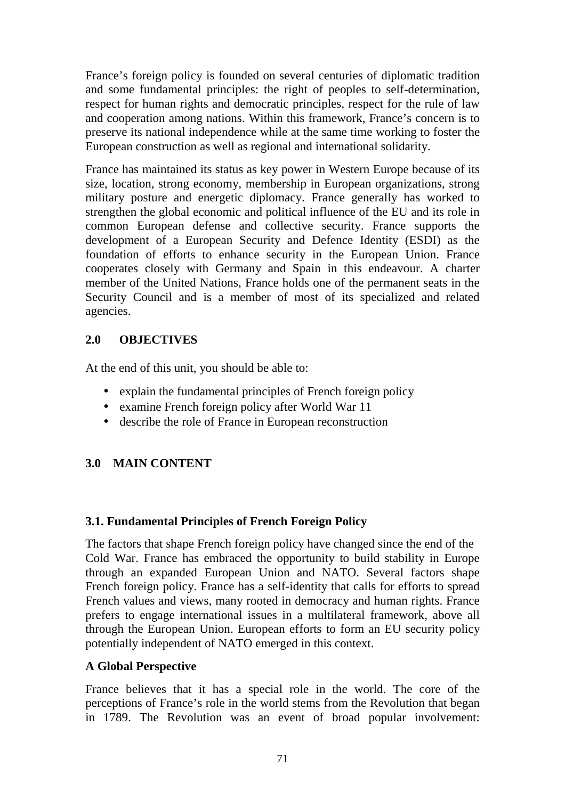France's foreign policy is founded on several centuries of diplomatic tradition and some fundamental principles: the right of peoples to self-determination, respect for human rights and democratic principles, respect for the rule of law and cooperation among nations. Within this framework, France's concern is to preserve its national independence while at the same time working to foster the European construction as well as regional and international solidarity.

France has maintained its status as key power in Western Europe because of its size, location, strong economy, membership in European organizations, strong military posture and energetic diplomacy. France generally has worked to strengthen the global economic and political influence of the EU and its role in common European defense and collective security. France supports the development of a European Security and Defence Identity (ESDI) as the foundation of efforts to enhance security in the European Union. France cooperates closely with Germany and Spain in this endeavour. A charter member of the United Nations, France holds one of the permanent seats in the Security Council and is a member of most of its specialized and related agencies.

# **2.0 OBJECTIVES**

At the end of this unit, you should be able to:

- explain the fundamental principles of French foreign policy
- examine French foreign policy after World War 11
- describe the role of France in European reconstruction

# **3.0 MAIN CONTENT**

# **3.1. Fundamental Principles of French Foreign Policy**

The factors that shape French foreign policy have changed since the end of the Cold War. France has embraced the opportunity to build stability in Europe through an expanded European Union and NATO. Several factors shape French foreign policy. France has a self-identity that calls for efforts to spread French values and views, many rooted in democracy and human rights. France prefers to engage international issues in a multilateral framework, above all through the European Union. European efforts to form an EU security policy potentially independent of NATO emerged in this context.

# **A Global Perspective**

France believes that it has a special role in the world. The core of the perceptions of France's role in the world stems from the Revolution that began in 1789. The Revolution was an event of broad popular involvement: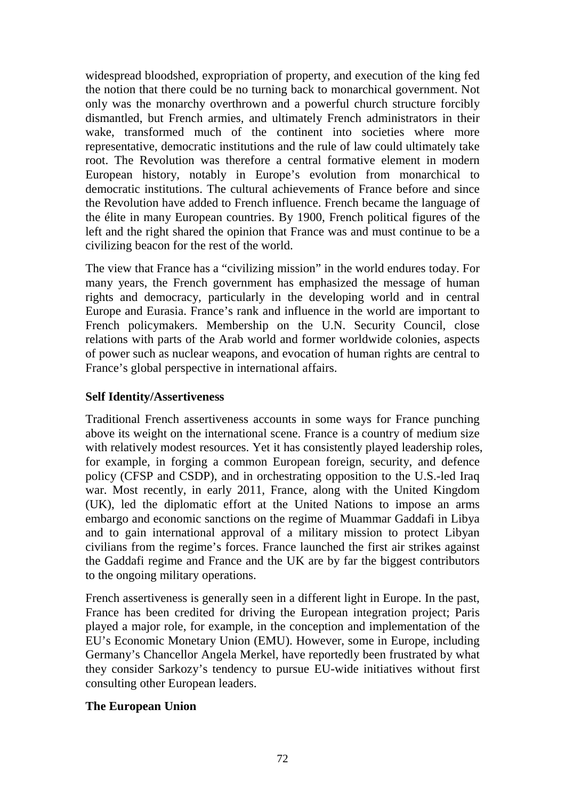widespread bloodshed, expropriation of property, and execution of the king fed the notion that there could be no turning back to monarchical government. Not only was the monarchy overthrown and a powerful church structure forcibly dismantled, but French armies, and ultimately French administrators in their wake, transformed much of the continent into societies where more representative, democratic institutions and the rule of law could ultimately take root. The Revolution was therefore a central formative element in modern European history, notably in Europe's evolution from monarchical to democratic institutions. The cultural achievements of France before and since the Revolution have added to French influence. French became the language of the élite in many European countries. By 1900, French political figures of the left and the right shared the opinion that France was and must continue to be a civilizing beacon for the rest of the world.

The view that France has a "civilizing mission" in the world endures today. For many years, the French government has emphasized the message of human rights and democracy, particularly in the developing world and in central Europe and Eurasia. France's rank and influence in the world are important to French policymakers. Membership on the U.N. Security Council, close relations with parts of the Arab world and former worldwide colonies, aspects of power such as nuclear weapons, and evocation of human rights are central to France's global perspective in international affairs.

#### **Self Identity/Assertiveness**

Traditional French assertiveness accounts in some ways for France punching above its weight on the international scene. France is a country of medium size with relatively modest resources. Yet it has consistently played leadership roles, for example, in forging a common European foreign, security, and defence policy (CFSP and CSDP), and in orchestrating opposition to the U.S.-led Iraq war. Most recently, in early 2011, France, along with the United Kingdom (UK), led the diplomatic effort at the United Nations to impose an arms embargo and economic sanctions on the regime of Muammar Gaddafi in Libya and to gain international approval of a military mission to protect Libyan civilians from the regime's forces. France launched the first air strikes against the Gaddafi regime and France and the UK are by far the biggest contributors to the ongoing military operations.

French assertiveness is generally seen in a different light in Europe. In the past, France has been credited for driving the European integration project; Paris played a major role, for example, in the conception and implementation of the EU's Economic Monetary Union (EMU). However, some in Europe, including Germany's Chancellor Angela Merkel, have reportedly been frustrated by what they consider Sarkozy's tendency to pursue EU-wide initiatives without first consulting other European leaders.

#### **The European Union**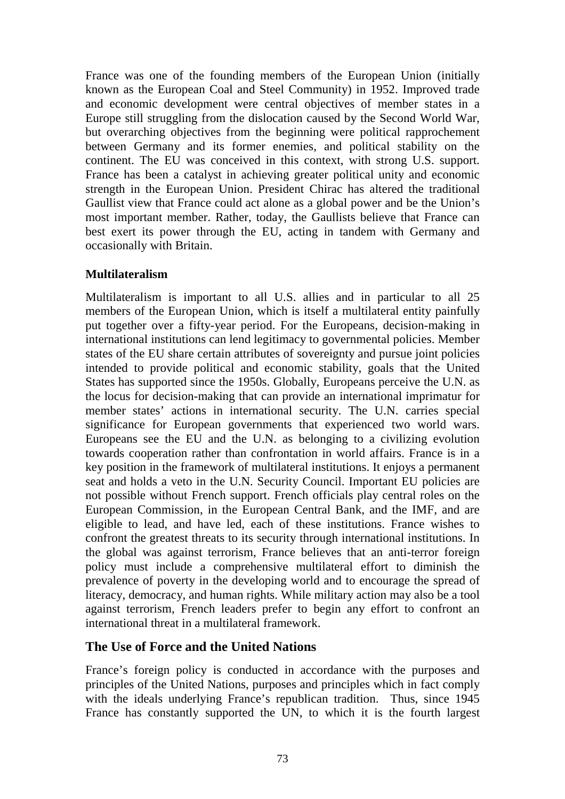France was one of the founding members of the European Union (initially known as the European Coal and Steel Community) in 1952. Improved trade and economic development were central objectives of member states in a Europe still struggling from the dislocation caused by the Second World War, but overarching objectives from the beginning were political rapprochement between Germany and its former enemies, and political stability on the continent. The EU was conceived in this context, with strong U.S. support. France has been a catalyst in achieving greater political unity and economic strength in the European Union. President Chirac has altered the traditional Gaullist view that France could act alone as a global power and be the Union's most important member. Rather, today, the Gaullists believe that France can best exert its power through the EU, acting in tandem with Germany and occasionally with Britain.

#### **Multilateralism**

Multilateralism is important to all U.S. allies and in particular to all 25 members of the European Union, which is itself a multilateral entity painfully put together over a fifty-year period. For the Europeans, decision-making in international institutions can lend legitimacy to governmental policies. Member states of the EU share certain attributes of sovereignty and pursue joint policies intended to provide political and economic stability, goals that the United States has supported since the 1950s. Globally, Europeans perceive the U.N. as the locus for decision-making that can provide an international imprimatur for member states' actions in international security. The U.N. carries special significance for European governments that experienced two world wars. Europeans see the EU and the U.N. as belonging to a civilizing evolution towards cooperation rather than confrontation in world affairs. France is in a key position in the framework of multilateral institutions. It enjoys a permanent seat and holds a veto in the U.N. Security Council. Important EU policies are not possible without French support. French officials play central roles on the European Commission, in the European Central Bank, and the IMF, and are eligible to lead, and have led, each of these institutions. France wishes to confront the greatest threats to its security through international institutions. In the global was against terrorism, France believes that an anti-terror foreign policy must include a comprehensive multilateral effort to diminish the prevalence of poverty in the developing world and to encourage the spread of literacy, democracy, and human rights. While military action may also be a tool against terrorism, French leaders prefer to begin any effort to confront an international threat in a multilateral framework.

# **The Use of Force and the United Nations**

France's foreign policy is conducted in accordance with the purposes and principles of the United Nations, purposes and principles which in fact comply with the ideals underlying France's republican tradition. Thus, since 1945 France has constantly supported the UN, to which it is the fourth largest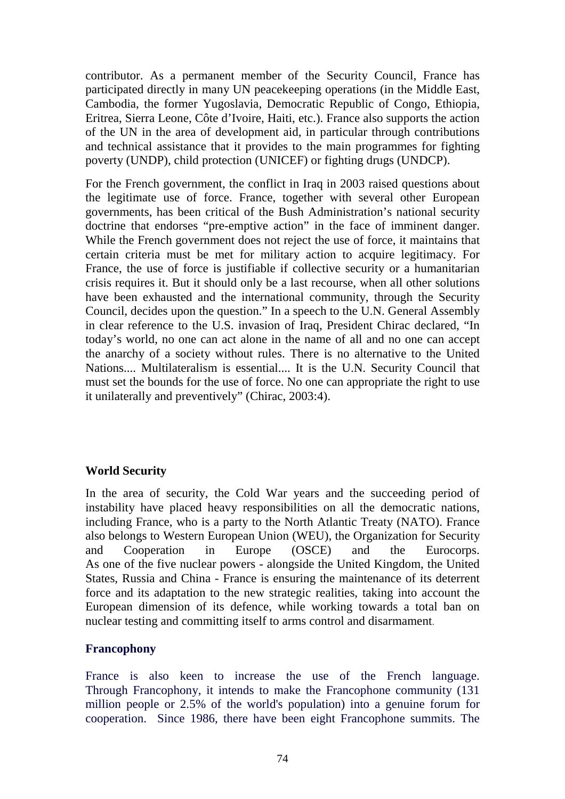contributor. As a permanent member of the Security Council, France has participated directly in many UN peacekeeping operations (in the Middle East, Cambodia, the former Yugoslavia, Democratic Republic of Congo, Ethiopia, Eritrea, Sierra Leone, Côte d'Ivoire, Haiti, etc.). France also supports the action of the UN in the area of development aid, in particular through contributions and technical assistance that it provides to the main programmes for fighting poverty (UNDP), child protection (UNICEF) or fighting drugs (UNDCP).

For the French government, the conflict in Iraq in 2003 raised questions about the legitimate use of force. France, together with several other European governments, has been critical of the Bush Administration's national security doctrine that endorses "pre-emptive action" in the face of imminent danger. While the French government does not reject the use of force, it maintains that certain criteria must be met for military action to acquire legitimacy. For France, the use of force is justifiable if collective security or a humanitarian crisis requires it. But it should only be a last recourse, when all other solutions have been exhausted and the international community, through the Security Council, decides upon the question." In a speech to the U.N. General Assembly in clear reference to the U.S. invasion of Iraq, President Chirac declared, "In today's world, no one can act alone in the name of all and no one can accept the anarchy of a society without rules. There is no alternative to the United Nations.... Multilateralism is essential.... It is the U.N. Security Council that must set the bounds for the use of force. No one can appropriate the right to use it unilaterally and preventively" (Chirac, 2003:4).

#### **World Security**

In the area of security, the Cold War years and the succeeding period of instability have placed heavy responsibilities on all the democratic nations, including France, who is a party to the North Atlantic Treaty (NATO). France also belongs to Western European Union (WEU), the Organization for Security and Cooperation in Europe (OSCE) and the Eurocorps. As one of the five nuclear powers - alongside the United Kingdom, the United States, Russia and China - France is ensuring the maintenance of its deterrent force and its adaptation to the new strategic realities, taking into account the European dimension of its defence, while working towards a total ban on nuclear testing and committing itself to arms control and disarmament.

#### **Francophony**

France is also keen to increase the use of the French language. Through Francophony, it intends to make the Francophone community (131 million people or 2.5% of the world's population) into a genuine forum for cooperation. Since 1986, there have been eight Francophone summits. The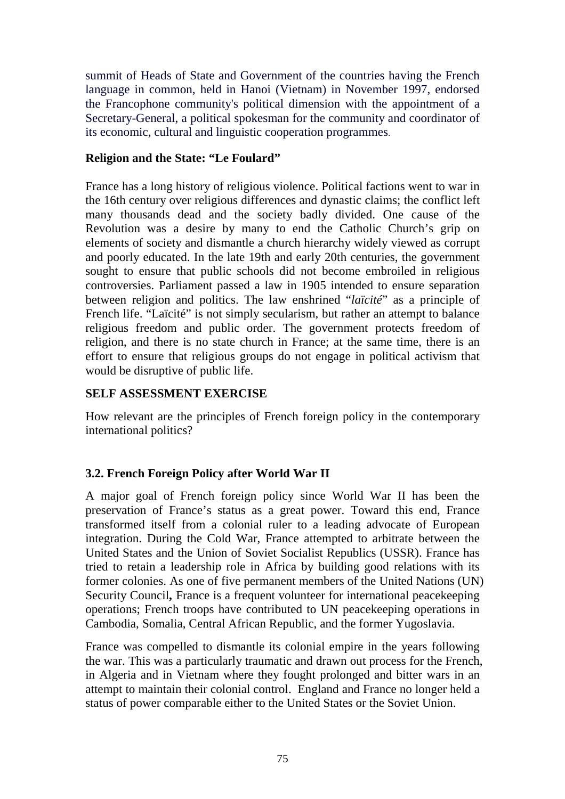summit of Heads of State and Government of the countries having the French language in common, held in Hanoi (Vietnam) in November 1997, endorsed the Francophone community's political dimension with the appointment of a Secretary-General, a political spokesman for the community and coordinator of its economic, cultural and linguistic cooperation programmes.

#### **Religion and the State: "Le Foulard"**

France has a long history of religious violence. Political factions went to war in the 16th century over religious differences and dynastic claims; the conflict left many thousands dead and the society badly divided. One cause of the Revolution was a desire by many to end the Catholic Church's grip on elements of society and dismantle a church hierarchy widely viewed as corrupt and poorly educated. In the late 19th and early 20th centuries, the government sought to ensure that public schools did not become embroiled in religious controversies. Parliament passed a law in 1905 intended to ensure separation between religion and politics. The law enshrined "*laïcité*" as a principle of French life. "Laïcité" is not simply secularism, but rather an attempt to balance religious freedom and public order. The government protects freedom of religion, and there is no state church in France; at the same time, there is an effort to ensure that religious groups do not engage in political activism that would be disruptive of public life.

## **SELF ASSESSMENT EXERCISE**

How relevant are the principles of French foreign policy in the contemporary international politics?

# **3.2. French Foreign Policy after World War II**

A major goal of French foreign policy since World War II has been the preservation of France's status as a great power. Toward this end, France transformed itself from a colonial ruler to a leading advocate of European integration. During the Cold War, France attempted to arbitrate between the United States and the Union of Soviet Socialist Republics (USSR). France has tried to retain a leadership role in Africa by building good relations with its former colonies. As one of five permanent members of the United Nations (UN) Security Council**,** France is a frequent volunteer for international peacekeeping operations; French troops have contributed to UN peacekeeping operations in Cambodia, Somalia, Central African Republic, and the former Yugoslavia.

France was compelled to dismantle its colonial empire in the years following the war. This was a particularly traumatic and drawn out process for the French, in Algeria and in Vietnam where they fought prolonged and bitter wars in an attempt to maintain their colonial control. England and France no longer held a status of power comparable either to the United States or the Soviet Union.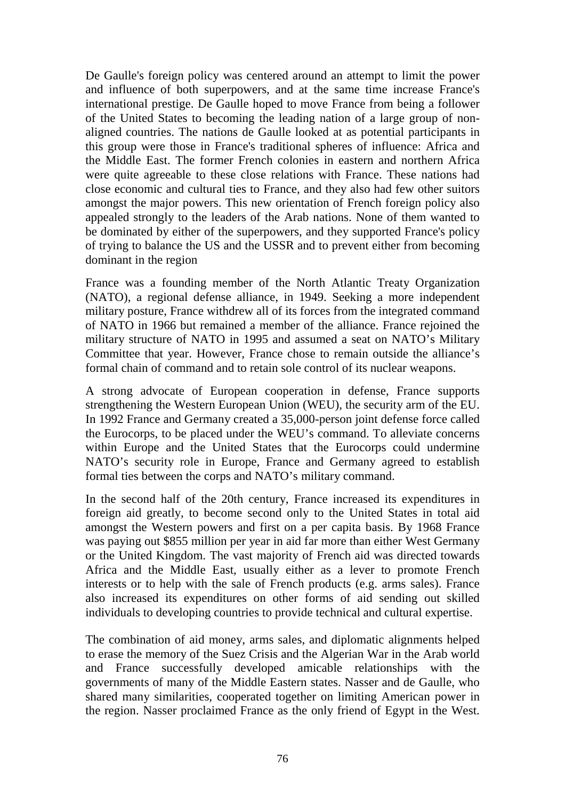De Gaulle's foreign policy was centered around an attempt to limit the power and influence of both superpowers, and at the same time increase France's international prestige. De Gaulle hoped to move France from being a follower of the United States to becoming the leading nation of a large group of nonaligned countries. The nations de Gaulle looked at as potential participants in this group were those in France's traditional spheres of influence: Africa and the Middle East. The former French colonies in eastern and northern Africa were quite agreeable to these close relations with France. These nations had close economic and cultural ties to France, and they also had few other suitors amongst the major powers. This new orientation of French foreign policy also appealed strongly to the leaders of the Arab nations. None of them wanted to be dominated by either of the superpowers, and they supported France's policy of trying to balance the US and the USSR and to prevent either from becoming dominant in the region

France was a founding member of the North Atlantic Treaty Organization (NATO), a regional defense alliance, in 1949. Seeking a more independent military posture, France withdrew all of its forces from the integrated command of NATO in 1966 but remained a member of the alliance. France rejoined the military structure of NATO in 1995 and assumed a seat on NATO's Military Committee that year. However, France chose to remain outside the alliance's formal chain of command and to retain sole control of its nuclear weapons.

A strong advocate of European cooperation in defense, France supports strengthening the Western European Union (WEU), the security arm of the EU. In 1992 France and Germany created a 35,000-person joint defense force called the Eurocorps, to be placed under the WEU's command. To alleviate concerns within Europe and the United States that the Eurocorps could undermine NATO's security role in Europe, France and Germany agreed to establish formal ties between the corps and NATO's military command.

In the second half of the 20th century, France increased its expenditures in foreign aid greatly, to become second only to the United States in total aid amongst the Western powers and first on a per capita basis. By 1968 France was paying out \$855 million per year in aid far more than either West Germany or the United Kingdom. The vast majority of French aid was directed towards Africa and the Middle East, usually either as a lever to promote French interests or to help with the sale of French products (e.g. arms sales). France also increased its expenditures on other forms of aid sending out skilled individuals to developing countries to provide technical and cultural expertise.

The combination of aid money, arms sales, and diplomatic alignments helped to erase the memory of the Suez Crisis and the Algerian War in the Arab world and France successfully developed amicable relationships with the governments of many of the Middle Eastern states. Nasser and de Gaulle, who shared many similarities, cooperated together on limiting American power in the region. Nasser proclaimed France as the only friend of Egypt in the West.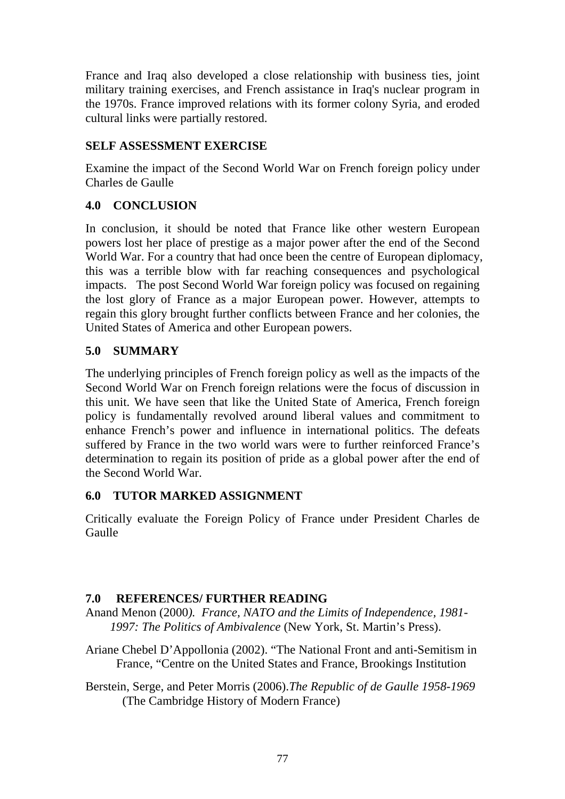France and Iraq also developed a close relationship with business ties, joint military training exercises, and French assistance in Iraq's nuclear program in the 1970s. France improved relations with its former colony Syria, and eroded cultural links were partially restored.

## **SELF ASSESSMENT EXERCISE**

Examine the impact of the Second World War on French foreign policy under Charles de Gaulle

# **4.0 CONCLUSION**

In conclusion, it should be noted that France like other western European powers lost her place of prestige as a major power after the end of the Second World War. For a country that had once been the centre of European diplomacy, this was a terrible blow with far reaching consequences and psychological impacts. The post Second World War foreign policy was focused on regaining the lost glory of France as a major European power. However, attempts to regain this glory brought further conflicts between France and her colonies, the United States of America and other European powers.

# **5.0 SUMMARY**

The underlying principles of French foreign policy as well as the impacts of the Second World War on French foreign relations were the focus of discussion in this unit. We have seen that like the United State of America, French foreign policy is fundamentally revolved around liberal values and commitment to enhance French's power and influence in international politics. The defeats suffered by France in the two world wars were to further reinforced France's determination to regain its position of pride as a global power after the end of the Second World War.

# **6.0 TUTOR MARKED ASSIGNMENT**

Critically evaluate the Foreign Policy of France under President Charles de **Gaulle** 

# **7.0 REFERENCES/ FURTHER READING**

- Anand Menon (2000*). France, NATO and the Limits of Independence, 1981- 1997: The Politics of Ambivalence* (New York, St. Martin's Press).
- Ariane Chebel D'Appollonia (2002). "The National Front and anti-Semitism in France, "Centre on the United States and France, Brookings Institution
- Berstein, Serge, and Peter Morris (2006).*The Republic of de Gaulle 1958-1969* (The Cambridge History of Modern France)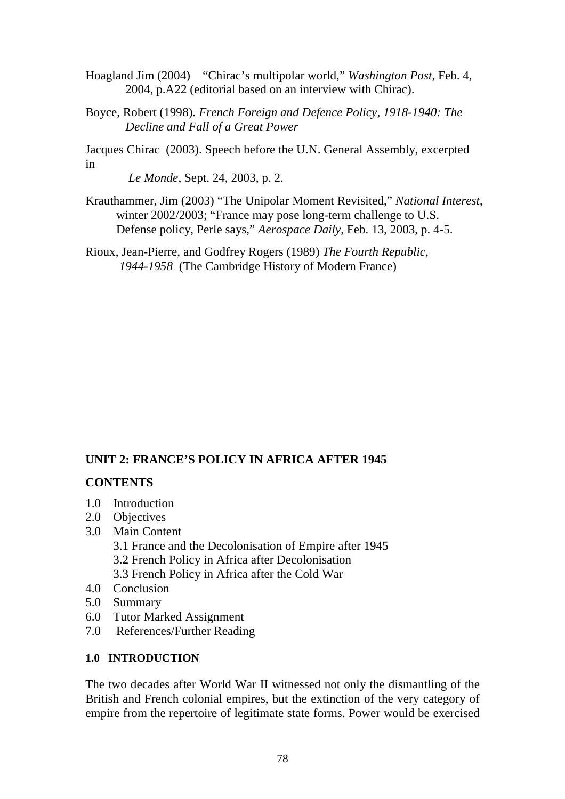Hoagland Jim (2004) "Chirac's multipolar world," *Washington Post*, Feb. 4, 2004, p.A22 (editorial based on an interview with Chirac).

Boyce, Robert (1998). *French Foreign and Defence Policy, 1918-1940: The Decline and Fall of a Great Power*

Jacques Chirac (2003). Speech before the U.N. General Assembly, excerpted in

*Le Monde*, Sept. 24, 2003, p. 2.

Krauthammer, Jim (2003) "The Unipolar Moment Revisited," *National Interest*, winter 2002/2003; "France may pose long-term challenge to U.S. Defense policy, Perle says," *Aerospace Daily*, Feb. 13, 2003, p. 4-5.

Rioux, Jean-Pierre, and Godfrey Rogers (1989) *The Fourth Republic, 1944-1958* (The Cambridge History of Modern France)

#### **UNIT 2: FRANCE'S POLICY IN AFRICA AFTER 1945**

#### **CONTENTS**

- 1.0Introduction
- 2.0 Objectives
- 3.0 Main Content
	- 3.1 France and the Decolonisation of Empire after 1945
	- 3.2 French Policy in Africa after Decolonisation
	- 3.3 French Policy in Africa after the Cold War
- 4.0 Conclusion
- 5.0 Summary
- 6.0 Tutor Marked Assignment
- 7.0 References/Further Reading

#### **1.0 INTRODUCTION**

The two decades after World War II witnessed not only the dismantling of the British and French colonial empires, but the extinction of the very category of empire from the repertoire of legitimate state forms. Power would be exercised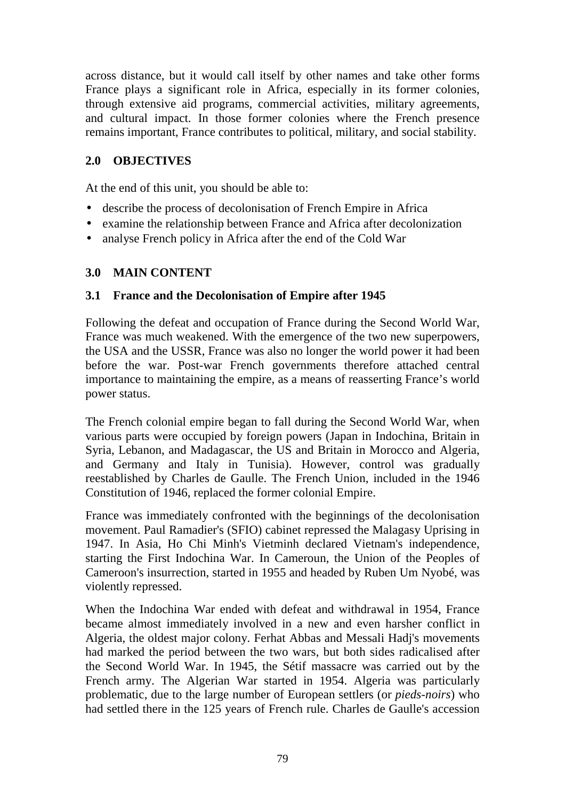across distance, but it would call itself by other names and take other forms France plays a significant role in Africa, especially in its former colonies, through extensive aid programs, commercial activities, military agreements, and cultural impact. In those former colonies where the French presence remains important, France contributes to political, military, and social stability.

## **2.0 OBJECTIVES**

At the end of this unit, you should be able to:

- describe the process of decolonisation of French Empire in Africa
- examine the relationship between France and Africa after decolonization
- analyse French policy in Africa after the end of the Cold War

#### **3.0 MAIN CONTENT**

#### **3.1 France and the Decolonisation of Empire after 1945**

Following the defeat and occupation of France during the Second World War, France was much weakened. With the emergence of the two new superpowers, the USA and the USSR, France was also no longer the world power it had been before the war. Post-war French governments therefore attached central importance to maintaining the empire, as a means of reasserting France's world power status.

The French colonial empire began to fall during the Second World War, when various parts were occupied by foreign powers (Japan in Indochina, Britain in Syria, Lebanon, and Madagascar, the US and Britain in Morocco and Algeria, and Germany and Italy in Tunisia). However, control was gradually reestablished by Charles de Gaulle. The French Union, included in the 1946 Constitution of 1946, replaced the former colonial Empire.

France was immediately confronted with the beginnings of the decolonisation movement. Paul Ramadier's (SFIO) cabinet repressed the Malagasy Uprising in 1947. In Asia, Ho Chi Minh's Vietminh declared Vietnam's independence, starting the First Indochina War. In Cameroun, the Union of the Peoples of Cameroon's insurrection, started in 1955 and headed by Ruben Um Nyobé, was violently repressed.

When the Indochina War ended with defeat and withdrawal in 1954, France became almost immediately involved in a new and even harsher conflict in Algeria, the oldest major colony. Ferhat Abbas and Messali Hadj's movements had marked the period between the two wars, but both sides radicalised after the Second World War. In 1945, the Sétif massacre was carried out by the French army. The Algerian War started in 1954. Algeria was particularly problematic, due to the large number of European settlers (or *pieds-noirs*) who had settled there in the 125 years of French rule. Charles de Gaulle's accession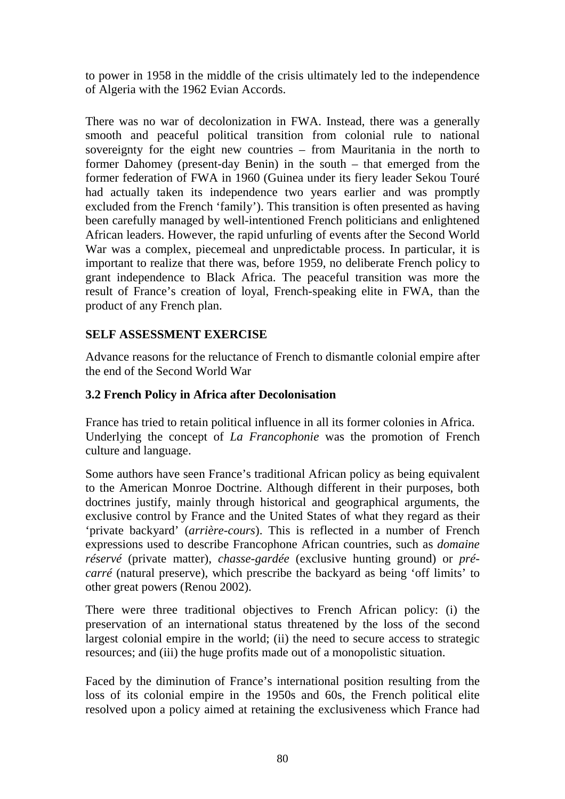to power in 1958 in the middle of the crisis ultimately led to the independence of Algeria with the 1962 Evian Accords.

There was no war of decolonization in FWA. Instead, there was a generally smooth and peaceful political transition from colonial rule to national sovereignty for the eight new countries – from Mauritania in the north to former Dahomey (present-day Benin) in the south – that emerged from the former federation of FWA in 1960 (Guinea under its fiery leader Sekou Touré had actually taken its independence two years earlier and was promptly excluded from the French 'family'). This transition is often presented as having been carefully managed by well-intentioned French politicians and enlightened African leaders. However, the rapid unfurling of events after the Second World War was a complex, piecemeal and unpredictable process. In particular, it is important to realize that there was, before 1959, no deliberate French policy to grant independence to Black Africa. The peaceful transition was more the result of France's creation of loyal, French-speaking elite in FWA, than the product of any French plan.

## **SELF ASSESSMENT EXERCISE**

Advance reasons for the reluctance of French to dismantle colonial empire after the end of the Second World War

#### **3.2 French Policy in Africa after Decolonisation**

France has tried to retain political influence in all its former colonies in Africa. Underlying the concept of *La Francophonie* was the promotion of French culture and language.

Some authors have seen France's traditional African policy as being equivalent to the American Monroe Doctrine. Although different in their purposes, both doctrines justify, mainly through historical and geographical arguments, the exclusive control by France and the United States of what they regard as their 'private backyard' (*arrière-cours*). This is reflected in a number of French expressions used to describe Francophone African countries, such as *domaine réservé* (private matter), *chasse-gardée* (exclusive hunting ground) or *précarré* (natural preserve), which prescribe the backyard as being 'off limits' to other great powers (Renou 2002).

There were three traditional objectives to French African policy: (i) the preservation of an international status threatened by the loss of the second largest colonial empire in the world; (ii) the need to secure access to strategic resources; and (iii) the huge profits made out of a monopolistic situation.

Faced by the diminution of France's international position resulting from the loss of its colonial empire in the 1950s and 60s, the French political elite resolved upon a policy aimed at retaining the exclusiveness which France had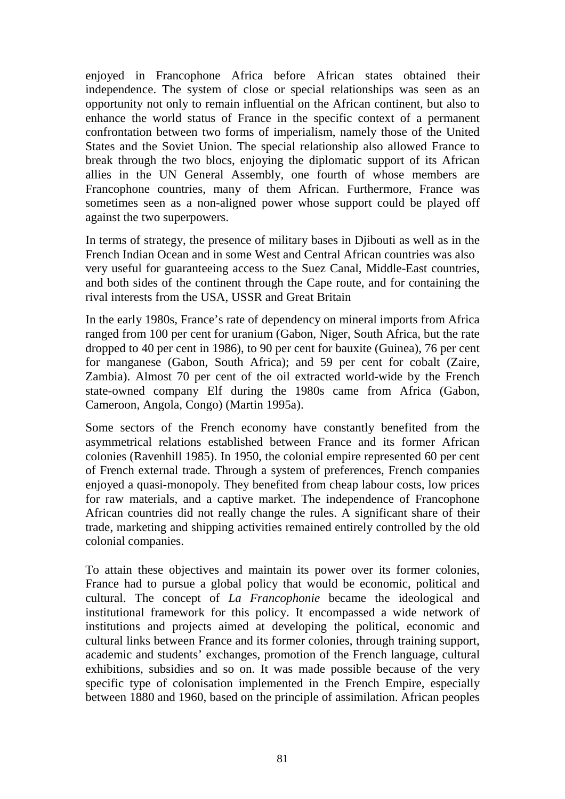enjoyed in Francophone Africa before African states obtained their independence. The system of close or special relationships was seen as an opportunity not only to remain influential on the African continent, but also to enhance the world status of France in the specific context of a permanent confrontation between two forms of imperialism, namely those of the United States and the Soviet Union. The special relationship also allowed France to break through the two blocs, enjoying the diplomatic support of its African allies in the UN General Assembly, one fourth of whose members are Francophone countries, many of them African. Furthermore, France was sometimes seen as a non-aligned power whose support could be played off against the two superpowers.

In terms of strategy, the presence of military bases in Djibouti as well as in the French Indian Ocean and in some West and Central African countries was also very useful for guaranteeing access to the Suez Canal, Middle-East countries, and both sides of the continent through the Cape route, and for containing the rival interests from the USA, USSR and Great Britain

In the early 1980s, France's rate of dependency on mineral imports from Africa ranged from 100 per cent for uranium (Gabon, Niger, South Africa, but the rate dropped to 40 per cent in 1986), to 90 per cent for bauxite (Guinea), 76 per cent for manganese (Gabon, South Africa); and 59 per cent for cobalt (Zaire, Zambia). Almost 70 per cent of the oil extracted world-wide by the French state-owned company Elf during the 1980s came from Africa (Gabon, Cameroon, Angola, Congo) (Martin 1995a).

Some sectors of the French economy have constantly benefited from the asymmetrical relations established between France and its former African colonies (Ravenhill 1985). In 1950, the colonial empire represented 60 per cent of French external trade. Through a system of preferences, French companies enjoyed a quasi-monopoly. They benefited from cheap labour costs, low prices for raw materials, and a captive market. The independence of Francophone African countries did not really change the rules. A significant share of their trade, marketing and shipping activities remained entirely controlled by the old colonial companies.

To attain these objectives and maintain its power over its former colonies, France had to pursue a global policy that would be economic, political and cultural. The concept of *La Francophonie* became the ideological and institutional framework for this policy. It encompassed a wide network of institutions and projects aimed at developing the political, economic and cultural links between France and its former colonies, through training support, academic and students' exchanges, promotion of the French language, cultural exhibitions, subsidies and so on. It was made possible because of the very specific type of colonisation implemented in the French Empire, especially between 1880 and 1960, based on the principle of assimilation. African peoples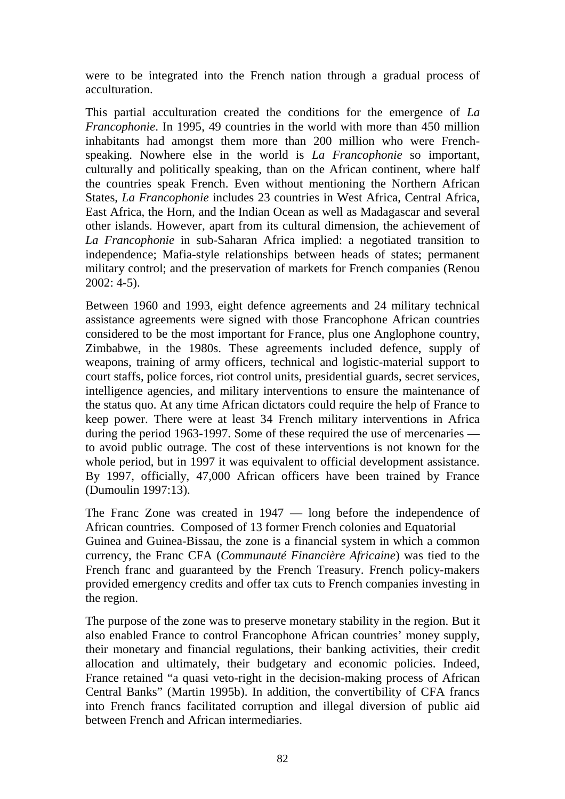were to be integrated into the French nation through a gradual process of acculturation.

This partial acculturation created the conditions for the emergence of *La Francophonie*. In 1995, 49 countries in the world with more than 450 million inhabitants had amongst them more than 200 million who were Frenchspeaking. Nowhere else in the world is *La Francophonie* so important, culturally and politically speaking, than on the African continent, where half the countries speak French. Even without mentioning the Northern African States, *La Francophonie* includes 23 countries in West Africa, Central Africa, East Africa, the Horn, and the Indian Ocean as well as Madagascar and several other islands. However, apart from its cultural dimension, the achievement of *La Francophonie* in sub-Saharan Africa implied: a negotiated transition to independence; Mafia-style relationships between heads of states; permanent military control; and the preservation of markets for French companies (Renou 2002: 4-5).

Between 1960 and 1993, eight defence agreements and 24 military technical assistance agreements were signed with those Francophone African countries considered to be the most important for France, plus one Anglophone country, Zimbabwe, in the 1980s. These agreements included defence, supply of weapons, training of army officers, technical and logistic-material support to court staffs, police forces, riot control units, presidential guards, secret services, intelligence agencies, and military interventions to ensure the maintenance of the status quo. At any time African dictators could require the help of France to keep power. There were at least 34 French military interventions in Africa during the period 1963-1997. Some of these required the use of mercenaries to avoid public outrage. The cost of these interventions is not known for the whole period, but in 1997 it was equivalent to official development assistance. By 1997, officially, 47,000 African officers have been trained by France (Dumoulin 1997:13).

The Franc Zone was created in 1947 — long before the independence of African countries. Composed of 13 former French colonies and Equatorial Guinea and Guinea-Bissau, the zone is a financial system in which a common currency, the Franc CFA (*Communauté Financière Africaine*) was tied to the French franc and guaranteed by the French Treasury. French policy-makers provided emergency credits and offer tax cuts to French companies investing in the region.

The purpose of the zone was to preserve monetary stability in the region. But it also enabled France to control Francophone African countries' money supply, their monetary and financial regulations, their banking activities, their credit allocation and ultimately, their budgetary and economic policies. Indeed, France retained "a quasi veto-right in the decision-making process of African Central Banks" (Martin 1995b). In addition, the convertibility of CFA francs into French francs facilitated corruption and illegal diversion of public aid between French and African intermediaries.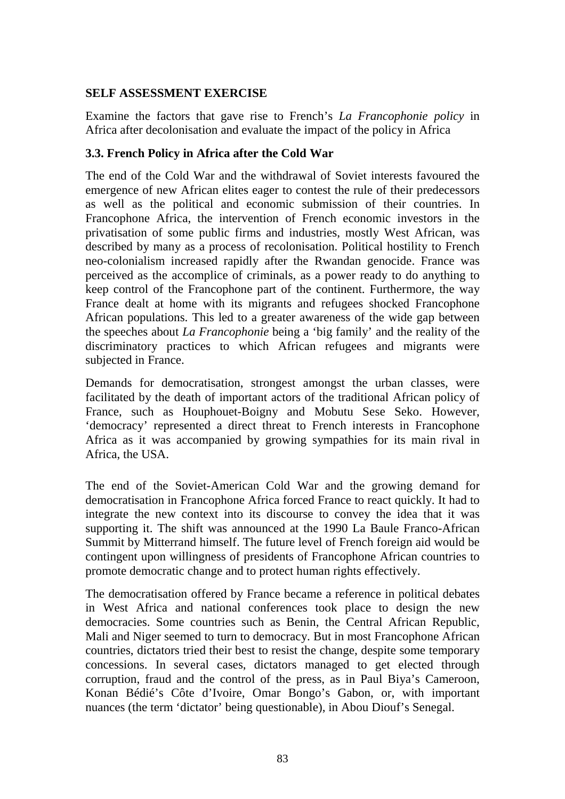#### **SELF ASSESSMENT EXERCISE**

Examine the factors that gave rise to French's *La Francophonie policy* in Africa after decolonisation and evaluate the impact of the policy in Africa

#### **3.3. French Policy in Africa after the Cold War**

The end of the Cold War and the withdrawal of Soviet interests favoured the emergence of new African elites eager to contest the rule of their predecessors as well as the political and economic submission of their countries. In Francophone Africa, the intervention of French economic investors in the privatisation of some public firms and industries, mostly West African, was described by many as a process of recolonisation. Political hostility to French neo-colonialism increased rapidly after the Rwandan genocide. France was perceived as the accomplice of criminals, as a power ready to do anything to keep control of the Francophone part of the continent. Furthermore, the way France dealt at home with its migrants and refugees shocked Francophone African populations. This led to a greater awareness of the wide gap between the speeches about *La Francophonie* being a 'big family' and the reality of the discriminatory practices to which African refugees and migrants were subjected in France.

Demands for democratisation, strongest amongst the urban classes, were facilitated by the death of important actors of the traditional African policy of France, such as Houphouet-Boigny and Mobutu Sese Seko. However, 'democracy' represented a direct threat to French interests in Francophone Africa as it was accompanied by growing sympathies for its main rival in Africa, the USA.

The end of the Soviet-American Cold War and the growing demand for democratisation in Francophone Africa forced France to react quickly. It had to integrate the new context into its discourse to convey the idea that it was supporting it. The shift was announced at the 1990 La Baule Franco-African Summit by Mitterrand himself. The future level of French foreign aid would be contingent upon willingness of presidents of Francophone African countries to promote democratic change and to protect human rights effectively.

The democratisation offered by France became a reference in political debates in West Africa and national conferences took place to design the new democracies. Some countries such as Benin, the Central African Republic, Mali and Niger seemed to turn to democracy. But in most Francophone African countries, dictators tried their best to resist the change, despite some temporary concessions. In several cases, dictators managed to get elected through corruption, fraud and the control of the press, as in Paul Biya's Cameroon, Konan Bédié's Côte d'Ivoire, Omar Bongo's Gabon, or, with important nuances (the term 'dictator' being questionable), in Abou Diouf's Senegal.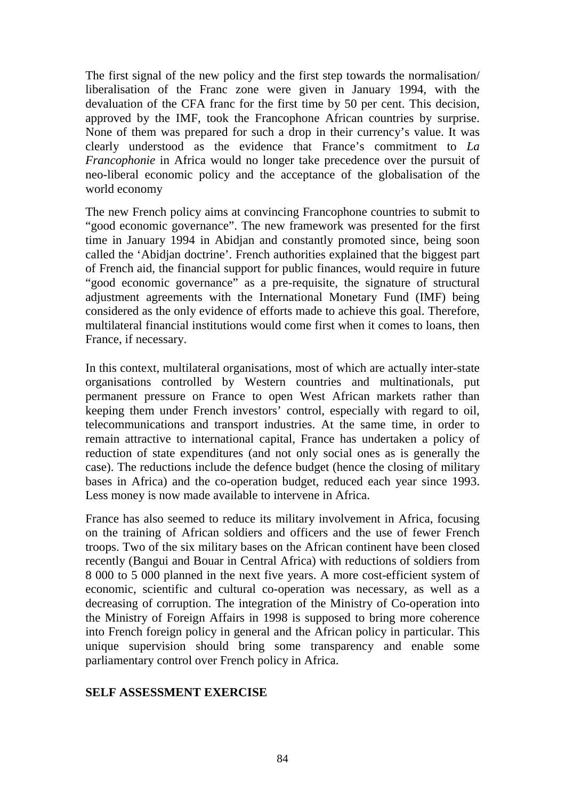The first signal of the new policy and the first step towards the normalisation/ liberalisation of the Franc zone were given in January 1994, with the devaluation of the CFA franc for the first time by 50 per cent. This decision, approved by the IMF, took the Francophone African countries by surprise. None of them was prepared for such a drop in their currency's value. It was clearly understood as the evidence that France's commitment to *La Francophonie* in Africa would no longer take precedence over the pursuit of neo-liberal economic policy and the acceptance of the globalisation of the world economy

The new French policy aims at convincing Francophone countries to submit to "good economic governance". The new framework was presented for the first time in January 1994 in Abidjan and constantly promoted since, being soon called the 'Abidjan doctrine'. French authorities explained that the biggest part of French aid, the financial support for public finances, would require in future "good economic governance" as a pre-requisite, the signature of structural adjustment agreements with the International Monetary Fund (IMF) being considered as the only evidence of efforts made to achieve this goal. Therefore, multilateral financial institutions would come first when it comes to loans, then France, if necessary.

In this context, multilateral organisations, most of which are actually inter-state organisations controlled by Western countries and multinationals, put permanent pressure on France to open West African markets rather than keeping them under French investors' control, especially with regard to oil, telecommunications and transport industries. At the same time, in order to remain attractive to international capital, France has undertaken a policy of reduction of state expenditures (and not only social ones as is generally the case). The reductions include the defence budget (hence the closing of military bases in Africa) and the co-operation budget, reduced each year since 1993. Less money is now made available to intervene in Africa.

France has also seemed to reduce its military involvement in Africa, focusing on the training of African soldiers and officers and the use of fewer French troops. Two of the six military bases on the African continent have been closed recently (Bangui and Bouar in Central Africa) with reductions of soldiers from 8 000 to 5 000 planned in the next five years. A more cost-efficient system of economic, scientific and cultural co-operation was necessary, as well as a decreasing of corruption. The integration of the Ministry of Co-operation into the Ministry of Foreign Affairs in 1998 is supposed to bring more coherence into French foreign policy in general and the African policy in particular. This unique supervision should bring some transparency and enable some parliamentary control over French policy in Africa.

#### **SELF ASSESSMENT EXERCISE**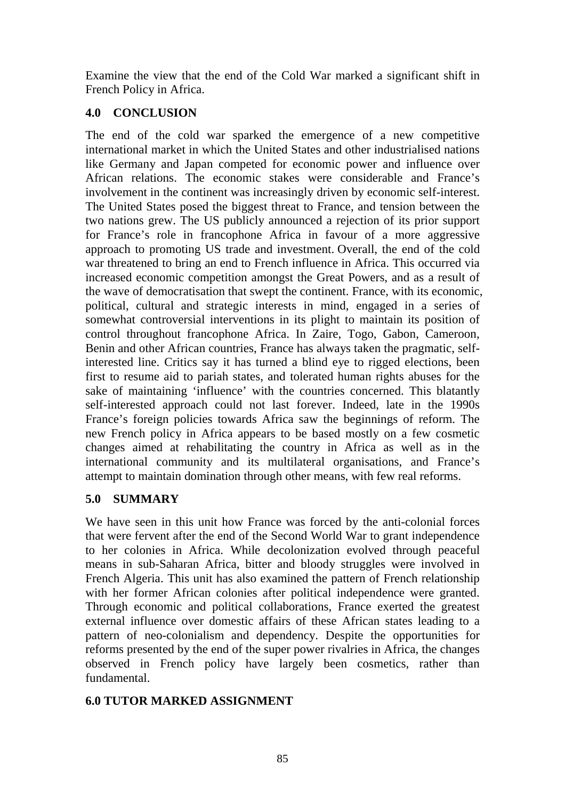Examine the view that the end of the Cold War marked a significant shift in French Policy in Africa.

## **4.0 CONCLUSION**

The end of the cold war sparked the emergence of a new competitive international market in which the United States and other industrialised nations like Germany and Japan competed for economic power and influence over African relations. The economic stakes were considerable and France's involvement in the continent was increasingly driven by economic self-interest. The United States posed the biggest threat to France, and tension between the two nations grew. The US publicly announced a rejection of its prior support for France's role in francophone Africa in favour of a more aggressive approach to promoting US trade and investment. Overall, the end of the cold war threatened to bring an end to French influence in Africa. This occurred via increased economic competition amongst the Great Powers, and as a result of the wave of democratisation that swept the continent. France, with its economic, political, cultural and strategic interests in mind, engaged in a series of somewhat controversial interventions in its plight to maintain its position of control throughout francophone Africa. In Zaire, Togo, Gabon, Cameroon, Benin and other African countries, France has always taken the pragmatic, selfinterested line. Critics say it has turned a blind eye to rigged elections, been first to resume aid to pariah states, and tolerated human rights abuses for the sake of maintaining 'influence' with the countries concerned. This blatantly self-interested approach could not last forever. Indeed, late in the 1990s France's foreign policies towards Africa saw the beginnings of reform. The new French policy in Africa appears to be based mostly on a few cosmetic changes aimed at rehabilitating the country in Africa as well as in the international community and its multilateral organisations, and France's attempt to maintain domination through other means, with few real reforms.

# **5.0 SUMMARY**

We have seen in this unit how France was forced by the anti-colonial forces that were fervent after the end of the Second World War to grant independence to her colonies in Africa. While decolonization evolved through peaceful means in sub-Saharan Africa, bitter and bloody struggles were involved in French Algeria. This unit has also examined the pattern of French relationship with her former African colonies after political independence were granted. Through economic and political collaborations, France exerted the greatest external influence over domestic affairs of these African states leading to a pattern of neo-colonialism and dependency. Despite the opportunities for reforms presented by the end of the super power rivalries in Africa, the changes observed in French policy have largely been cosmetics, rather than fundamental.

# **6.0 TUTOR MARKED ASSIGNMENT**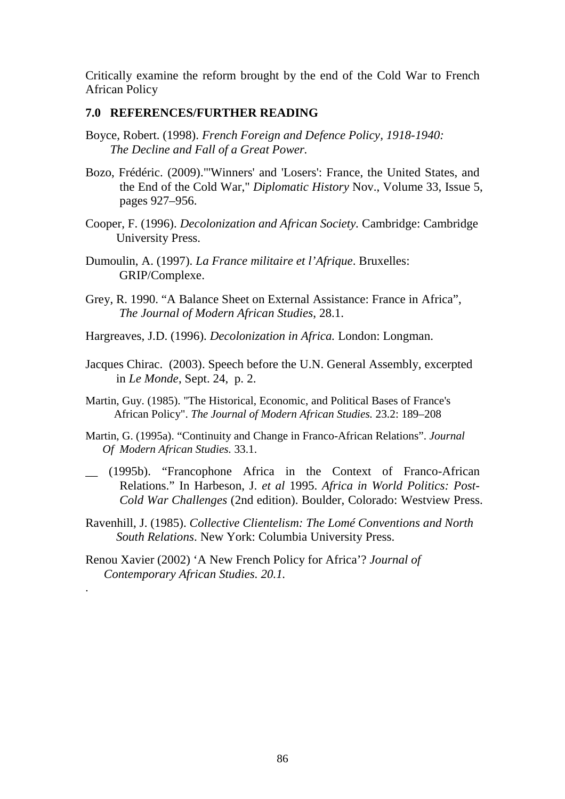Critically examine the reform brought by the end of the Cold War to French African Policy

#### **7.0 REFERENCES/FURTHER READING**

- Boyce, Robert. (1998). *French Foreign and Defence Policy, 1918-1940: The Decline and Fall of a Great Power.*
- Bozo, Frédéric. (2009)."'Winners' and 'Losers': France, the United States, and the End of the Cold War," *Diplomatic History* Nov., Volume 33, Issue 5, pages 927–956.
- Cooper, F. (1996). *Decolonization and African Society.* Cambridge: Cambridge University Press.
- Dumoulin, A. (1997). *La France militaire et l'Afrique*. Bruxelles: GRIP/Complexe.
- Grey, R. 1990. "A Balance Sheet on External Assistance: France in Africa", *The Journal of Modern African Studies*, 28.1.
- Hargreaves, J.D. (1996). *Decolonization in Africa.* London: Longman.
- Jacques Chirac. (2003). Speech before the U.N. General Assembly, excerpted in *Le Monde*, Sept. 24, p. 2.
- Martin, Guy. (1985). "The Historical, Economic, and Political Bases of France's African Policy". *The Journal of Modern African Studies.* 23.2: 189–208
- Martin, G. (1995a). "Continuity and Change in Franco-African Relations". *Journal Of Modern African Studies.* 33.1.
- \_\_ (1995b). "Francophone Africa in the Context of Franco-African Relations." In Harbeson, J. *et al* 1995. *Africa in World Politics: Post-Cold War Challenges* (2nd edition). Boulder, Colorado: Westview Press.
- Ravenhill, J. (1985). *Collective Clientelism: The Lomé Conventions and North South Relations*. New York: Columbia University Press.
- Renou Xavier (2002) 'A New French Policy for Africa'? *Journal of Contemporary African Studies. 20.1.*

.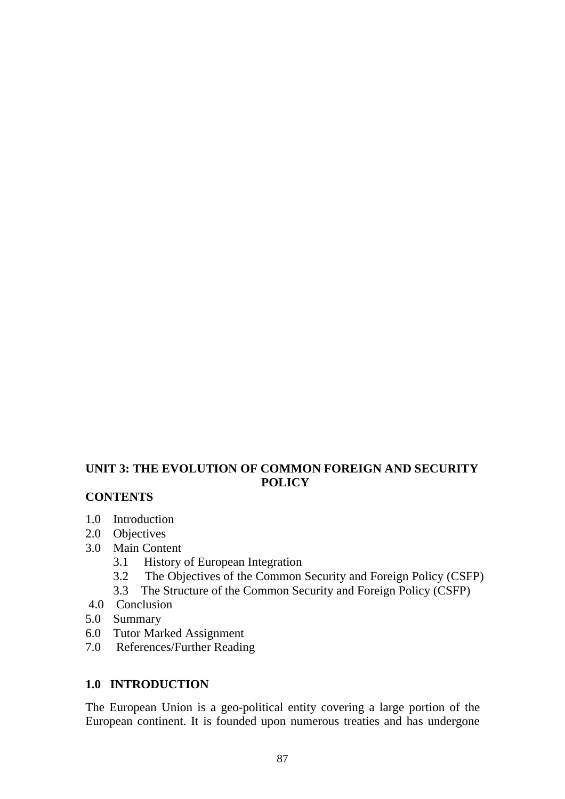# **UNIT 3: THE EVOLUTION OF COMMON FOREIGN AND SECURITY POLICY**

#### **CONTENTS**

- 1.0Introduction
- 2.0 Objectives
- 3.0 Main Content
	- 3.1 History of European Integration
	- 3.2 The Objectives of the Common Security and Foreign Policy (CSFP)
	- 3.3 The Structure of the Common Security and Foreign Policy (CSFP)
- 4.0 Conclusion
- 5.0 Summary
- 6.0 Tutor Marked Assignment
- 7.0 References/Further Reading

#### **1.0 INTRODUCTION**

The European Union is a geo-political entity covering a large portion of the European continent. It is founded upon numerous treaties and has undergone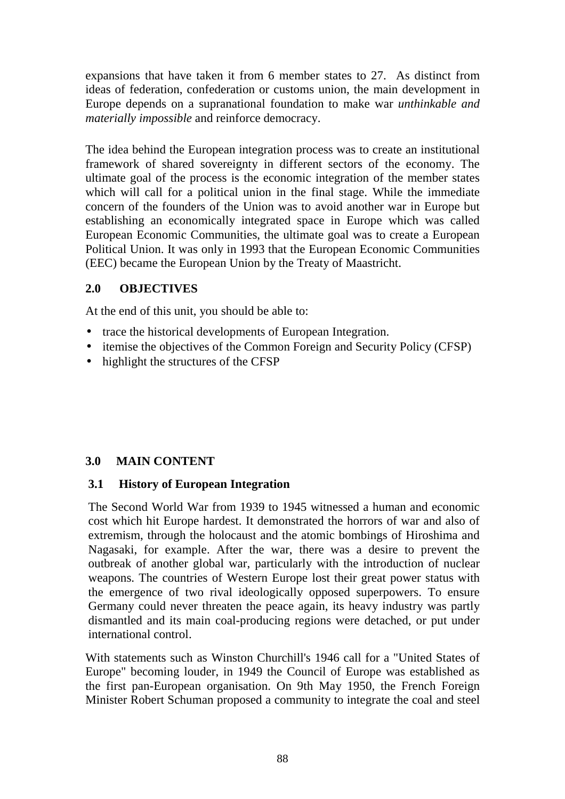expansions that have taken it from 6 member states to 27. As distinct from ideas of federation, confederation or customs union, the main development in Europe depends on a supranational foundation to make war *unthinkable and materially impossible* and reinforce democracy.

The idea behind the European integration process was to create an institutional framework of shared sovereignty in different sectors of the economy. The ultimate goal of the process is the economic integration of the member states which will call for a political union in the final stage. While the immediate concern of the founders of the Union was to avoid another war in Europe but establishing an economically integrated space in Europe which was called European Economic Communities, the ultimate goal was to create a European Political Union. It was only in 1993 that the European Economic Communities (EEC) became the European Union by the Treaty of Maastricht.

## **2.0 OBJECTIVES**

At the end of this unit, you should be able to:

- trace the historical developments of European Integration.
- itemise the objectives of the Common Foreign and Security Policy (CFSP)
- highlight the structures of the CFSP

# **3.0 MAIN CONTENT**

#### **3.1 History of European Integration**

The Second World War from 1939 to 1945 witnessed a human and economic cost which hit Europe hardest. It demonstrated the horrors of war and also of extremism, through the holocaust and the atomic bombings of Hiroshima and Nagasaki, for example. After the war, there was a desire to prevent the outbreak of another global war, particularly with the introduction of nuclear weapons. The countries of Western Europe lost their great power status with the emergence of two rival ideologically opposed superpowers. To ensure Germany could never threaten the peace again, its heavy industry was partly dismantled and its main coal-producing regions were detached, or put under international control.

With statements such as Winston Churchill's 1946 call for a "United States of Europe" becoming louder, in 1949 the Council of Europe was established as the first pan-European organisation. On 9th May 1950, the French Foreign Minister Robert Schuman proposed a community to integrate the coal and steel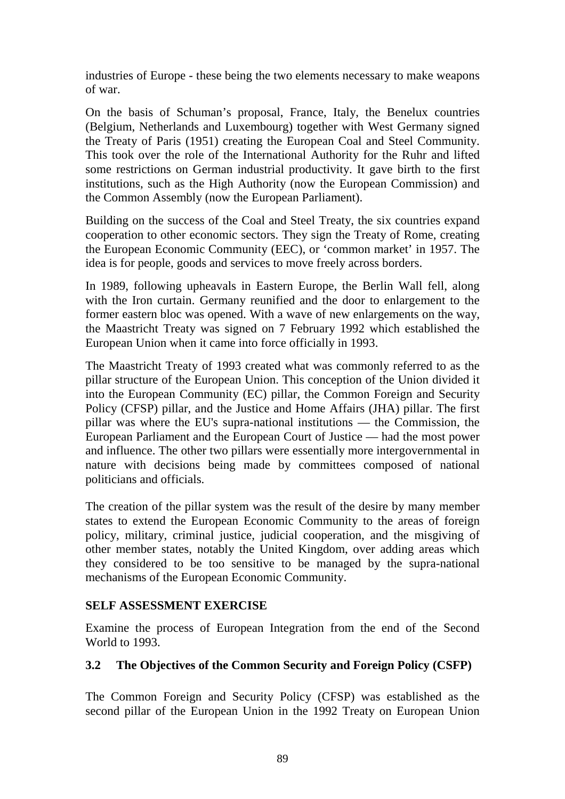industries of Europe - these being the two elements necessary to make weapons of war.

On the basis of Schuman's proposal, France, Italy, the Benelux countries (Belgium, Netherlands and Luxembourg) together with West Germany signed the Treaty of Paris (1951) creating the European Coal and Steel Community. This took over the role of the International Authority for the Ruhr and lifted some restrictions on German industrial productivity. It gave birth to the first institutions, such as the High Authority (now the European Commission) and the Common Assembly (now the European Parliament).

Building on the success of the Coal and Steel Treaty, the six countries expand cooperation to other economic sectors. They sign the Treaty of Rome, creating the European Economic Community (EEC), or 'common market' in 1957. The idea is for people, goods and services to move freely across borders.

In 1989, following upheavals in Eastern Europe, the Berlin Wall fell, along with the Iron curtain. Germany reunified and the door to enlargement to the former eastern bloc was opened. With a wave of new enlargements on the way, the Maastricht Treaty was signed on 7 February 1992 which established the European Union when it came into force officially in 1993.

The Maastricht Treaty of 1993 created what was commonly referred to as the pillar structure of the European Union. This conception of the Union divided it into the European Community (EC) pillar, the Common Foreign and Security Policy (CFSP) pillar, and the Justice and Home Affairs (JHA) pillar. The first pillar was where the EU's supra-national institutions — the Commission, the European Parliament and the European Court of Justice — had the most power and influence. The other two pillars were essentially more intergovernmental in nature with decisions being made by committees composed of national politicians and officials.

The creation of the pillar system was the result of the desire by many member states to extend the European Economic Community to the areas of foreign policy, military, criminal justice, judicial cooperation, and the misgiving of other member states, notably the United Kingdom, over adding areas which they considered to be too sensitive to be managed by the supra-national mechanisms of the European Economic Community.

#### **SELF ASSESSMENT EXERCISE**

Examine the process of European Integration from the end of the Second World to 1993

#### **3.2 The Objectives of the Common Security and Foreign Policy (CSFP)**

The Common Foreign and Security Policy (CFSP) was established as the second pillar of the European Union in the 1992 Treaty on European Union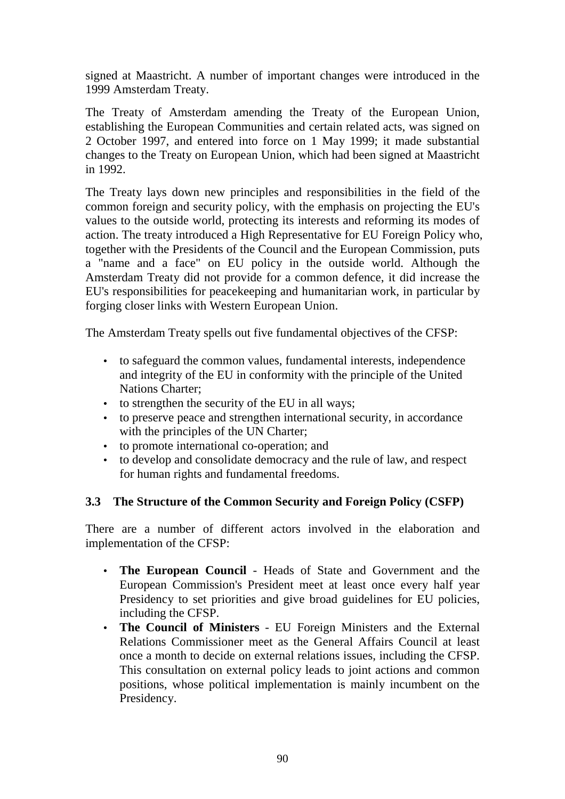signed at Maastricht. A number of important changes were introduced in the 1999 Amsterdam Treaty.

The Treaty of Amsterdam amending the Treaty of the European Union, establishing the European Communities and certain related acts, was signed on 2 October 1997, and entered into force on 1 May 1999; it made substantial changes to the Treaty on European Union, which had been signed at Maastricht in 1992.

The Treaty lays down new principles and responsibilities in the field of the common foreign and security policy, with the emphasis on projecting the EU's values to the outside world, protecting its interests and reforming its modes of action. The treaty introduced a High Representative for EU Foreign Policy who, together with the Presidents of the Council and the European Commission, puts a "name and a face" on EU policy in the outside world. Although the Amsterdam Treaty did not provide for a common defence, it did increase the EU's responsibilities for peacekeeping and humanitarian work, in particular by forging closer links with Western European Union.

The Amsterdam Treaty spells out five fundamental objectives of the CFSP:

- to safeguard the common values, fundamental interests, independence and integrity of the EU in conformity with the principle of the United Nations Charter;
- to strengthen the security of the EU in all ways;
- to preserve peace and strengthen international security, in accordance with the principles of the UN Charter;
- to promote international co-operation; and
- to develop and consolidate democracy and the rule of law, and respect for human rights and fundamental freedoms.

# **3.3 The Structure of the Common Security and Foreign Policy (CSFP)**

There are a number of different actors involved in the elaboration and implementation of the CFSP:

- **The European Council** Heads of State and Government and the European Commission's President meet at least once every half year Presidency to set priorities and give broad guidelines for EU policies, including the CFSP.
- **The Council of Ministers** EU Foreign Ministers and the External Relations Commissioner meet as the General Affairs Council at least once a month to decide on external relations issues, including the CFSP. This consultation on external policy leads to joint actions and common positions, whose political implementation is mainly incumbent on the Presidency.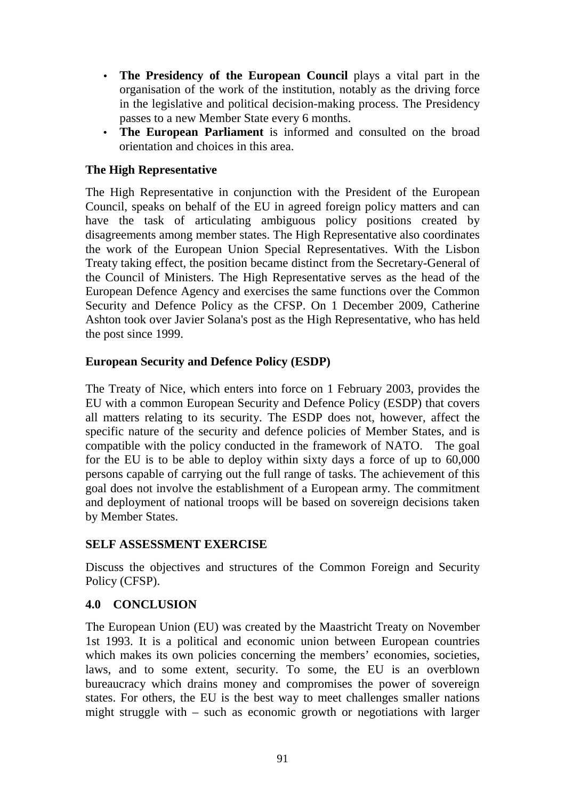- **The Presidency of the European Council** plays a vital part in the organisation of the work of the institution, notably as the driving force in the legislative and political decision-making process. The Presidency passes to a new Member State every 6 months.
- **The European Parliament** is informed and consulted on the broad orientation and choices in this area.

## **The High Representative**

The High Representative in conjunction with the President of the European Council, speaks on behalf of the EU in agreed foreign policy matters and can have the task of articulating ambiguous policy positions created by disagreements among member states. The High Representative also coordinates the work of the European Union Special Representatives. With the Lisbon Treaty taking effect, the position became distinct from the Secretary-General of the Council of Ministers. The High Representative serves as the head of the European Defence Agency and exercises the same functions over the Common Security and Defence Policy as the CFSP. On 1 December 2009, Catherine Ashton took over Javier Solana's post as the High Representative, who has held the post since 1999.

## **European Security and Defence Policy (ESDP)**

The Treaty of Nice, which enters into force on 1 February 2003, provides the EU with a common European Security and Defence Policy (ESDP) that covers all matters relating to its security. The ESDP does not, however, affect the specific nature of the security and defence policies of Member States, and is compatible with the policy conducted in the framework of NATO. The goal for the EU is to be able to deploy within sixty days a force of up to 60,000 persons capable of carrying out the full range of tasks. The achievement of this goal does not involve the establishment of a European army. The commitment and deployment of national troops will be based on sovereign decisions taken by Member States.

#### **SELF ASSESSMENT EXERCISE**

Discuss the objectives and structures of the Common Foreign and Security Policy (CFSP).

# **4.0 CONCLUSION**

The European Union (EU) was created by the Maastricht Treaty on November 1st 1993. It is a political and economic union between European countries which makes its own policies concerning the members' economies, societies, laws, and to some extent, security. To some, the EU is an overblown bureaucracy which drains money and compromises the power of sovereign states. For others, the EU is the best way to meet challenges smaller nations might struggle with – such as economic growth or negotiations with larger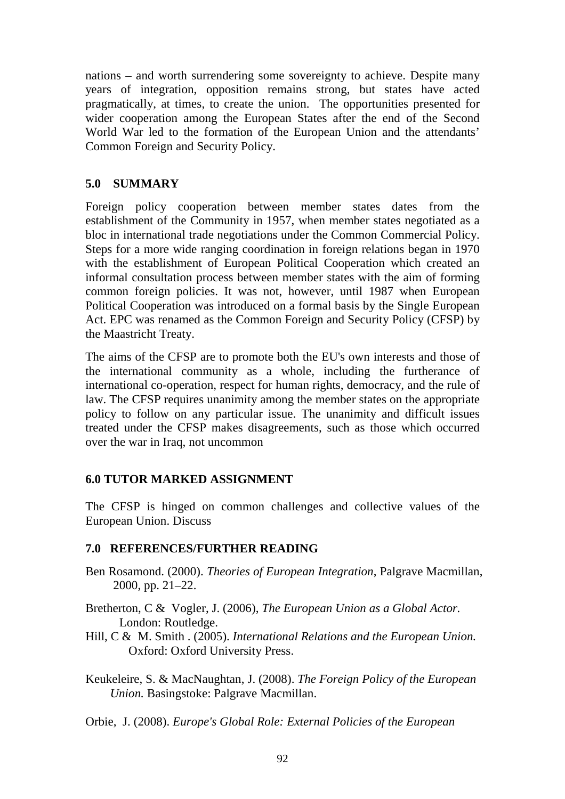nations – and worth surrendering some sovereignty to achieve. Despite many years of integration, opposition remains strong, but states have acted pragmatically, at times, to create the union. The opportunities presented for wider cooperation among the European States after the end of the Second World War led to the formation of the European Union and the attendants' Common Foreign and Security Policy.

# **5.0 SUMMARY**

Foreign policy cooperation between member states dates from the establishment of the Community in 1957, when member states negotiated as a bloc in international trade negotiations under the Common Commercial Policy. Steps for a more wide ranging coordination in foreign relations began in 1970 with the establishment of European Political Cooperation which created an informal consultation process between member states with the aim of forming common foreign policies. It was not, however, until 1987 when European Political Cooperation was introduced on a formal basis by the Single European Act. EPC was renamed as the Common Foreign and Security Policy (CFSP) by the Maastricht Treaty.

The aims of the CFSP are to promote both the EU's own interests and those of the international community as a whole, including the furtherance of international co-operation, respect for human rights, democracy, and the rule of law. The CFSP requires unanimity among the member states on the appropriate policy to follow on any particular issue. The unanimity and difficult issues treated under the CFSP makes disagreements, such as those which occurred over the war in Iraq, not uncommon

#### **6.0 TUTOR MARKED ASSIGNMENT**

The CFSP is hinged on common challenges and collective values of the European Union. Discuss

#### **7.0 REFERENCES/FURTHER READING**

- Ben Rosamond. (2000). *Theories of European Integration*, Palgrave Macmillan, 2000, pp. 21–22.
- Bretherton, C & Vogler, J. (2006), *The European Union as a Global Actor.*  London: Routledge.
- Hill, C & M. Smith . (2005). *International Relations and the European Union.*  **Oxford: Oxford University Press.**
- Keukeleire, S. & MacNaughtan, J. (2008). *The Foreign Policy of the European Union.* Basingstoke: Palgrave Macmillan.

Orbie, J. (2008). *Europe's Global Role: External Policies of the European*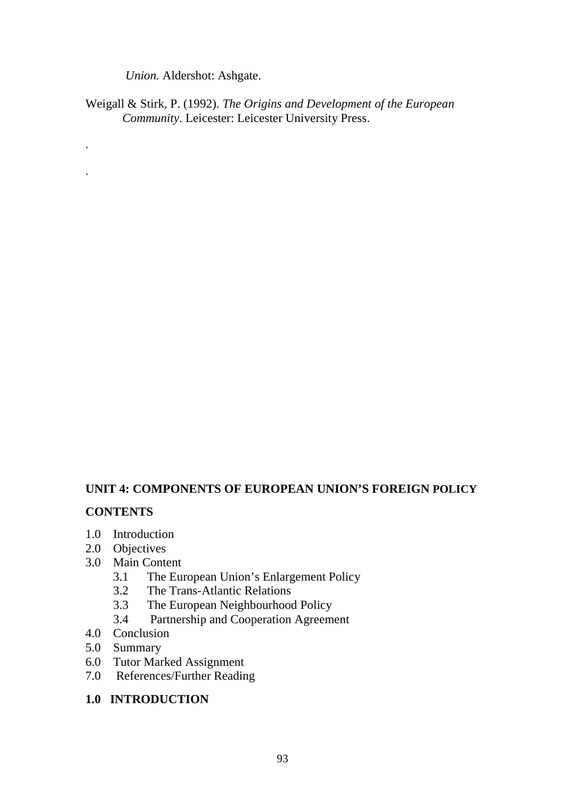*Union.* Aldershot: Ashgate.

Weigall & Stirk, P. (1992). *The Origins and Development of the European Community*. Leicester: Leicester University Press.

#### **UNIT 4: COMPONENTS OF EUROPEAN UNION'S FOREIGN POLICY**

#### **CONTENTS**

.

.

- 1.0Introduction
- 2.0 Objectives
- 3.0 Main Content
	- 3.1 The European Union's Enlargement Policy
	- 3.2 The Trans-Atlantic Relations
	- 3.3 The European Neighbourhood Policy
	- 3.4 Partnership and Cooperation Agreement
- 4.0 Conclusion
- 5.0 Summary
- 6.0 Tutor Marked Assignment
- 7.0 References/Further Reading

#### **1.0 INTRODUCTION**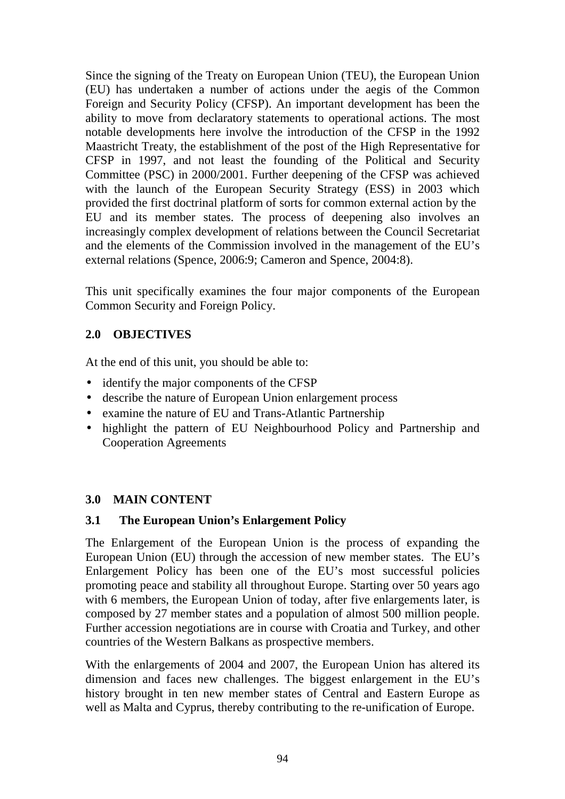Since the signing of the Treaty on European Union (TEU), the European Union (EU) has undertaken a number of actions under the aegis of the Common Foreign and Security Policy (CFSP). An important development has been the ability to move from declaratory statements to operational actions. The most notable developments here involve the introduction of the CFSP in the 1992 Maastricht Treaty, the establishment of the post of the High Representative for CFSP in 1997, and not least the founding of the Political and Security Committee (PSC) in 2000/2001. Further deepening of the CFSP was achieved with the launch of the European Security Strategy (ESS) in 2003 which provided the first doctrinal platform of sorts for common external action by the EU and its member states. The process of deepening also involves an increasingly complex development of relations between the Council Secretariat and the elements of the Commission involved in the management of the EU's external relations (Spence, 2006:9; Cameron and Spence, 2004:8).

This unit specifically examines the four major components of the European Common Security and Foreign Policy.

# **2.0 OBJECTIVES**

At the end of this unit, you should be able to:

- identify the major components of the CFSP
- describe the nature of European Union enlargement process
- examine the nature of EU and Trans-Atlantic Partnership
- highlight the pattern of EU Neighbourhood Policy and Partnership and Cooperation Agreements

# **3.0 MAIN CONTENT**

# **3.1 The European Union's Enlargement Policy**

The Enlargement of the European Union is the process of expanding the European Union (EU) through the accession of new member states. The EU's Enlargement Policy has been one of the EU's most successful policies promoting peace and stability all throughout Europe. Starting over 50 years ago with 6 members, the European Union of today, after five enlargements later, is composed by 27 member states and a population of almost 500 million people. Further accession negotiations are in course with Croatia and Turkey, and other countries of the Western Balkans as prospective members.

With the enlargements of 2004 and 2007, the European Union has altered its dimension and faces new challenges. The biggest enlargement in the EU's history brought in ten new member states of Central and Eastern Europe as well as Malta and Cyprus, thereby contributing to the re-unification of Europe.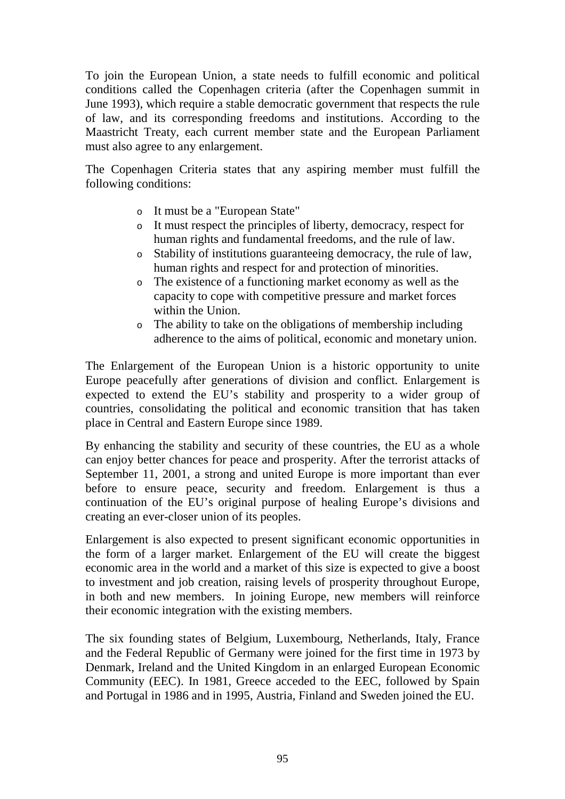To join the European Union, a state needs to fulfill economic and political conditions called the Copenhagen criteria (after the Copenhagen summit in June 1993), which require a stable democratic government that respects the rule of law, and its corresponding freedoms and institutions. According to the Maastricht Treaty, each current member state and the European Parliament must also agree to any enlargement.

The Copenhagen Criteria states that any aspiring member must fulfill the following conditions:

- o It must be a "European State"
- o It must respect the principles of liberty, democracy, respect for human rights and fundamental freedoms, and the rule of law.
- o Stability of institutions guaranteeing democracy, the rule of law, human rights and respect for and protection of minorities.
- o The existence of a functioning market economy as well as the capacity to cope with competitive pressure and market forces within the Union.
- o The ability to take on the obligations of membership including adherence to the aims of political, economic and monetary union.

The Enlargement of the European Union is a historic opportunity to unite Europe peacefully after generations of division and conflict. Enlargement is expected to extend the EU's stability and prosperity to a wider group of countries, consolidating the political and economic transition that has taken place in Central and Eastern Europe since 1989.

By enhancing the stability and security of these countries, the EU as a whole can enjoy better chances for peace and prosperity. After the terrorist attacks of September 11, 2001, a strong and united Europe is more important than ever before to ensure peace, security and freedom. Enlargement is thus a continuation of the EU's original purpose of healing Europe's divisions and creating an ever-closer union of its peoples.

Enlargement is also expected to present significant economic opportunities in the form of a larger market. Enlargement of the EU will create the biggest economic area in the world and a market of this size is expected to give a boost to investment and job creation, raising levels of prosperity throughout Europe, in both and new members. In joining Europe, new members will reinforce their economic integration with the existing members.

The six founding states of Belgium, Luxembourg, Netherlands, Italy, France and the Federal Republic of Germany were joined for the first time in 1973 by Denmark, Ireland and the United Kingdom in an enlarged European Economic Community (EEC). In 1981, Greece acceded to the EEC, followed by Spain and Portugal in 1986 and in 1995, Austria, Finland and Sweden joined the EU.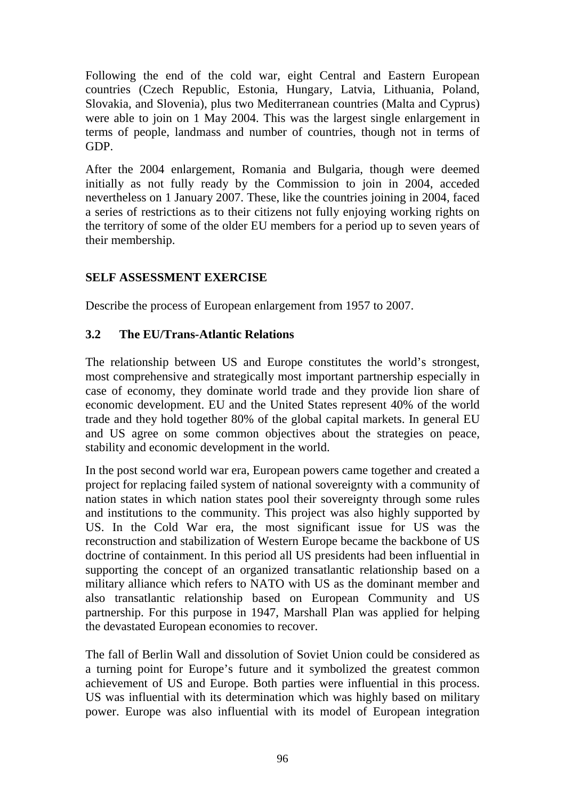Following the end of the cold war, eight Central and Eastern European countries (Czech Republic, Estonia, Hungary, Latvia, Lithuania, Poland, Slovakia, and Slovenia), plus two Mediterranean countries (Malta and Cyprus) were able to join on 1 May 2004. This was the largest single enlargement in terms of people, landmass and number of countries, though not in terms of GDP.

After the 2004 enlargement, Romania and Bulgaria, though were deemed initially as not fully ready by the Commission to join in 2004, acceded nevertheless on 1 January 2007. These, like the countries joining in 2004, faced a series of restrictions as to their citizens not fully enjoying working rights on the territory of some of the older EU members for a period up to seven years of their membership.

# **SELF ASSESSMENT EXERCISE**

Describe the process of European enlargement from 1957 to 2007.

## **3.2 The EU/Trans-Atlantic Relations**

The relationship between US and Europe constitutes the world's strongest, most comprehensive and strategically most important partnership especially in case of economy, they dominate world trade and they provide lion share of economic development. EU and the United States represent 40% of the world trade and they hold together 80% of the global capital markets. In general EU and US agree on some common objectives about the strategies on peace, stability and economic development in the world.

In the post second world war era, European powers came together and created a project for replacing failed system of national sovereignty with a community of nation states in which nation states pool their sovereignty through some rules and institutions to the community. This project was also highly supported by US. In the Cold War era, the most significant issue for US was the reconstruction and stabilization of Western Europe became the backbone of US doctrine of containment. In this period all US presidents had been influential in supporting the concept of an organized transatlantic relationship based on a military alliance which refers to NATO with US as the dominant member and also transatlantic relationship based on European Community and US partnership. For this purpose in 1947, Marshall Plan was applied for helping the devastated European economies to recover.

The fall of Berlin Wall and dissolution of Soviet Union could be considered as a turning point for Europe's future and it symbolized the greatest common achievement of US and Europe. Both parties were influential in this process. US was influential with its determination which was highly based on military power. Europe was also influential with its model of European integration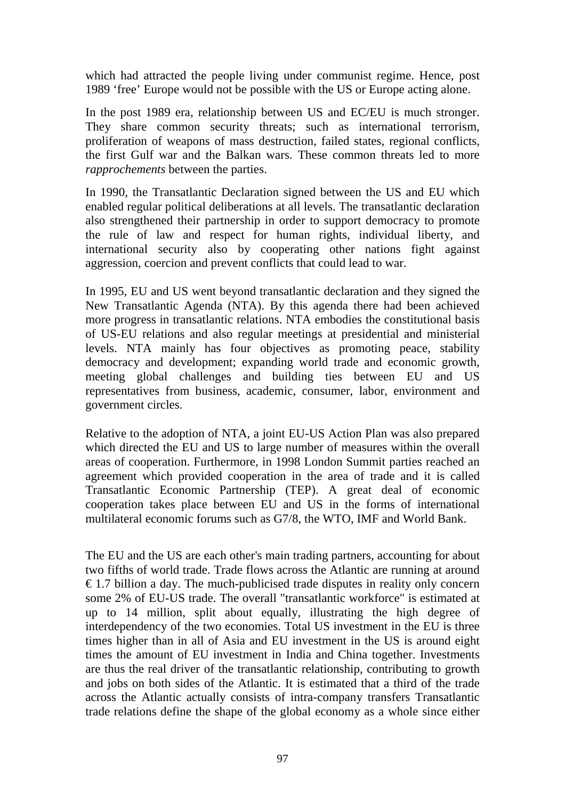which had attracted the people living under communist regime. Hence, post 1989 'free' Europe would not be possible with the US or Europe acting alone.

In the post 1989 era, relationship between US and EC/EU is much stronger. They share common security threats; such as international terrorism, proliferation of weapons of mass destruction, failed states, regional conflicts, the first Gulf war and the Balkan wars. These common threats led to more *rapprochements* between the parties.

In 1990, the Transatlantic Declaration signed between the US and EU which enabled regular political deliberations at all levels. The transatlantic declaration also strengthened their partnership in order to support democracy to promote the rule of law and respect for human rights, individual liberty, and international security also by cooperating other nations fight against aggression, coercion and prevent conflicts that could lead to war.

In 1995, EU and US went beyond transatlantic declaration and they signed the New Transatlantic Agenda (NTA). By this agenda there had been achieved more progress in transatlantic relations. NTA embodies the constitutional basis of US-EU relations and also regular meetings at presidential and ministerial levels. NTA mainly has four objectives as promoting peace, stability democracy and development; expanding world trade and economic growth, meeting global challenges and building ties between EU and US representatives from business, academic, consumer, labor, environment and government circles.

Relative to the adoption of NTA, a joint EU-US Action Plan was also prepared which directed the EU and US to large number of measures within the overall areas of cooperation. Furthermore, in 1998 London Summit parties reached an agreement which provided cooperation in the area of trade and it is called Transatlantic Economic Partnership (TEP). A great deal of economic cooperation takes place between EU and US in the forms of international multilateral economic forums such as G7/8, the WTO, IMF and World Bank.

The EU and the US are each other's main trading partners, accounting for about two fifths of world trade. Trade flows across the Atlantic are running at around  $\epsilon$  1.7 billion a day. The much-publicised trade disputes in reality only concern some 2% of EU-US trade. The overall "transatlantic workforce" is estimated at up to 14 million, split about equally, illustrating the high degree of interdependency of the two economies. Total US investment in the EU is three times higher than in all of Asia and EU investment in the US is around eight times the amount of EU investment in India and China together. Investments are thus the real driver of the transatlantic relationship, contributing to growth and jobs on both sides of the Atlantic. It is estimated that a third of the trade across the Atlantic actually consists of intra-company transfers Transatlantic trade relations define the shape of the global economy as a whole since either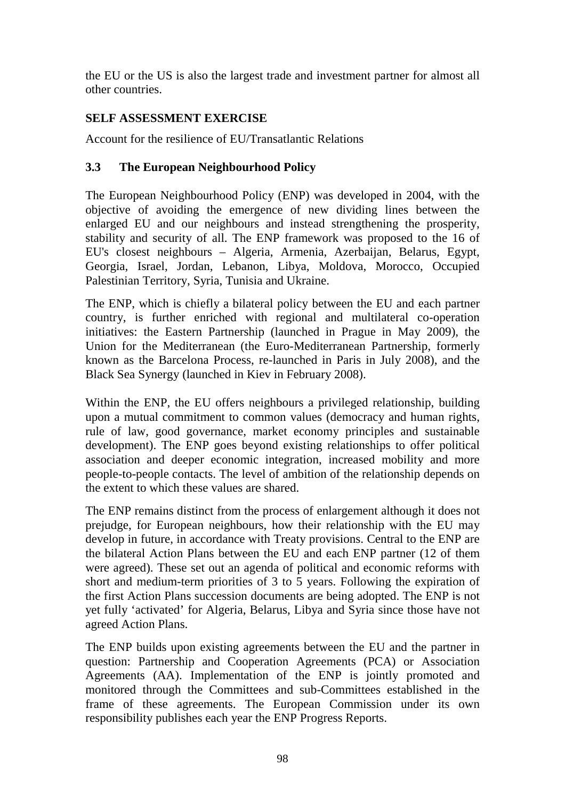the EU or the US is also the largest trade and investment partner for almost all other countries.

# **SELF ASSESSMENT EXERCISE**

Account for the resilience of EU/Transatlantic Relations

# **3.3 The European Neighbourhood Policy**

The European Neighbourhood Policy (ENP) was developed in 2004, with the objective of avoiding the emergence of new dividing lines between the enlarged EU and our neighbours and instead strengthening the prosperity, stability and security of all. The ENP framework was proposed to the 16 of EU's closest neighbours – Algeria, Armenia, Azerbaijan, Belarus, Egypt, Georgia, Israel, Jordan, Lebanon, Libya, Moldova, Morocco, Occupied Palestinian Territory, Syria, Tunisia and Ukraine.

The ENP, which is chiefly a bilateral policy between the EU and each partner country, is further enriched with regional and multilateral co-operation initiatives: the Eastern Partnership (launched in Prague in May 2009), the Union for the Mediterranean (the Euro-Mediterranean Partnership, formerly known as the Barcelona Process, re-launched in Paris in July 2008), and the Black Sea Synergy (launched in Kiev in February 2008).

Within the ENP, the EU offers neighbours a privileged relationship, building upon a mutual commitment to common values (democracy and human rights, rule of law, good governance, market economy principles and sustainable development). The ENP goes beyond existing relationships to offer political association and deeper economic integration, increased mobility and more people-to-people contacts. The level of ambition of the relationship depends on the extent to which these values are shared.

The ENP remains distinct from the process of enlargement although it does not prejudge, for European neighbours, how their relationship with the EU may develop in future, in accordance with Treaty provisions. Central to the ENP are the bilateral Action Plans between the EU and each ENP partner (12 of them were agreed). These set out an agenda of political and economic reforms with short and medium-term priorities of 3 to 5 years. Following the expiration of the first Action Plans succession documents are being adopted. The ENP is not yet fully 'activated' for Algeria, Belarus, Libya and Syria since those have not agreed Action Plans.

The ENP builds upon existing agreements between the EU and the partner in question: Partnership and Cooperation Agreements (PCA) or Association Agreements (AA). Implementation of the ENP is jointly promoted and monitored through the Committees and sub-Committees established in the frame of these agreements. The European Commission under its own responsibility publishes each year the ENP Progress Reports.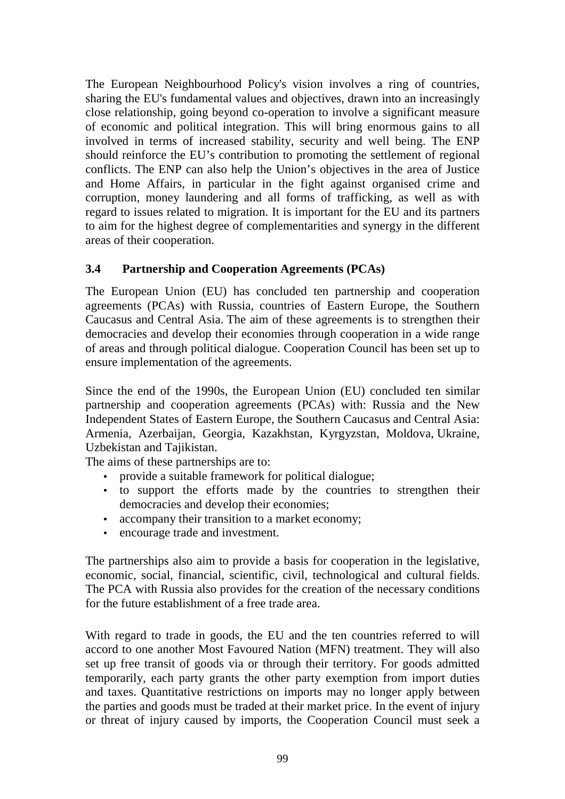The European Neighbourhood Policy's vision involves a ring of countries, sharing the EU's fundamental values and objectives, drawn into an increasingly close relationship, going beyond co-operation to involve a significant measure of economic and political integration. This will bring enormous gains to all involved in terms of increased stability, security and well being. The ENP should reinforce the EU's contribution to promoting the settlement of regional conflicts. The ENP can also help the Union's objectives in the area of Justice and Home Affairs, in particular in the fight against organised crime and corruption, money laundering and all forms of trafficking, as well as with regard to issues related to migration. It is important for the EU and its partners to aim for the highest degree of complementarities and synergy in the different areas of their cooperation.

## **3.4 Partnership and Cooperation Agreements (PCAs)**

The European Union (EU) has concluded ten partnership and cooperation agreements (PCAs) with Russia, countries of Eastern Europe, the Southern Caucasus and Central Asia. The aim of these agreements is to strengthen their democracies and develop their economies through cooperation in a wide range of areas and through political dialogue. Cooperation Council has been set up to ensure implementation of the agreements.

Since the end of the 1990s, the European Union (EU) concluded ten similar partnership and cooperation agreements (PCAs) with: Russia and the New Independent States of Eastern Europe, the Southern Caucasus and Central Asia: Armenia, Azerbaijan, Georgia, Kazakhstan, Kyrgyzstan, Moldova, Ukraine, Uzbekistan and Tajikistan.

The aims of these partnerships are to:

- provide a suitable framework for political dialogue;
- to support the efforts made by the countries to strengthen their democracies and develop their economies;
- accompany their transition to a market economy:
- encourage trade and investment.

The partnerships also aim to provide a basis for cooperation in the legislative, economic, social, financial, scientific, civil, technological and cultural fields. The PCA with Russia also provides for the creation of the necessary conditions for the future establishment of a free trade area.

With regard to trade in goods, the EU and the ten countries referred to will accord to one another Most Favoured Nation (MFN) treatment. They will also set up free transit of goods via or through their territory. For goods admitted temporarily, each party grants the other party exemption from import duties and taxes. Quantitative restrictions on imports may no longer apply between the parties and goods must be traded at their market price. In the event of injury or threat of injury caused by imports, the Cooperation Council must seek a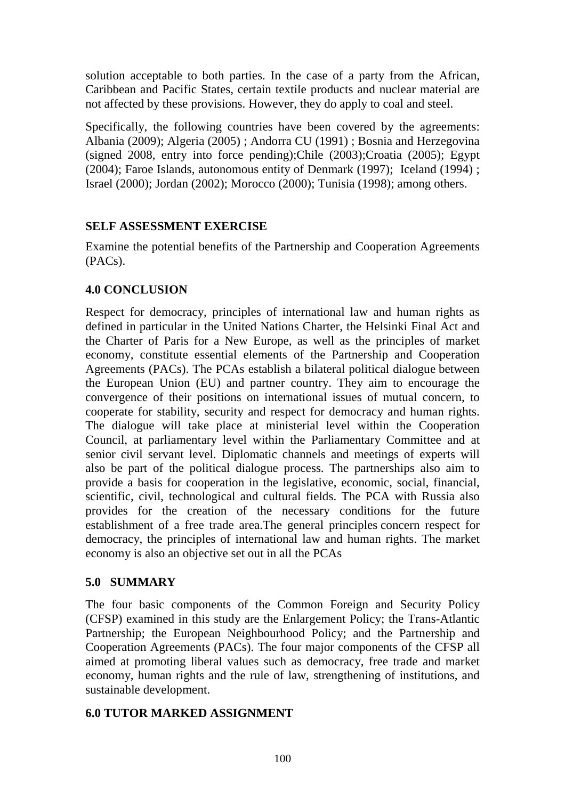solution acceptable to both parties. In the case of a party from the African, Caribbean and Pacific States, certain textile products and nuclear material are not affected by these provisions. However, they do apply to coal and steel.

Specifically, the following countries have been covered by the agreements: Albania (2009); Algeria (2005) ; Andorra CU (1991) ; Bosnia and Herzegovina (signed 2008, entry into force pending);Chile (2003);Croatia (2005); Egypt (2004); Faroe Islands, autonomous entity of Denmark (1997); Iceland (1994) ; Israel (2000); Jordan (2002); Morocco (2000); Tunisia (1998); among others.

## **SELF ASSESSMENT EXERCISE**

Examine the potential benefits of the Partnership and Cooperation Agreements (PACs).

## **4.0 CONCLUSION**

Respect for democracy, principles of international law and human rights as defined in particular in the United Nations Charter, the Helsinki Final Act and the Charter of Paris for a New Europe, as well as the principles of market economy, constitute essential elements of the Partnership and Cooperation Agreements (PACs). The PCAs establish a bilateral political dialogue between the European Union (EU) and partner country. They aim to encourage the convergence of their positions on international issues of mutual concern, to cooperate for stability, security and respect for democracy and human rights. The dialogue will take place at ministerial level within the Cooperation Council, at parliamentary level within the Parliamentary Committee and at senior civil servant level. Diplomatic channels and meetings of experts will also be part of the political dialogue process. The partnerships also aim to provide a basis for cooperation in the legislative, economic, social, financial, scientific, civil, technological and cultural fields. The PCA with Russia also provides for the creation of the necessary conditions for the future establishment of a free trade area.The general principles concern respect for democracy, the principles of international law and human rights. The market economy is also an objective set out in all the PCAs

#### **5.0 SUMMARY**

The four basic components of the Common Foreign and Security Policy (CFSP) examined in this study are the Enlargement Policy; the Trans-Atlantic Partnership; the European Neighbourhood Policy; and the Partnership and Cooperation Agreements (PACs). The four major components of the CFSP all aimed at promoting liberal values such as democracy, free trade and market economy, human rights and the rule of law, strengthening of institutions, and sustainable development.

#### **6.0 TUTOR MARKED ASSIGNMENT**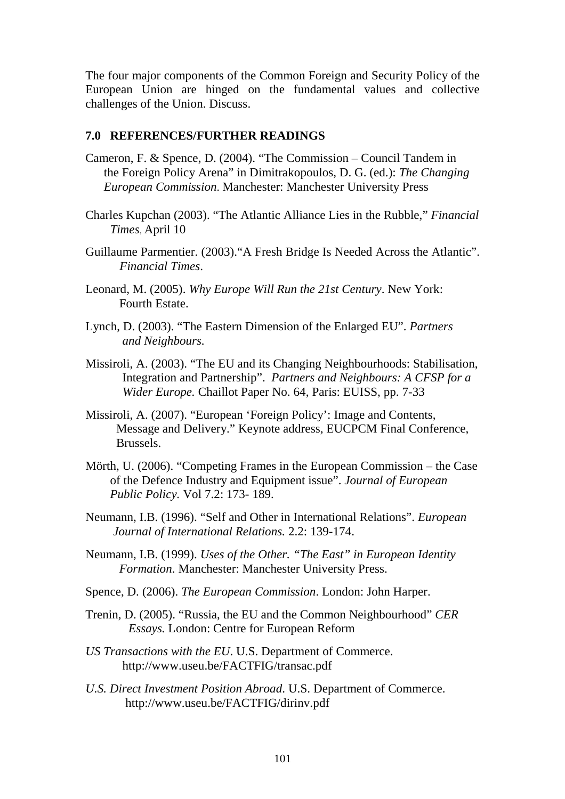The four major components of the Common Foreign and Security Policy of the European Union are hinged on the fundamental values and collective challenges of the Union. Discuss.

#### **7.0 REFERENCES/FURTHER READINGS**

- Cameron, F. & Spence, D. (2004). "The Commission Council Tandem in the Foreign Policy Arena" in Dimitrakopoulos, D. G. (ed.): *The Changing European Commission*. Manchester: Manchester University Press
- Charles Kupchan (2003). "The Atlantic Alliance Lies in the Rubble," *Financial Times*, April 10
- Guillaume Parmentier. (2003)."A Fresh Bridge Is Needed Across the Atlantic". *Financial Times*.
- Leonard, M. (2005). *Why Europe Will Run the 21st Century*. New York: Fourth Estate.
- Lynch, D. (2003). "The Eastern Dimension of the Enlarged EU". *Partners and Neighbours.*
- Missiroli, A. (2003). "The EU and its Changing Neighbourhoods: Stabilisation, Integration and Partnership". *Partners and Neighbours: A CFSP for a Wider Europe.* Chaillot Paper No. 64, Paris: EUISS, pp. 7-33
- Missiroli, A. (2007). "European 'Foreign Policy': Image and Contents, Message and Delivery." Keynote address, EUCPCM Final Conference, Brussels.
- Mörth, U. (2006). "Competing Frames in the European Commission the Case of the Defence Industry and Equipment issue". *Journal of European Public Policy.* Vol 7.2: 173- 189.
- Neumann, I.B. (1996). "Self and Other in International Relations". *European Journal of International Relations.* 2.2: 139-174.
- Neumann, I.B. (1999). *Uses of the Other. "The East" in European Identity Formation*. Manchester: Manchester University Press.
- Spence, D. (2006). *The European Commission*. London: John Harper.
- Trenin, D. (2005). "Russia, the EU and the Common Neighbourhood" *CER Essays.* London: Centre for European Reform
- *US Transactions with the EU*. U.S. Department of Commerce. http://www.useu.be/FACTFIG/transac.pdf
- *U.S. Direct Investment Position Abroad*. U.S. Department of Commerce. http://www.useu.be/FACTFIG/dirinv.pdf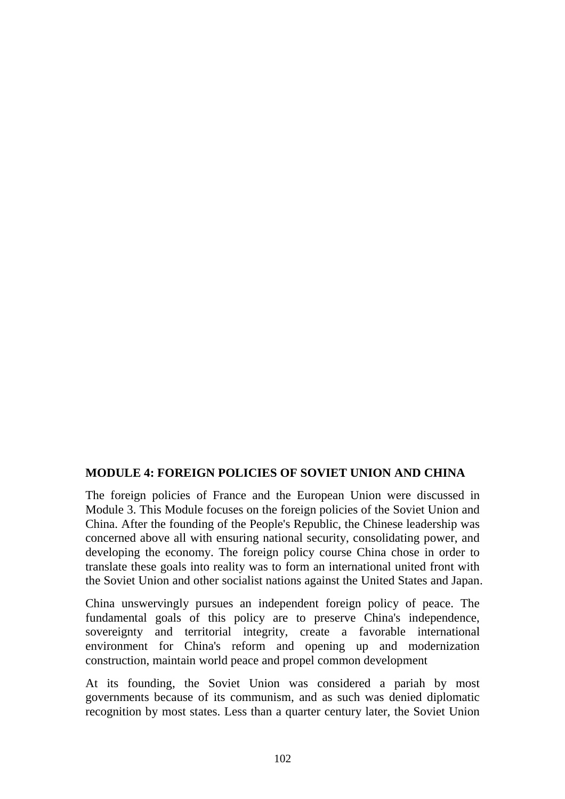#### **MODULE 4: FOREIGN POLICIES OF SOVIET UNION AND CHINA**

The foreign policies of France and the European Union were discussed in Module 3. This Module focuses on the foreign policies of the Soviet Union and China. After the founding of the People's Republic, the Chinese leadership was concerned above all with ensuring national security, consolidating power, and developing the economy. The foreign policy course China chose in order to translate these goals into reality was to form an international united front with the Soviet Union and other socialist nations against the United States and Japan.

China unswervingly pursues an independent foreign policy of peace. The fundamental goals of this policy are to preserve China's independence, sovereignty and territorial integrity, create a favorable international environment for China's reform and opening up and modernization construction, maintain world peace and propel common development

At its founding, the Soviet Union was considered a pariah by most governments because of its communism, and as such was denied diplomatic recognition by most states. Less than a quarter century later, the Soviet Union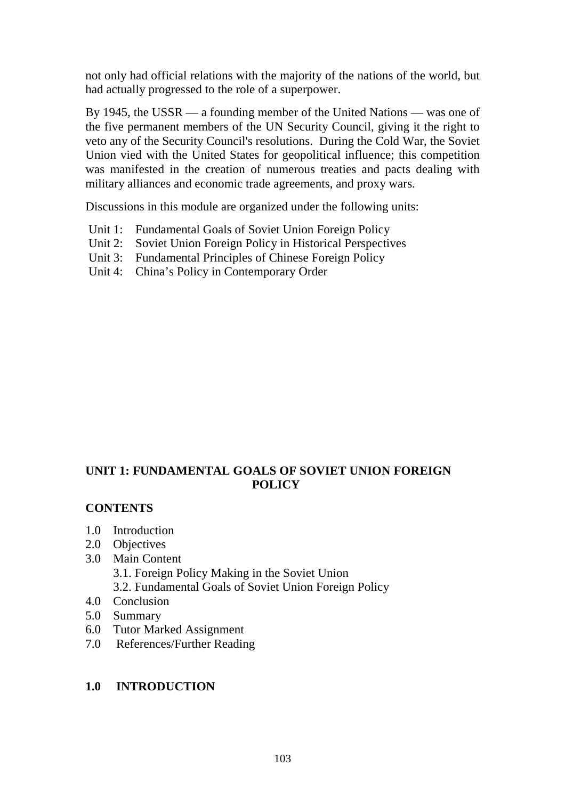not only had official relations with the majority of the nations of the world, but had actually progressed to the role of a superpower.

By 1945, the USSR — a founding member of the United Nations — was one of the five permanent members of the UN Security Council, giving it the right to veto any of the Security Council's resolutions. During the Cold War, the Soviet Union vied with the United States for geopolitical influence; this competition was manifested in the creation of numerous treaties and pacts dealing with military alliances and economic trade agreements, and proxy wars.

Discussions in this module are organized under the following units:

- Unit 1: Fundamental Goals of Soviet Union Foreign Policy
- Unit 2: Soviet Union Foreign Policy in Historical Perspectives
- Unit 3: Fundamental Principles of Chinese Foreign Policy
- Unit 4: China's Policy in Contemporary Order

# **UNIT 1: FUNDAMENTAL GOALS OF SOVIET UNION FOREIGN POLICY**

#### **CONTENTS**

- 1.0Introduction
- 2.0 Objectives
- 3.0 Main Content

3.1. Foreign Policy Making in the Soviet Union

- 3.2. Fundamental Goals of Soviet Union Foreign Policy
- 4.0 Conclusion
- 5.0 Summary
- 6.0 Tutor Marked Assignment
- 7.0 References/Further Reading

#### **1.0 INTRODUCTION**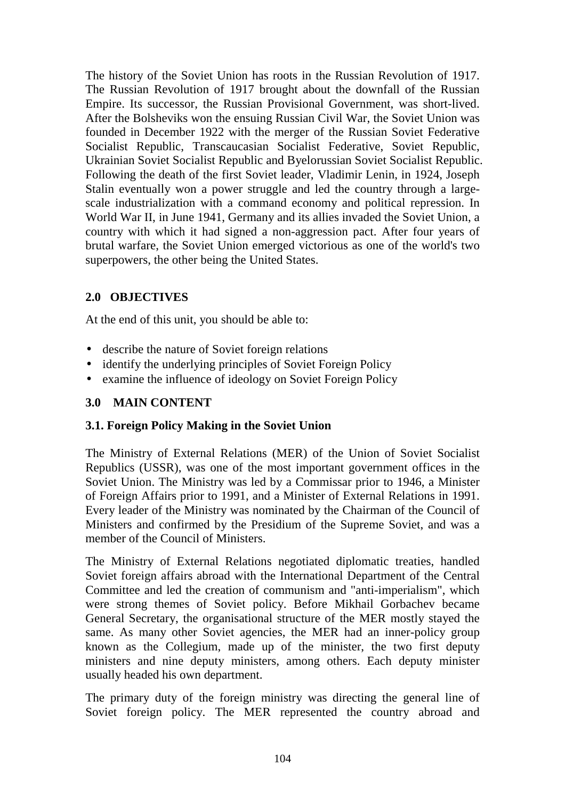The history of the Soviet Union has roots in the Russian Revolution of 1917. The Russian Revolution of 1917 brought about the downfall of the Russian Empire. Its successor, the Russian Provisional Government, was short-lived. After the Bolsheviks won the ensuing Russian Civil War, the Soviet Union was founded in December 1922 with the merger of the Russian Soviet Federative Socialist Republic, Transcaucasian Socialist Federative, Soviet Republic, Ukrainian Soviet Socialist Republic and Byelorussian Soviet Socialist Republic. Following the death of the first Soviet leader, Vladimir Lenin, in 1924, Joseph Stalin eventually won a power struggle and led the country through a largescale industrialization with a command economy and political repression. In World War II, in June 1941, Germany and its allies invaded the Soviet Union, a country with which it had signed a non-aggression pact. After four years of brutal warfare, the Soviet Union emerged victorious as one of the world's two superpowers, the other being the United States.

# **2.0 OBJECTIVES**

At the end of this unit, you should be able to:

- describe the nature of Soviet foreign relations
- identify the underlying principles of Soviet Foreign Policy
- examine the influence of ideology on Soviet Foreign Policy

## **3.0 MAIN CONTENT**

# **3.1. Foreign Policy Making in the Soviet Union**

The Ministry of External Relations (MER) of the Union of Soviet Socialist Republics (USSR), was one of the most important government offices in the Soviet Union. The Ministry was led by a Commissar prior to 1946, a Minister of Foreign Affairs prior to 1991, and a Minister of External Relations in 1991. Every leader of the Ministry was nominated by the Chairman of the Council of Ministers and confirmed by the Presidium of the Supreme Soviet, and was a member of the Council of Ministers.

The Ministry of External Relations negotiated diplomatic treaties, handled Soviet foreign affairs abroad with the International Department of the Central Committee and led the creation of communism and "anti-imperialism", which were strong themes of Soviet policy. Before Mikhail Gorbachev became General Secretary, the organisational structure of the MER mostly stayed the same. As many other Soviet agencies, the MER had an inner-policy group known as the Collegium, made up of the minister, the two first deputy ministers and nine deputy ministers, among others. Each deputy minister usually headed his own department.

The primary duty of the foreign ministry was directing the general line of Soviet foreign policy. The MER represented the country abroad and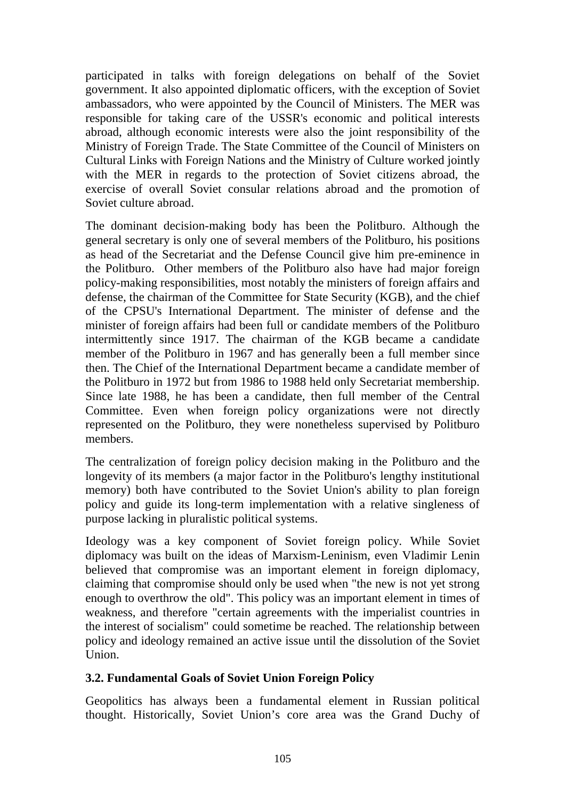participated in talks with foreign delegations on behalf of the Soviet government. It also appointed diplomatic officers, with the exception of Soviet ambassadors, who were appointed by the Council of Ministers. The MER was responsible for taking care of the USSR's economic and political interests abroad, although economic interests were also the joint responsibility of the Ministry of Foreign Trade. The State Committee of the Council of Ministers on Cultural Links with Foreign Nations and the Ministry of Culture worked jointly with the MER in regards to the protection of Soviet citizens abroad, the exercise of overall Soviet consular relations abroad and the promotion of Soviet culture abroad.

The dominant decision-making body has been the Politburo. Although the general secretary is only one of several members of the Politburo, his positions as head of the Secretariat and the Defense Council give him pre-eminence in the Politburo. Other members of the Politburo also have had major foreign policy-making responsibilities, most notably the ministers of foreign affairs and defense, the chairman of the Committee for State Security (KGB), and the chief of the CPSU's International Department. The minister of defense and the minister of foreign affairs had been full or candidate members of the Politburo intermittently since 1917. The chairman of the KGB became a candidate member of the Politburo in 1967 and has generally been a full member since then. The Chief of the International Department became a candidate member of the Politburo in 1972 but from 1986 to 1988 held only Secretariat membership. Since late 1988, he has been a candidate, then full member of the Central Committee. Even when foreign policy organizations were not directly represented on the Politburo, they were nonetheless supervised by Politburo members.

The centralization of foreign policy decision making in the Politburo and the longevity of its members (a major factor in the Politburo's lengthy institutional memory) both have contributed to the Soviet Union's ability to plan foreign policy and guide its long-term implementation with a relative singleness of purpose lacking in pluralistic political systems.

Ideology was a key component of Soviet foreign policy. While Soviet diplomacy was built on the ideas of Marxism-Leninism, even Vladimir Lenin believed that compromise was an important element in foreign diplomacy, claiming that compromise should only be used when "the new is not yet strong enough to overthrow the old". This policy was an important element in times of weakness, and therefore "certain agreements with the imperialist countries in the interest of socialism" could sometime be reached. The relationship between policy and ideology remained an active issue until the dissolution of the Soviet Union.

#### **3.2. Fundamental Goals of Soviet Union Foreign Policy**

Geopolitics has always been a fundamental element in Russian political thought. Historically, Soviet Union's core area was the Grand Duchy of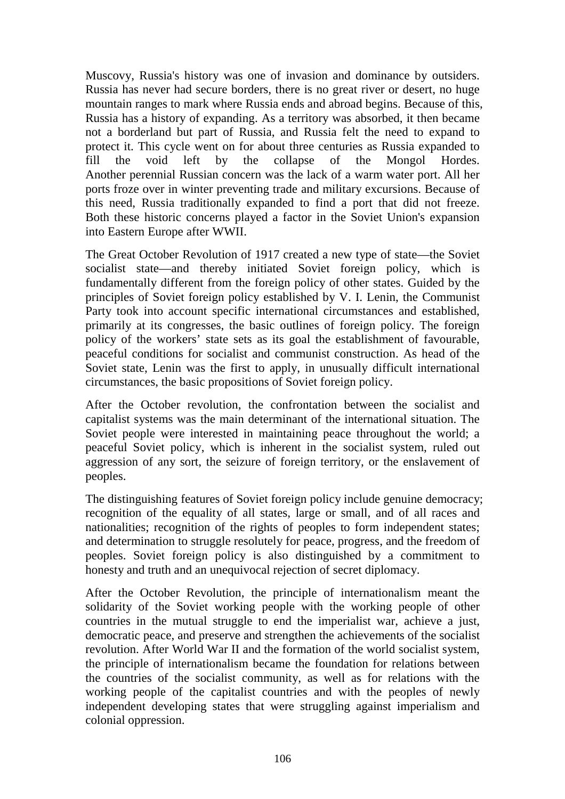Muscovy, Russia's history was one of invasion and dominance by outsiders. Russia has never had secure borders, there is no great river or desert, no huge mountain ranges to mark where Russia ends and abroad begins. Because of this, Russia has a history of expanding. As a territory was absorbed, it then became not a borderland but part of Russia, and Russia felt the need to expand to protect it. This cycle went on for about three centuries as Russia expanded to fill the void left by the collapse of the Mongol Hordes. Another perennial Russian concern was the lack of a warm water port. All her ports froze over in winter preventing trade and military excursions. Because of this need, Russia traditionally expanded to find a port that did not freeze. Both these historic concerns played a factor in the Soviet Union's expansion into Eastern Europe after WWII.

The Great October Revolution of 1917 created a new type of state—the Soviet socialist state—and thereby initiated Soviet foreign policy, which is fundamentally different from the foreign policy of other states. Guided by the principles of Soviet foreign policy established by V. I. Lenin, the Communist Party took into account specific international circumstances and established, primarily at its congresses, the basic outlines of foreign policy. The foreign policy of the workers' state sets as its goal the establishment of favourable, peaceful conditions for socialist and communist construction. As head of the Soviet state, Lenin was the first to apply, in unusually difficult international circumstances, the basic propositions of Soviet foreign policy.

After the October revolution, the confrontation between the socialist and capitalist systems was the main determinant of the international situation. The Soviet people were interested in maintaining peace throughout the world; a peaceful Soviet policy, which is inherent in the socialist system, ruled out aggression of any sort, the seizure of foreign territory, or the enslavement of peoples.

The distinguishing features of Soviet foreign policy include genuine democracy; recognition of the equality of all states, large or small, and of all races and nationalities; recognition of the rights of peoples to form independent states; and determination to struggle resolutely for peace, progress, and the freedom of peoples. Soviet foreign policy is also distinguished by a commitment to honesty and truth and an unequivocal rejection of secret diplomacy.

After the October Revolution, the principle of internationalism meant the solidarity of the Soviet working people with the working people of other countries in the mutual struggle to end the imperialist war, achieve a just, democratic peace, and preserve and strengthen the achievements of the socialist revolution. After World War II and the formation of the world socialist system, the principle of internationalism became the foundation for relations between the countries of the socialist community, as well as for relations with the working people of the capitalist countries and with the peoples of newly independent developing states that were struggling against imperialism and colonial oppression.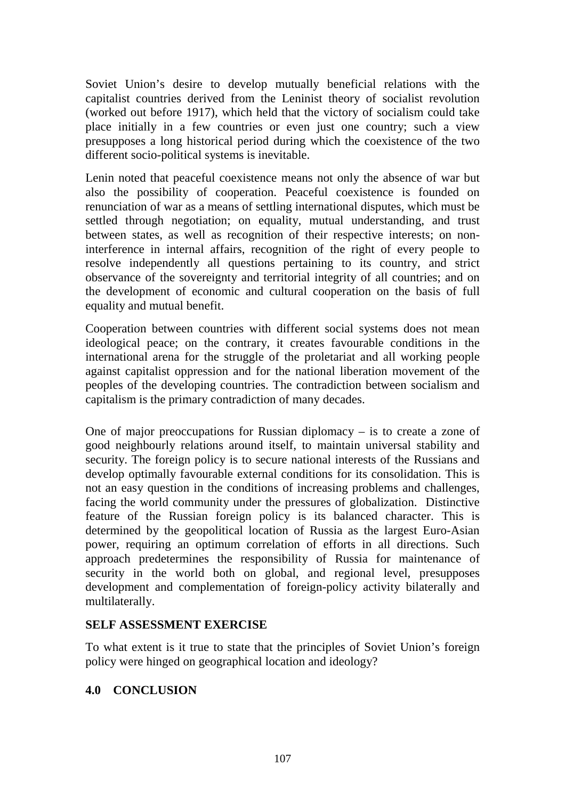Soviet Union's desire to develop mutually beneficial relations with the capitalist countries derived from the Leninist theory of socialist revolution (worked out before 1917), which held that the victory of socialism could take place initially in a few countries or even just one country; such a view presupposes a long historical period during which the coexistence of the two different socio-political systems is inevitable.

Lenin noted that peaceful coexistence means not only the absence of war but also the possibility of cooperation. Peaceful coexistence is founded on renunciation of war as a means of settling international disputes, which must be settled through negotiation; on equality, mutual understanding, and trust between states, as well as recognition of their respective interests; on noninterference in internal affairs, recognition of the right of every people to resolve independently all questions pertaining to its country, and strict observance of the sovereignty and territorial integrity of all countries; and on the development of economic and cultural cooperation on the basis of full equality and mutual benefit.

Cooperation between countries with different social systems does not mean ideological peace; on the contrary, it creates favourable conditions in the international arena for the struggle of the proletariat and all working people against capitalist oppression and for the national liberation movement of the peoples of the developing countries. The contradiction between socialism and capitalism is the primary contradiction of many decades.

One of major preoccupations for Russian diplomacy – is to create a zone of good neighbourly relations around itself, to maintain universal stability and security. The foreign policy is to secure national interests of the Russians and develop optimally favourable external conditions for its consolidation. This is not an easy question in the conditions of increasing problems and challenges, facing the world community under the pressures of globalization. Distinctive feature of the Russian foreign policy is its balanced character. This is determined by the geopolitical location of Russia as the largest Euro-Asian power, requiring an optimum correlation of efforts in all directions. Such approach predetermines the responsibility of Russia for maintenance of security in the world both on global, and regional level, presupposes development and complementation of foreign-policy activity bilaterally and multilaterally.

#### **SELF ASSESSMENT EXERCISE**

To what extent is it true to state that the principles of Soviet Union's foreign policy were hinged on geographical location and ideology?

# **4.0 CONCLUSION**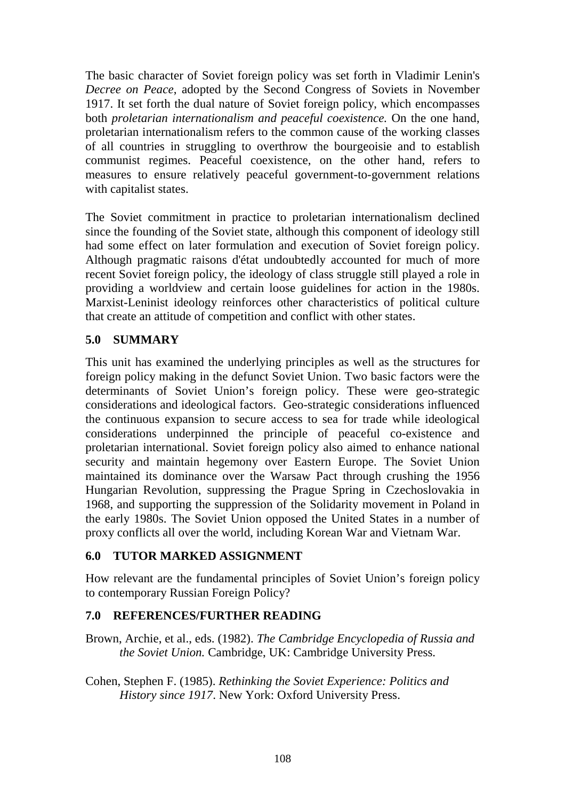The basic character of Soviet foreign policy was set forth in Vladimir Lenin's *Decree on Peace*, adopted by the Second Congress of Soviets in November 1917. It set forth the dual nature of Soviet foreign policy, which encompasses both *proletarian internationalism and peaceful coexistence.* On the one hand, proletarian internationalism refers to the common cause of the working classes of all countries in struggling to overthrow the bourgeoisie and to establish communist regimes. Peaceful coexistence, on the other hand, refers to measures to ensure relatively peaceful government-to-government relations with capitalist states.

The Soviet commitment in practice to proletarian internationalism declined since the founding of the Soviet state, although this component of ideology still had some effect on later formulation and execution of Soviet foreign policy. Although pragmatic raisons d'état undoubtedly accounted for much of more recent Soviet foreign policy, the ideology of class struggle still played a role in providing a worldview and certain loose guidelines for action in the 1980s. Marxist-Leninist ideology reinforces other characteristics of political culture that create an attitude of competition and conflict with other states.

### **5.0 SUMMARY**

This unit has examined the underlying principles as well as the structures for foreign policy making in the defunct Soviet Union. Two basic factors were the determinants of Soviet Union's foreign policy. These were geo-strategic considerations and ideological factors. Geo-strategic considerations influenced the continuous expansion to secure access to sea for trade while ideological considerations underpinned the principle of peaceful co-existence and proletarian international. Soviet foreign policy also aimed to enhance national security and maintain hegemony over Eastern Europe. The Soviet Union maintained its dominance over the Warsaw Pact through crushing the 1956 Hungarian Revolution, suppressing the Prague Spring in Czechoslovakia in 1968, and supporting the suppression of the Solidarity movement in Poland in the early 1980s. The Soviet Union opposed the United States in a number of proxy conflicts all over the world, including Korean War and Vietnam War.

### **6.0 TUTOR MARKED ASSIGNMENT**

How relevant are the fundamental principles of Soviet Union's foreign policy to contemporary Russian Foreign Policy?

# **7.0 REFERENCES/FURTHER READING**

Brown, Archie, et al., eds. (1982). *The Cambridge Encyclopedia of Russia and the Soviet Union.* Cambridge, UK: Cambridge University Press.

Cohen, Stephen F. (1985). *Rethinking the Soviet Experience: Politics and History since 1917*. New York: Oxford University Press.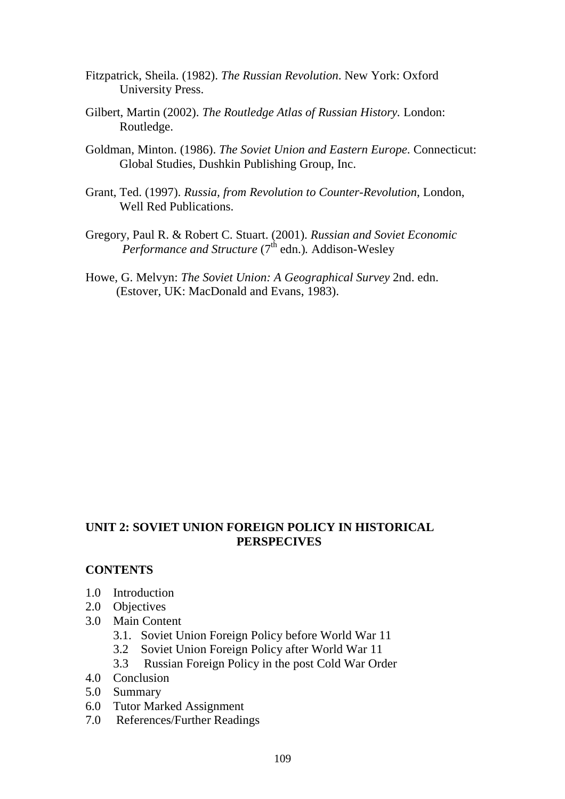- Fitzpatrick, Sheila. (1982). *The Russian Revolution*. New York: Oxford University Press.
- Gilbert, Martin (2002). *The Routledge Atlas of Russian History.* London: Routledge.
- Goldman, Minton. (1986). *The Soviet Union and Eastern Europe.* Connecticut: Global Studies, Dushkin Publishing Group, Inc.
- Grant, Ted. (1997). *Russia, from Revolution to Counter-Revolution*, London, Well Red Publications.
- Gregory, Paul R. & Robert C. Stuart. (2001). *Russian and Soviet Economic Performance and Structure* (7<sup>th</sup> edn.). Addison-Wesley
- Howe, G. Melvyn: *The Soviet Union: A Geographical Survey* 2nd. edn. (Estover, UK: MacDonald and Evans, 1983).

#### **UNIT 2: SOVIET UNION FOREIGN POLICY IN HISTORICAL PERSPECIVES**

#### **CONTENTS**

- 1.0Introduction
- 2.0 Objectives
- 3.0 Main Content
	- 3.1. Soviet Union Foreign Policy before World War 11
	- 3.2 Soviet Union Foreign Policy after World War 11
	- 3.3 Russian Foreign Policy in the post Cold War Order
- 4.0 Conclusion
- 5.0 Summary
- 6.0 Tutor Marked Assignment
- 7.0 References/Further Readings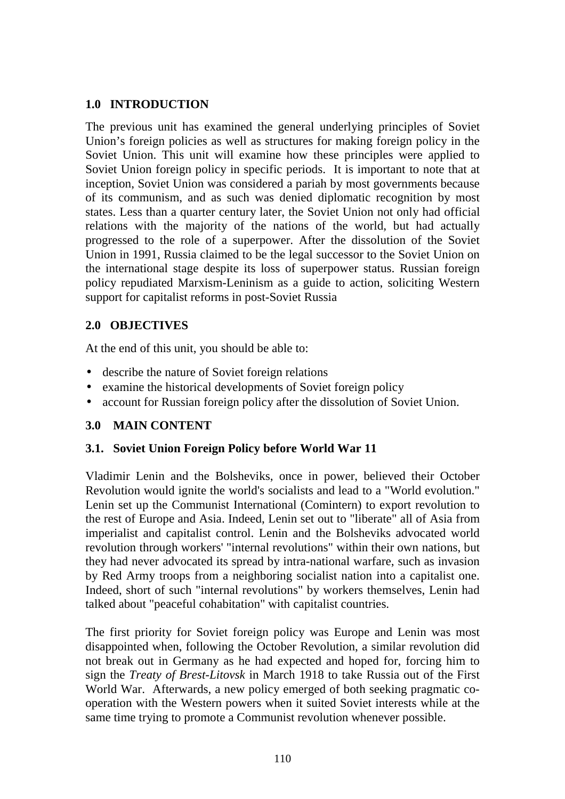### **1.0 INTRODUCTION**

The previous unit has examined the general underlying principles of Soviet Union's foreign policies as well as structures for making foreign policy in the Soviet Union. This unit will examine how these principles were applied to Soviet Union foreign policy in specific periods. It is important to note that at inception, Soviet Union was considered a pariah by most governments because of its communism, and as such was denied diplomatic recognition by most states. Less than a quarter century later, the Soviet Union not only had official relations with the majority of the nations of the world, but had actually progressed to the role of a superpower. After the dissolution of the Soviet Union in 1991, Russia claimed to be the legal successor to the Soviet Union on the international stage despite its loss of superpower status. Russian foreign policy repudiated Marxism-Leninism as a guide to action, soliciting Western support for capitalist reforms in post-Soviet Russia

### **2.0 OBJECTIVES**

At the end of this unit, you should be able to:

- describe the nature of Soviet foreign relations
- examine the historical developments of Soviet foreign policy
- account for Russian foreign policy after the dissolution of Soviet Union.

### **3.0 MAIN CONTENT**

### **3.1. Soviet Union Foreign Policy before World War 11**

Vladimir Lenin and the Bolsheviks, once in power, believed their October Revolution would ignite the world's socialists and lead to a "World evolution." Lenin set up the Communist International (Comintern) to export revolution to the rest of Europe and Asia. Indeed, Lenin set out to "liberate" all of Asia from imperialist and capitalist control. Lenin and the Bolsheviks advocated world revolution through workers' "internal revolutions" within their own nations, but they had never advocated its spread by intra-national warfare, such as invasion by Red Army troops from a neighboring socialist nation into a capitalist one. Indeed, short of such "internal revolutions" by workers themselves, Lenin had talked about "peaceful cohabitation" with capitalist countries.

The first priority for Soviet foreign policy was Europe and Lenin was most disappointed when, following the October Revolution, a similar revolution did not break out in Germany as he had expected and hoped for, forcing him to sign the *Treaty of Brest-Litovsk* in March 1918 to take Russia out of the First World War. Afterwards, a new policy emerged of both seeking pragmatic cooperation with the Western powers when it suited Soviet interests while at the same time trying to promote a Communist revolution whenever possible.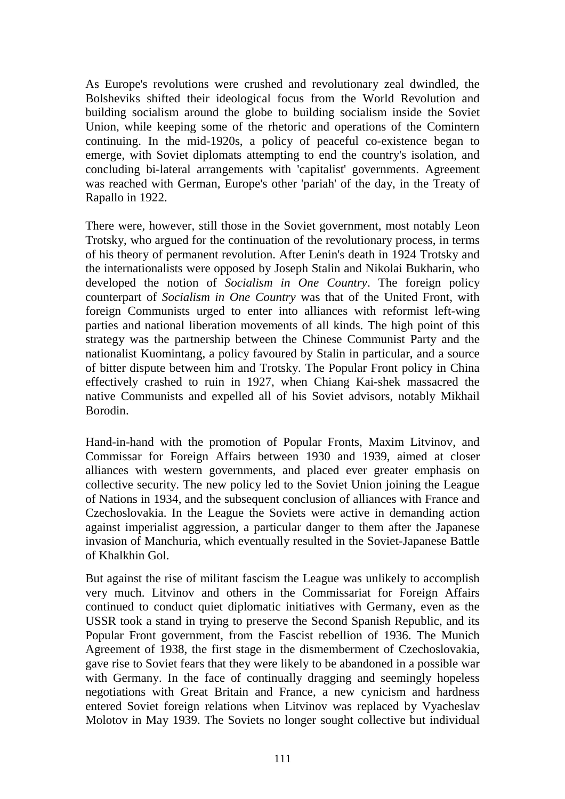As Europe's revolutions were crushed and revolutionary zeal dwindled, the Bolsheviks shifted their ideological focus from the World Revolution and building socialism around the globe to building socialism inside the Soviet Union, while keeping some of the rhetoric and operations of the Comintern continuing. In the mid-1920s, a policy of peaceful co-existence began to emerge, with Soviet diplomats attempting to end the country's isolation, and concluding bi-lateral arrangements with 'capitalist' governments. Agreement was reached with German, Europe's other 'pariah' of the day, in the Treaty of Rapallo in 1922.

There were, however, still those in the Soviet government, most notably Leon Trotsky, who argued for the continuation of the revolutionary process, in terms of his theory of permanent revolution. After Lenin's death in 1924 Trotsky and the internationalists were opposed by Joseph Stalin and Nikolai Bukharin, who developed the notion of *Socialism in One Country*. The foreign policy counterpart of *Socialism in One Country* was that of the United Front, with foreign Communists urged to enter into alliances with reformist left-wing parties and national liberation movements of all kinds. The high point of this strategy was the partnership between the Chinese Communist Party and the nationalist Kuomintang, a policy favoured by Stalin in particular, and a source of bitter dispute between him and Trotsky. The Popular Front policy in China effectively crashed to ruin in 1927, when Chiang Kai-shek massacred the native Communists and expelled all of his Soviet advisors, notably Mikhail Borodin.

Hand-in-hand with the promotion of Popular Fronts, Maxim Litvinov, and Commissar for Foreign Affairs between 1930 and 1939, aimed at closer alliances with western governments, and placed ever greater emphasis on collective security. The new policy led to the Soviet Union joining the League of Nations in 1934, and the subsequent conclusion of alliances with France and Czechoslovakia. In the League the Soviets were active in demanding action against imperialist aggression, a particular danger to them after the Japanese invasion of Manchuria, which eventually resulted in the Soviet-Japanese Battle of Khalkhin Gol.

But against the rise of militant fascism the League was unlikely to accomplish very much. Litvinov and others in the Commissariat for Foreign Affairs continued to conduct quiet diplomatic initiatives with Germany, even as the USSR took a stand in trying to preserve the Second Spanish Republic, and its Popular Front government, from the Fascist rebellion of 1936. The Munich Agreement of 1938, the first stage in the dismemberment of Czechoslovakia, gave rise to Soviet fears that they were likely to be abandoned in a possible war with Germany. In the face of continually dragging and seemingly hopeless negotiations with Great Britain and France, a new cynicism and hardness entered Soviet foreign relations when Litvinov was replaced by Vyacheslav Molotov in May 1939. The Soviets no longer sought collective but individual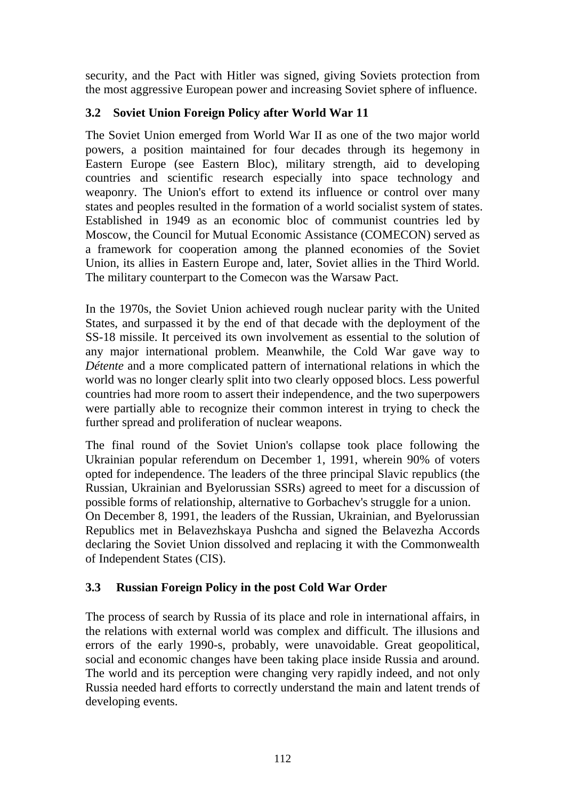security, and the Pact with Hitler was signed, giving Soviets protection from the most aggressive European power and increasing Soviet sphere of influence.

### **3.2 Soviet Union Foreign Policy after World War 11**

The Soviet Union emerged from World War II as one of the two major world powers, a position maintained for four decades through its hegemony in Eastern Europe (see Eastern Bloc), military strength, aid to developing countries and scientific research especially into space technology and weaponry. The Union's effort to extend its influence or control over many states and peoples resulted in the formation of a world socialist system of states. Established in 1949 as an economic bloc of communist countries led by Moscow, the Council for Mutual Economic Assistance (COMECON) served as a framework for cooperation among the planned economies of the Soviet Union, its allies in Eastern Europe and, later, Soviet allies in the Third World. The military counterpart to the Comecon was the Warsaw Pact.

In the 1970s, the Soviet Union achieved rough nuclear parity with the United States, and surpassed it by the end of that decade with the deployment of the SS-18 missile. It perceived its own involvement as essential to the solution of any major international problem. Meanwhile, the Cold War gave way to *Détente* and a more complicated pattern of international relations in which the world was no longer clearly split into two clearly opposed blocs. Less powerful countries had more room to assert their independence, and the two superpowers were partially able to recognize their common interest in trying to check the further spread and proliferation of nuclear weapons.

The final round of the Soviet Union's collapse took place following the Ukrainian popular referendum on December 1, 1991, wherein 90% of voters opted for independence. The leaders of the three principal Slavic republics (the Russian, Ukrainian and Byelorussian SSRs) agreed to meet for a discussion of possible forms of relationship, alternative to Gorbachev's struggle for a union. On December 8, 1991, the leaders of the Russian, Ukrainian, and Byelorussian Republics met in Belavezhskaya Pushcha and signed the Belavezha Accords declaring the Soviet Union dissolved and replacing it with the Commonwealth of Independent States (CIS).

# **3.3 Russian Foreign Policy in the post Cold War Order**

The process of search by Russia of its place and role in international affairs, in the relations with external world was complex and difficult. The illusions and errors of the early 1990-s, probably, were unavoidable. Great geopolitical, social and economic changes have been taking place inside Russia and around. The world and its perception were changing very rapidly indeed, and not only Russia needed hard efforts to correctly understand the main and latent trends of developing events.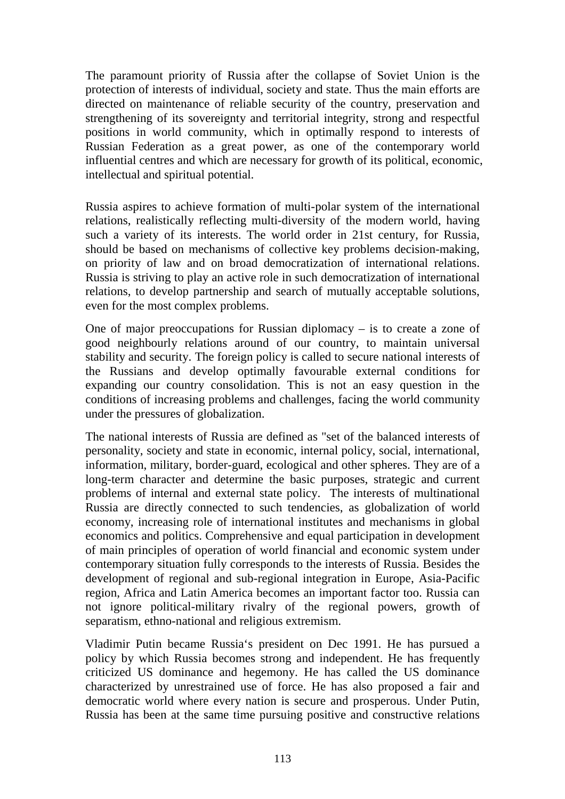The paramount priority of Russia after the collapse of Soviet Union is the protection of interests of individual, society and state. Thus the main efforts are directed on maintenance of reliable security of the country, preservation and strengthening of its sovereignty and territorial integrity, strong and respectful positions in world community, which in optimally respond to interests of Russian Federation as a great power, as one of the contemporary world influential centres and which are necessary for growth of its political, economic, intellectual and spiritual potential.

Russia aspires to achieve formation of multi-polar system of the international relations, realistically reflecting multi-diversity of the modern world, having such a variety of its interests. The world order in 21st century, for Russia, should be based on mechanisms of collective key problems decision-making, on priority of law and on broad democratization of international relations. Russia is striving to play an active role in such democratization of international relations, to develop partnership and search of mutually acceptable solutions, even for the most complex problems.

One of major preoccupations for Russian diplomacy – is to create a zone of good neighbourly relations around of our country, to maintain universal stability and security. The foreign policy is called to secure national interests of the Russians and develop optimally favourable external conditions for expanding our country consolidation. This is not an easy question in the conditions of increasing problems and challenges, facing the world community under the pressures of globalization.

The national interests of Russia are defined as "set of the balanced interests of personality, society and state in economic, internal policy, social, international, information, military, border-guard, ecological and other spheres. They are of a long-term character and determine the basic purposes, strategic and current problems of internal and external state policy. The interests of multinational Russia are directly connected to such tendencies, as globalization of world economy, increasing role of international institutes and mechanisms in global economics and politics. Comprehensive and equal participation in development of main principles of operation of world financial and economic system under contemporary situation fully corresponds to the interests of Russia. Besides the development of regional and sub-regional integration in Europe, Asia-Pacific region, Africa and Latin America becomes an important factor too. Russia can not ignore political-military rivalry of the regional powers, growth of separatism, ethno-national and religious extremism.

Vladimir Putin became Russia's president on Dec 1991. He has pursued a policy by which Russia becomes strong and independent. He has frequently criticized US dominance and hegemony. He has called the US dominance characterized by unrestrained use of force. He has also proposed a fair and democratic world where every nation is secure and prosperous. Under Putin, Russia has been at the same time pursuing positive and constructive relations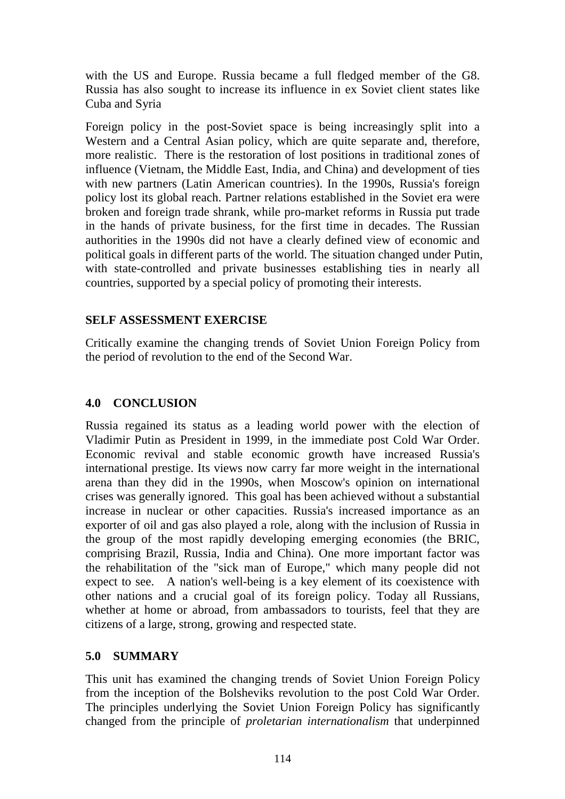with the US and Europe. Russia became a full fledged member of the G8. Russia has also sought to increase its influence in ex Soviet client states like Cuba and Syria

Foreign policy in the post-Soviet space is being increasingly split into a Western and a Central Asian policy, which are quite separate and, therefore, more realistic. There is the restoration of lost positions in traditional zones of influence (Vietnam, the Middle East, India, and China) and development of ties with new partners (Latin American countries). In the 1990s, Russia's foreign policy lost its global reach. Partner relations established in the Soviet era were broken and foreign trade shrank, while pro-market reforms in Russia put trade in the hands of private business, for the first time in decades. The Russian authorities in the 1990s did not have a clearly defined view of economic and political goals in different parts of the world. The situation changed under Putin, with state-controlled and private businesses establishing ties in nearly all countries, supported by a special policy of promoting their interests.

#### **SELF ASSESSMENT EXERCISE**

Critically examine the changing trends of Soviet Union Foreign Policy from the period of revolution to the end of the Second War.

### **4.0 CONCLUSION**

Russia regained its status as a leading world power with the election of Vladimir Putin as President in 1999, in the immediate post Cold War Order. Economic revival and stable economic growth have increased Russia's international prestige. Its views now carry far more weight in the international arena than they did in the 1990s, when Moscow's opinion on international crises was generally ignored. This goal has been achieved without a substantial increase in nuclear or other capacities. Russia's increased importance as an exporter of oil and gas also played a role, along with the inclusion of Russia in the group of the most rapidly developing emerging economies (the BRIC, comprising Brazil, Russia, India and China). One more important factor was the rehabilitation of the "sick man of Europe," which many people did not expect to see. A nation's well-being is a key element of its coexistence with other nations and a crucial goal of its foreign policy. Today all Russians, whether at home or abroad, from ambassadors to tourists, feel that they are citizens of a large, strong, growing and respected state.

### **5.0 SUMMARY**

This unit has examined the changing trends of Soviet Union Foreign Policy from the inception of the Bolsheviks revolution to the post Cold War Order. The principles underlying the Soviet Union Foreign Policy has significantly changed from the principle of *proletarian internationalism* that underpinned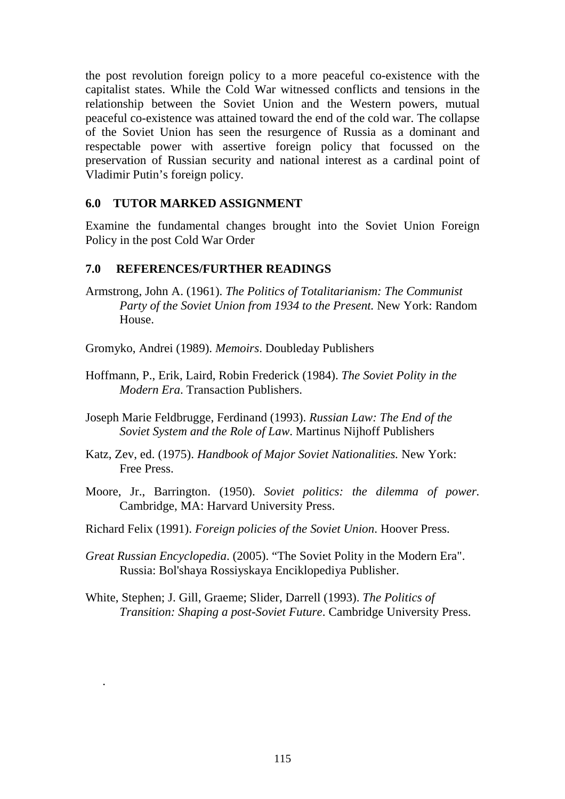the post revolution foreign policy to a more peaceful co-existence with the capitalist states. While the Cold War witnessed conflicts and tensions in the relationship between the Soviet Union and the Western powers, mutual peaceful co-existence was attained toward the end of the cold war. The collapse of the Soviet Union has seen the resurgence of Russia as a dominant and respectable power with assertive foreign policy that focussed on the preservation of Russian security and national interest as a cardinal point of Vladimir Putin's foreign policy.

#### **6.0 TUTOR MARKED ASSIGNMENT**

.

Examine the fundamental changes brought into the Soviet Union Foreign Policy in the post Cold War Order

#### **7.0 REFERENCES/FURTHER READINGS**

- Armstrong, John A. (1961). *The Politics of Totalitarianism: The Communist Party of the Soviet Union from 1934 to the Present.* New York: Random House.
- Gromyko, Andrei (1989). *Memoirs*. Doubleday Publishers
- Hoffmann, P., Erik, Laird, Robin Frederick (1984). *The Soviet Polity in the Modern Era*. Transaction Publishers.
- Joseph Marie Feldbrugge, Ferdinand (1993). *Russian Law: The End of the Soviet System and the Role of Law*. Martinus Nijhoff Publishers
- Katz, Zev, ed. (1975). *Handbook of Major Soviet Nationalities.* New York: Free Press.
- Moore, Jr., Barrington. (1950). *Soviet politics: the dilemma of power.* Cambridge, MA: Harvard University Press.
- Richard Felix (1991). *Foreign policies of the Soviet Union*. Hoover Press.
- *Great Russian Encyclopedia*. (2005). "The Soviet Polity in the Modern Era". Russia: Bol'shaya Rossiyskaya Enciklopediya Publisher.
- White, Stephen; J. Gill, Graeme; Slider, Darrell (1993). *The Politics of Transition: Shaping a post-Soviet Future*. Cambridge University Press.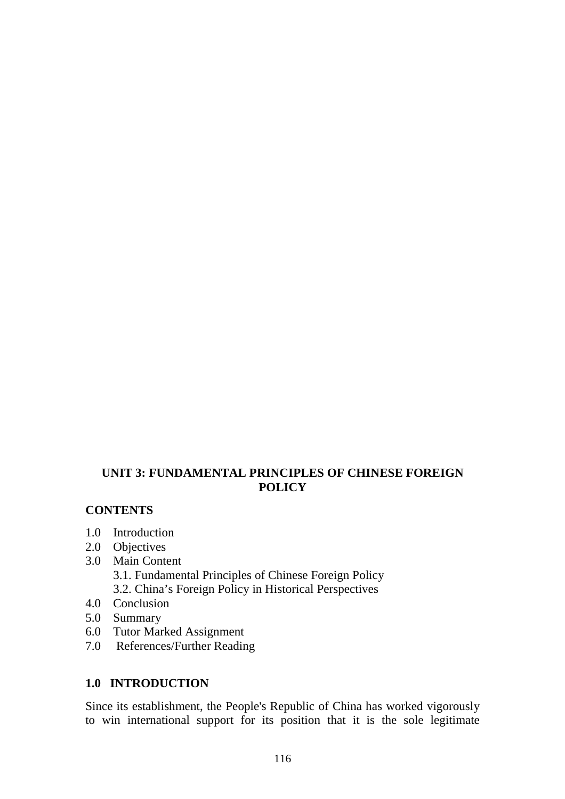### **UNIT 3: FUNDAMENTAL PRINCIPLES OF CHINESE FOREIGN POLICY**

### **CONTENTS**

- 1.0Introduction
- 2.0 Objectives
- 3.0 Main Content
	- 3.1. Fundamental Principles of Chinese Foreign Policy
	- 3.2. China's Foreign Policy in Historical Perspectives
- 4.0 Conclusion
- 5.0 Summary
- 6.0 Tutor Marked Assignment
- 7.0 References/Further Reading

### **1.0 INTRODUCTION**

Since its establishment, the People's Republic of China has worked vigorously to win international support for its position that it is the sole legitimate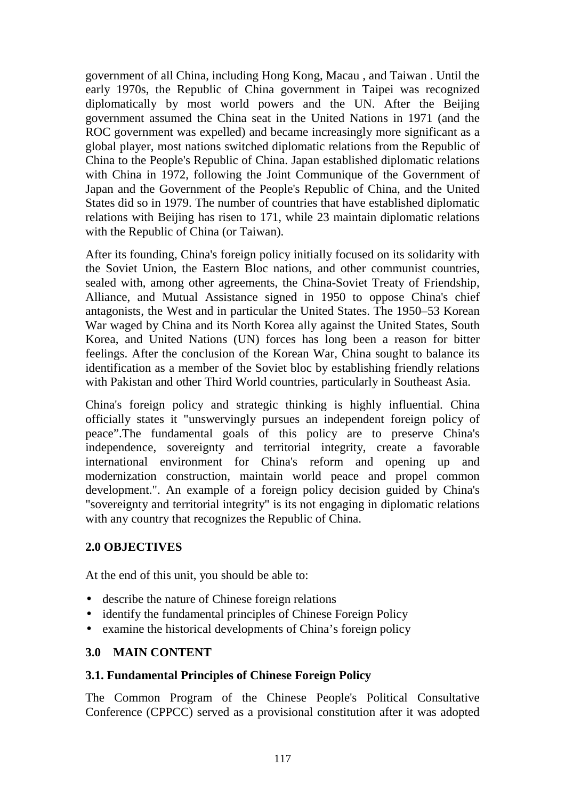government of all China, including Hong Kong, Macau , and Taiwan . Until the early 1970s, the Republic of China government in Taipei was recognized diplomatically by most world powers and the UN. After the Beijing government assumed the China seat in the United Nations in 1971 (and the ROC government was expelled) and became increasingly more significant as a global player, most nations switched diplomatic relations from the Republic of China to the People's Republic of China. Japan established diplomatic relations with China in 1972, following the Joint Communique of the Government of Japan and the Government of the People's Republic of China, and the United States did so in 1979. The number of countries that have established diplomatic relations with Beijing has risen to 171, while 23 maintain diplomatic relations with the Republic of China (or Taiwan).

After its founding, China's foreign policy initially focused on its solidarity with the Soviet Union, the Eastern Bloc nations, and other communist countries, sealed with, among other agreements, the China-Soviet Treaty of Friendship, Alliance, and Mutual Assistance signed in 1950 to oppose China's chief antagonists, the West and in particular the United States. The 1950–53 Korean War waged by China and its North Korea ally against the United States, South Korea, and United Nations (UN) forces has long been a reason for bitter feelings. After the conclusion of the Korean War, China sought to balance its identification as a member of the Soviet bloc by establishing friendly relations with Pakistan and other Third World countries, particularly in Southeast Asia.

China's foreign policy and strategic thinking is highly influential. China officially states it "unswervingly pursues an independent foreign policy of peace".The fundamental goals of this policy are to preserve China's independence, sovereignty and territorial integrity, create a favorable international environment for China's reform and opening up and modernization construction, maintain world peace and propel common development.". An example of a foreign policy decision guided by China's "sovereignty and territorial integrity" is its not engaging in diplomatic relations with any country that recognizes the Republic of China.

### **2.0 OBJECTIVES**

At the end of this unit, you should be able to:

- describe the nature of Chinese foreign relations
- identify the fundamental principles of Chinese Foreign Policy
- examine the historical developments of China's foreign policy

### **3.0 MAIN CONTENT**

#### **3.1. Fundamental Principles of Chinese Foreign Policy**

The Common Program of the Chinese People's Political Consultative Conference (CPPCC) served as a provisional constitution after it was adopted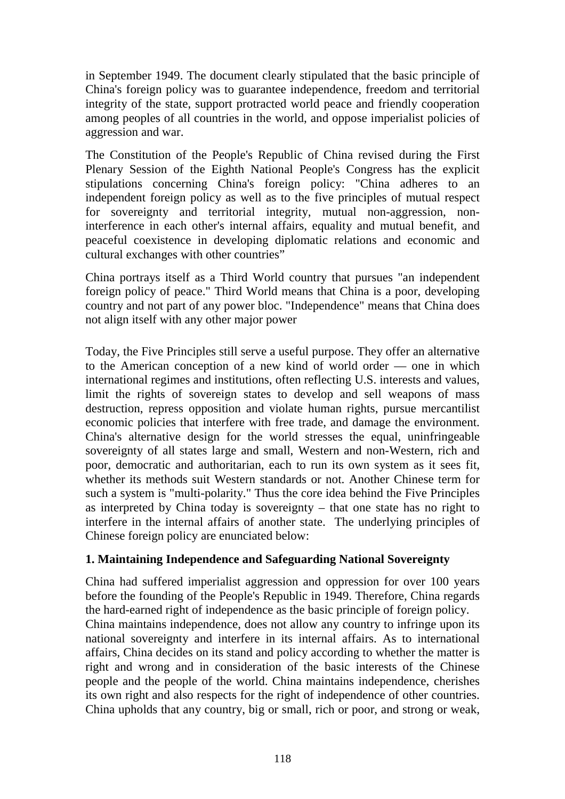in September 1949. The document clearly stipulated that the basic principle of China's foreign policy was to guarantee independence, freedom and territorial integrity of the state, support protracted world peace and friendly cooperation among peoples of all countries in the world, and oppose imperialist policies of aggression and war.

The Constitution of the People's Republic of China revised during the First Plenary Session of the Eighth National People's Congress has the explicit stipulations concerning China's foreign policy: "China adheres to an independent foreign policy as well as to the five principles of mutual respect for sovereignty and territorial integrity, mutual non-aggression, noninterference in each other's internal affairs, equality and mutual benefit, and peaceful coexistence in developing diplomatic relations and economic and cultural exchanges with other countries"

China portrays itself as a Third World country that pursues "an independent foreign policy of peace." Third World means that China is a poor, developing country and not part of any power bloc. "Independence" means that China does not align itself with any other major power

Today, the Five Principles still serve a useful purpose. They offer an alternative to the American conception of a new kind of world order — one in which international regimes and institutions, often reflecting U.S. interests and values, limit the rights of sovereign states to develop and sell weapons of mass destruction, repress opposition and violate human rights, pursue mercantilist economic policies that interfere with free trade, and damage the environment. China's alternative design for the world stresses the equal, uninfringeable sovereignty of all states large and small, Western and non-Western, rich and poor, democratic and authoritarian, each to run its own system as it sees fit, whether its methods suit Western standards or not. Another Chinese term for such a system is "multi-polarity." Thus the core idea behind the Five Principles as interpreted by China today is sovereignty – that one state has no right to interfere in the internal affairs of another state. The underlying principles of Chinese foreign policy are enunciated below:

# **1. Maintaining Independence and Safeguarding National Sovereignty**

China had suffered imperialist aggression and oppression for over 100 years before the founding of the People's Republic in 1949. Therefore, China regards the hard-earned right of independence as the basic principle of foreign policy.

China maintains independence, does not allow any country to infringe upon its national sovereignty and interfere in its internal affairs. As to international affairs, China decides on its stand and policy according to whether the matter is right and wrong and in consideration of the basic interests of the Chinese people and the people of the world. China maintains independence, cherishes its own right and also respects for the right of independence of other countries. China upholds that any country, big or small, rich or poor, and strong or weak,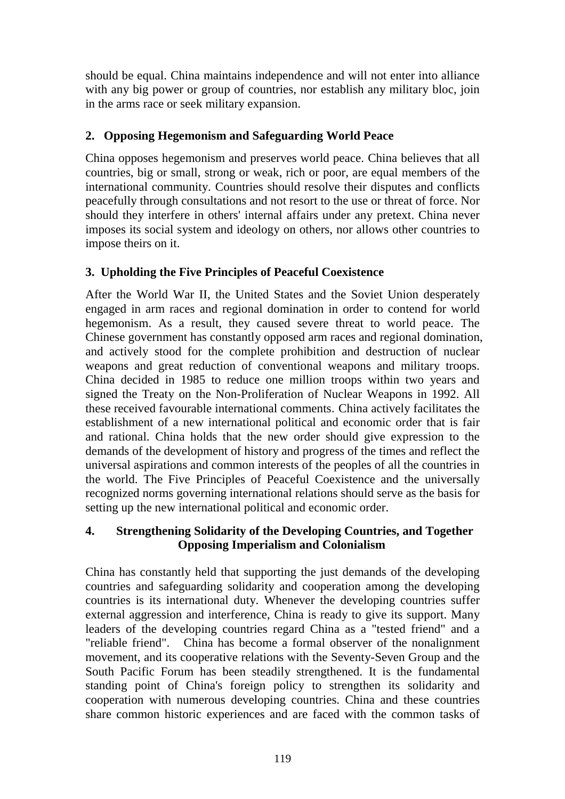should be equal. China maintains independence and will not enter into alliance with any big power or group of countries, nor establish any military bloc, join in the arms race or seek military expansion.

# **2. Opposing Hegemonism and Safeguarding World Peace**

China opposes hegemonism and preserves world peace. China believes that all countries, big or small, strong or weak, rich or poor, are equal members of the international community. Countries should resolve their disputes and conflicts peacefully through consultations and not resort to the use or threat of force. Nor should they interfere in others' internal affairs under any pretext. China never imposes its social system and ideology on others, nor allows other countries to impose theirs on it.

# **3. Upholding the Five Principles of Peaceful Coexistence**

After the World War II, the United States and the Soviet Union desperately engaged in arm races and regional domination in order to contend for world hegemonism. As a result, they caused severe threat to world peace. The Chinese government has constantly opposed arm races and regional domination, and actively stood for the complete prohibition and destruction of nuclear weapons and great reduction of conventional weapons and military troops. China decided in 1985 to reduce one million troops within two years and signed the Treaty on the Non-Proliferation of Nuclear Weapons in 1992. All these received favourable international comments. China actively facilitates the establishment of a new international political and economic order that is fair and rational. China holds that the new order should give expression to the demands of the development of history and progress of the times and reflect the universal aspirations and common interests of the peoples of all the countries in the world. The Five Principles of Peaceful Coexistence and the universally recognized norms governing international relations should serve as the basis for setting up the new international political and economic order.

# **4. Strengthening Solidarity of the Developing Countries, and Together Opposing Imperialism and Colonialism**

China has constantly held that supporting the just demands of the developing countries and safeguarding solidarity and cooperation among the developing countries is its international duty. Whenever the developing countries suffer external aggression and interference, China is ready to give its support. Many leaders of the developing countries regard China as a "tested friend" and a "reliable friend". China has become a formal observer of the nonalignment movement, and its cooperative relations with the Seventy-Seven Group and the South Pacific Forum has been steadily strengthened. It is the fundamental standing point of China's foreign policy to strengthen its solidarity and cooperation with numerous developing countries. China and these countries share common historic experiences and are faced with the common tasks of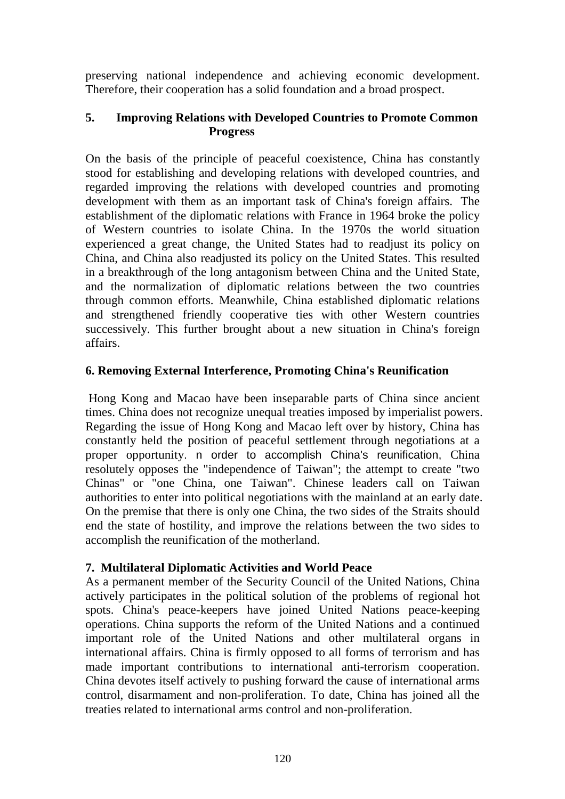preserving national independence and achieving economic development. Therefore, their cooperation has a solid foundation and a broad prospect.

### **5. Improving Relations with Developed Countries to Promote Common Progress**

On the basis of the principle of peaceful coexistence, China has constantly stood for establishing and developing relations with developed countries, and regarded improving the relations with developed countries and promoting development with them as an important task of China's foreign affairs. The establishment of the diplomatic relations with France in 1964 broke the policy of Western countries to isolate China. In the 1970s the world situation experienced a great change, the United States had to readjust its policy on China, and China also readjusted its policy on the United States. This resulted in a breakthrough of the long antagonism between China and the United State, and the normalization of diplomatic relations between the two countries through common efforts. Meanwhile, China established diplomatic relations and strengthened friendly cooperative ties with other Western countries successively. This further brought about a new situation in China's foreign affairs.

### **6. Removing External Interference, Promoting China's Reunification**

Hong Kong and Macao have been inseparable parts of China since ancient times. China does not recognize unequal treaties imposed by imperialist powers. Regarding the issue of Hong Kong and Macao left over by history, China has constantly held the position of peaceful settlement through negotiations at a proper opportunity. n order to accomplish China's reunification, China resolutely opposes the "independence of Taiwan"; the attempt to create "two Chinas" or "one China, one Taiwan". Chinese leaders call on Taiwan authorities to enter into political negotiations with the mainland at an early date. On the premise that there is only one China, the two sides of the Straits should end the state of hostility, and improve the relations between the two sides to accomplish the reunification of the motherland.

# **7. Multilateral Diplomatic Activities and World Peace**

As a permanent member of the Security Council of the United Nations, China actively participates in the political solution of the problems of regional hot spots. China's peace-keepers have joined United Nations peace-keeping operations. China supports the reform of the United Nations and a continued important role of the United Nations and other multilateral organs in international affairs. China is firmly opposed to all forms of terrorism and has made important contributions to international anti-terrorism cooperation. China devotes itself actively to pushing forward the cause of international arms control, disarmament and non-proliferation. To date, China has joined all the treaties related to international arms control and non-proliferation.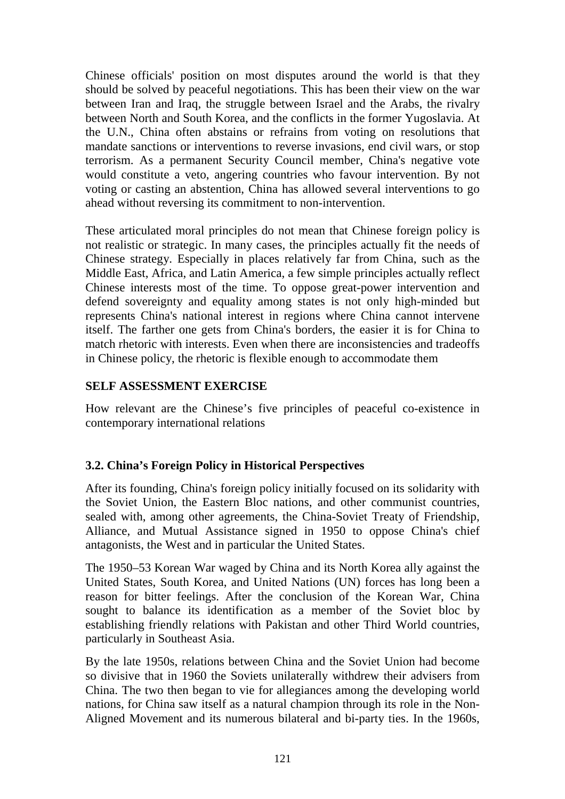Chinese officials' position on most disputes around the world is that they should be solved by peaceful negotiations. This has been their view on the war between Iran and Iraq, the struggle between Israel and the Arabs, the rivalry between North and South Korea, and the conflicts in the former Yugoslavia. At the U.N., China often abstains or refrains from voting on resolutions that mandate sanctions or interventions to reverse invasions, end civil wars, or stop terrorism. As a permanent Security Council member, China's negative vote would constitute a veto, angering countries who favour intervention. By not voting or casting an abstention, China has allowed several interventions to go ahead without reversing its commitment to non-intervention.

These articulated moral principles do not mean that Chinese foreign policy is not realistic or strategic. In many cases, the principles actually fit the needs of Chinese strategy. Especially in places relatively far from China, such as the Middle East, Africa, and Latin America, a few simple principles actually reflect Chinese interests most of the time. To oppose great-power intervention and defend sovereignty and equality among states is not only high-minded but represents China's national interest in regions where China cannot intervene itself. The farther one gets from China's borders, the easier it is for China to match rhetoric with interests. Even when there are inconsistencies and tradeoffs in Chinese policy, the rhetoric is flexible enough to accommodate them

### **SELF ASSESSMENT EXERCISE**

How relevant are the Chinese's five principles of peaceful co-existence in contemporary international relations

### **3.2. China's Foreign Policy in Historical Perspectives**

After its founding, China's foreign policy initially focused on its solidarity with the Soviet Union, the Eastern Bloc nations, and other communist countries, sealed with, among other agreements, the China-Soviet Treaty of Friendship, Alliance, and Mutual Assistance signed in 1950 to oppose China's chief antagonists, the West and in particular the United States.

The 1950–53 Korean War waged by China and its North Korea ally against the United States, South Korea, and United Nations (UN) forces has long been a reason for bitter feelings. After the conclusion of the Korean War, China sought to balance its identification as a member of the Soviet bloc by establishing friendly relations with Pakistan and other Third World countries, particularly in Southeast Asia.

By the late 1950s, relations between China and the Soviet Union had become so divisive that in 1960 the Soviets unilaterally withdrew their advisers from China. The two then began to vie for allegiances among the developing world nations, for China saw itself as a natural champion through its role in the Non-Aligned Movement and its numerous bilateral and bi-party ties. In the 1960s,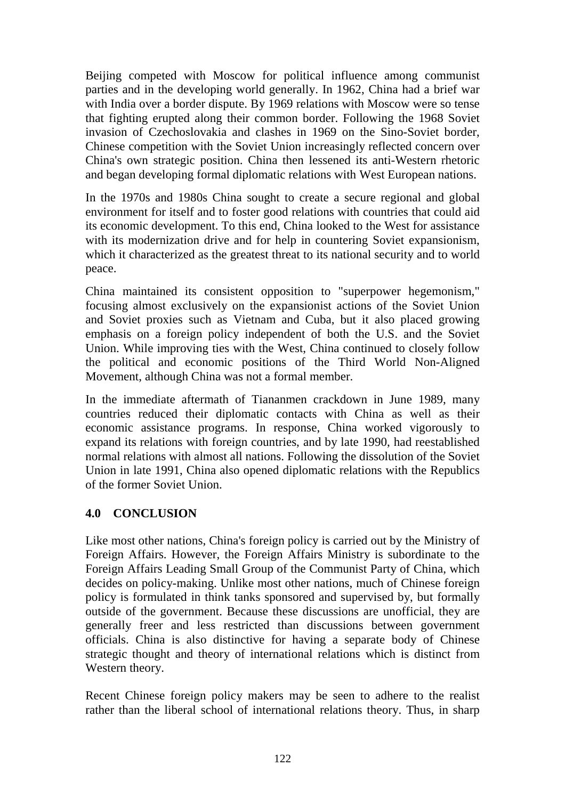Beijing competed with Moscow for political influence among communist parties and in the developing world generally. In 1962, China had a brief war with India over a border dispute. By 1969 relations with Moscow were so tense that fighting erupted along their common border. Following the 1968 Soviet invasion of Czechoslovakia and clashes in 1969 on the Sino-Soviet border, Chinese competition with the Soviet Union increasingly reflected concern over China's own strategic position. China then lessened its anti-Western rhetoric and began developing formal diplomatic relations with West European nations.

In the 1970s and 1980s China sought to create a secure regional and global environment for itself and to foster good relations with countries that could aid its economic development. To this end, China looked to the West for assistance with its modernization drive and for help in countering Soviet expansionism, which it characterized as the greatest threat to its national security and to world peace.

China maintained its consistent opposition to "superpower hegemonism," focusing almost exclusively on the expansionist actions of the Soviet Union and Soviet proxies such as Vietnam and Cuba, but it also placed growing emphasis on a foreign policy independent of both the U.S. and the Soviet Union. While improving ties with the West, China continued to closely follow the political and economic positions of the Third World Non-Aligned Movement, although China was not a formal member.

In the immediate aftermath of Tiananmen crackdown in June 1989, many countries reduced their diplomatic contacts with China as well as their economic assistance programs. In response, China worked vigorously to expand its relations with foreign countries, and by late 1990, had reestablished normal relations with almost all nations. Following the dissolution of the Soviet Union in late 1991, China also opened diplomatic relations with the Republics of the former Soviet Union.

### **4.0 CONCLUSION**

Like most other nations, China's foreign policy is carried out by the Ministry of Foreign Affairs. However, the Foreign Affairs Ministry is subordinate to the Foreign Affairs Leading Small Group of the Communist Party of China, which decides on policy-making. Unlike most other nations, much of Chinese foreign policy is formulated in think tanks sponsored and supervised by, but formally outside of the government. Because these discussions are unofficial, they are generally freer and less restricted than discussions between government officials. China is also distinctive for having a separate body of Chinese strategic thought and theory of international relations which is distinct from Western theory.

Recent Chinese foreign policy makers may be seen to adhere to the realist rather than the liberal school of international relations theory. Thus, in sharp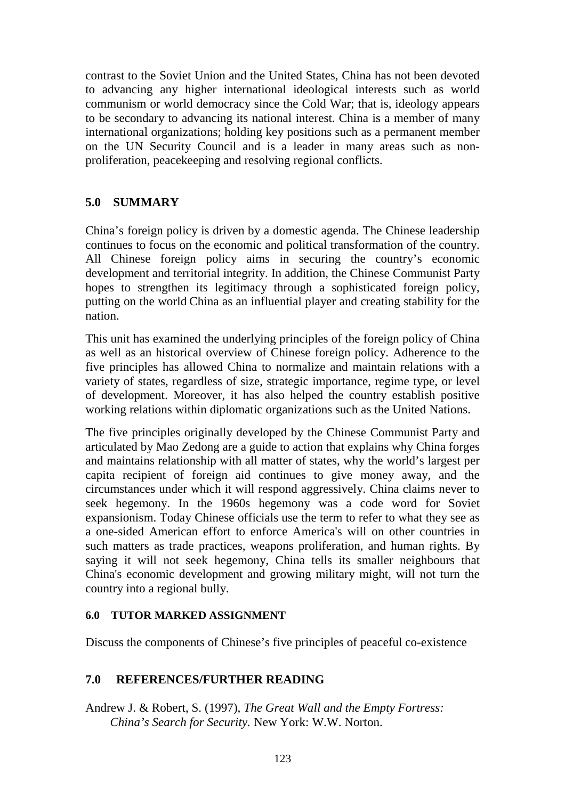contrast to the Soviet Union and the United States, China has not been devoted to advancing any higher international ideological interests such as world communism or world democracy since the Cold War; that is, ideology appears to be secondary to advancing its national interest. China is a member of many international organizations; holding key positions such as a permanent member on the UN Security Council and is a leader in many areas such as nonproliferation, peacekeeping and resolving regional conflicts.

# **5.0 SUMMARY**

China's foreign policy is driven by a domestic agenda. The Chinese leadership continues to focus on the economic and political transformation of the country. All Chinese foreign policy aims in securing the country's economic development and territorial integrity. In addition, the Chinese Communist Party hopes to strengthen its legitimacy through a sophisticated foreign policy, putting on the world China as an influential player and creating stability for the nation.

This unit has examined the underlying principles of the foreign policy of China as well as an historical overview of Chinese foreign policy. Adherence to the five principles has allowed China to normalize and maintain relations with a variety of states, regardless of size, strategic importance, regime type, or level of development. Moreover, it has also helped the country establish positive working relations within diplomatic organizations such as the United Nations.

The five principles originally developed by the Chinese Communist Party and articulated by Mao Zedong are a guide to action that explains why China forges and maintains relationship with all matter of states, why the world's largest per capita recipient of foreign aid continues to give money away, and the circumstances under which it will respond aggressively. China claims never to seek hegemony. In the 1960s hegemony was a code word for Soviet expansionism. Today Chinese officials use the term to refer to what they see as a one-sided American effort to enforce America's will on other countries in such matters as trade practices, weapons proliferation, and human rights. By saying it will not seek hegemony, China tells its smaller neighbours that China's economic development and growing military might, will not turn the country into a regional bully.

### **6.0 TUTOR MARKED ASSIGNMENT**

Discuss the components of Chinese's five principles of peaceful co-existence

# **7.0 REFERENCES/FURTHER READING**

Andrew J. & Robert, S. (1997), *The Great Wall and the Empty Fortress: China's Search for Security.* New York: W.W. Norton.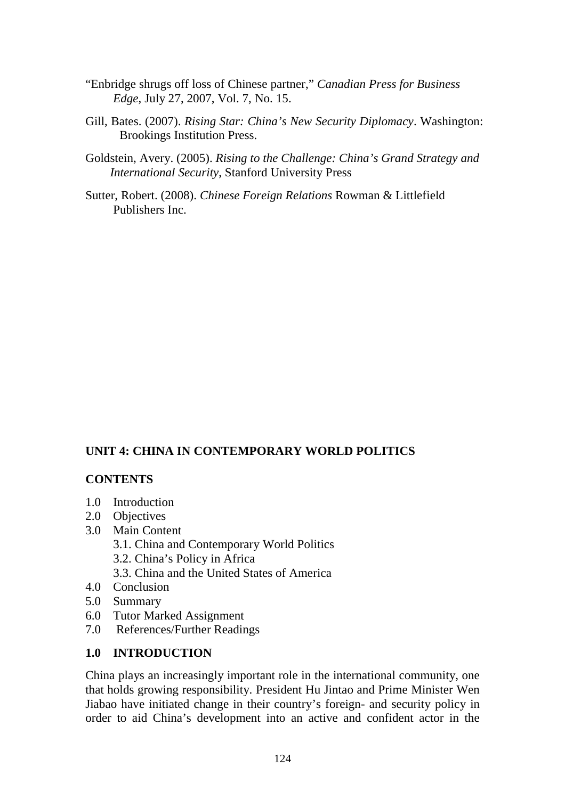- "Enbridge shrugs off loss of Chinese partner," *Canadian Press for Business Edge*, July 27, 2007, Vol. 7, No. 15.
- Gill, Bates. (2007). *Rising Star: China's New Security Diplomacy*. Washington: Brookings Institution Press.
- Goldstein, Avery. (2005). *Rising to the Challenge: China's Grand Strategy and International Security*, Stanford University Press
- Sutter, Robert. (2008). *Chinese Foreign Relations* Rowman & Littlefield Publishers Inc.

### **UNIT 4: CHINA IN CONTEMPORARY WORLD POLITICS**

#### **CONTENTS**

- 1.0Introduction
- 2.0 Objectives
- 3.0 Main Content
	- 3.1. China and Contemporary World Politics
	- 3.2. China's Policy in Africa
	- 3.3. China and the United States of America
- 4.0 Conclusion
- 5.0 Summary
- 6.0 Tutor Marked Assignment
- 7.0 References/Further Readings

#### **1.0 INTRODUCTION**

China plays an increasingly important role in the international community, one that holds growing responsibility. President Hu Jintao and Prime Minister Wen Jiabao have initiated change in their country's foreign- and security policy in order to aid China's development into an active and confident actor in the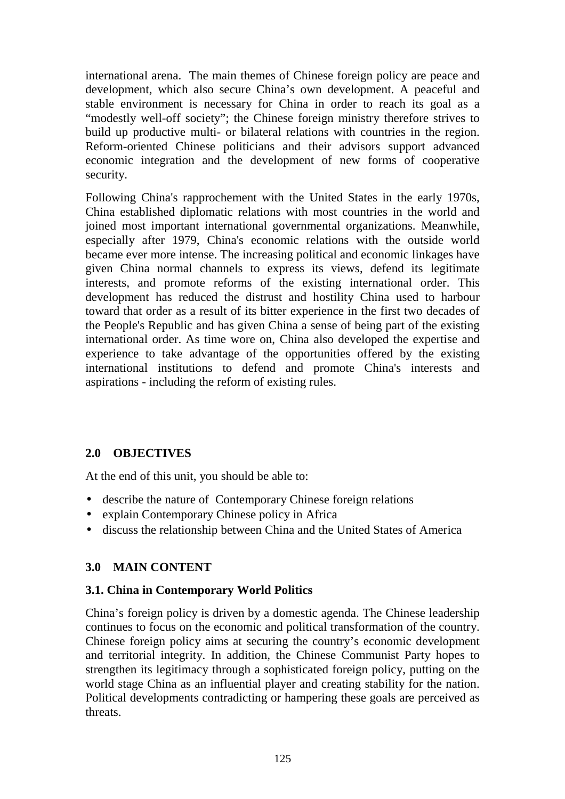international arena. The main themes of Chinese foreign policy are peace and development, which also secure China's own development. A peaceful and stable environment is necessary for China in order to reach its goal as a "modestly well-off society"; the Chinese foreign ministry therefore strives to build up productive multi- or bilateral relations with countries in the region. Reform-oriented Chinese politicians and their advisors support advanced economic integration and the development of new forms of cooperative security.

Following China's rapprochement with the United States in the early 1970s, China established diplomatic relations with most countries in the world and joined most important international governmental organizations. Meanwhile, especially after 1979, China's economic relations with the outside world became ever more intense. The increasing political and economic linkages have given China normal channels to express its views, defend its legitimate interests, and promote reforms of the existing international order. This development has reduced the distrust and hostility China used to harbour toward that order as a result of its bitter experience in the first two decades of the People's Republic and has given China a sense of being part of the existing international order. As time wore on, China also developed the expertise and experience to take advantage of the opportunities offered by the existing international institutions to defend and promote China's interests and aspirations - including the reform of existing rules.

# **2.0 OBJECTIVES**

At the end of this unit, you should be able to:

- describe the nature of Contemporary Chinese foreign relations
- explain Contemporary Chinese policy in Africa
- discuss the relationship between China and the United States of America

### **3.0 MAIN CONTENT**

### **3.1. China in Contemporary World Politics**

China's foreign policy is driven by a domestic agenda. The Chinese leadership continues to focus on the economic and political transformation of the country. Chinese foreign policy aims at securing the country's economic development and territorial integrity. In addition, the Chinese Communist Party hopes to strengthen its legitimacy through a sophisticated foreign policy, putting on the world stage China as an influential player and creating stability for the nation. Political developments contradicting or hampering these goals are perceived as threats.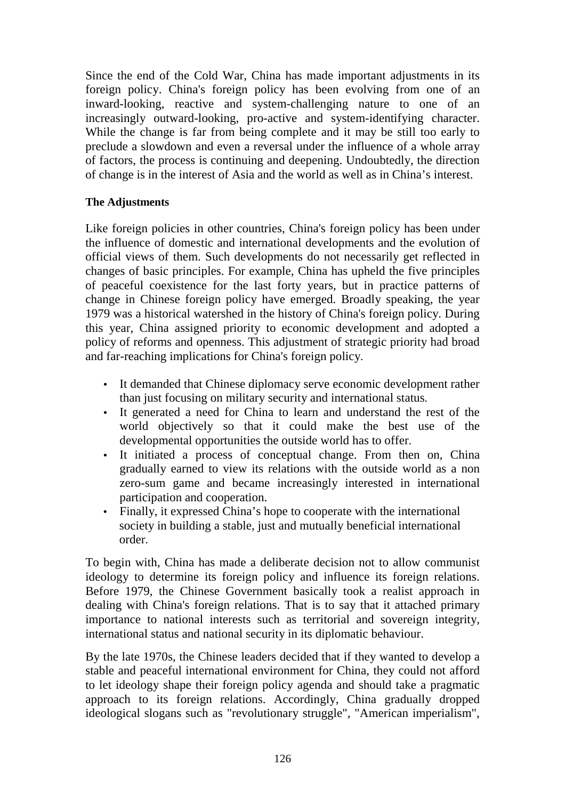Since the end of the Cold War, China has made important adjustments in its foreign policy. China's foreign policy has been evolving from one of an inward-looking, reactive and system-challenging nature to one of an increasingly outward-looking, pro-active and system-identifying character. While the change is far from being complete and it may be still too early to preclude a slowdown and even a reversal under the influence of a whole array of factors, the process is continuing and deepening. Undoubtedly, the direction of change is in the interest of Asia and the world as well as in China's interest.

### **The Adjustments**

Like foreign policies in other countries, China's foreign policy has been under the influence of domestic and international developments and the evolution of official views of them. Such developments do not necessarily get reflected in changes of basic principles. For example, China has upheld the five principles of peaceful coexistence for the last forty years, but in practice patterns of change in Chinese foreign policy have emerged. Broadly speaking, the year 1979 was a historical watershed in the history of China's foreign policy. During this year, China assigned priority to economic development and adopted a policy of reforms and openness. This adjustment of strategic priority had broad and far-reaching implications for China's foreign policy.

- It demanded that Chinese diplomacy serve economic development rather than just focusing on military security and international status.
- It generated a need for China to learn and understand the rest of the world objectively so that it could make the best use of the developmental opportunities the outside world has to offer.
- It initiated a process of conceptual change. From then on, China gradually earned to view its relations with the outside world as a non zero-sum game and became increasingly interested in international participation and cooperation.
- Finally, it expressed China's hope to cooperate with the international society in building a stable, just and mutually beneficial international order.

To begin with, China has made a deliberate decision not to allow communist ideology to determine its foreign policy and influence its foreign relations. Before 1979, the Chinese Government basically took a realist approach in dealing with China's foreign relations. That is to say that it attached primary importance to national interests such as territorial and sovereign integrity, international status and national security in its diplomatic behaviour.

By the late 1970s, the Chinese leaders decided that if they wanted to develop a stable and peaceful international environment for China, they could not afford to let ideology shape their foreign policy agenda and should take a pragmatic approach to its foreign relations. Accordingly, China gradually dropped ideological slogans such as "revolutionary struggle", "American imperialism",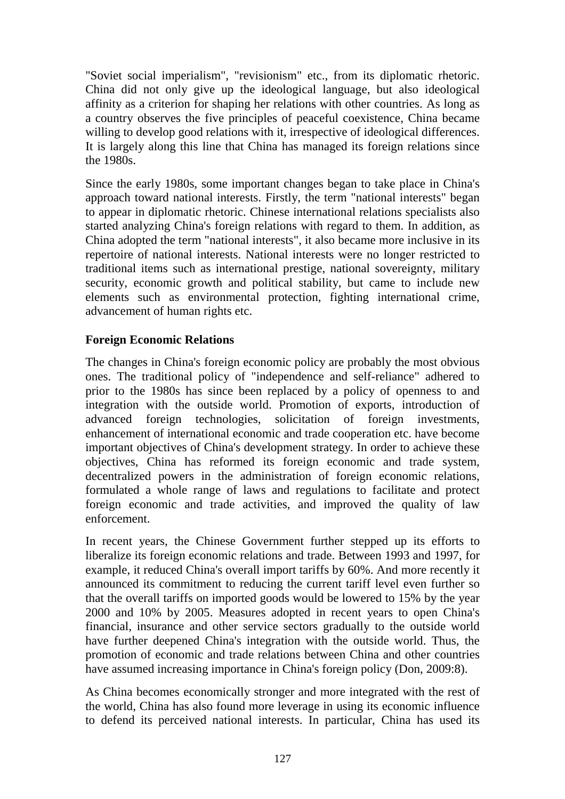"Soviet social imperialism", "revisionism" etc., from its diplomatic rhetoric. China did not only give up the ideological language, but also ideological affinity as a criterion for shaping her relations with other countries. As long as a country observes the five principles of peaceful coexistence, China became willing to develop good relations with it, irrespective of ideological differences. It is largely along this line that China has managed its foreign relations since the 1980s.

Since the early 1980s, some important changes began to take place in China's approach toward national interests. Firstly, the term "national interests" began to appear in diplomatic rhetoric. Chinese international relations specialists also started analyzing China's foreign relations with regard to them. In addition, as China adopted the term "national interests", it also became more inclusive in its repertoire of national interests. National interests were no longer restricted to traditional items such as international prestige, national sovereignty, military security, economic growth and political stability, but came to include new elements such as environmental protection, fighting international crime, advancement of human rights etc.

### **Foreign Economic Relations**

The changes in China's foreign economic policy are probably the most obvious ones. The traditional policy of "independence and self-reliance" adhered to prior to the 1980s has since been replaced by a policy of openness to and integration with the outside world. Promotion of exports, introduction of advanced foreign technologies, solicitation of foreign investments, enhancement of international economic and trade cooperation etc. have become important objectives of China's development strategy. In order to achieve these objectives, China has reformed its foreign economic and trade system, decentralized powers in the administration of foreign economic relations, formulated a whole range of laws and regulations to facilitate and protect foreign economic and trade activities, and improved the quality of law enforcement.

In recent years, the Chinese Government further stepped up its efforts to liberalize its foreign economic relations and trade. Between 1993 and 1997, for example, it reduced China's overall import tariffs by 60%. And more recently it announced its commitment to reducing the current tariff level even further so that the overall tariffs on imported goods would be lowered to 15% by the year 2000 and 10% by 2005. Measures adopted in recent years to open China's financial, insurance and other service sectors gradually to the outside world have further deepened China's integration with the outside world. Thus, the promotion of economic and trade relations between China and other countries have assumed increasing importance in China's foreign policy (Don, 2009:8).

As China becomes economically stronger and more integrated with the rest of the world, China has also found more leverage in using its economic influence to defend its perceived national interests. In particular, China has used its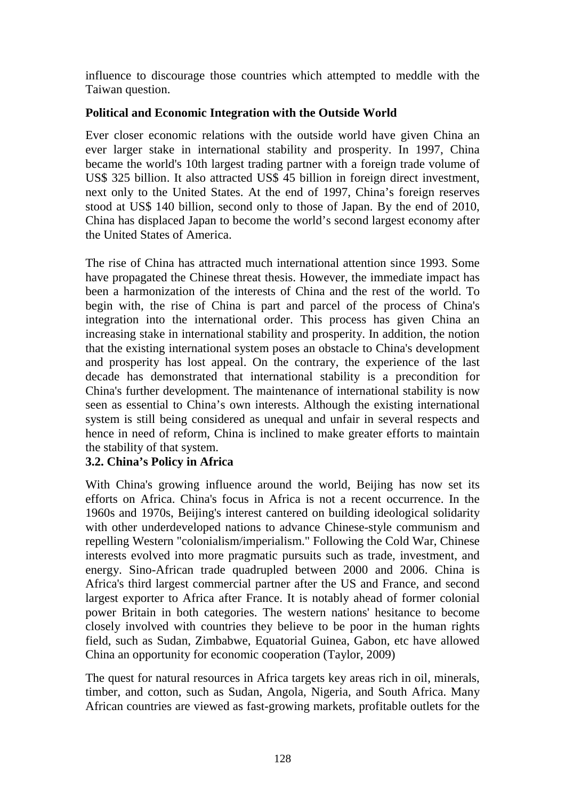influence to discourage those countries which attempted to meddle with the Taiwan question.

### **Political and Economic Integration with the Outside World**

Ever closer economic relations with the outside world have given China an ever larger stake in international stability and prosperity. In 1997, China became the world's 10th largest trading partner with a foreign trade volume of US\$ 325 billion. It also attracted US\$ 45 billion in foreign direct investment, next only to the United States. At the end of 1997, China's foreign reserves stood at US\$ 140 billion, second only to those of Japan. By the end of 2010, China has displaced Japan to become the world's second largest economy after the United States of America.

The rise of China has attracted much international attention since 1993. Some have propagated the Chinese threat thesis. However, the immediate impact has been a harmonization of the interests of China and the rest of the world. To begin with, the rise of China is part and parcel of the process of China's integration into the international order. This process has given China an increasing stake in international stability and prosperity. In addition, the notion that the existing international system poses an obstacle to China's development and prosperity has lost appeal. On the contrary, the experience of the last decade has demonstrated that international stability is a precondition for China's further development. The maintenance of international stability is now seen as essential to China's own interests. Although the existing international system is still being considered as unequal and unfair in several respects and hence in need of reform, China is inclined to make greater efforts to maintain the stability of that system.

# **3.2. China's Policy in Africa**

With China's growing influence around the world, Beijing has now set its efforts on Africa. China's focus in Africa is not a recent occurrence. In the 1960s and 1970s, Beijing's interest cantered on building ideological solidarity with other underdeveloped nations to advance Chinese-style communism and repelling Western "colonialism/imperialism." Following the Cold War, Chinese interests evolved into more pragmatic pursuits such as trade, investment, and energy. Sino-African trade quadrupled between 2000 and 2006. China is Africa's third largest commercial partner after the US and France, and second largest exporter to Africa after France. It is notably ahead of former colonial power Britain in both categories. The western nations' hesitance to become closely involved with countries they believe to be poor in the human rights field, such as Sudan, Zimbabwe, Equatorial Guinea, Gabon, etc have allowed China an opportunity for economic cooperation (Taylor, 2009)

The quest for natural resources in Africa targets key areas rich in oil, minerals, timber, and cotton, such as Sudan, Angola, Nigeria, and South Africa. Many African countries are viewed as fast-growing markets, profitable outlets for the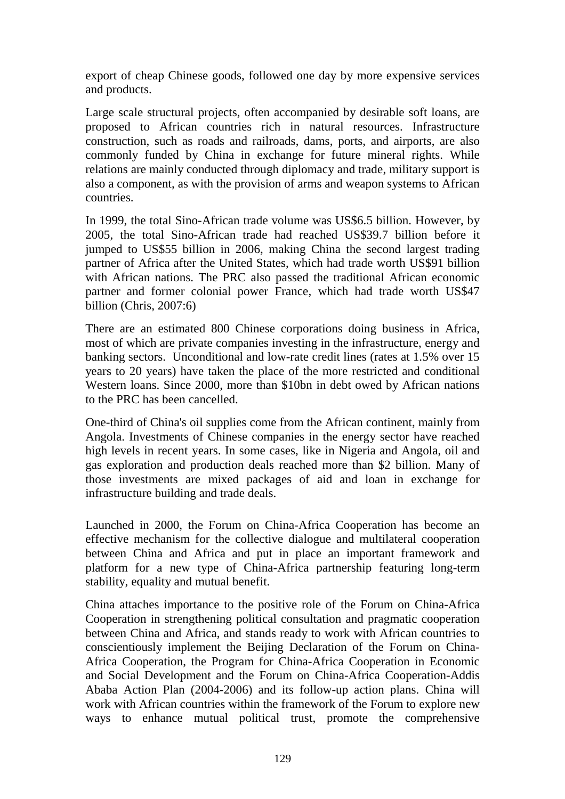export of cheap Chinese goods, followed one day by more expensive services and products.

Large scale structural projects, often accompanied by desirable soft loans, are proposed to African countries rich in natural resources. Infrastructure construction, such as roads and railroads, dams, ports, and airports, are also commonly funded by China in exchange for future mineral rights. While relations are mainly conducted through diplomacy and trade, military support is also a component, as with the provision of arms and weapon systems to African countries.

In 1999, the total Sino-African trade volume was US\$6.5 billion. However, by 2005, the total Sino-African trade had reached US\$39.7 billion before it jumped to US\$55 billion in 2006, making China the second largest trading partner of Africa after the United States, which had trade worth US\$91 billion with African nations. The PRC also passed the traditional African economic partner and former colonial power France, which had trade worth US\$47 billion (Chris, 2007:6)

There are an estimated 800 Chinese corporations doing business in Africa, most of which are private companies investing in the infrastructure, energy and banking sectors. Unconditional and low-rate credit lines (rates at 1.5% over 15 years to 20 years) have taken the place of the more restricted and conditional Western loans. Since 2000, more than \$10bn in debt owed by African nations to the PRC has been cancelled.

One-third of China's oil supplies come from the African continent, mainly from Angola. Investments of Chinese companies in the energy sector have reached high levels in recent years. In some cases, like in Nigeria and Angola, oil and gas exploration and production deals reached more than \$2 billion. Many of those investments are mixed packages of aid and loan in exchange for infrastructure building and trade deals.

Launched in 2000, the Forum on China-Africa Cooperation has become an effective mechanism for the collective dialogue and multilateral cooperation between China and Africa and put in place an important framework and platform for a new type of China-Africa partnership featuring long-term stability, equality and mutual benefit.

China attaches importance to the positive role of the Forum on China-Africa Cooperation in strengthening political consultation and pragmatic cooperation between China and Africa, and stands ready to work with African countries to conscientiously implement the Beijing Declaration of the Forum on China-Africa Cooperation, the Program for China-Africa Cooperation in Economic and Social Development and the Forum on China-Africa Cooperation-Addis Ababa Action Plan (2004-2006) and its follow-up action plans. China will work with African countries within the framework of the Forum to explore new ways to enhance mutual political trust, promote the comprehensive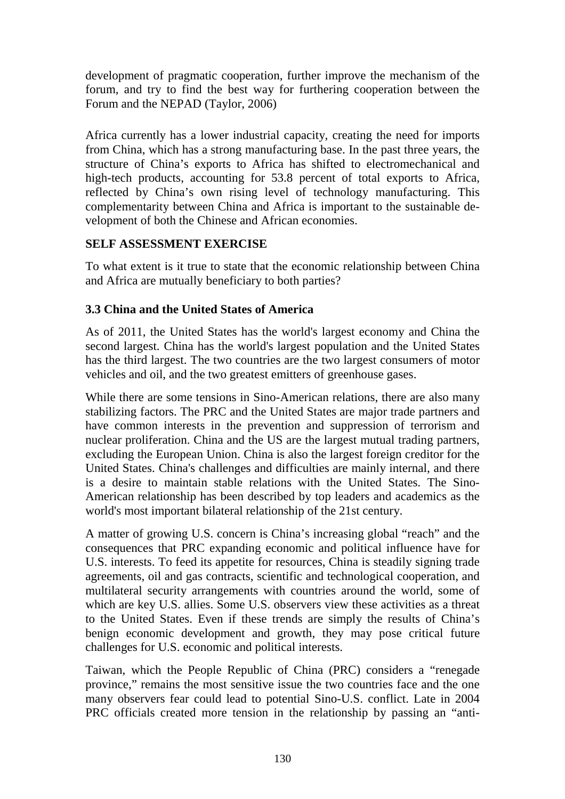development of pragmatic cooperation, further improve the mechanism of the forum, and try to find the best way for furthering cooperation between the Forum and the NEPAD (Taylor, 2006)

Africa currently has a lower industrial capacity, creating the need for imports from China, which has a strong manufacturing base. In the past three years, the structure of China's exports to Africa has shifted to electromechanical and high-tech products, accounting for 53.8 percent of total exports to Africa, reflected by China's own rising level of technology manufacturing. This complementarity between China and Africa is important to the sustainable development of both the Chinese and African economies.

### **SELF ASSESSMENT EXERCISE**

To what extent is it true to state that the economic relationship between China and Africa are mutually beneficiary to both parties?

# **3.3 China and the United States of America**

As of 2011, the United States has the world's largest economy and China the second largest. China has the world's largest population and the United States has the third largest. The two countries are the two largest consumers of motor vehicles and oil, and the two greatest emitters of greenhouse gases.

While there are some tensions in Sino-American relations, there are also many stabilizing factors. The PRC and the United States are major trade partners and have common interests in the prevention and suppression of terrorism and nuclear proliferation. China and the US are the largest mutual trading partners, excluding the European Union. China is also the largest foreign creditor for the United States. China's challenges and difficulties are mainly internal, and there is a desire to maintain stable relations with the United States. The Sino-American relationship has been described by top leaders and academics as the world's most important bilateral relationship of the 21st century.

A matter of growing U.S. concern is China's increasing global "reach" and the consequences that PRC expanding economic and political influence have for U.S. interests. To feed its appetite for resources, China is steadily signing trade agreements, oil and gas contracts, scientific and technological cooperation, and multilateral security arrangements with countries around the world, some of which are key U.S. allies. Some U.S. observers view these activities as a threat to the United States. Even if these trends are simply the results of China's benign economic development and growth, they may pose critical future challenges for U.S. economic and political interests.

Taiwan, which the People Republic of China (PRC) considers a "renegade province," remains the most sensitive issue the two countries face and the one many observers fear could lead to potential Sino-U.S. conflict. Late in 2004 PRC officials created more tension in the relationship by passing an "anti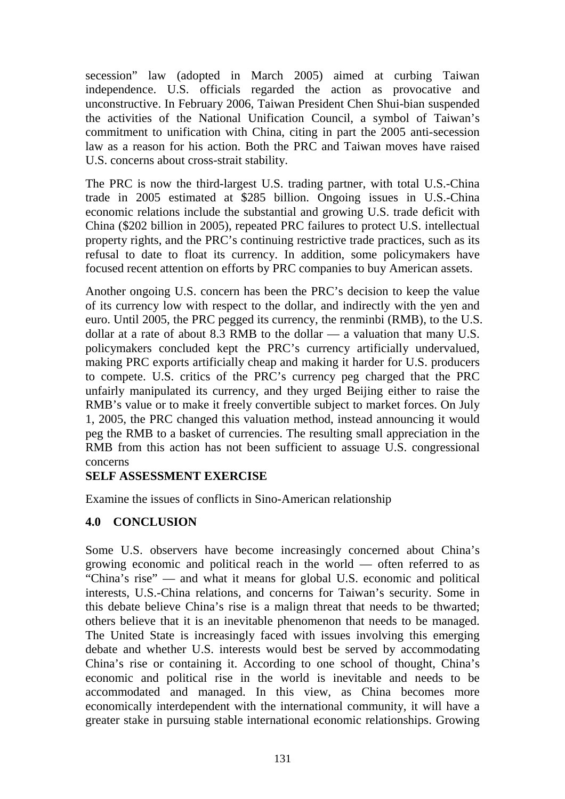secession" law (adopted in March 2005) aimed at curbing Taiwan independence. U.S. officials regarded the action as provocative and unconstructive. In February 2006, Taiwan President Chen Shui-bian suspended the activities of the National Unification Council, a symbol of Taiwan's commitment to unification with China, citing in part the 2005 anti-secession law as a reason for his action. Both the PRC and Taiwan moves have raised U.S. concerns about cross-strait stability.

The PRC is now the third-largest U.S. trading partner, with total U.S.-China trade in 2005 estimated at \$285 billion. Ongoing issues in U.S.-China economic relations include the substantial and growing U.S. trade deficit with China (\$202 billion in 2005), repeated PRC failures to protect U.S. intellectual property rights, and the PRC's continuing restrictive trade practices, such as its refusal to date to float its currency. In addition, some policymakers have focused recent attention on efforts by PRC companies to buy American assets.

Another ongoing U.S. concern has been the PRC's decision to keep the value of its currency low with respect to the dollar, and indirectly with the yen and euro. Until 2005, the PRC pegged its currency, the renminbi (RMB), to the U.S. dollar at a rate of about 8.3 RMB to the dollar — a valuation that many U.S. policymakers concluded kept the PRC's currency artificially undervalued, making PRC exports artificially cheap and making it harder for U.S. producers to compete. U.S. critics of the PRC's currency peg charged that the PRC unfairly manipulated its currency, and they urged Beijing either to raise the RMB's value or to make it freely convertible subject to market forces. On July 1, 2005, the PRC changed this valuation method, instead announcing it would peg the RMB to a basket of currencies. The resulting small appreciation in the RMB from this action has not been sufficient to assuage U.S. congressional concerns

### **SELF ASSESSMENT EXERCISE**

Examine the issues of conflicts in Sino-American relationship

# **4.0 CONCLUSION**

Some U.S. observers have become increasingly concerned about China's growing economic and political reach in the world — often referred to as "China's rise" — and what it means for global U.S. economic and political interests, U.S.-China relations, and concerns for Taiwan's security. Some in this debate believe China's rise is a malign threat that needs to be thwarted; others believe that it is an inevitable phenomenon that needs to be managed. The United State is increasingly faced with issues involving this emerging debate and whether U.S. interests would best be served by accommodating China's rise or containing it. According to one school of thought, China's economic and political rise in the world is inevitable and needs to be accommodated and managed. In this view, as China becomes more economically interdependent with the international community, it will have a greater stake in pursuing stable international economic relationships. Growing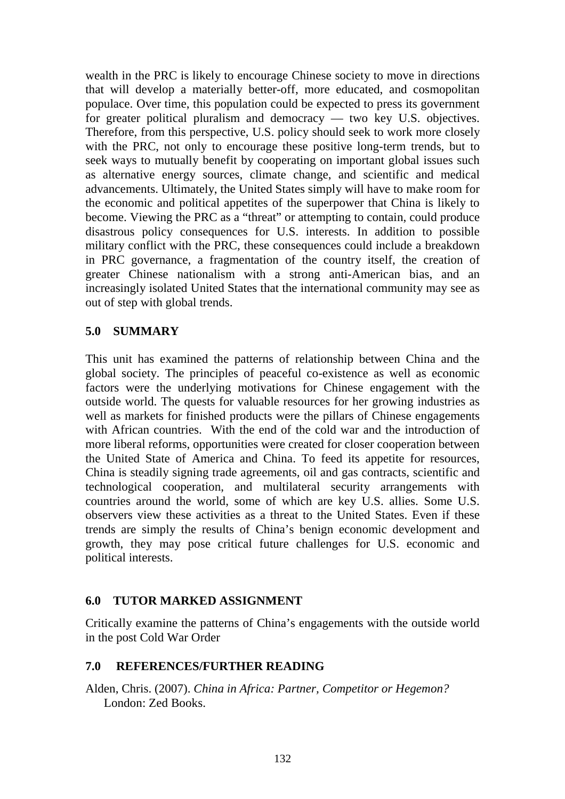wealth in the PRC is likely to encourage Chinese society to move in directions that will develop a materially better-off, more educated, and cosmopolitan populace. Over time, this population could be expected to press its government for greater political pluralism and democracy — two key U.S. objectives. Therefore, from this perspective, U.S. policy should seek to work more closely with the PRC, not only to encourage these positive long-term trends, but to seek ways to mutually benefit by cooperating on important global issues such as alternative energy sources, climate change, and scientific and medical advancements. Ultimately, the United States simply will have to make room for the economic and political appetites of the superpower that China is likely to become. Viewing the PRC as a "threat" or attempting to contain, could produce disastrous policy consequences for U.S. interests. In addition to possible military conflict with the PRC, these consequences could include a breakdown in PRC governance, a fragmentation of the country itself, the creation of greater Chinese nationalism with a strong anti-American bias, and an increasingly isolated United States that the international community may see as out of step with global trends.

### **5.0 SUMMARY**

This unit has examined the patterns of relationship between China and the global society. The principles of peaceful co-existence as well as economic factors were the underlying motivations for Chinese engagement with the outside world. The quests for valuable resources for her growing industries as well as markets for finished products were the pillars of Chinese engagements with African countries. With the end of the cold war and the introduction of more liberal reforms, opportunities were created for closer cooperation between the United State of America and China. To feed its appetite for resources, China is steadily signing trade agreements, oil and gas contracts, scientific and technological cooperation, and multilateral security arrangements with countries around the world, some of which are key U.S. allies. Some U.S. observers view these activities as a threat to the United States. Even if these trends are simply the results of China's benign economic development and growth, they may pose critical future challenges for U.S. economic and political interests.

### **6.0 TUTOR MARKED ASSIGNMENT**

Critically examine the patterns of China's engagements with the outside world in the post Cold War Order

### **7.0 REFERENCES/FURTHER READING**

Alden, Chris. (2007). *China in Africa: Partner, Competitor or Hegemon?*  London: Zed Books.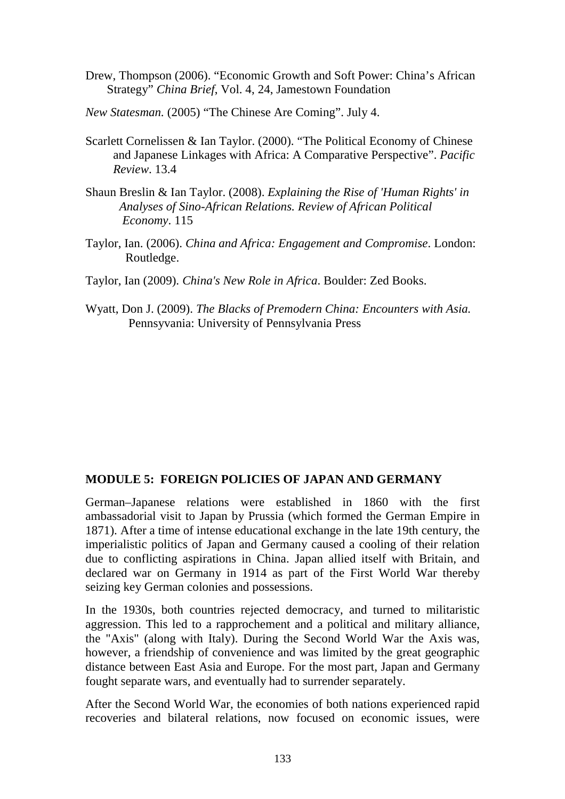Drew, Thompson (2006). "Economic Growth and Soft Power: China's African Strategy" *China Brief*, Vol. 4, 24, Jamestown Foundation

*New Statesman.* (2005) "The Chinese Are Coming". July 4.

- Scarlett Cornelissen & Ian Taylor. (2000). "The Political Economy of Chinese and Japanese Linkages with Africa: A Comparative Perspective". *Pacific Review*. 13.4
- Shaun Breslin & Ian Taylor. (2008). *Explaining the Rise of 'Human Rights' in Analyses of Sino-African Relations. Review of African Political Economy*. 115
- Taylor, Ian. (2006). *China and Africa: Engagement and Compromise*. London: Routledge.
- Taylor, Ian (2009). *China's New Role in Africa*. Boulder: Zed Books.
- Wyatt, Don J. (2009). *The Blacks of Premodern China: Encounters with Asia.* Pennsyvania: University of Pennsylvania Press

#### **MODULE 5: FOREIGN POLICIES OF JAPAN AND GERMANY**

German–Japanese relations were established in 1860 with the first ambassadorial visit to Japan by Prussia (which formed the German Empire in 1871). After a time of intense educational exchange in the late 19th century, the imperialistic politics of Japan and Germany caused a cooling of their relation due to conflicting aspirations in China. Japan allied itself with Britain, and declared war on Germany in 1914 as part of the First World War thereby seizing key German colonies and possessions.

In the 1930s, both countries rejected democracy, and turned to militaristic aggression. This led to a rapprochement and a political and military alliance, the "Axis" (along with Italy). During the Second World War the Axis was, however, a friendship of convenience and was limited by the great geographic distance between East Asia and Europe. For the most part, Japan and Germany fought separate wars, and eventually had to surrender separately.

After the Second World War, the economies of both nations experienced rapid recoveries and bilateral relations, now focused on economic issues, were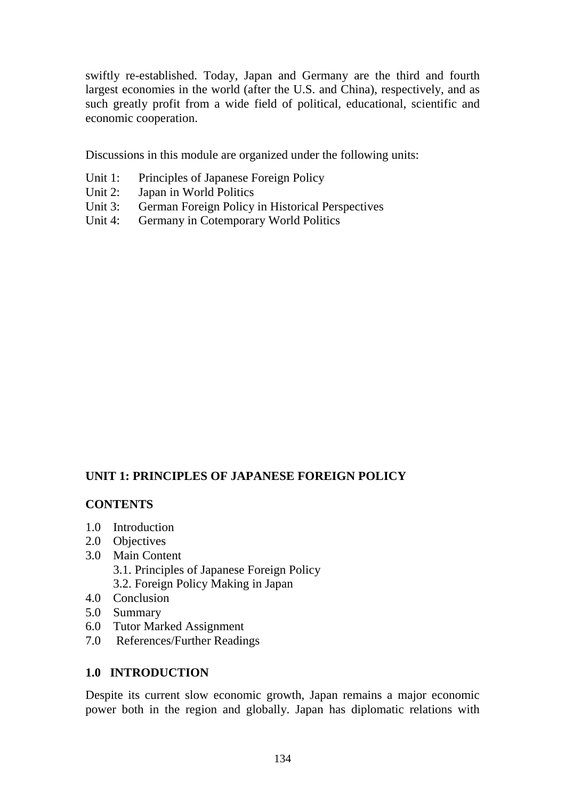swiftly re-established. Today, Japan and Germany are the third and fourth largest economies in the world (after the U.S. and China), respectively, and as such greatly profit from a wide field of political, educational, scientific and economic cooperation.

Discussions in this module are organized under the following units:

- Unit 1: Principles of Japanese Foreign Policy
- Unit 2: Japan in World Politics
- Unit 3: German Foreign Policy in Historical Perspectives
- Unit 4: Germany in Cotemporary World Politics

### **UNIT 1: PRINCIPLES OF JAPANESE FOREIGN POLICY**

#### **CONTENTS**

- 1.0Introduction
- 2.0 Objectives
- 3.0 Main Content
	- 3.1. Principles of Japanese Foreign Policy
	- 3.2. Foreign Policy Making in Japan
- 4.0 Conclusion
- 5.0 Summary
- 6.0 Tutor Marked Assignment
- 7.0 References/Further Readings

#### **1.0 INTRODUCTION**

Despite its current slow economic growth, Japan remains a major economic power both in the region and globally. Japan has diplomatic relations with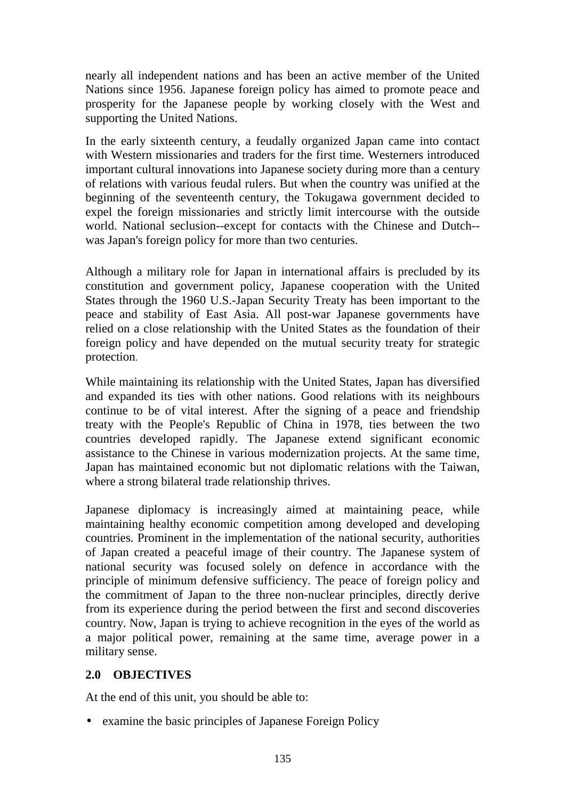nearly all independent nations and has been an active member of the United Nations since 1956. Japanese foreign policy has aimed to promote peace and prosperity for the Japanese people by working closely with the West and supporting the United Nations.

In the early sixteenth century, a feudally organized Japan came into contact with Western missionaries and traders for the first time. Westerners introduced important cultural innovations into Japanese society during more than a century of relations with various feudal rulers. But when the country was unified at the beginning of the seventeenth century, the Tokugawa government decided to expel the foreign missionaries and strictly limit intercourse with the outside world. National seclusion--except for contacts with the Chinese and Dutch- was Japan's foreign policy for more than two centuries.

Although a military role for Japan in international affairs is precluded by its constitution and government policy, Japanese cooperation with the United States through the 1960 U.S.-Japan Security Treaty has been important to the peace and stability of East Asia. All post-war Japanese governments have relied on a close relationship with the United States as the foundation of their foreign policy and have depended on the mutual security treaty for strategic protection.

While maintaining its relationship with the United States, Japan has diversified and expanded its ties with other nations. Good relations with its neighbours continue to be of vital interest. After the signing of a peace and friendship treaty with the People's Republic of China in 1978, ties between the two countries developed rapidly. The Japanese extend significant economic assistance to the Chinese in various modernization projects. At the same time, Japan has maintained economic but not diplomatic relations with the Taiwan, where a strong bilateral trade relationship thrives.

Japanese diplomacy is increasingly aimed at maintaining peace, while maintaining healthy economic competition among developed and developing countries. Prominent in the implementation of the national security, authorities of Japan created a peaceful image of their country. The Japanese system of national security was focused solely on defence in accordance with the principle of minimum defensive sufficiency. The peace of foreign policy and the commitment of Japan to the three non-nuclear principles, directly derive from its experience during the period between the first and second discoveries country. Now, Japan is trying to achieve recognition in the eyes of the world as a major political power, remaining at the same time, average power in a military sense.

# **2.0 OBJECTIVES**

At the end of this unit, you should be able to:

• examine the basic principles of Japanese Foreign Policy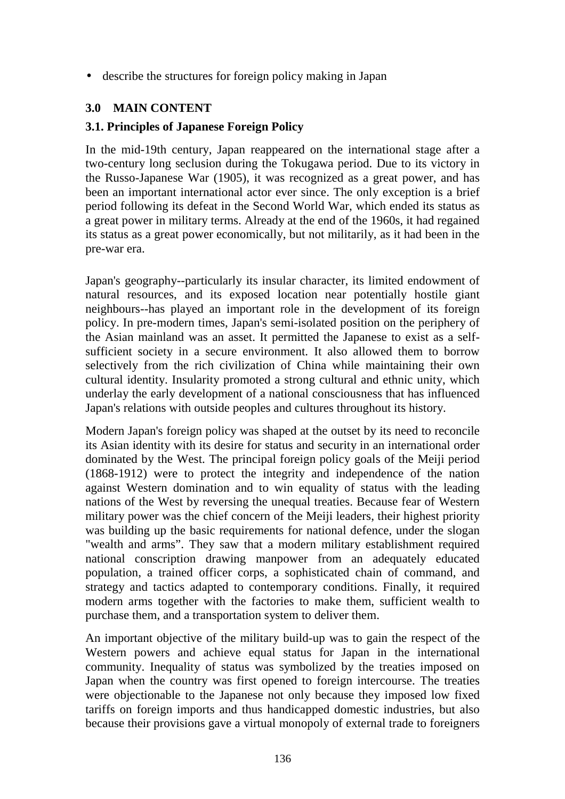• describe the structures for foreign policy making in Japan

### **3.0 MAIN CONTENT**

### **3.1. Principles of Japanese Foreign Policy**

In the mid-19th century, Japan reappeared on the international stage after a two-century long seclusion during the Tokugawa period. Due to its victory in the Russo-Japanese War (1905), it was recognized as a great power, and has been an important international actor ever since. The only exception is a brief period following its defeat in the Second World War, which ended its status as a great power in military terms. Already at the end of the 1960s, it had regained its status as a great power economically, but not militarily, as it had been in the pre-war era.

Japan's geography--particularly its insular character, its limited endowment of natural resources, and its exposed location near potentially hostile giant neighbours--has played an important role in the development of its foreign policy. In pre-modern times, Japan's semi-isolated position on the periphery of the Asian mainland was an asset. It permitted the Japanese to exist as a selfsufficient society in a secure environment. It also allowed them to borrow selectively from the rich civilization of China while maintaining their own cultural identity. Insularity promoted a strong cultural and ethnic unity, which underlay the early development of a national consciousness that has influenced Japan's relations with outside peoples and cultures throughout its history.

Modern Japan's foreign policy was shaped at the outset by its need to reconcile its Asian identity with its desire for status and security in an international order dominated by the West. The principal foreign policy goals of the Meiji period (1868-1912) were to protect the integrity and independence of the nation against Western domination and to win equality of status with the leading nations of the West by reversing the unequal treaties. Because fear of Western military power was the chief concern of the Meiji leaders, their highest priority was building up the basic requirements for national defence, under the slogan "wealth and arms". They saw that a modern military establishment required national conscription drawing manpower from an adequately educated population, a trained officer corps, a sophisticated chain of command, and strategy and tactics adapted to contemporary conditions. Finally, it required modern arms together with the factories to make them, sufficient wealth to purchase them, and a transportation system to deliver them.

An important objective of the military build-up was to gain the respect of the Western powers and achieve equal status for Japan in the international community. Inequality of status was symbolized by the treaties imposed on Japan when the country was first opened to foreign intercourse. The treaties were objectionable to the Japanese not only because they imposed low fixed tariffs on foreign imports and thus handicapped domestic industries, but also because their provisions gave a virtual monopoly of external trade to foreigners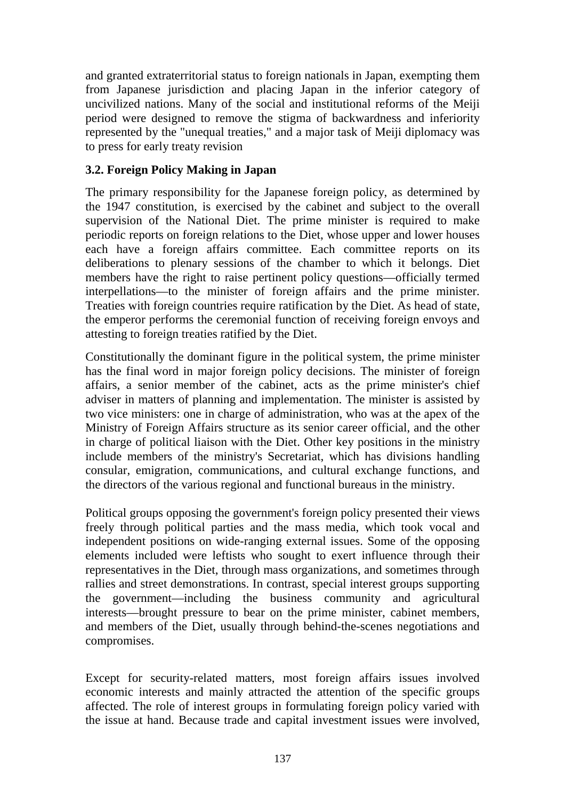and granted extraterritorial status to foreign nationals in Japan, exempting them from Japanese jurisdiction and placing Japan in the inferior category of uncivilized nations. Many of the social and institutional reforms of the Meiji period were designed to remove the stigma of backwardness and inferiority represented by the "unequal treaties," and a major task of Meiji diplomacy was to press for early treaty revision

### **3.2. Foreign Policy Making in Japan**

The primary responsibility for the Japanese foreign policy, as determined by the 1947 constitution, is exercised by the cabinet and subject to the overall supervision of the National Diet. The prime minister is required to make periodic reports on foreign relations to the Diet, whose upper and lower houses each have a foreign affairs committee. Each committee reports on its deliberations to plenary sessions of the chamber to which it belongs. Diet members have the right to raise pertinent policy questions—officially termed interpellations—to the minister of foreign affairs and the prime minister. Treaties with foreign countries require ratification by the Diet. As head of state, the emperor performs the ceremonial function of receiving foreign envoys and attesting to foreign treaties ratified by the Diet.

Constitutionally the dominant figure in the political system, the prime minister has the final word in major foreign policy decisions. The minister of foreign affairs, a senior member of the cabinet, acts as the prime minister's chief adviser in matters of planning and implementation. The minister is assisted by two vice ministers: one in charge of administration, who was at the apex of the Ministry of Foreign Affairs structure as its senior career official, and the other in charge of political liaison with the Diet. Other key positions in the ministry include members of the ministry's Secretariat, which has divisions handling consular, emigration, communications, and cultural exchange functions, and the directors of the various regional and functional bureaus in the ministry.

Political groups opposing the government's foreign policy presented their views freely through political parties and the mass media, which took vocal and independent positions on wide-ranging external issues. Some of the opposing elements included were leftists who sought to exert influence through their representatives in the Diet, through mass organizations, and sometimes through rallies and street demonstrations. In contrast, special interest groups supporting the government—including the business community and agricultural interests—brought pressure to bear on the prime minister, cabinet members, and members of the Diet, usually through behind-the-scenes negotiations and compromises.

Except for security-related matters, most foreign affairs issues involved economic interests and mainly attracted the attention of the specific groups affected. The role of interest groups in formulating foreign policy varied with the issue at hand. Because trade and capital investment issues were involved,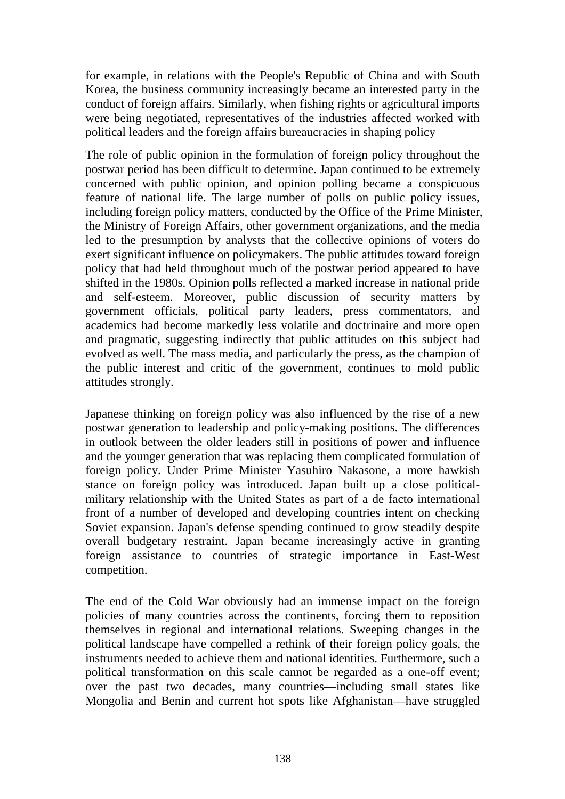for example, in relations with the People's Republic of China and with South Korea, the business community increasingly became an interested party in the conduct of foreign affairs. Similarly, when fishing rights or agricultural imports were being negotiated, representatives of the industries affected worked with political leaders and the foreign affairs bureaucracies in shaping policy

The role of public opinion in the formulation of foreign policy throughout the postwar period has been difficult to determine. Japan continued to be extremely concerned with public opinion, and opinion polling became a conspicuous feature of national life. The large number of polls on public policy issues, including foreign policy matters, conducted by the Office of the Prime Minister, the Ministry of Foreign Affairs, other government organizations, and the media led to the presumption by analysts that the collective opinions of voters do exert significant influence on policymakers. The public attitudes toward foreign policy that had held throughout much of the postwar period appeared to have shifted in the 1980s. Opinion polls reflected a marked increase in national pride and self-esteem. Moreover, public discussion of security matters by government officials, political party leaders, press commentators, and academics had become markedly less volatile and doctrinaire and more open and pragmatic, suggesting indirectly that public attitudes on this subject had evolved as well. The mass media, and particularly the press, as the champion of the public interest and critic of the government, continues to mold public attitudes strongly.

Japanese thinking on foreign policy was also influenced by the rise of a new postwar generation to leadership and policy-making positions. The differences in outlook between the older leaders still in positions of power and influence and the younger generation that was replacing them complicated formulation of foreign policy. Under Prime Minister Yasuhiro Nakasone, a more hawkish stance on foreign policy was introduced. Japan built up a close politicalmilitary relationship with the United States as part of a de facto international front of a number of developed and developing countries intent on checking Soviet expansion. Japan's defense spending continued to grow steadily despite overall budgetary restraint. Japan became increasingly active in granting foreign assistance to countries of strategic importance in East-West competition.

The end of the Cold War obviously had an immense impact on the foreign policies of many countries across the continents, forcing them to reposition themselves in regional and international relations. Sweeping changes in the political landscape have compelled a rethink of their foreign policy goals, the instruments needed to achieve them and national identities. Furthermore, such a political transformation on this scale cannot be regarded as a one-off event; over the past two decades, many countries—including small states like Mongolia and Benin and current hot spots like Afghanistan—have struggled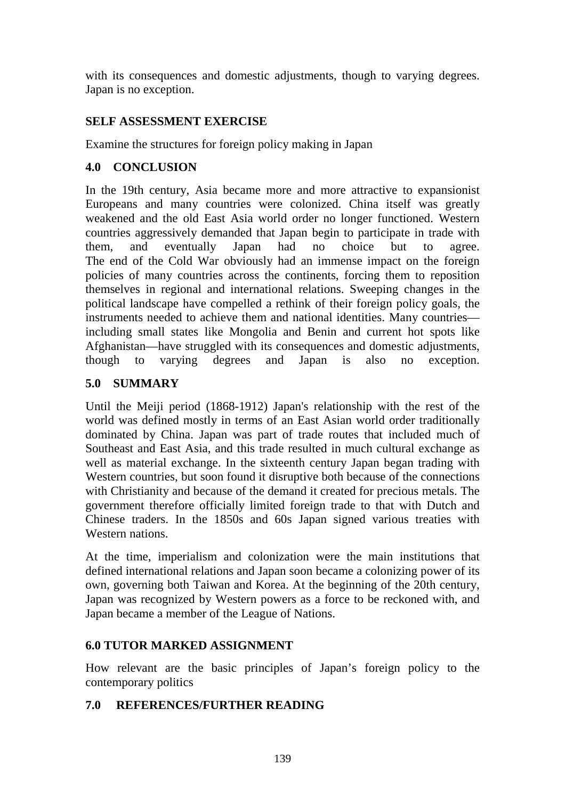with its consequences and domestic adjustments, though to varying degrees. Japan is no exception.

### **SELF ASSESSMENT EXERCISE**

Examine the structures for foreign policy making in Japan

# **4.0 CONCLUSION**

In the 19th century, Asia became more and more attractive to expansionist Europeans and many countries were colonized. China itself was greatly weakened and the old East Asia world order no longer functioned. Western countries aggressively demanded that Japan begin to participate in trade with them, and eventually Japan had no choice but to agree. The end of the Cold War obviously had an immense impact on the foreign policies of many countries across the continents, forcing them to reposition themselves in regional and international relations. Sweeping changes in the political landscape have compelled a rethink of their foreign policy goals, the instruments needed to achieve them and national identities. Many countries including small states like Mongolia and Benin and current hot spots like Afghanistan—have struggled with its consequences and domestic adjustments, though to varying degrees and Japan is also no exception.

# **5.0 SUMMARY**

Until the Meiji period (1868-1912) Japan's relationship with the rest of the world was defined mostly in terms of an East Asian world order traditionally dominated by China. Japan was part of trade routes that included much of Southeast and East Asia, and this trade resulted in much cultural exchange as well as material exchange. In the sixteenth century Japan began trading with Western countries, but soon found it disruptive both because of the connections with Christianity and because of the demand it created for precious metals. The government therefore officially limited foreign trade to that with Dutch and Chinese traders. In the 1850s and 60s Japan signed various treaties with Western nations.

At the time, imperialism and colonization were the main institutions that defined international relations and Japan soon became a colonizing power of its own, governing both Taiwan and Korea. At the beginning of the 20th century, Japan was recognized by Western powers as a force to be reckoned with, and Japan became a member of the League of Nations.

# **6.0 TUTOR MARKED ASSIGNMENT**

How relevant are the basic principles of Japan's foreign policy to the contemporary politics

# **7.0 REFERENCES/FURTHER READING**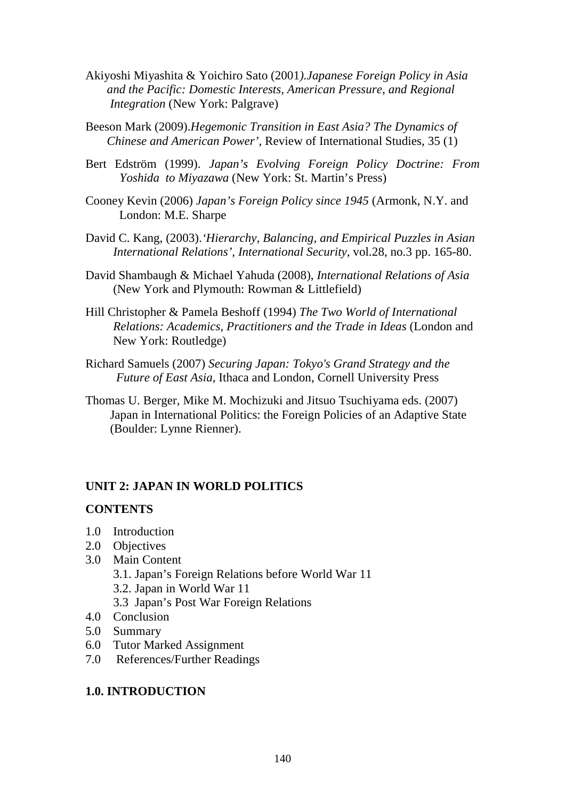- Akiyoshi Miyashita & Yoichiro Sato (2001*).Japanese Foreign Policy in Asia and the Pacific: Domestic Interests, American Pressure, and Regional Integration* (New York: Palgrave)
- Beeson Mark (2009).*Hegemonic Transition in East Asia? The Dynamics of Chinese and American Power'*, Review of International Studies, 35 (1)
- Bert Edström (1999). *Japan's Evolving Foreign Policy Doctrine: From Yoshida to Miyazawa* (New York: St. Martin's Press)
- Cooney Kevin (2006) *Japan's Foreign Policy since 1945* (Armonk, N.Y. and London: M.E. Sharpe
- David C. Kang, (2003).*'Hierarchy, Balancing, and Empirical Puzzles in Asian International Relations', International Security*, vol.28, no.3 pp. 165-80.
- David Shambaugh & Michael Yahuda (2008), *International Relations of Asia* (New York and Plymouth: Rowman & Littlefield)
- Hill Christopher & Pamela Beshoff (1994) *The Two World of International Relations: Academics, Practitioners and the Trade in Ideas* (London and New York: Routledge)
- Richard Samuels (2007) *Securing Japan: Tokyo's Grand Strategy and the Future of East Asia,* Ithaca and London, Cornell University Press
- Thomas U. Berger, Mike M. Mochizuki and Jitsuo Tsuchiyama eds. (2007) Japan in International Politics: the Foreign Policies of an Adaptive State (Boulder: Lynne Rienner).

#### **UNIT 2: JAPAN IN WORLD POLITICS**

#### **CONTENTS**

- 1.0Introduction
- 2.0 Objectives
- 3.0 Main Content
	- 3.1. Japan's Foreign Relations before World War 11
	- 3.2. Japan in World War 11
	- 3.3 Japan's Post War Foreign Relations
- 4.0 Conclusion
- 5.0 Summary
- 6.0 Tutor Marked Assignment
- 7.0 References/Further Readings

#### **1.0. INTRODUCTION**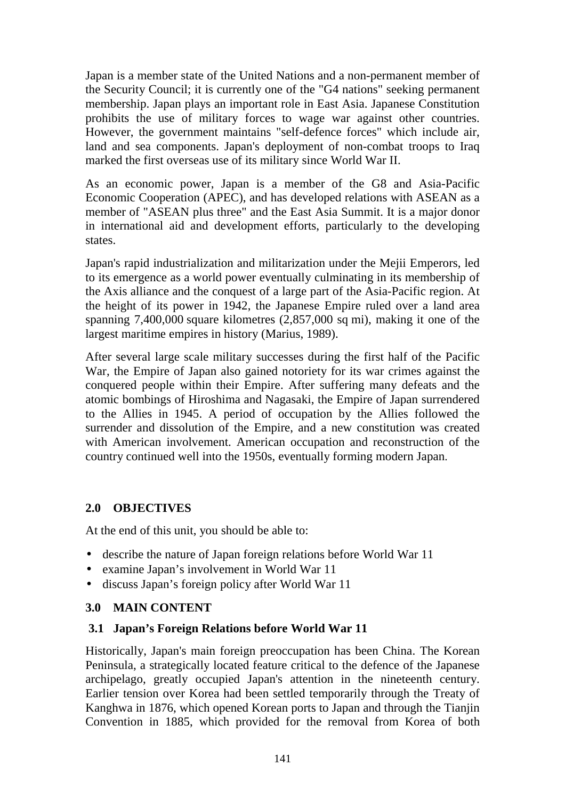Japan is a member state of the United Nations and a non-permanent member of the Security Council; it is currently one of the "G4 nations" seeking permanent membership. Japan plays an important role in East Asia. Japanese Constitution prohibits the use of military forces to wage war against other countries. However, the government maintains "self-defence forces" which include air, land and sea components. Japan's deployment of non-combat troops to Iraq marked the first overseas use of its military since World War II.

As an economic power, Japan is a member of the G8 and Asia-Pacific Economic Cooperation (APEC), and has developed relations with ASEAN as a member of "ASEAN plus three" and the East Asia Summit. It is a major donor in international aid and development efforts, particularly to the developing states.

Japan's rapid industrialization and militarization under the Mejii Emperors, led to its emergence as a world power eventually culminating in its membership of the Axis alliance and the conquest of a large part of the Asia-Pacific region. At the height of its power in 1942, the Japanese Empire ruled over a land area spanning 7,400,000 square kilometres (2,857,000 sq mi), making it one of the largest maritime empires in history (Marius, 1989).

After several large scale military successes during the first half of the Pacific War, the Empire of Japan also gained notoriety for its war crimes against the conquered people within their Empire. After suffering many defeats and the atomic bombings of Hiroshima and Nagasaki, the Empire of Japan surrendered to the Allies in 1945. A period of occupation by the Allies followed the surrender and dissolution of the Empire, and a new constitution was created with American involvement. American occupation and reconstruction of the country continued well into the 1950s, eventually forming modern Japan.

# **2.0 OBJECTIVES**

At the end of this unit, you should be able to:

- describe the nature of Japan foreign relations before World War 11
- examine Japan's involvement in World War 11
- discuss Japan's foreign policy after World War 11

# **3.0 MAIN CONTENT**

# **3.1 Japan's Foreign Relations before World War 11**

Historically, Japan's main foreign preoccupation has been China. The Korean Peninsula, a strategically located feature critical to the defence of the Japanese archipelago, greatly occupied Japan's attention in the nineteenth century. Earlier tension over Korea had been settled temporarily through the Treaty of Kanghwa in 1876, which opened Korean ports to Japan and through the Tianjin Convention in 1885, which provided for the removal from Korea of both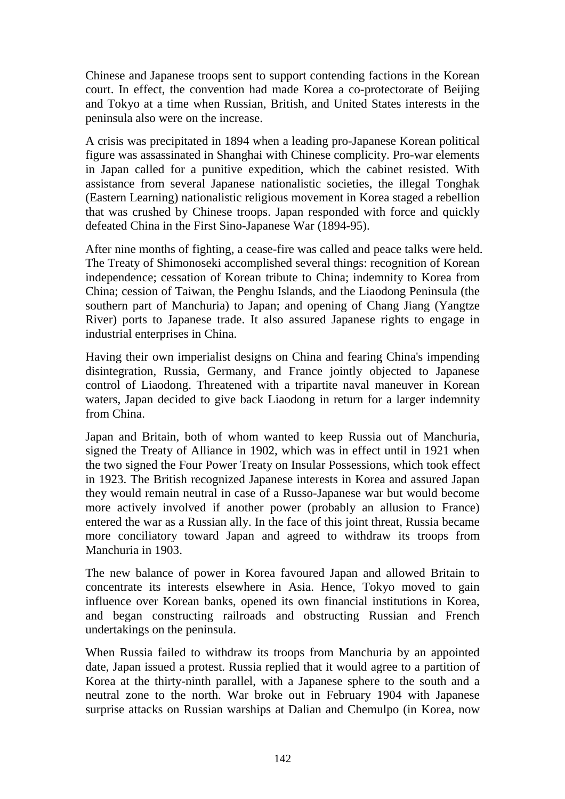Chinese and Japanese troops sent to support contending factions in the Korean court. In effect, the convention had made Korea a co-protectorate of Beijing and Tokyo at a time when Russian, British, and United States interests in the peninsula also were on the increase.

A crisis was precipitated in 1894 when a leading pro-Japanese Korean political figure was assassinated in Shanghai with Chinese complicity. Pro-war elements in Japan called for a punitive expedition, which the cabinet resisted. With assistance from several Japanese nationalistic societies, the illegal Tonghak (Eastern Learning) nationalistic religious movement in Korea staged a rebellion that was crushed by Chinese troops. Japan responded with force and quickly defeated China in the First Sino-Japanese War (1894-95).

After nine months of fighting, a cease-fire was called and peace talks were held. The Treaty of Shimonoseki accomplished several things: recognition of Korean independence; cessation of Korean tribute to China; indemnity to Korea from China; cession of Taiwan, the Penghu Islands, and the Liaodong Peninsula (the southern part of Manchuria) to Japan; and opening of Chang Jiang (Yangtze River) ports to Japanese trade. It also assured Japanese rights to engage in industrial enterprises in China.

Having their own imperialist designs on China and fearing China's impending disintegration, Russia, Germany, and France jointly objected to Japanese control of Liaodong. Threatened with a tripartite naval maneuver in Korean waters, Japan decided to give back Liaodong in return for a larger indemnity from China.

Japan and Britain, both of whom wanted to keep Russia out of Manchuria, signed the Treaty of Alliance in 1902, which was in effect until in 1921 when the two signed the Four Power Treaty on Insular Possessions, which took effect in 1923. The British recognized Japanese interests in Korea and assured Japan they would remain neutral in case of a Russo-Japanese war but would become more actively involved if another power (probably an allusion to France) entered the war as a Russian ally. In the face of this joint threat, Russia became more conciliatory toward Japan and agreed to withdraw its troops from Manchuria in 1903.

The new balance of power in Korea favoured Japan and allowed Britain to concentrate its interests elsewhere in Asia. Hence, Tokyo moved to gain influence over Korean banks, opened its own financial institutions in Korea, and began constructing railroads and obstructing Russian and French undertakings on the peninsula.

When Russia failed to withdraw its troops from Manchuria by an appointed date, Japan issued a protest. Russia replied that it would agree to a partition of Korea at the thirty-ninth parallel, with a Japanese sphere to the south and a neutral zone to the north. War broke out in February 1904 with Japanese surprise attacks on Russian warships at Dalian and Chemulpo (in Korea, now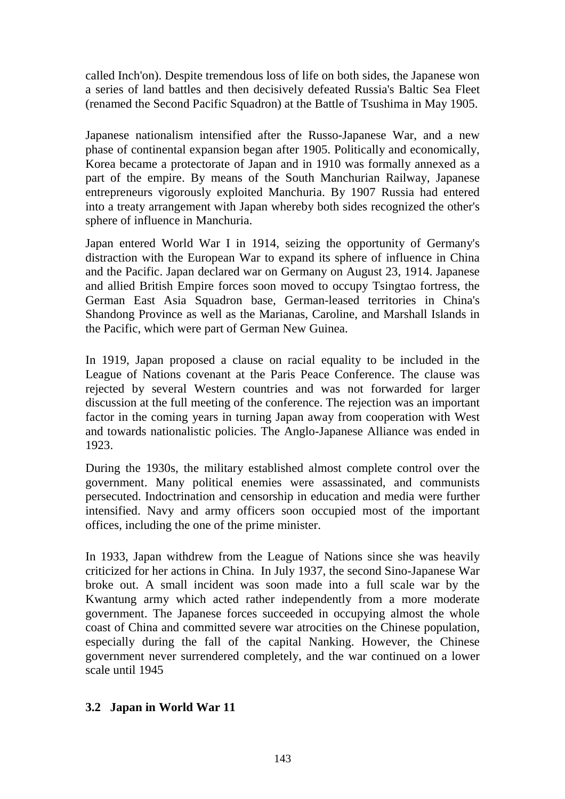called Inch'on). Despite tremendous loss of life on both sides, the Japanese won a series of land battles and then decisively defeated Russia's Baltic Sea Fleet (renamed the Second Pacific Squadron) at the Battle of Tsushima in May 1905.

Japanese nationalism intensified after the Russo-Japanese War, and a new phase of continental expansion began after 1905. Politically and economically, Korea became a protectorate of Japan and in 1910 was formally annexed as a part of the empire. By means of the South Manchurian Railway, Japanese entrepreneurs vigorously exploited Manchuria. By 1907 Russia had entered into a treaty arrangement with Japan whereby both sides recognized the other's sphere of influence in Manchuria.

Japan entered World War I in 1914, seizing the opportunity of Germany's distraction with the European War to expand its sphere of influence in China and the Pacific. Japan declared war on Germany on August 23, 1914. Japanese and allied British Empire forces soon moved to occupy Tsingtao fortress, the German East Asia Squadron base, German-leased territories in China's Shandong Province as well as the Marianas, Caroline, and Marshall Islands in the Pacific, which were part of German New Guinea.

In 1919, Japan proposed a clause on racial equality to be included in the League of Nations covenant at the Paris Peace Conference. The clause was rejected by several Western countries and was not forwarded for larger discussion at the full meeting of the conference. The rejection was an important factor in the coming years in turning Japan away from cooperation with West and towards nationalistic policies. The Anglo-Japanese Alliance was ended in 1923.

During the 1930s, the military established almost complete control over the government. Many political enemies were assassinated, and communists persecuted. Indoctrination and censorship in education and media were further intensified. Navy and army officers soon occupied most of the important offices, including the one of the prime minister.

In 1933, Japan withdrew from the League of Nations since she was heavily criticized for her actions in China. In July 1937, the second Sino-Japanese War broke out. A small incident was soon made into a full scale war by the Kwantung army which acted rather independently from a more moderate government. The Japanese forces succeeded in occupying almost the whole coast of China and committed severe war atrocities on the Chinese population, especially during the fall of the capital Nanking. However, the Chinese government never surrendered completely, and the war continued on a lower scale until 1945

### **3.2 Japan in World War 11**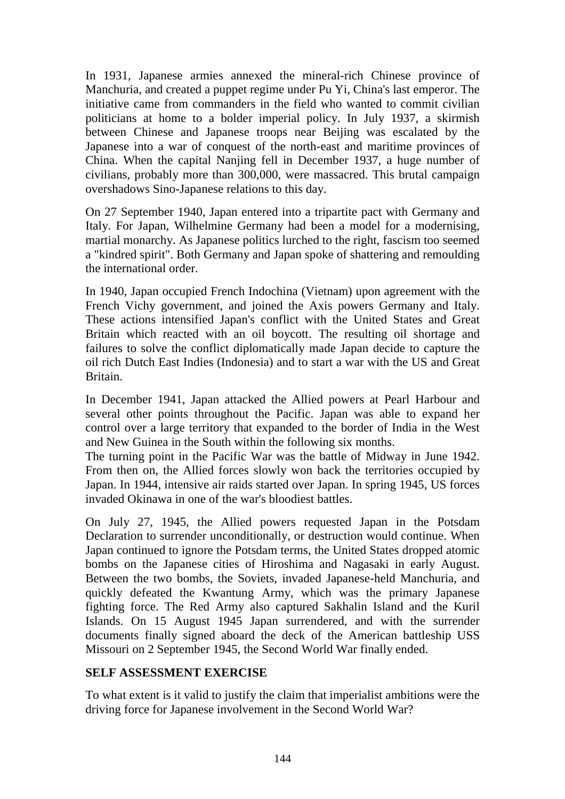In 1931, Japanese armies annexed the mineral-rich Chinese province of Manchuria, and created a puppet regime under Pu Yi, China's last emperor. The initiative came from commanders in the field who wanted to commit civilian politicians at home to a bolder imperial policy. In July 1937, a skirmish between Chinese and Japanese troops near Beijing was escalated by the Japanese into a war of conquest of the north-east and maritime provinces of China. When the capital Nanjing fell in December 1937, a huge number of civilians, probably more than 300,000, were massacred. This brutal campaign overshadows Sino-Japanese relations to this day.

On 27 September 1940, Japan entered into a tripartite pact with Germany and Italy. For Japan, Wilhelmine Germany had been a model for a modernising, martial monarchy. As Japanese politics lurched to the right, fascism too seemed a "kindred spirit". Both Germany and Japan spoke of shattering and remoulding the international order.

In 1940, Japan occupied French Indochina (Vietnam) upon agreement with the French Vichy government, and joined the Axis powers Germany and Italy. These actions intensified Japan's conflict with the United States and Great Britain which reacted with an oil boycott. The resulting oil shortage and failures to solve the conflict diplomatically made Japan decide to capture the oil rich Dutch East Indies (Indonesia) and to start a war with the US and Great Britain.

In December 1941, Japan attacked the Allied powers at Pearl Harbour and several other points throughout the Pacific. Japan was able to expand her control over a large territory that expanded to the border of India in the West and New Guinea in the South within the following six months.

The turning point in the Pacific War was the battle of Midway in June 1942. From then on, the Allied forces slowly won back the territories occupied by Japan. In 1944, intensive air raids started over Japan. In spring 1945, US forces invaded Okinawa in one of the war's bloodiest battles.

On July 27, 1945, the Allied powers requested Japan in the Potsdam Declaration to surrender unconditionally, or destruction would continue. When Japan continued to ignore the Potsdam terms, the United States dropped atomic bombs on the Japanese cities of Hiroshima and Nagasaki in early August. Between the two bombs, the Soviets, invaded Japanese-held Manchuria, and quickly defeated the Kwantung Army, which was the primary Japanese fighting force. The Red Army also captured Sakhalin Island and the Kuril Islands. On 15 August 1945 Japan surrendered, and with the surrender documents finally signed aboard the deck of the American battleship USS Missouri on 2 September 1945, the Second World War finally ended.

## **SELF ASSESSMENT EXERCISE**

To what extent is it valid to justify the claim that imperialist ambitions were the driving force for Japanese involvement in the Second World War?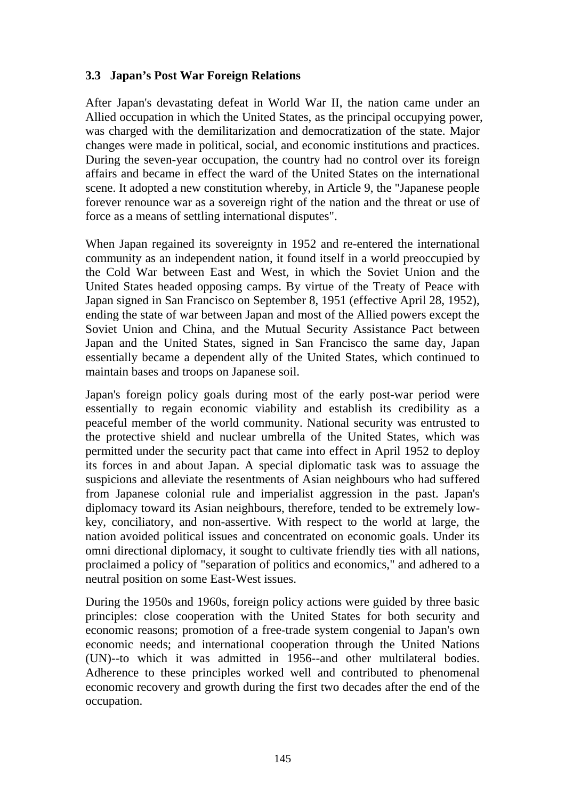## **3.3 Japan's Post War Foreign Relations**

After Japan's devastating defeat in World War II, the nation came under an Allied occupation in which the United States, as the principal occupying power, was charged with the demilitarization and democratization of the state. Major changes were made in political, social, and economic institutions and practices. During the seven-year occupation, the country had no control over its foreign affairs and became in effect the ward of the United States on the international scene. It adopted a new constitution whereby, in Article 9, the "Japanese people forever renounce war as a sovereign right of the nation and the threat or use of force as a means of settling international disputes".

When Japan regained its sovereignty in 1952 and re-entered the international community as an independent nation, it found itself in a world preoccupied by the Cold War between East and West, in which the Soviet Union and the United States headed opposing camps. By virtue of the Treaty of Peace with Japan signed in San Francisco on September 8, 1951 (effective April 28, 1952), ending the state of war between Japan and most of the Allied powers except the Soviet Union and China, and the Mutual Security Assistance Pact between Japan and the United States, signed in San Francisco the same day, Japan essentially became a dependent ally of the United States, which continued to maintain bases and troops on Japanese soil.

Japan's foreign policy goals during most of the early post-war period were essentially to regain economic viability and establish its credibility as a peaceful member of the world community. National security was entrusted to the protective shield and nuclear umbrella of the United States, which was permitted under the security pact that came into effect in April 1952 to deploy its forces in and about Japan. A special diplomatic task was to assuage the suspicions and alleviate the resentments of Asian neighbours who had suffered from Japanese colonial rule and imperialist aggression in the past. Japan's diplomacy toward its Asian neighbours, therefore, tended to be extremely lowkey, conciliatory, and non-assertive. With respect to the world at large, the nation avoided political issues and concentrated on economic goals. Under its omni directional diplomacy, it sought to cultivate friendly ties with all nations, proclaimed a policy of "separation of politics and economics," and adhered to a neutral position on some East-West issues.

During the 1950s and 1960s, foreign policy actions were guided by three basic principles: close cooperation with the United States for both security and economic reasons; promotion of a free-trade system congenial to Japan's own economic needs; and international cooperation through the United Nations (UN)--to which it was admitted in 1956--and other multilateral bodies. Adherence to these principles worked well and contributed to phenomenal economic recovery and growth during the first two decades after the end of the occupation.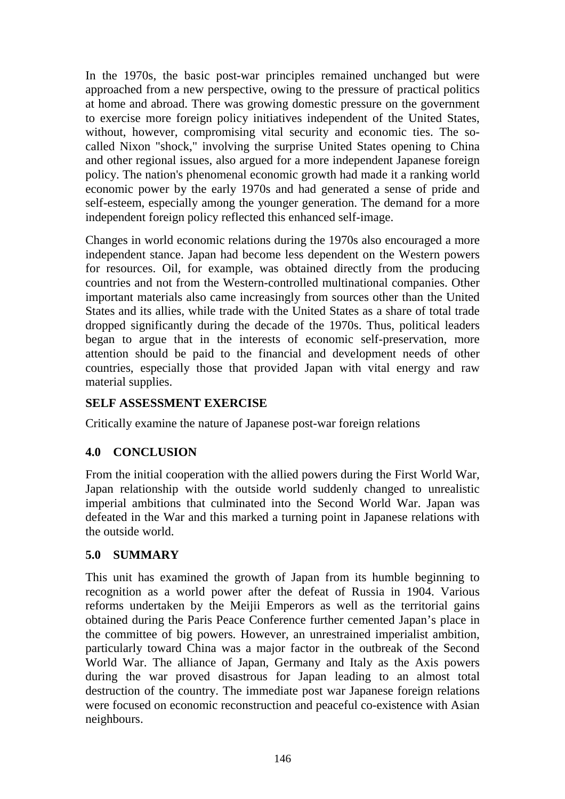In the 1970s, the basic post-war principles remained unchanged but were approached from a new perspective, owing to the pressure of practical politics at home and abroad. There was growing domestic pressure on the government to exercise more foreign policy initiatives independent of the United States, without, however, compromising vital security and economic ties. The socalled Nixon "shock," involving the surprise United States opening to China and other regional issues, also argued for a more independent Japanese foreign policy. The nation's phenomenal economic growth had made it a ranking world economic power by the early 1970s and had generated a sense of pride and self-esteem, especially among the younger generation. The demand for a more independent foreign policy reflected this enhanced self-image.

Changes in world economic relations during the 1970s also encouraged a more independent stance. Japan had become less dependent on the Western powers for resources. Oil, for example, was obtained directly from the producing countries and not from the Western-controlled multinational companies. Other important materials also came increasingly from sources other than the United States and its allies, while trade with the United States as a share of total trade dropped significantly during the decade of the 1970s. Thus, political leaders began to argue that in the interests of economic self-preservation, more attention should be paid to the financial and development needs of other countries, especially those that provided Japan with vital energy and raw material supplies.

## **SELF ASSESSMENT EXERCISE**

Critically examine the nature of Japanese post-war foreign relations

# **4.0 CONCLUSION**

From the initial cooperation with the allied powers during the First World War, Japan relationship with the outside world suddenly changed to unrealistic imperial ambitions that culminated into the Second World War. Japan was defeated in the War and this marked a turning point in Japanese relations with the outside world.

# **5.0 SUMMARY**

This unit has examined the growth of Japan from its humble beginning to recognition as a world power after the defeat of Russia in 1904. Various reforms undertaken by the Meijii Emperors as well as the territorial gains obtained during the Paris Peace Conference further cemented Japan's place in the committee of big powers. However, an unrestrained imperialist ambition, particularly toward China was a major factor in the outbreak of the Second World War. The alliance of Japan, Germany and Italy as the Axis powers during the war proved disastrous for Japan leading to an almost total destruction of the country. The immediate post war Japanese foreign relations were focused on economic reconstruction and peaceful co-existence with Asian neighbours.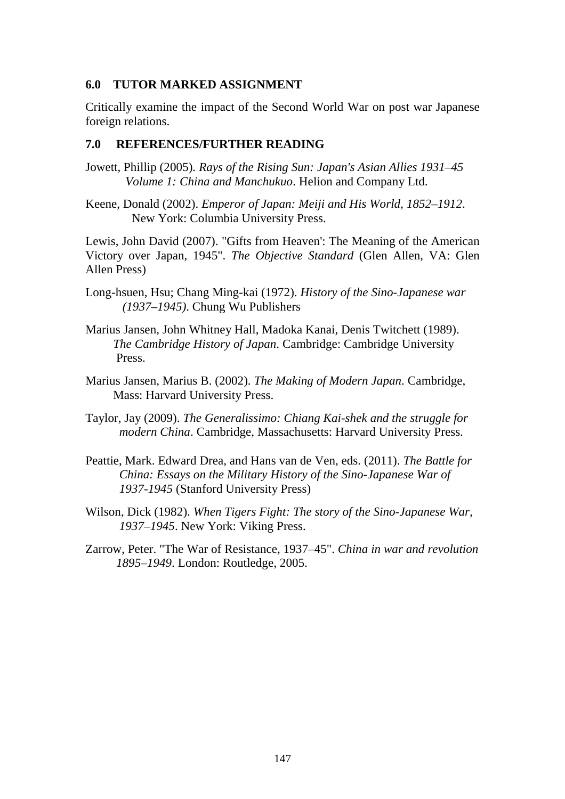## **6.0 TUTOR MARKED ASSIGNMENT**

Critically examine the impact of the Second World War on post war Japanese foreign relations.

#### **7.0 REFERENCES/FURTHER READING**

- Jowett, Phillip (2005). *Rays of the Rising Sun: Japan's Asian Allies 1931–45 Volume 1: China and Manchukuo*. Helion and Company Ltd.
- Keene, Donald (2002). *Emperor of Japan: Meiji and His World, 1852–1912*. New York: Columbia University Press.

Lewis, John David (2007). "Gifts from Heaven': The Meaning of the American Victory over Japan, 1945". *The Objective Standard* (Glen Allen, VA: Glen Allen Press)

- Long-hsuen, Hsu; Chang Ming-kai (1972). *History of the Sino-Japanese war (1937–1945)*. Chung Wu Publishers
- Marius Jansen, John Whitney Hall, Madoka Kanai, Denis Twitchett (1989). *The Cambridge History of Japan*. Cambridge: Cambridge University Press.
- Marius Jansen, Marius B. (2002). *The Making of Modern Japan*. Cambridge, Mass: Harvard University Press.
- Taylor, Jay (2009). *The Generalissimo: Chiang Kai-shek and the struggle for modern China*. Cambridge, Massachusetts: Harvard University Press.
- Peattie, Mark. Edward Drea, and Hans van de Ven, eds. (2011). *The Battle for China: Essays on the Military History of the Sino-Japanese War of 1937-1945* (Stanford University Press)
- Wilson, Dick (1982). *When Tigers Fight: The story of the Sino-Japanese War, 1937–1945*. New York: Viking Press.
- Zarrow, Peter. "The War of Resistance, 1937–45". *China in war and revolution 1895–1949*. London: Routledge, 2005.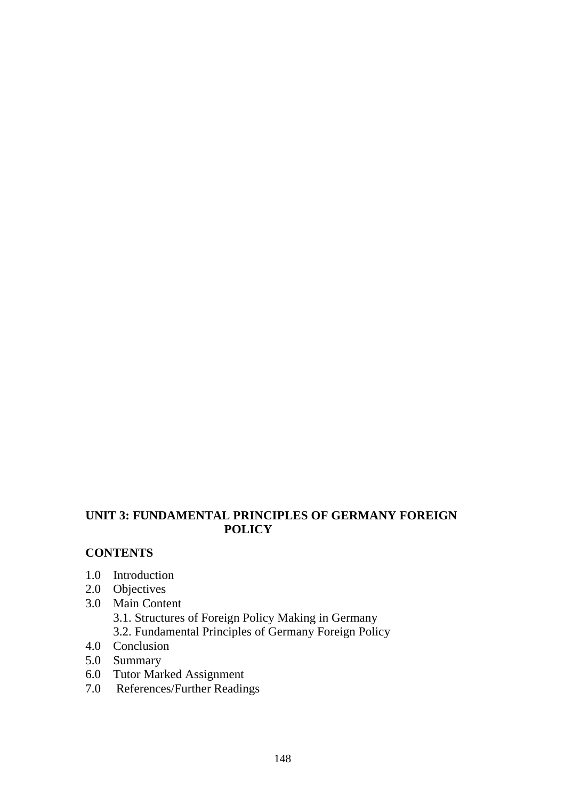## **UNIT 3: FUNDAMENTAL PRINCIPLES OF GERMANY FOREIGN POLICY**

## **CONTENTS**

- 1.0Introduction
- 2.0 Objectives
- 3.0 Main Content
	- 3.1. Structures of Foreign Policy Making in Germany
	- 3.2. Fundamental Principles of Germany Foreign Policy
- 4.0 Conclusion
- 5.0 Summary
- 6.0 Tutor Marked Assignment
- 7.0 References/Further Readings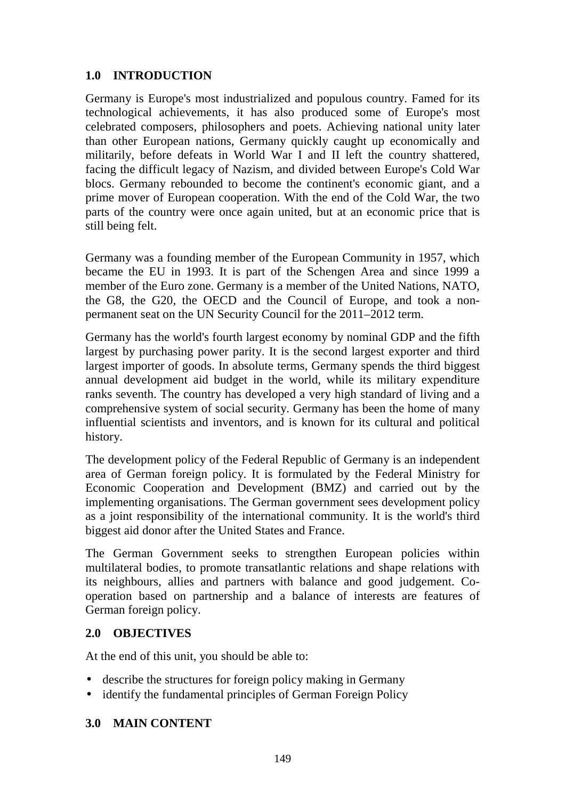# **1.0 INTRODUCTION**

Germany is Europe's most industrialized and populous country. Famed for its technological achievements, it has also produced some of Europe's most celebrated composers, philosophers and poets. Achieving national unity later than other European nations, Germany quickly caught up economically and militarily, before defeats in World War I and II left the country shattered, facing the difficult legacy of Nazism, and divided between Europe's Cold War blocs. Germany rebounded to become the continent's economic giant, and a prime mover of European cooperation. With the end of the Cold War, the two parts of the country were once again united, but at an economic price that is still being felt.

Germany was a founding member of the European Community in 1957, which became the EU in 1993. It is part of the Schengen Area and since 1999 a member of the Euro zone. Germany is a member of the United Nations, NATO, the G8, the G20, the OECD and the Council of Europe, and took a nonpermanent seat on the UN Security Council for the 2011–2012 term.

Germany has the world's fourth largest economy by nominal GDP and the fifth largest by purchasing power parity. It is the second largest exporter and third largest importer of goods. In absolute terms, Germany spends the third biggest annual development aid budget in the world, while its military expenditure ranks seventh. The country has developed a very high standard of living and a comprehensive system of social security. Germany has been the home of many influential scientists and inventors, and is known for its cultural and political history.

The development policy of the Federal Republic of Germany is an independent area of German foreign policy. It is formulated by the Federal Ministry for Economic Cooperation and Development (BMZ) and carried out by the implementing organisations. The German government sees development policy as a joint responsibility of the international community. It is the world's third biggest aid donor after the United States and France.

The German Government seeks to strengthen European policies within multilateral bodies, to promote transatlantic relations and shape relations with its neighbours, allies and partners with balance and good judgement. Cooperation based on partnership and a balance of interests are features of German foreign policy.

# **2.0 OBJECTIVES**

At the end of this unit, you should be able to:

- describe the structures for foreign policy making in Germany
- identify the fundamental principles of German Foreign Policy

# **3.0 MAIN CONTENT**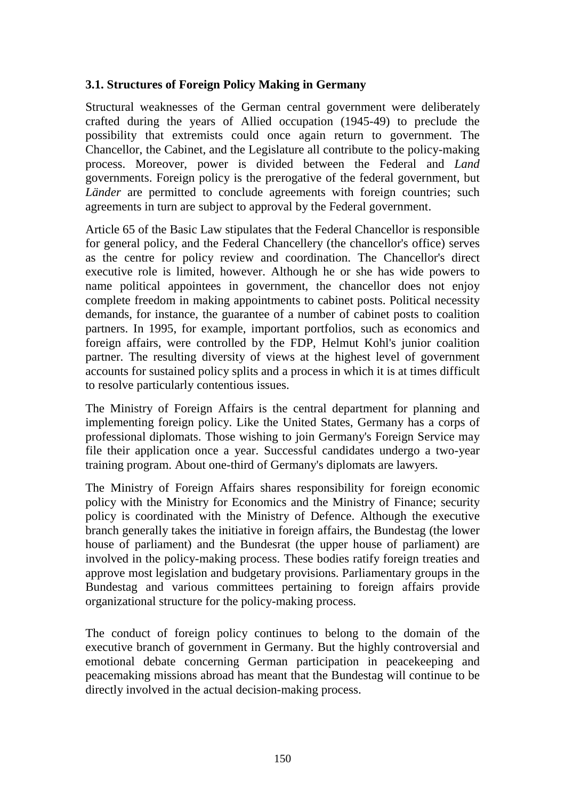# **3.1. Structures of Foreign Policy Making in Germany**

Structural weaknesses of the German central government were deliberately crafted during the years of Allied occupation (1945-49) to preclude the possibility that extremists could once again return to government. The Chancellor, the Cabinet, and the Legislature all contribute to the policy-making process. Moreover, power is divided between the Federal and *Land* governments. Foreign policy is the prerogative of the federal government, but *Länder* are permitted to conclude agreements with foreign countries; such agreements in turn are subject to approval by the Federal government.

Article 65 of the Basic Law stipulates that the Federal Chancellor is responsible for general policy, and the Federal Chancellery (the chancellor's office) serves as the centre for policy review and coordination. The Chancellor's direct executive role is limited, however. Although he or she has wide powers to name political appointees in government, the chancellor does not enjoy complete freedom in making appointments to cabinet posts. Political necessity demands, for instance, the guarantee of a number of cabinet posts to coalition partners. In 1995, for example, important portfolios, such as economics and foreign affairs, were controlled by the FDP, Helmut Kohl's junior coalition partner. The resulting diversity of views at the highest level of government accounts for sustained policy splits and a process in which it is at times difficult to resolve particularly contentious issues.

The Ministry of Foreign Affairs is the central department for planning and implementing foreign policy. Like the United States, Germany has a corps of professional diplomats. Those wishing to join Germany's Foreign Service may file their application once a year. Successful candidates undergo a two-year training program. About one-third of Germany's diplomats are lawyers.

The Ministry of Foreign Affairs shares responsibility for foreign economic policy with the Ministry for Economics and the Ministry of Finance; security policy is coordinated with the Ministry of Defence. Although the executive branch generally takes the initiative in foreign affairs, the Bundestag (the lower house of parliament) and the Bundesrat (the upper house of parliament) are involved in the policy-making process. These bodies ratify foreign treaties and approve most legislation and budgetary provisions. Parliamentary groups in the Bundestag and various committees pertaining to foreign affairs provide organizational structure for the policy-making process.

The conduct of foreign policy continues to belong to the domain of the executive branch of government in Germany. But the highly controversial and emotional debate concerning German participation in peacekeeping and peacemaking missions abroad has meant that the Bundestag will continue to be directly involved in the actual decision-making process.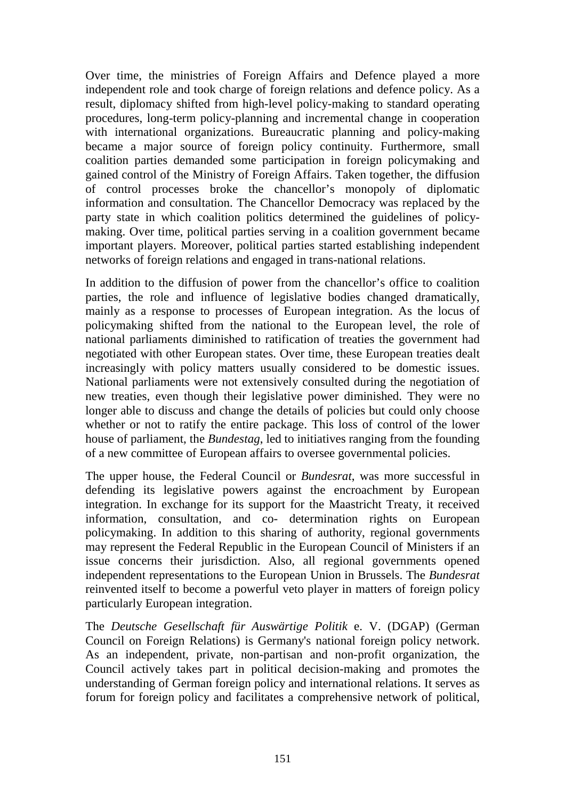Over time, the ministries of Foreign Affairs and Defence played a more independent role and took charge of foreign relations and defence policy. As a result, diplomacy shifted from high-level policy-making to standard operating procedures, long-term policy-planning and incremental change in cooperation with international organizations. Bureaucratic planning and policy-making became a major source of foreign policy continuity. Furthermore, small coalition parties demanded some participation in foreign policymaking and gained control of the Ministry of Foreign Affairs. Taken together, the diffusion of control processes broke the chancellor's monopoly of diplomatic information and consultation. The Chancellor Democracy was replaced by the party state in which coalition politics determined the guidelines of policymaking. Over time, political parties serving in a coalition government became important players. Moreover, political parties started establishing independent networks of foreign relations and engaged in trans-national relations.

In addition to the diffusion of power from the chancellor's office to coalition parties, the role and influence of legislative bodies changed dramatically, mainly as a response to processes of European integration. As the locus of policymaking shifted from the national to the European level, the role of national parliaments diminished to ratification of treaties the government had negotiated with other European states. Over time, these European treaties dealt increasingly with policy matters usually considered to be domestic issues. National parliaments were not extensively consulted during the negotiation of new treaties, even though their legislative power diminished. They were no longer able to discuss and change the details of policies but could only choose whether or not to ratify the entire package. This loss of control of the lower house of parliament, the *Bundestag*, led to initiatives ranging from the founding of a new committee of European affairs to oversee governmental policies.

The upper house, the Federal Council or *Bundesrat*, was more successful in defending its legislative powers against the encroachment by European integration. In exchange for its support for the Maastricht Treaty, it received information, consultation, and co- determination rights on European policymaking. In addition to this sharing of authority, regional governments may represent the Federal Republic in the European Council of Ministers if an issue concerns their jurisdiction. Also, all regional governments opened independent representations to the European Union in Brussels. The *Bundesrat*  reinvented itself to become a powerful veto player in matters of foreign policy particularly European integration.

The *Deutsche Gesellschaft für Auswärtige Politik* e. V. (DGAP) (German Council on Foreign Relations) is Germany's national foreign policy network. As an independent, private, non-partisan and non-profit organization, the Council actively takes part in political decision-making and promotes the understanding of German foreign policy and international relations. It serves as forum for foreign policy and facilitates a comprehensive network of political,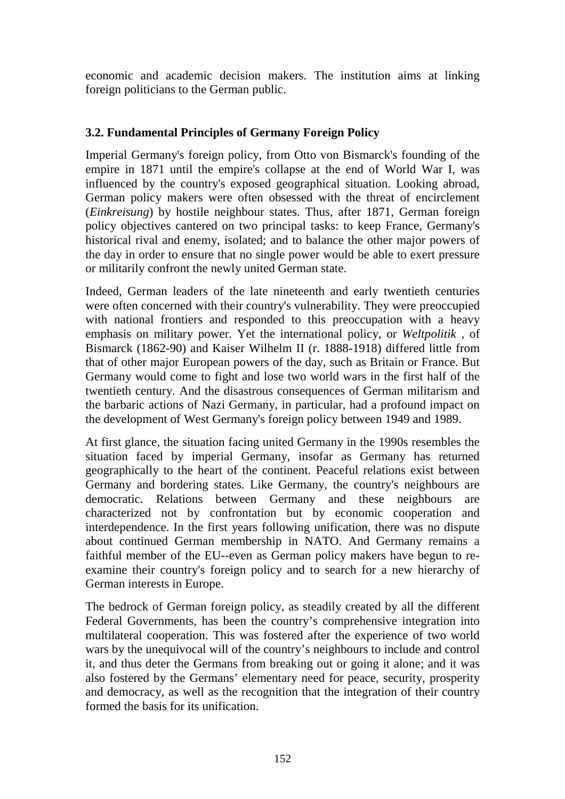economic and academic decision makers. The institution aims at linking foreign politicians to the German public.

# **3.2. Fundamental Principles of Germany Foreign Policy**

Imperial Germany's foreign policy, from Otto von Bismarck's founding of the empire in 1871 until the empire's collapse at the end of World War I, was influenced by the country's exposed geographical situation. Looking abroad, German policy makers were often obsessed with the threat of encirclement (*Einkreisung*) by hostile neighbour states. Thus, after 1871, German foreign policy objectives cantered on two principal tasks: to keep France, Germany's historical rival and enemy, isolated; and to balance the other major powers of the day in order to ensure that no single power would be able to exert pressure or militarily confront the newly united German state.

Indeed, German leaders of the late nineteenth and early twentieth centuries were often concerned with their country's vulnerability. They were preoccupied with national frontiers and responded to this preoccupation with a heavy emphasis on military power. Yet the international policy, or *Weltpolitik* , of Bismarck (1862-90) and Kaiser Wilhelm II (r. 1888-1918) differed little from that of other major European powers of the day, such as Britain or France. But Germany would come to fight and lose two world wars in the first half of the twentieth century. And the disastrous consequences of German militarism and the barbaric actions of Nazi Germany, in particular, had a profound impact on the development of West Germany's foreign policy between 1949 and 1989.

At first glance, the situation facing united Germany in the 1990s resembles the situation faced by imperial Germany, insofar as Germany has returned geographically to the heart of the continent. Peaceful relations exist between Germany and bordering states. Like Germany, the country's neighbours are democratic. Relations between Germany and these neighbours are characterized not by confrontation but by economic cooperation and interdependence. In the first years following unification, there was no dispute about continued German membership in NATO. And Germany remains a faithful member of the EU--even as German policy makers have begun to reexamine their country's foreign policy and to search for a new hierarchy of German interests in Europe.

The bedrock of German foreign policy, as steadily created by all the different Federal Governments, has been the country's comprehensive integration into multilateral cooperation. This was fostered after the experience of two world wars by the unequivocal will of the country's neighbours to include and control it, and thus deter the Germans from breaking out or going it alone; and it was also fostered by the Germans' elementary need for peace, security, prosperity and democracy, as well as the recognition that the integration of their country formed the basis for its unification.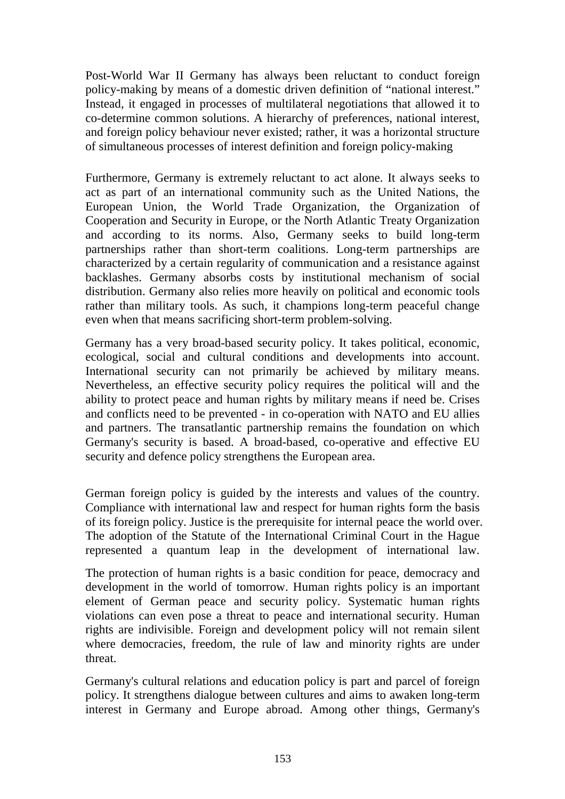Post-World War II Germany has always been reluctant to conduct foreign policy-making by means of a domestic driven definition of "national interest." Instead, it engaged in processes of multilateral negotiations that allowed it to co-determine common solutions. A hierarchy of preferences, national interest, and foreign policy behaviour never existed; rather, it was a horizontal structure of simultaneous processes of interest definition and foreign policy-making

Furthermore, Germany is extremely reluctant to act alone. It always seeks to act as part of an international community such as the United Nations, the European Union, the World Trade Organization, the Organization of Cooperation and Security in Europe, or the North Atlantic Treaty Organization and according to its norms. Also, Germany seeks to build long-term partnerships rather than short-term coalitions. Long-term partnerships are characterized by a certain regularity of communication and a resistance against backlashes. Germany absorbs costs by institutional mechanism of social distribution. Germany also relies more heavily on political and economic tools rather than military tools. As such, it champions long-term peaceful change even when that means sacrificing short-term problem-solving.

Germany has a very broad-based security policy. It takes political, economic, ecological, social and cultural conditions and developments into account. International security can not primarily be achieved by military means. Nevertheless, an effective security policy requires the political will and the ability to protect peace and human rights by military means if need be. Crises and conflicts need to be prevented - in co-operation with NATO and EU allies and partners. The transatlantic partnership remains the foundation on which Germany's security is based. A broad-based, co-operative and effective EU security and defence policy strengthens the European area.

German foreign policy is guided by the interests and values of the country. Compliance with international law and respect for human rights form the basis of its foreign policy. Justice is the prerequisite for internal peace the world over. The adoption of the Statute of the International Criminal Court in the Hague represented a quantum leap in the development of international law.

The protection of human rights is a basic condition for peace, democracy and development in the world of tomorrow. Human rights policy is an important element of German peace and security policy. Systematic human rights violations can even pose a threat to peace and international security. Human rights are indivisible. Foreign and development policy will not remain silent where democracies, freedom, the rule of law and minority rights are under threat.

Germany's cultural relations and education policy is part and parcel of foreign policy. It strengthens dialogue between cultures and aims to awaken long-term interest in Germany and Europe abroad. Among other things, Germany's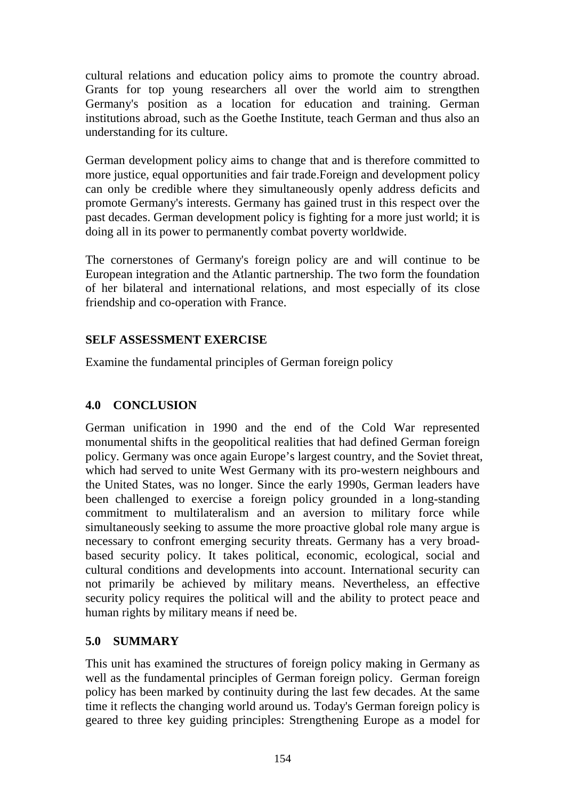cultural relations and education policy aims to promote the country abroad. Grants for top young researchers all over the world aim to strengthen Germany's position as a location for education and training. German institutions abroad, such as the Goethe Institute, teach German and thus also an understanding for its culture.

German development policy aims to change that and is therefore committed to more justice, equal opportunities and fair trade.Foreign and development policy can only be credible where they simultaneously openly address deficits and promote Germany's interests. Germany has gained trust in this respect over the past decades. German development policy is fighting for a more just world; it is doing all in its power to permanently combat poverty worldwide.

The cornerstones of Germany's foreign policy are and will continue to be European integration and the Atlantic partnership. The two form the foundation of her bilateral and international relations, and most especially of its close friendship and co-operation with France.

# **SELF ASSESSMENT EXERCISE**

Examine the fundamental principles of German foreign policy

# **4.0 CONCLUSION**

German unification in 1990 and the end of the Cold War represented monumental shifts in the geopolitical realities that had defined German foreign policy. Germany was once again Europe's largest country, and the Soviet threat, which had served to unite West Germany with its pro-western neighbours and the United States, was no longer. Since the early 1990s, German leaders have been challenged to exercise a foreign policy grounded in a long-standing commitment to multilateralism and an aversion to military force while simultaneously seeking to assume the more proactive global role many argue is necessary to confront emerging security threats. Germany has a very broadbased security policy. It takes political, economic, ecological, social and cultural conditions and developments into account. International security can not primarily be achieved by military means. Nevertheless, an effective security policy requires the political will and the ability to protect peace and human rights by military means if need be.

# **5.0 SUMMARY**

This unit has examined the structures of foreign policy making in Germany as well as the fundamental principles of German foreign policy. German foreign policy has been marked by continuity during the last few decades. At the same time it reflects the changing world around us. Today's German foreign policy is geared to three key guiding principles: Strengthening Europe as a model for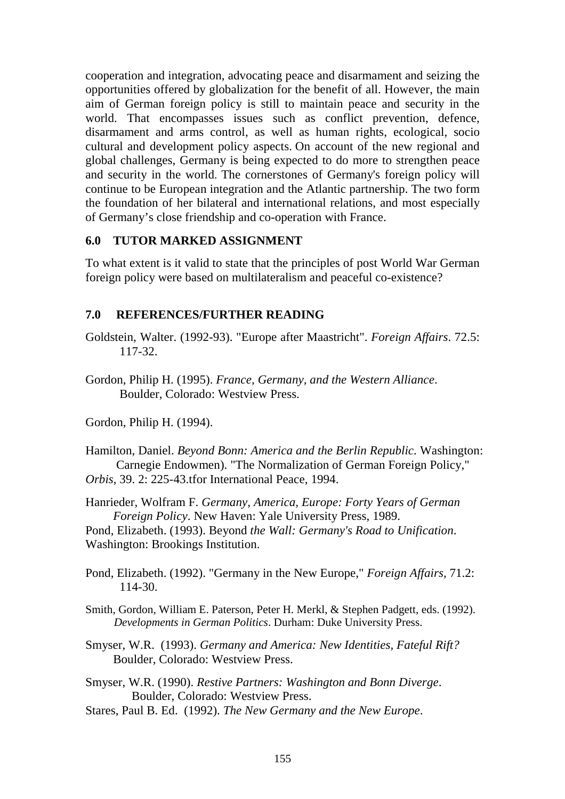cooperation and integration, advocating peace and disarmament and seizing the opportunities offered by globalization for the benefit of all. However, the main aim of German foreign policy is still to maintain peace and security in the world. That encompasses issues such as conflict prevention, defence, disarmament and arms control, as well as human rights, ecological, socio cultural and development policy aspects. On account of the new regional and global challenges, Germany is being expected to do more to strengthen peace and security in the world. The cornerstones of Germany's foreign policy will continue to be European integration and the Atlantic partnership. The two form the foundation of her bilateral and international relations, and most especially of Germany's close friendship and co-operation with France.

#### **6.0 TUTOR MARKED ASSIGNMENT**

To what extent is it valid to state that the principles of post World War German foreign policy were based on multilateralism and peaceful co-existence?

# **7.0 REFERENCES/FURTHER READING**

- Goldstein, Walter. (1992-93). "Europe after Maastricht". *Foreign Affairs*. 72.5: 117-32.
- Gordon, Philip H. (1995). *France, Germany, and the Western Alliance*. Boulder, Colorado: Westview Press.

Gordon, Philip H. (1994).

- Hamilton, Daniel. *Beyond Bonn: America and the Berlin Republic*. Washington: Carnegie Endowmen). "The Normalization of German Foreign Policy," *Orbis*, 39. 2: 225-43.tfor International Peace, 1994.
- Hanrieder, Wolfram F. *Germany, America, Europe: Forty Years of German Foreign Policy*. New Haven: Yale University Press, 1989.

Pond, Elizabeth. (1993). Beyond *the Wall: Germany's Road to Unification*. Washington: Brookings Institution.

- Pond, Elizabeth. (1992). "Germany in the New Europe," *Foreign Affairs*, 71.2: 114-30.
- Smith, Gordon, William E. Paterson, Peter H. Merkl, & Stephen Padgett, eds. (1992). *Developments in German Politics*. Durham: Duke University Press.
- Smyser, W.R. (1993). *Germany and America: New Identities, Fateful Rift?*  **Boulder, Colorado: Westview Press.**
- Smyser, W.R. (1990). *Restive Partners: Washington and Bonn Diverge*. Boulder, Colorado: Westview Press.
- Stares, Paul B. Ed. (1992). *The New Germany and the New Europe*.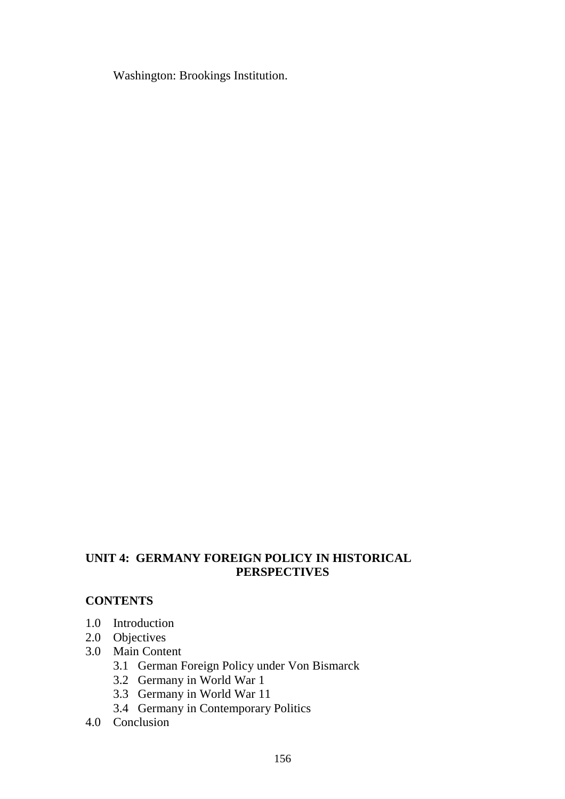Washington: Brookings Institution.

## **UNIT 4: GERMANY FOREIGN POLICY IN HISTORICAL PERSPECTIVES**

#### **CONTENTS**

- 1.0Introduction
- 2.0 Objectives
- 3.0 Main Content
	- 3.1 German Foreign Policy under Von Bismarck
	- 3.2 Germany in World War 1
	- 3.3 Germany in World War 11
	- 3.4 Germany in Contemporary Politics
- 4.0 Conclusion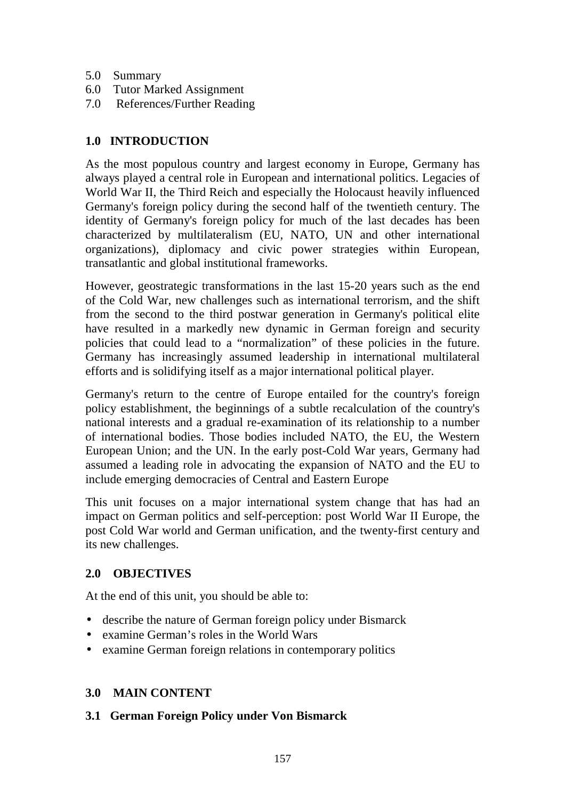- 5.0 Summary
- 6.0 Tutor Marked Assignment
- 7.0 References/Further Reading

## **1.0 INTRODUCTION**

As the most populous country and largest economy in Europe, Germany has always played a central role in European and international politics. Legacies of World War II, the Third Reich and especially the Holocaust heavily influenced Germany's foreign policy during the second half of the twentieth century. The identity of Germany's foreign policy for much of the last decades has been characterized by multilateralism (EU, NATO, UN and other international organizations), diplomacy and civic power strategies within European, transatlantic and global institutional frameworks.

However, geostrategic transformations in the last 15-20 years such as the end of the Cold War, new challenges such as international terrorism, and the shift from the second to the third postwar generation in Germany's political elite have resulted in a markedly new dynamic in German foreign and security policies that could lead to a "normalization" of these policies in the future. Germany has increasingly assumed leadership in international multilateral efforts and is solidifying itself as a major international political player.

Germany's return to the centre of Europe entailed for the country's foreign policy establishment, the beginnings of a subtle recalculation of the country's national interests and a gradual re-examination of its relationship to a number of international bodies. Those bodies included NATO, the EU, the Western European Union; and the UN. In the early post-Cold War years, Germany had assumed a leading role in advocating the expansion of NATO and the EU to include emerging democracies of Central and Eastern Europe

This unit focuses on a major international system change that has had an impact on German politics and self-perception: post World War II Europe, the post Cold War world and German unification, and the twenty-first century and its new challenges.

## **2.0 OBJECTIVES**

At the end of this unit, you should be able to:

- describe the nature of German foreign policy under Bismarck
- examine German's roles in the World Wars
- examine German foreign relations in contemporary politics

## **3.0 MAIN CONTENT**

## **3.1 German Foreign Policy under Von Bismarck**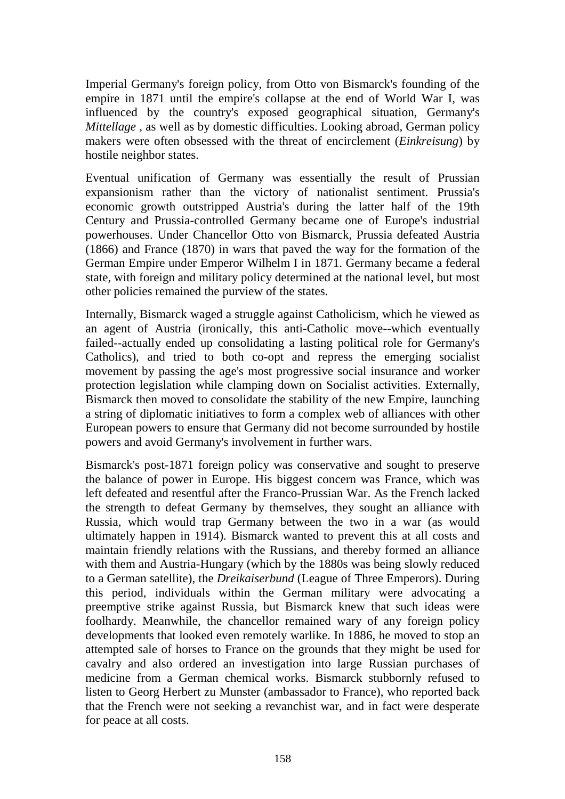Imperial Germany's foreign policy, from Otto von Bismarck's founding of the empire in 1871 until the empire's collapse at the end of World War I, was influenced by the country's exposed geographical situation, Germany's *Mittellage*, as well as by domestic difficulties. Looking abroad, German policy makers were often obsessed with the threat of encirclement (*Einkreisung*) by hostile neighbor states.

Eventual unification of Germany was essentially the result of Prussian expansionism rather than the victory of nationalist sentiment. Prussia's economic growth outstripped Austria's during the latter half of the 19th Century and Prussia-controlled Germany became one of Europe's industrial powerhouses. Under Chancellor Otto von Bismarck, Prussia defeated Austria (1866) and France (1870) in wars that paved the way for the formation of the German Empire under Emperor Wilhelm I in 1871. Germany became a federal state, with foreign and military policy determined at the national level, but most other policies remained the purview of the states.

Internally, Bismarck waged a struggle against Catholicism, which he viewed as an agent of Austria (ironically, this anti-Catholic move--which eventually failed--actually ended up consolidating a lasting political role for Germany's Catholics), and tried to both co-opt and repress the emerging socialist movement by passing the age's most progressive social insurance and worker protection legislation while clamping down on Socialist activities. Externally, Bismarck then moved to consolidate the stability of the new Empire, launching a string of diplomatic initiatives to form a complex web of alliances with other European powers to ensure that Germany did not become surrounded by hostile powers and avoid Germany's involvement in further wars.

Bismarck's post-1871 foreign policy was conservative and sought to preserve the balance of power in Europe. His biggest concern was France, which was left defeated and resentful after the Franco-Prussian War. As the French lacked the strength to defeat Germany by themselves, they sought an alliance with Russia, which would trap Germany between the two in a war (as would ultimately happen in 1914). Bismarck wanted to prevent this at all costs and maintain friendly relations with the Russians, and thereby formed an alliance with them and Austria-Hungary (which by the 1880s was being slowly reduced to a German satellite), the *Dreikaiserbund* (League of Three Emperors). During this period, individuals within the German military were advocating a preemptive strike against Russia, but Bismarck knew that such ideas were foolhardy. Meanwhile, the chancellor remained wary of any foreign policy developments that looked even remotely warlike. In 1886, he moved to stop an attempted sale of horses to France on the grounds that they might be used for cavalry and also ordered an investigation into large Russian purchases of medicine from a German chemical works. Bismarck stubbornly refused to listen to Georg Herbert zu Munster (ambassador to France), who reported back that the French were not seeking a revanchist war, and in fact were desperate for peace at all costs.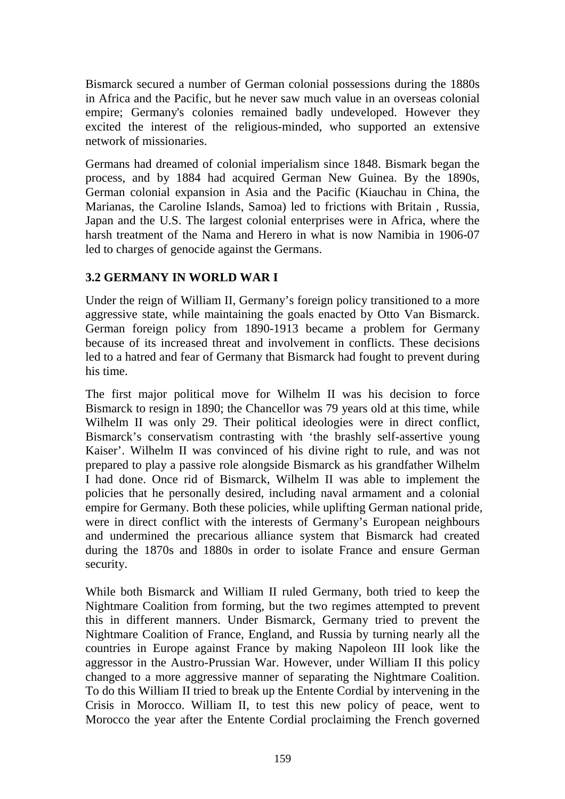Bismarck secured a number of German colonial possessions during the 1880s in Africa and the Pacific, but he never saw much value in an overseas colonial empire; Germany's colonies remained badly undeveloped. However they excited the interest of the religious-minded, who supported an extensive network of missionaries.

Germans had dreamed of colonial imperialism since 1848. Bismark began the process, and by 1884 had acquired German New Guinea. By the 1890s, German colonial expansion in Asia and the Pacific (Kiauchau in China, the Marianas, the Caroline Islands, Samoa) led to frictions with Britain , Russia, Japan and the U.S. The largest colonial enterprises were in Africa, where the harsh treatment of the Nama and Herero in what is now Namibia in 1906-07 led to charges of genocide against the Germans.

# **3.2 GERMANY IN WORLD WAR I**

Under the reign of William II, Germany's foreign policy transitioned to a more aggressive state, while maintaining the goals enacted by Otto Van Bismarck. German foreign policy from 1890-1913 became a problem for Germany because of its increased threat and involvement in conflicts. These decisions led to a hatred and fear of Germany that Bismarck had fought to prevent during his time.

The first major political move for Wilhelm II was his decision to force Bismarck to resign in 1890; the Chancellor was 79 years old at this time, while Wilhelm II was only 29. Their political ideologies were in direct conflict, Bismarck's conservatism contrasting with 'the brashly self-assertive young Kaiser'. Wilhelm II was convinced of his divine right to rule, and was not prepared to play a passive role alongside Bismarck as his grandfather Wilhelm I had done. Once rid of Bismarck, Wilhelm II was able to implement the policies that he personally desired, including naval armament and a colonial empire for Germany. Both these policies, while uplifting German national pride, were in direct conflict with the interests of Germany's European neighbours and undermined the precarious alliance system that Bismarck had created during the 1870s and 1880s in order to isolate France and ensure German security.

While both Bismarck and William II ruled Germany, both tried to keep the Nightmare Coalition from forming, but the two regimes attempted to prevent this in different manners. Under Bismarck, Germany tried to prevent the Nightmare Coalition of France, England, and Russia by turning nearly all the countries in Europe against France by making Napoleon III look like the aggressor in the Austro-Prussian War. However, under William II this policy changed to a more aggressive manner of separating the Nightmare Coalition. To do this William II tried to break up the Entente Cordial by intervening in the Crisis in Morocco. William II, to test this new policy of peace, went to Morocco the year after the Entente Cordial proclaiming the French governed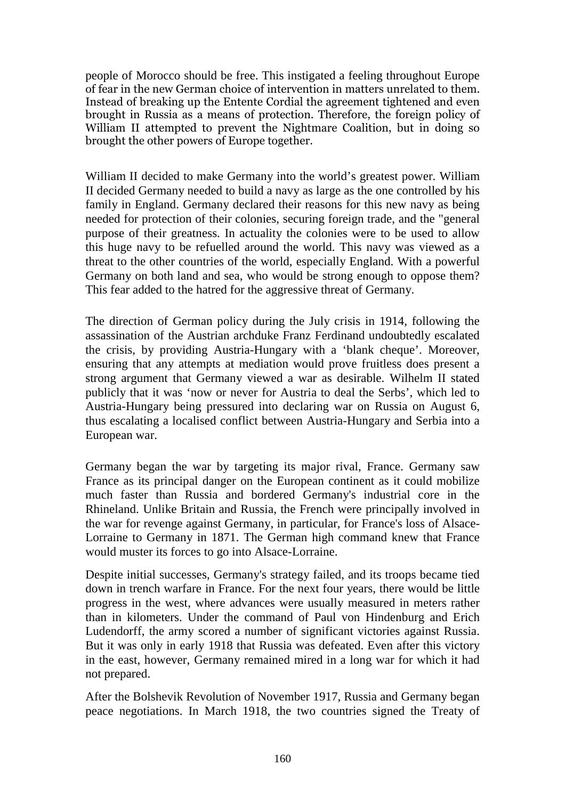people of Morocco should be free. This instigated a feeling throughout Europe of fear in the new German choice of intervention in matters unrelated to them. Instead of breaking up the Entente Cordial the agreement tightened and even brought in Russia as a means of protection. Therefore, the foreign policy of William II attempted to prevent the Nightmare Coalition, but in doing so brought the other powers of Europe together.

William II decided to make Germany into the world's greatest power. William II decided Germany needed to build a navy as large as the one controlled by his family in England. Germany declared their reasons for this new navy as being needed for protection of their colonies, securing foreign trade, and the "general purpose of their greatness. In actuality the colonies were to be used to allow this huge navy to be refuelled around the world. This navy was viewed as a threat to the other countries of the world, especially England. With a powerful Germany on both land and sea, who would be strong enough to oppose them? This fear added to the hatred for the aggressive threat of Germany.

The direction of German policy during the July crisis in 1914, following the assassination of the Austrian archduke Franz Ferdinand undoubtedly escalated the crisis, by providing Austria-Hungary with a 'blank cheque'. Moreover, ensuring that any attempts at mediation would prove fruitless does present a strong argument that Germany viewed a war as desirable. Wilhelm II stated publicly that it was 'now or never for Austria to deal the Serbs', which led to Austria-Hungary being pressured into declaring war on Russia on August 6, thus escalating a localised conflict between Austria-Hungary and Serbia into a European war.

Germany began the war by targeting its major rival, France. Germany saw France as its principal danger on the European continent as it could mobilize much faster than Russia and bordered Germany's industrial core in the Rhineland. Unlike Britain and Russia, the French were principally involved in the war for revenge against Germany, in particular, for France's loss of Alsace-Lorraine to Germany in 1871. The German high command knew that France would muster its forces to go into Alsace-Lorraine.

Despite initial successes, Germany's strategy failed, and its troops became tied down in trench warfare in France. For the next four years, there would be little progress in the west, where advances were usually measured in meters rather than in kilometers. Under the command of Paul von Hindenburg and Erich Ludendorff, the army scored a number of significant victories against Russia. But it was only in early 1918 that Russia was defeated. Even after this victory in the east, however, Germany remained mired in a long war for which it had not prepared.

After the Bolshevik Revolution of November 1917, Russia and Germany began peace negotiations. In March 1918, the two countries signed the Treaty of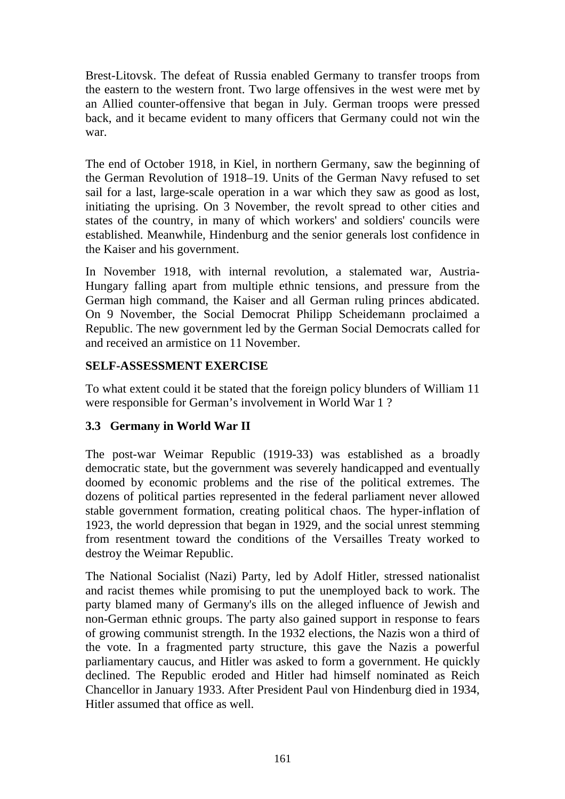Brest-Litovsk. The defeat of Russia enabled Germany to transfer troops from the eastern to the western front. Two large offensives in the west were met by an Allied counter-offensive that began in July. German troops were pressed back, and it became evident to many officers that Germany could not win the war.

The end of October 1918, in Kiel, in northern Germany, saw the beginning of the German Revolution of 1918–19. Units of the German Navy refused to set sail for a last, large-scale operation in a war which they saw as good as lost, initiating the uprising. On 3 November, the revolt spread to other cities and states of the country, in many of which workers' and soldiers' councils were established. Meanwhile, Hindenburg and the senior generals lost confidence in the Kaiser and his government.

In November 1918, with internal revolution, a stalemated war, Austria-Hungary falling apart from multiple ethnic tensions, and pressure from the German high command, the Kaiser and all German ruling princes abdicated. On 9 November, the Social Democrat Philipp Scheidemann proclaimed a Republic. The new government led by the German Social Democrats called for and received an armistice on 11 November.

# **SELF-ASSESSMENT EXERCISE**

To what extent could it be stated that the foreign policy blunders of William 11 were responsible for German's involvement in World War 1 ?

# **3.3 Germany in World War II**

The post-war Weimar Republic (1919-33) was established as a broadly democratic state, but the government was severely handicapped and eventually doomed by economic problems and the rise of the political extremes. The dozens of political parties represented in the federal parliament never allowed stable government formation, creating political chaos. The hyper-inflation of 1923, the world depression that began in 1929, and the social unrest stemming from resentment toward the conditions of the Versailles Treaty worked to destroy the Weimar Republic.

The National Socialist (Nazi) Party, led by Adolf Hitler, stressed nationalist and racist themes while promising to put the unemployed back to work. The party blamed many of Germany's ills on the alleged influence of Jewish and non-German ethnic groups. The party also gained support in response to fears of growing communist strength. In the 1932 elections, the Nazis won a third of the vote. In a fragmented party structure, this gave the Nazis a powerful parliamentary caucus, and Hitler was asked to form a government. He quickly declined. The Republic eroded and Hitler had himself nominated as Reich Chancellor in January 1933. After President Paul von Hindenburg died in 1934, Hitler assumed that office as well.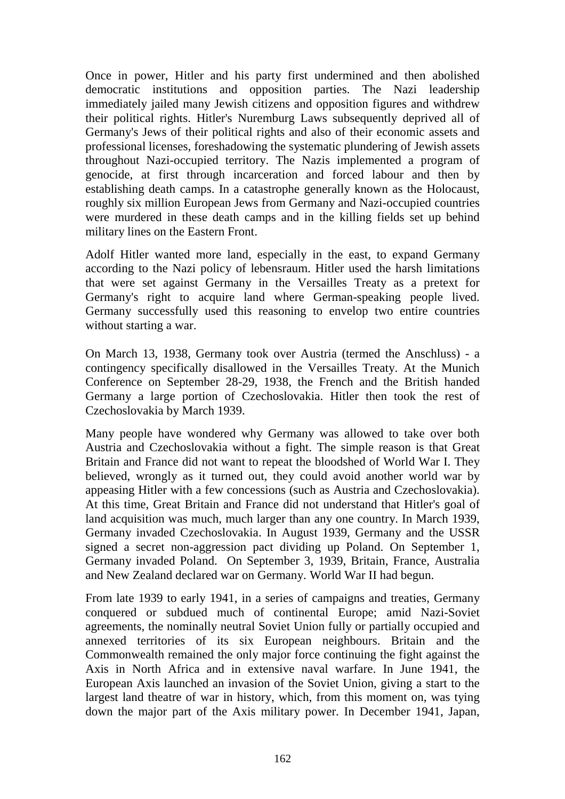Once in power, Hitler and his party first undermined and then abolished democratic institutions and opposition parties. The Nazi leadership immediately jailed many Jewish citizens and opposition figures and withdrew their political rights. Hitler's Nuremburg Laws subsequently deprived all of Germany's Jews of their political rights and also of their economic assets and professional licenses, foreshadowing the systematic plundering of Jewish assets throughout Nazi-occupied territory. The Nazis implemented a program of genocide, at first through incarceration and forced labour and then by establishing death camps. In a catastrophe generally known as the Holocaust, roughly six million European Jews from Germany and Nazi-occupied countries were murdered in these death camps and in the killing fields set up behind military lines on the Eastern Front.

Adolf Hitler wanted more land, especially in the east, to expand Germany according to the Nazi policy of lebensraum. Hitler used the harsh limitations that were set against Germany in the Versailles Treaty as a pretext for Germany's right to acquire land where German-speaking people lived. Germany successfully used this reasoning to envelop two entire countries without starting a war.

On March 13, 1938, Germany took over Austria (termed the Anschluss) - a contingency specifically disallowed in the Versailles Treaty. At the Munich Conference on September 28-29, 1938, the French and the British handed Germany a large portion of Czechoslovakia. Hitler then took the rest of Czechoslovakia by March 1939.

Many people have wondered why Germany was allowed to take over both Austria and Czechoslovakia without a fight. The simple reason is that Great Britain and France did not want to repeat the bloodshed of World War I. They believed, wrongly as it turned out, they could avoid another world war by appeasing Hitler with a few concessions (such as Austria and Czechoslovakia). At this time, Great Britain and France did not understand that Hitler's goal of land acquisition was much, much larger than any one country. In March 1939, Germany invaded Czechoslovakia. In August 1939, Germany and the USSR signed a secret non-aggression pact dividing up Poland. On September 1, Germany invaded Poland. On September 3, 1939, Britain, France, Australia and New Zealand declared war on Germany. World War II had begun.

From late 1939 to early 1941, in a series of campaigns and treaties, Germany conquered or subdued much of continental Europe; amid Nazi-Soviet agreements, the nominally neutral Soviet Union fully or partially occupied and annexed territories of its six European neighbours. Britain and the Commonwealth remained the only major force continuing the fight against the Axis in North Africa and in extensive naval warfare. In June 1941, the European Axis launched an invasion of the Soviet Union, giving a start to the largest land theatre of war in history, which, from this moment on, was tying down the major part of the Axis military power. In December 1941, Japan,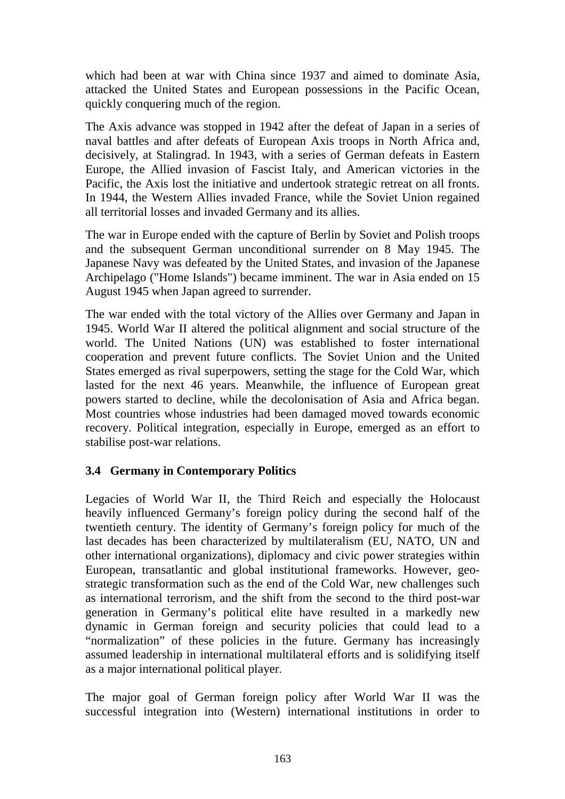which had been at war with China since 1937 and aimed to dominate Asia, attacked the United States and European possessions in the Pacific Ocean, quickly conquering much of the region.

The Axis advance was stopped in 1942 after the defeat of Japan in a series of naval battles and after defeats of European Axis troops in North Africa and, decisively, at Stalingrad. In 1943, with a series of German defeats in Eastern Europe, the Allied invasion of Fascist Italy, and American victories in the Pacific, the Axis lost the initiative and undertook strategic retreat on all fronts. In 1944, the Western Allies invaded France, while the Soviet Union regained all territorial losses and invaded Germany and its allies.

The war in Europe ended with the capture of Berlin by Soviet and Polish troops and the subsequent German unconditional surrender on 8 May 1945. The Japanese Navy was defeated by the United States, and invasion of the Japanese Archipelago ("Home Islands") became imminent. The war in Asia ended on 15 August 1945 when Japan agreed to surrender.

The war ended with the total victory of the Allies over Germany and Japan in 1945. World War II altered the political alignment and social structure of the world. The United Nations (UN) was established to foster international cooperation and prevent future conflicts. The Soviet Union and the United States emerged as rival superpowers, setting the stage for the Cold War, which lasted for the next 46 years. Meanwhile, the influence of European great powers started to decline, while the decolonisation of Asia and Africa began. Most countries whose industries had been damaged moved towards economic recovery. Political integration, especially in Europe, emerged as an effort to stabilise post-war relations.

## **3.4 Germany in Contemporary Politics**

Legacies of World War II, the Third Reich and especially the Holocaust heavily influenced Germany's foreign policy during the second half of the twentieth century. The identity of Germany's foreign policy for much of the last decades has been characterized by multilateralism (EU, NATO, UN and other international organizations), diplomacy and civic power strategies within European, transatlantic and global institutional frameworks. However, geostrategic transformation such as the end of the Cold War, new challenges such as international terrorism, and the shift from the second to the third post-war generation in Germany's political elite have resulted in a markedly new dynamic in German foreign and security policies that could lead to a "normalization" of these policies in the future. Germany has increasingly assumed leadership in international multilateral efforts and is solidifying itself as a major international political player.

The major goal of German foreign policy after World War II was the successful integration into (Western) international institutions in order to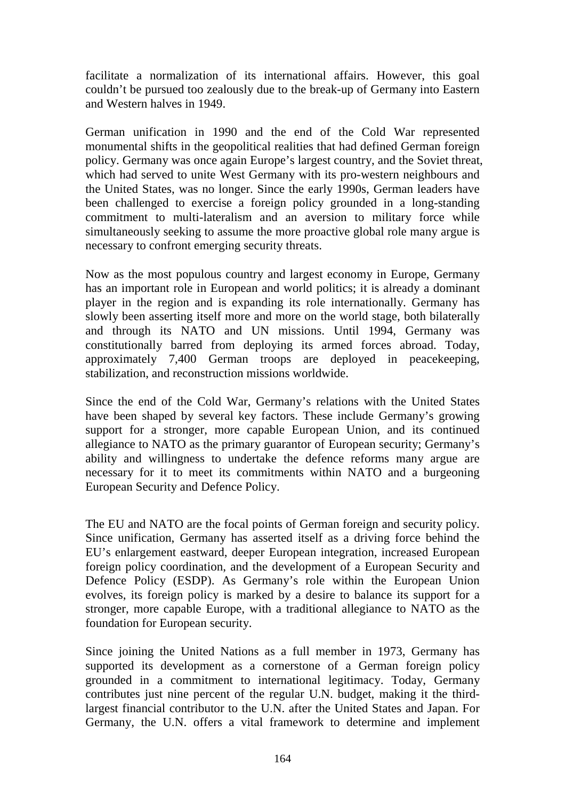facilitate a normalization of its international affairs. However, this goal couldn't be pursued too zealously due to the break-up of Germany into Eastern and Western halves in 1949.

German unification in 1990 and the end of the Cold War represented monumental shifts in the geopolitical realities that had defined German foreign policy. Germany was once again Europe's largest country, and the Soviet threat, which had served to unite West Germany with its pro-western neighbours and the United States, was no longer. Since the early 1990s, German leaders have been challenged to exercise a foreign policy grounded in a long-standing commitment to multi-lateralism and an aversion to military force while simultaneously seeking to assume the more proactive global role many argue is necessary to confront emerging security threats.

Now as the most populous country and largest economy in Europe, Germany has an important role in European and world politics; it is already a dominant player in the region and is expanding its role internationally. Germany has slowly been asserting itself more and more on the world stage, both bilaterally and through its NATO and UN missions. Until 1994, Germany was constitutionally barred from deploying its armed forces abroad. Today, approximately 7,400 German troops are deployed in peacekeeping, stabilization, and reconstruction missions worldwide.

Since the end of the Cold War, Germany's relations with the United States have been shaped by several key factors. These include Germany's growing support for a stronger, more capable European Union, and its continued allegiance to NATO as the primary guarantor of European security; Germany's ability and willingness to undertake the defence reforms many argue are necessary for it to meet its commitments within NATO and a burgeoning European Security and Defence Policy.

The EU and NATO are the focal points of German foreign and security policy. Since unification, Germany has asserted itself as a driving force behind the EU's enlargement eastward, deeper European integration, increased European foreign policy coordination, and the development of a European Security and Defence Policy (ESDP). As Germany's role within the European Union evolves, its foreign policy is marked by a desire to balance its support for a stronger, more capable Europe, with a traditional allegiance to NATO as the foundation for European security.

Since joining the United Nations as a full member in 1973, Germany has supported its development as a cornerstone of a German foreign policy grounded in a commitment to international legitimacy. Today, Germany contributes just nine percent of the regular U.N. budget, making it the thirdlargest financial contributor to the U.N. after the United States and Japan. For Germany, the U.N. offers a vital framework to determine and implement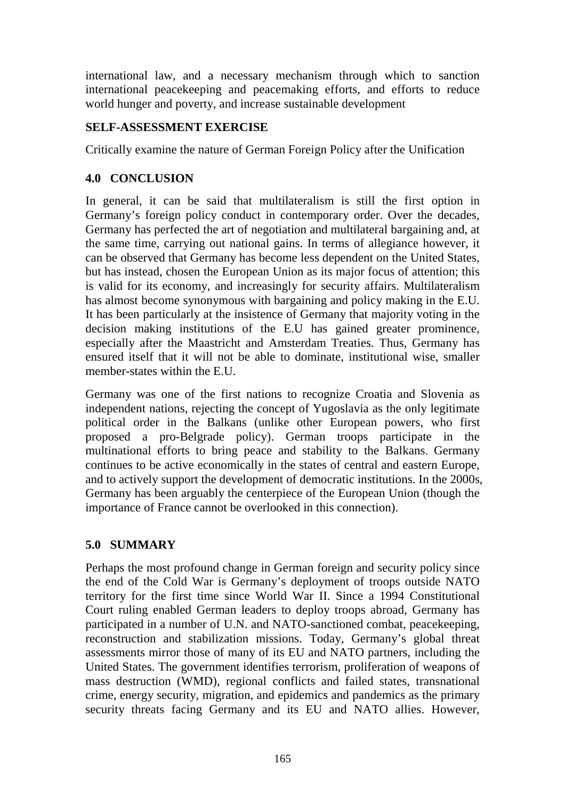international law, and a necessary mechanism through which to sanction international peacekeeping and peacemaking efforts, and efforts to reduce world hunger and poverty, and increase sustainable development

# **SELF-ASSESSMENT EXERCISE**

Critically examine the nature of German Foreign Policy after the Unification

# **4.0 CONCLUSION**

In general, it can be said that multilateralism is still the first option in Germany's foreign policy conduct in contemporary order. Over the decades, Germany has perfected the art of negotiation and multilateral bargaining and, at the same time, carrying out national gains. In terms of allegiance however, it can be observed that Germany has become less dependent on the United States, but has instead, chosen the European Union as its major focus of attention; this is valid for its economy, and increasingly for security affairs. Multilateralism has almost become synonymous with bargaining and policy making in the E.U. It has been particularly at the insistence of Germany that majority voting in the decision making institutions of the E.U has gained greater prominence, especially after the Maastricht and Amsterdam Treaties. Thus, Germany has ensured itself that it will not be able to dominate, institutional wise, smaller member-states within the E.U.

Germany was one of the first nations to recognize Croatia and Slovenia as independent nations, rejecting the concept of Yugoslavia as the only legitimate political order in the Balkans (unlike other European powers, who first proposed a pro-Belgrade policy). German troops participate in the multinational efforts to bring peace and stability to the Balkans. Germany continues to be active economically in the states of central and eastern Europe, and to actively support the development of democratic institutions. In the 2000s, Germany has been arguably the centerpiece of the European Union (though the importance of France cannot be overlooked in this connection).

## **5.0 SUMMARY**

Perhaps the most profound change in German foreign and security policy since the end of the Cold War is Germany's deployment of troops outside NATO territory for the first time since World War II. Since a 1994 Constitutional Court ruling enabled German leaders to deploy troops abroad, Germany has participated in a number of U.N. and NATO-sanctioned combat, peacekeeping, reconstruction and stabilization missions. Today, Germany's global threat assessments mirror those of many of its EU and NATO partners, including the United States. The government identifies terrorism, proliferation of weapons of mass destruction (WMD), regional conflicts and failed states, transnational crime, energy security, migration, and epidemics and pandemics as the primary security threats facing Germany and its EU and NATO allies. However,